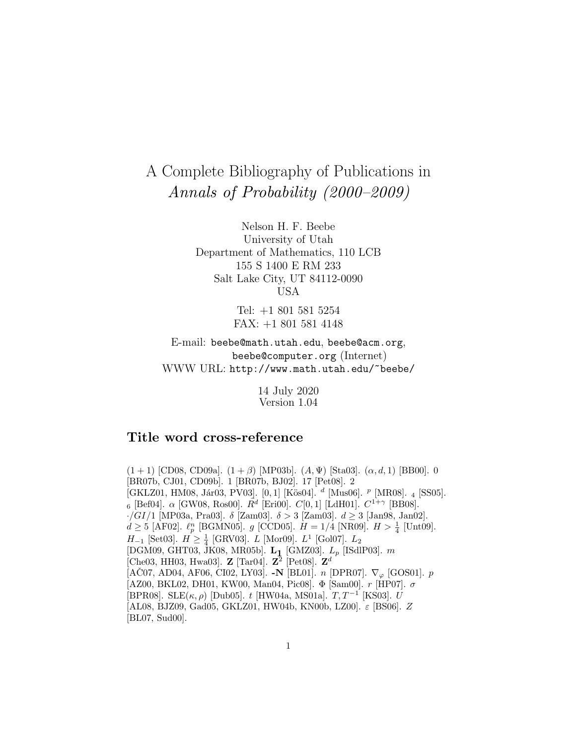# A Complete Bibliography of Publications in Annals of Probability (2000–2009)

Nelson H. F. Beebe University of Utah Department of Mathematics, 110 LCB 155 S 1400 E RM 233 Salt Lake City, UT 84112-0090 USA

> Tel: +1 801 581 5254 FAX: +1 801 581 4148

E-mail: beebe@math.utah.edu, beebe@acm.org, beebe@computer.org (Internet) WWW URL: http://www.math.utah.edu/~beebe/

> 14 July 2020 Version 1.04

# **Title word cross-reference**

 $(1 + 1)$  [CD08, CD09a].  $(1 + \beta)$  [MP03b].  $(A, \Psi)$  [Sta03].  $(\alpha, d, 1)$  [BB00]. 0 [BR07b, CJ01, CD09b]. 1 [BR07b, BJ02]. 17 [Pet08]. 2 [GKLZ01, HM08, Jár03, PV03].  $[0, 1]$  [Kös04].  $d$  [Mus06].  $p$  [MR08]. 4 [SS05]. 6 [Bef04].  $\alpha$  [GW08, Ros00].  $\bar{R}^d$  [Eri00].  $C[0,1]$  [LdH01].  $C^{1+\gamma}$  [BB08]. ·/GI/1 [MP03a, Pra03].  $\delta$  [Zam03].  $\delta > 3$  [Zam03].  $d \ge 3$  [Jan98, Jan02].  $d \geq 5$  [AF02].  $\ell_p^n$  [BGMN05].  $g$  [CCD05].  $H = 1/4$  [NR09].  $H > \frac{1}{4}$  [Unt09].  $H_{-1}$  [Set03].  $H \ge \frac{1}{4}$  [GRV03].  $L$  [Mor09].  $L^{1}$  [Gol07].  $L_{2}$ [DGM09, GHT03, JK08, MR05b]. **L1** [GMZ03]. L<sup>p</sup> [ISdlP03]. m [Che03, HH03, Hwa03]. **Z** [Tar04].  $\mathbb{Z}^2$  [Pet08].  $\mathbb{Z}^d$  $[ACO7, AD04, AF06, Cl02, LY03]$ . -N  $[BL01]$ . n  $[DPR07]$ .  $\nabla_{\varphi}$   $[GOS01]$ . p  $[AZ00, BKL02, DH01, KW00, Man04, Pic08]$ . Φ [Sam00]. r [HP07]. σ [BPR08]. SLE $(\kappa, \rho)$  [Dub05]. t [HW04a, MS01a].  $T, T^{-1}$  [KS03]. U [AL08, BJZ09, Gad05, GKLZ01, HW04b, KN00b, LZ00].  $\varepsilon$  [BS06]. Z [BL07, Sud00].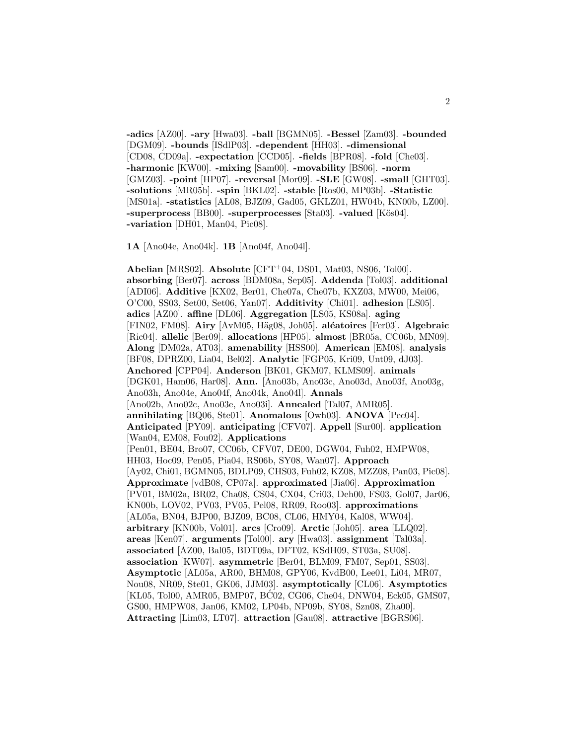**-adics** [AZ00]. **-ary** [Hwa03]. **-ball** [BGMN05]. **-Bessel** [Zam03]. **-bounded** [DGM09]. **-bounds** [ISdlP03]. **-dependent** [HH03]. **-dimensional** [CD08, CD09a]. **-expectation** [CCD05]. **-fields** [BPR08]. **-fold** [Che03]. **-harmonic** [KW00]. **-mixing** [Sam00]. **-movability** [BS06]. **-norm** [GMZ03]. **-point** [HP07]. **-reversal** [Mor09]. **-SLE** [GW08]. **-small** [GHT03]. **-solutions** [MR05b]. **-spin** [BKL02]. **-stable** [Ros00, MP03b]. **-Statistic** [MS01a]. **-statistics** [AL08, BJZ09, Gad05, GKLZ01, HW04b, KN00b, LZ00]. **-superprocess** [BB00]. **-superprocesses** [Sta03]. **-valued** [K¨os04]. **-variation** [DH01, Man04, Pic08].

**1A** [Ano04e, Ano04k]. **1B** [Ano04f, Ano04l].

**Abelian** [MRS02]. **Absolute** [CFT<sup>+</sup>04, DS01, Mat03, NS06, Tol00]. **absorbing** [Ber07]. **across** [BDM08a, Sep05]. **Addenda** [Tol03]. **additional** [ADI06]. **Additive** [KX02, Ber01, Che07a, Che07b, KXZ03, MW00, Mei06, O'C00, SS03, Set00, Set06, Yan07]. **Additivity** [Chi01]. **adhesion** [LS05]. **adics** [AZ00]. **affine** [DL06]. **Aggregation** [LS05, KS08a]. **aging** [FIN02, FM08]. **Airy** [AvM05, H¨ag08, Joh05]. **al´eatoires** [Fer03]. **Algebraic** [Ric04]. **allelic** [Ber09]. **allocations** [HP05]. **almost** [BR05a, CC06b, MN09]. **Along** [DM02a, AT03]. **amenability** [HSS00]. **American** [EM08]. **analysis** [BF08, DPRZ00, Lia04, Bel02]. **Analytic** [FGP05, Kri09, Unt09, dJ03]. **Anchored** [CPP04]. **Anderson** [BK01, GKM07, KLMS09]. **animals** [DGK01, Ham06, Har08]. **Ann.** [Ano03b, Ano03c, Ano03d, Ano03f, Ano03g, Ano03h, Ano04e, Ano04f, Ano04k, Ano04l]. **Annals** [Ano02b, Ano02c, Ano03e, Ano03i]. **Annealed** [Tal07, AMR05]. **annihilating** [BQ06, Ste01]. **Anomalous** [Owh03]. **ANOVA** [Pec04]. **Anticipated** [PY09]. **anticipating** [CFV07]. **Appell** [Sur00]. **application** [Wan04, EM08, Fou02]. **Applications** [Pen01, BE04, Bro07, CC06b, CFV07, DE00, DGW04, Fuh02, HMPW08, HH03, Hoc09, Pen05, Pia04, RS06b, SY08, Wan07]. **Approach** [Ay02, Chi01, BGMN05, BDLP09, CHS03, Fuh02, KZ08, MZZ08, Pan03, Pic08]. **Approximate** [vdB08, CP07a]. **approximated** [Jia06]. **Approximation** [PV01, BM02a, BR02, Cha08, CS04, CX04, Cri03, Deh00, FS03, Gol07, Jar06, KN00b, LOV02, PV03, PV05, Pel08, RR09, Roo03]. **approximations** [AL05a, BN04, BJP00, BJZ09, BC08, CL06, HMY04, Kal08, WW04]. **arbitrary** [KN00b, Vol01]. **arcs** [Cro09]. **Arctic** [Joh05]. **area** [LLQ02]. **areas** [Ken07]. **arguments** [Tol00]. **ary** [Hwa03]. **assignment** [Tal03a]. **associated** [AZ00, Bal05, BDT09a, DFT02, KSdH09, ST03a, SU08]. **association** [KW07]. **asymmetric** [Ber04, BLM09, FM07, Sep01, SS03]. **Asymptotic** [AL05a, AR00, BHM08, GPY06, KvdB00, Lee01, Li04, MR07, Nou08, NR09, Ste01, GK06, JJM03]. **asymptotically** [CL06]. **Asymptotics** [KL05, Tol00, AMR05, BMP07, BC02, CG06, Che04, DNW04, Eck05, GMS07, GS00, HMPW08, Jan06, KM02, LP04b, NP09b, SY08, Szn08, Zha00]. **Attracting** [Lim03, LT07]. **attraction** [Gau08]. **attractive** [BGRS06].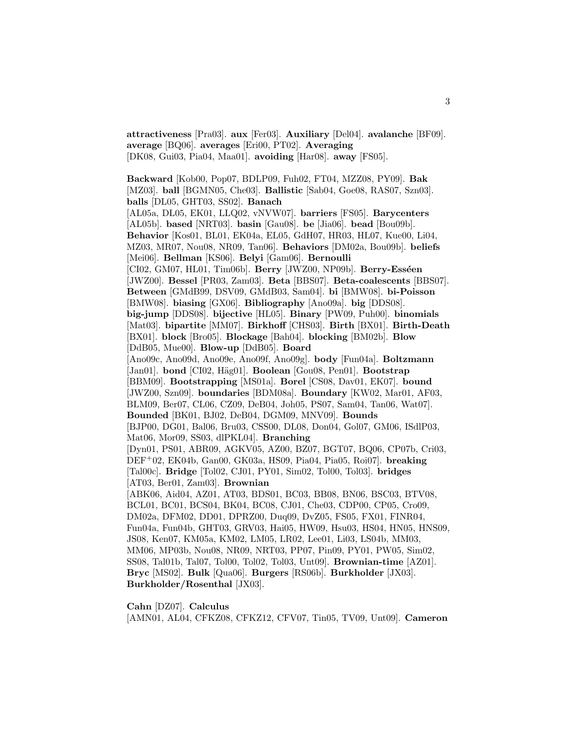**attractiveness** [Pra03]. **aux** [Fer03]. **Auxiliary** [Del04]. **avalanche** [BF09]. **average** [BQ06]. **averages** [Eri00, PT02]. **Averaging** [DK08, Gui03, Pia04, Maa01]. **avoiding** [Har08]. **away** [FS05].

**Backward** [Kob00, Pop07, BDLP09, Fuh02, FT04, MZZ08, PY09]. **Bak** [MZ03]. **ball** [BGMN05, Che03]. **Ballistic** [Sab04, Goe08, RAS07, Szn03]. **balls** [DL05, GHT03, SS02]. **Banach** [AL05a, DL05, EK01, LLQ02, vNVW07]. **barriers** [FS05]. **Barycenters** [AL05b]. **based** [NRT03]. **basin** [Gau08]. **be** [Jia06]. **bead** [Bou09b]. **Behavior** [Kos01, BL01, EK04a, EL05, GdH07, HR03, HL07, Kue00, Li04, MZ03, MR07, Nou08, NR09, Tan06]. **Behaviors** [DM02a, Bou09b]. **beliefs** [Mei06]. **Bellman** [KS06]. **Belyi** [Gam06]. **Bernoulli** [CI02, GM07, HL01, Tim06b]. **Berry** [JWZ00, NP09b]. **Berry-Esséen** [JWZ00]. **Bessel** [PR03, Zam03]. **Beta** [BBS07]. **Beta-coalescents** [BBS07]. **Between** [GMdB99, DSV09, GMdB03, Sam04]. **bi** [BMW08]. **bi-Poisson** [BMW08]. **biasing** [GX06]. **Bibliography** [Ano09a]. **big** [DDS08]. **big-jump** [DDS08]. **bijective** [HL05]. **Binary** [PW09, Puh00]. **binomials** [Mat03]. **bipartite** [MM07]. **Birkhoff** [CHS03]. **Birth** [BX01]. **Birth-Death** [BX01]. **block** [Bro05]. **Blockage** [Bah04]. **blocking** [BM02b]. **Blow** [DdB05, Mue00]. **Blow-up** [DdB05]. **Board** [Ano09c, Ano09d, Ano09e, Ano09f, Ano09g]. **body** [Fun04a]. **Boltzmann** [Jan01]. **bond** [CI02, H¨ag01]. **Boolean** [Gou08, Pen01]. **Bootstrap** [BBM09]. **Bootstrapping** [MS01a]. **Borel** [CS08, Dav01, EK07]. **bound** [JWZ00, Szn09]. **boundaries** [BDM08a]. **Boundary** [KW02, Mar01, AF03, BLM09, Ber07, CL06, CZ09, DeB04, Joh05, PS07, Sam04, Tan06, Wat07]. **Bounded** [BK01, BJ02, DeB04, DGM09, MNV09]. **Bounds** [BJP00, DG01, Bal06, Bru03, CSS00, DL08, Don04, Gol07, GM06, ISdlP03, Mat06, Mor09, SS03, dlPKL04]. **Branching** [Dyn01, PS01, ABR09, AGKV05, AZ00, BZ07, BGT07, BQ06, CP07b, Cri03, DEF<sup>+</sup>02, EK04b, Gan00, GK03a, HS09, Pia04, Pia05, Roi07]. **breaking** [Tal00c]. **Bridge** [Tol02, CJ01, PY01, Sim02, Tol00, Tol03]. **bridges** [AT03, Ber01, Zam03]. **Brownian** [ABK06, Aid04, AZ01, AT03, BDS01, BC03, BB08, BN06, BSC03, BTV08, BCL01, BC01, BCS04, BK04, BC08, CJ01, Che03, CDP00, CP05, Cro09, DM02a, DFM02, DD01, DPRZ00, Duq09, DvZ05, FS05, FX01, FINR04, Fun04a, Fun04b, GHT03, GRV03, Hai05, HW09, Hsu03, HS04, HN05, HNS09, JS08, Ken07, KM05a, KM02, LM05, LR02, Lee01, Li03, LS04b, MM03, MM06, MP03b, Nou08, NR09, NRT03, PP07, Pin09, PY01, PW05, Sim02, SS08, Tal01b, Tal07, Tol00, Tol02, Tol03, Unt09]. **Brownian-time** [AZ01]. **Bryc** [MS02]. **Bulk** [Qua06]. **Burgers** [RS06b]. **Burkholder** [JX03].

**Burkholder/Rosenthal** [JX03].

**Cahn** [DZ07]. **Calculus**

[AMN01, AL04, CFKZ08, CFKZ12, CFV07, Tin05, TV09, Unt09]. **Cameron**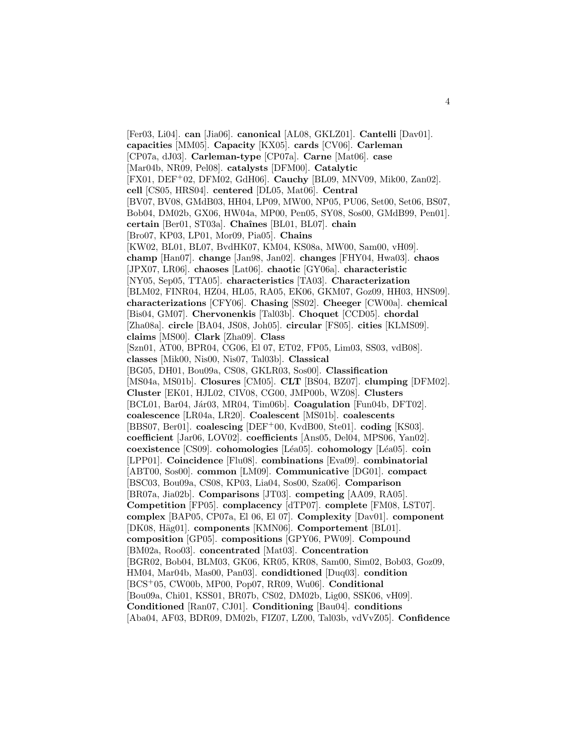[Fer03, Li04]. **can** [Jia06]. **canonical** [AL08, GKLZ01]. **Cantelli** [Dav01]. **capacities** [MM05]. **Capacity** [KX05]. **cards** [CV06]. **Carleman** [CP07a, dJ03]. **Carleman-type** [CP07a]. **Carne** [Mat06]. **case** [Mar04b, NR09, Pel08]. **catalysts** [DFM00]. **Catalytic** [FX01, DEF<sup>+</sup>02, DFM02, GdH06]. **Cauchy** [BL09, MNV09, Mik00, Zan02]. **cell** [CS05, HRS04]. **centered** [DL05, Mat06]. **Central** [BV07, BV08, GMdB03, HH04, LP09, MW00, NP05, PU06, Set00, Set06, BS07, Bob04, DM02b, GX06, HW04a, MP00, Pen05, SY08, Sos00, GMdB99, Pen01]. **certain** [Ber01, ST03a]. **Chaˆınes** [BL01, BL07]. **chain** [Bro07, KP03, LP01, Mor09, Pia05]. **Chains** [KW02, BL01, BL07, BvdHK07, KM04, KS08a, MW00, Sam00, vH09]. **champ** [Han07]. **change** [Jan98, Jan02]. **changes** [FHY04, Hwa03]. **chaos** [JPX07, LR06]. **chaoses** [Lat06]. **chaotic** [GY06a]. **characteristic** [NY05, Sep05, TTA05]. **characteristics** [TA03]. **Characterization** [BLM02, FINR04, HZ04, HL05, RA05, EK06, GKM07, Goz09, HH03, HNS09]. **characterizations** [CFY06]. **Chasing** [SS02]. **Cheeger** [CW00a]. **chemical** [Bis04, GM07]. **Chervonenkis** [Tal03b]. **Choquet** [CCD05]. **chordal** [Zha08a]. **circle** [BA04, JS08, Joh05]. **circular** [FS05]. **cities** [KLMS09]. **claims** [MS00]. **Clark** [Zha09]. **Class** [Szn01, AT00, BPR04, CG06, El 07, ET02, FP05, Lim03, SS03, vdB08]. **classes** [Mik00, Nis00, Nis07, Tal03b]. **Classical** [BG05, DH01, Bou09a, CS08, GKLR03, Sos00]. **Classification** [MS04a, MS01b]. **Closures** [CM05]. **CLT** [BS04, BZ07]. **clumping** [DFM02]. **Cluster** [EK01, HJL02, CIV08, CG00, JMP00b, WZ08]. **Clusters** [BCL01, Bar04, Jár03, MR04, Tim06b]. **Coagulation** [Fun04b, DFT02]. **coalescence** [LR04a, LR20]. **Coalescent** [MS01b]. **coalescents** [BBS07, Ber01]. **coalescing** [DEF<sup>+</sup>00, KvdB00, Ste01]. **coding** [KS03]. **coefficient** [Jar06, LOV02]. **coefficients** [Ans05, Del04, MPS06, Yan02]. **coexistence** [CS09]. **cohomologies** [L´ea05]. **cohomology** [L´ea05]. **coin** [LPP01]. **Coincidence** [Flu08]. **combinations** [Eva09]. **combinatorial** [ABT00, Sos00]. **common** [LM09]. **Communicative** [DG01]. **compact** [BSC03, Bou09a, CS08, KP03, Lia04, Sos00, Sza06]. **Comparison** [BR07a, Jia02b]. **Comparisons** [JT03]. **competing** [AA09, RA05]. **Competition** [FP05]. **complacency** [dTP07]. **complete** [FM08, LST07]. **complex** [BAP05, CP07a, El 06, El 07]. **Complexity** [Dav01]. **component** [DK08, Häg01]. **components** [KMN06]. **Comportement** [BL01]. **composition** [GP05]. **compositions** [GPY06, PW09]. **Compound** [BM02a, Roo03]. **concentrated** [Mat03]. **Concentration** [BGR02, Bob04, BLM03, GK06, KR05, KR08, Sam00, Sim02, Bob03, Goz09, HM04, Mar04b, Mas00, Pan03]. **condidtioned** [Duq03]. **condition** [BCS<sup>+</sup>05, CW00b, MP00, Pop07, RR09, Wu06]. **Conditional** [Bou09a, Chi01, KSS01, BR07b, CS02, DM02b, Lig00, SSK06, vH09]. **Conditioned** [Ran07, CJ01]. **Conditioning** [Bau04]. **conditions** [Aba04, AF03, BDR09, DM02b, FIZ07, LZ00, Tal03b, vdVvZ05]. **Confidence**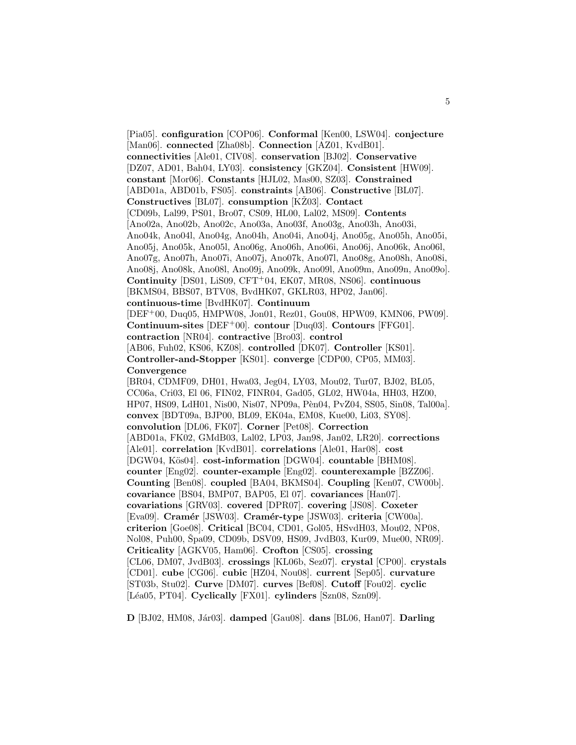[Pia05]. **configuration** [COP06]. **Conformal** [Ken00, LSW04]. **conjecture** [Man06]. **connected** [Zha08b]. **Connection** [AZ01, KvdB01]. **connectivities** [Ale01, CIV08]. **conservation** [BJ02]. **Conservative** [DZ07, AD01, Bah04, LY03]. **consistency** [GKZ04]. **Consistent** [HW09]. **constant** [Mor06]. **Constants** [HJL02, Mas00, SZ03]. **Constrained** [ABD01a, ABD01b, FS05]. **constraints** [AB06]. **Constructive** [BL07]. **Constructives** [BL07]. **consumption** [KŽ03]. **Contact** [CD09b, Lal99, PS01, Bro07, CS09, HL00, Lal02, MS09]. **Contents** [Ano02a, Ano02b, Ano02c, Ano03a, Ano03f, Ano03g, Ano03h, Ano03i, Ano04k, Ano04l, Ano04g, Ano04h, Ano04i, Ano04j, Ano05g, Ano05h, Ano05i, Ano05j, Ano05k, Ano05l, Ano06g, Ano06h, Ano06i, Ano06j, Ano06k, Ano06l, Ano07g, Ano07h, Ano07i, Ano07j, Ano07k, Ano07l, Ano08g, Ano08h, Ano08i, Ano08j, Ano08k, Ano08l, Ano09j, Ano09k, Ano09l, Ano09m, Ano09n, Ano09o]. **Continuity** [DS01, LiS09, CFT<sup>+</sup>04, EK07, MR08, NS06]. **continuous** [BKMS04, BBS07, BTV08, BvdHK07, GKLR03, HP02, Jan06]. **continuous-time** [BvdHK07]. **Continuum** [DEF<sup>+</sup>00, Duq05, HMPW08, Jon01, Rez01, Gou08, HPW09, KMN06, PW09]. **Continuum-sites** [DEF<sup>+</sup>00]. **contour** [Duq03]. **Contours** [FFG01]. **contraction** [NR04]. **contractive** [Bro03]. **control** [AB06, Fuh02, KS06, KZ08]. **controlled** [DK07]. **Controller** [KS01]. **Controller-and-Stopper** [KS01]. **converge** [CDP00, CP05, MM03]. **Convergence** [BR04, CDMF09, DH01, Hwa03, Jeg04, LY03, Mou02, Tur07, BJ02, BL05, CC06a, Cri03, El 06, FIN02, FINR04, Gad05, GL02, HW04a, HH03, HZ00, HP07, HS09, LdH01, Nis00, Nis07, NP09a, Pèn04, PvZ04, SS05, Sin08, Tal00a]. **convex** [BDT09a, BJP00, BL09, EK04a, EM08, Kue00, Li03, SY08]. **convolution** [DL06, FK07]. **Corner** [Pet08]. **Correction** [ABD01a, FK02, GMdB03, Lal02, LP03, Jan98, Jan02, LR20]. **corrections** [Ale01]. **correlation** [KvdB01]. **correlations** [Ale01, Har08]. **cost** [DGW04, Kös04]. **cost-information** [DGW04]. **countable** [BHM08]. **counter** [Eng02]. **counter-example** [Eng02]. **counterexample** [BZZ06]. **Counting** [Ben08]. **coupled** [BA04, BKMS04]. **Coupling** [Ken07, CW00b]. **covariance** [BS04, BMP07, BAP05, El 07]. **covariances** [Han07]. **covariations** [GRV03]. **covered** [DPR07]. **covering** [JS08]. **Coxeter** [Eva09]. **Cram´er** [JSW03]. **Cram´er-type** [JSW03]. **criteria** [CW00a]. **criterion** [Goe08]. **Critical** [BC04, CD01, Gol05, HSvdH03, Mou02, NP08, Nol08, Puh00, Špa09, CD09b, DSV09, HS09, JvdB03, Kur09, Mue00, NR09. **Criticality** [AGKV05, Ham06]. **Crofton** [CS05]. **crossing** [CL06, DM07, JvdB03]. **crossings** [KL06b, Sez07]. **crystal** [CP00]. **crystals** [CD01]. **cube** [CG06]. **cubic** [HZ04, Nou08]. **current** [Sep05]. **curvature** [ST03b, Stu02]. **Curve** [DM07]. **curves** [Bef08]. **Cutoff** [Fou02]. **cyclic** [L´ea05, PT04]. **Cyclically** [FX01]. **cylinders** [Szn08, Szn09].

**D** [BJ02, HM08, J´ar03]. **damped** [Gau08]. **dans** [BL06, Han07]. **Darling**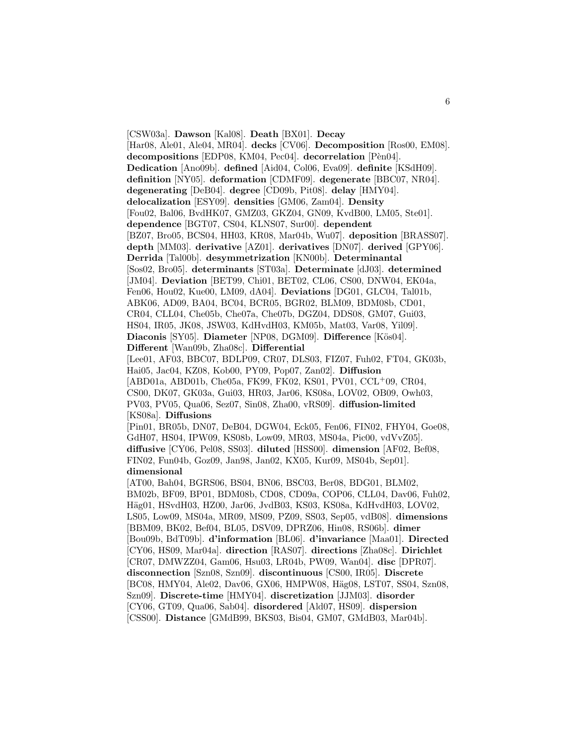[CSW03a]. **Dawson** [Kal08]. **Death** [BX01]. **Decay** [Har08, Ale01, Ale04, MR04]. **decks** [CV06]. **Decomposition** [Ros00, EM08]. **decompositions** [EDP08, KM04, Pec04]. **decorrelation** [Pèn04]. **Dedication** [Ano09b]. **defined** [Aid04, Col06, Eva09]. **definite** [KSdH09]. **definition** [NY05]. **deformation** [CDMF09]. **degenerate** [BBC07, NR04]. **degenerating** [DeB04]. **degree** [CD09b, Pit08]. **delay** [HMY04]. **delocalization** [ESY09]. **densities** [GM06, Zam04]. **Density** [Fou02, Bal06, BvdHK07, GMZ03, GKZ04, GN09, KvdB00, LM05, Ste01]. **dependence** [BGT07, CS04, KLNS07, Sur00]. **dependent** [BZ07, Bro05, BCS04, HH03, KR08, Mar04b, Wu07]. **deposition** [BRASS07]. **depth** [MM03]. **derivative** [AZ01]. **derivatives** [DN07]. **derived** [GPY06]. **Derrida** [Tal00b]. **desymmetrization** [KN00b]. **Determinantal** [Sos02, Bro05]. **determinants** [ST03a]. **Determinate** [dJ03]. **determined** [JM04]. **Deviation** [BET99, Chi01, BET02, CL06, CS00, DNW04, EK04a, Fen06, Hou02, Kue00, LM09, dA04]. **Deviations** [DG01, GLC04, Tal01b, ABK06, AD09, BA04, BC04, BCR05, BGR02, BLM09, BDM08b, CD01, CR04, CLL04, Che05b, Che07a, Che07b, DGZ04, DDS08, GM07, Gui03, HS04, IR05, JK08, JSW03, KdHvdH03, KM05b, Mat03, Var08, Yil09]. **Diaconis** [SY05]. **Diameter** [NP08, DGM09]. **Difference** [Kös04]. **Different** [Wan09b, Zha08c]. **Differential** [Lee01, AF03, BBC07, BDLP09, CR07, DLS03, FIZ07, Fuh02, FT04, GK03b, Hai05, Jac04, KZ08, Kob00, PY09, Pop07, Zan02]. **Diffusion** [ABD01a, ABD01b, Che05a, FK99, FK02, KS01, PV01, CCL<sup>+</sup>09, CR04, CS00, DK07, GK03a, Gui03, HR03, Jar06, KS08a, LOV02, OB09, Owh03, PV03, PV05, Qua06, Sez07, Sin08, Zha00, vRS09]. **diffusion-limited** [KS08a]. **Diffusions** [Pin01, BR05b, DN07, DeB04, DGW04, Eck05, Fen06, FIN02, FHY04, Goe08, GdH07, HS04, IPW09, KS08b, Low09, MR03, MS04a, Pic00, vdVvZ05]. **diffusive** [CY06, Pel08, SS03]. **diluted** [HSS00]. **dimension** [AF02, Bef08, FIN02, Fun04b, Goz09, Jan98, Jan02, KX05, Kur09, MS04b, Sep01]. **dimensional** [AT00, Bah04, BGRS06, BS04, BN06, BSC03, Ber08, BDG01, BLM02, BM02b, BF09, BP01, BDM08b, CD08, CD09a, COP06, CLL04, Dav06, Fuh02, Häg01, HSvdH03, HZ00, Jar06, JvdB03, KS03, KS08a, KdHvdH03, LOV02, LS05, Low09, MS04a, MR09, MS09, PZ09, SS03, Sep05, vdB08]. **dimensions** [BBM09, BK02, Bef04, BL05, DSV09, DPRZ06, Hin08, RS06b]. **dimer** [Bou09b, BdT09b]. **d'information** [BL06]. **d'invariance** [Maa01]. **Directed** [CY06, HS09, Mar04a]. **direction** [RAS07]. **directions** [Zha08c]. **Dirichlet** [CR07, DMWZZ04, Gam06, Hsu03, LR04b, PW09, Wan04]. **disc** [DPR07]. **disconnection** [Szn08, Szn09]. **discontinuous** [CS00, IR05]. **Discrete** [BC08, HMY04, Ale02, Dav06, GX06, HMPW08, Häg08, LST07, SS04, Szn08, Szn09]. **Discrete-time** [HMY04]. **discretization** [JJM03]. **disorder** [CY06, GT09, Qua06, Sab04]. **disordered** [Ald07, HS09]. **dispersion** [CSS00]. **Distance** [GMdB99, BKS03, Bis04, GM07, GMdB03, Mar04b].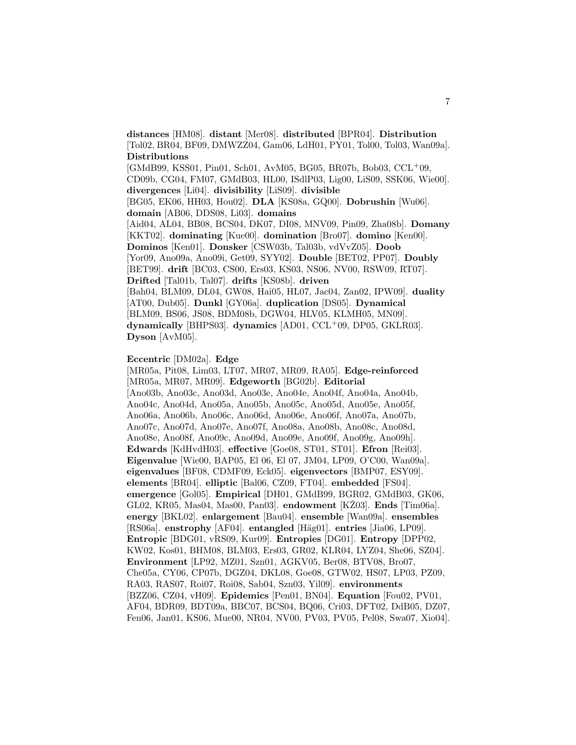**distances** [HM08]. **distant** [Mer08]. **distributed** [BPR04]. **Distribution** [Tol02, BR04, BF09, DMWZZ04, Gam06, LdH01, PY01, Tol00, Tol03, Wan09a]. **Distributions**

[GMdB99, KSS01, Pin01, Sch01, AvM05, BG05, BR07b, Bob03, CCL<sup>+</sup>09, CD09b, CG04, FM07, GMdB03, HL00, ISdlP03, Lig00, LiS09, SSK06, Wie00]. **divergences** [Li04]. **divisibility** [LiS09]. **divisible** [BG05, EK06, HH03, Hou02]. **DLA** [KS08a, GQ00]. **Dobrushin** [Wu06]. **domain** [AB06, DDS08, Li03]. **domains** [Aid04, AL04, BB08, BCS04, DK07, DI08, MNV09, Pin09, Zha08b]. **Domany** [KKT02]. **dominating** [Kue00]. **domination** [Bro07]. **domino** [Ken00]. **Dominos** [Ken01]. **Donsker** [CSW03b, Tal03b, vdVvZ05]. **Doob** [Yor09, Ano09a, Ano09i, Get09, SYY02]. **Double** [BET02, PP07]. **Doubly** [BET99]. **drift** [BC03, CS00, Ers03, KS03, NS06, NV00, RSW09, RT07]. **Drifted** [Tal01b, Tal07]. **drifts** [KS08b]. **driven** [Bah04, BLM09, DL04, GW08, Hai05, HL07, Jac04, Zan02, IPW09]. **duality** [AT00, Dub05]. **Dunkl** [GY06a]. **duplication** [DS05]. **Dynamical** [BLM09, BS06, JS08, BDM08b, DGW04, HLV05, KLMH05, MN09]. **dynamically** [BHPS03]. **dynamics** [AD01, CCL<sup>+</sup>09, DP05, GKLR03]. **Dyson** [AvM05].

#### **Eccentric** [DM02a]. **Edge**

[MR05a, Pit08, Lim03, LT07, MR07, MR09, RA05]. **Edge-reinforced** [MR05a, MR07, MR09]. **Edgeworth** [BG02b]. **Editorial** [Ano03b, Ano03c, Ano03d, Ano03e, Ano04e, Ano04f, Ano04a, Ano04b, Ano04c, Ano04d, Ano05a, Ano05b, Ano05c, Ano05d, Ano05e, Ano05f, Ano06a, Ano06b, Ano06c, Ano06d, Ano06e, Ano06f, Ano07a, Ano07b, Ano07c, Ano07d, Ano07e, Ano07f, Ano08a, Ano08b, Ano08c, Ano08d, Ano08e, Ano08f, Ano09c, Ano09d, Ano09e, Ano09f, Ano09g, Ano09h]. **Edwards** [KdHvdH03]. **effective** [Goe08, ST01, ST01]. **Efron** [Rei03]. **Eigenvalue** [Wie00, BAP05, El 06, El 07, JM04, LP09, O'C00, Wan09a]. **eigenvalues** [BF08, CDMF09, Eck05]. **eigenvectors** [BMP07, ESY09]. **elements** [BR04]. **elliptic** [Bal06, CZ09, FT04]. **embedded** [FS04]. **emergence** [Gol05]. **Empirical** [DH01, GMdB99, BGR02, GMdB03, GK06, GL02, KR05, Mas04, Mas00, Pan03. **endowment** [KZ03]. **Ends** [Tim06a]. **energy** [BKL02]. **enlargement** [Bau04]. **ensemble** [Wan09a]. **ensembles** [RS06a]. **enstrophy** [AF04]. **entangled** [H¨ag01]. **entries** [Jia06, LP09]. **Entropic** [BDG01, vRS09, Kur09]. **Entropies** [DG01]. **Entropy** [DPP02, KW02, Kos01, BHM08, BLM03, Ers03, GR02, KLR04, LYZ04, She06, SZ04]. **Environment** [LP92, MZ01, Szn01, AGKV05, Ber08, BTV08, Bro07, Che05a, CY06, CP07b, DGZ04, DKL08, Goe08, GTW02, HS07, LP03, PZ09, RA03, RAS07, Roi07, Roi08, Sab04, Szn03, Yil09]. **environments** [BZZ06, CZ04, vH09]. **Epidemics** [Pen01, BN04]. **Equation** [Fou02, PV01, AF04, BDR09, BDT09a, BBC07, BCS04, BQ06, Cri03, DFT02, DdB05, DZ07, Fen06, Jan01, KS06, Mue00, NR04, NV00, PV03, PV05, Pel08, Swa07, Xio04].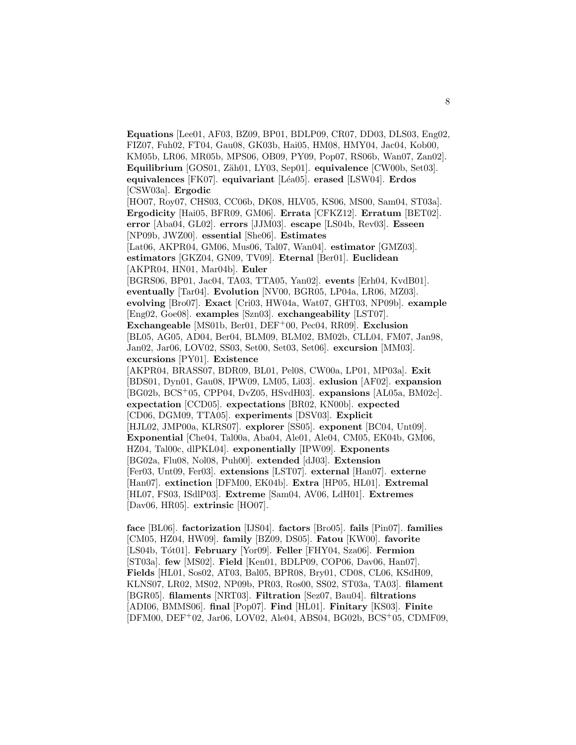**Equations** [Lee01, AF03, BZ09, BP01, BDLP09, CR07, DD03, DLS03, Eng02, FIZ07, Fuh02, FT04, Gau08, GK03b, Hai05, HM08, HMY04, Jac04, Kob00, KM05b, LR06, MR05b, MPS06, OB09, PY09, Pop07, RS06b, Wan07, Zan02]. Equilibrium [GOS01, Zäh01, LY03, Sep01]. **equivalence** [CW00b, Set03]. **equivalences** [FK07]. **equivariant** [L´ea05]. **erased** [LSW04]. **Erdos** [CSW03a]. **Ergodic** [HO07, Roy07, CHS03, CC06b, DK08, HLV05, KS06, MS00, Sam04, ST03a]. **Ergodicity** [Hai05, BFR09, GM06]. **Errata** [CFKZ12]. **Erratum** [BET02]. **error** [Aba04, GL02]. **errors** [JJM03]. **escape** [LS04b, Rev03]. **Esseen** [NP09b, JWZ00]. **essential** [She06]. **Estimates** [Lat06, AKPR04, GM06, Mus06, Tal07, Wan04]. **estimator** [GMZ03]. **estimators** [GKZ04, GN09, TV09]. **Eternal** [Ber01]. **Euclidean** [AKPR04, HN01, Mar04b]. **Euler** [BGRS06, BP01, Jac04, TA03, TTA05, Yan02]. **events** [Erh04, KvdB01]. **eventually** [Tar04]. **Evolution** [NV00, BGR05, LP04a, LR06, MZ03]. **evolving** [Bro07]. **Exact** [Cri03, HW04a, Wat07, GHT03, NP09b]. **example** [Eng02, Goe08]. **examples** [Szn03]. **exchangeability** [LST07]. **Exchangeable** [MS01b, Ber01, DEF<sup>+</sup>00, Pec04, RR09]. **Exclusion** [BL05, AG05, AD04, Ber04, BLM09, BLM02, BM02b, CLL04, FM07, Jan98, Jan02, Jar06, LOV02, SS03, Set00, Set03, Set06]. **excursion** [MM03]. **excursions** [PY01]. **Existence** [AKPR04, BRASS07, BDR09, BL01, Pel08, CW00a, LP01, MP03a]. **Exit** [BDS01, Dyn01, Gau08, IPW09, LM05, Li03]. **exlusion** [AF02]. **expansion** [BG02b, BCS<sup>+</sup>05, CPP04, DvZ05, HSvdH03]. **expansions** [AL05a, BM02c]. **expectation** [CCD05]. **expectations** [BR02, KN00b]. **expected** [CD06, DGM09, TTA05]. **experiments** [DSV03]. **Explicit** [HJL02, JMP00a, KLRS07]. **explorer** [SS05]. **exponent** [BC04, Unt09]. **Exponential** [Che04, Tal00a, Aba04, Ale01, Ale04, CM05, EK04b, GM06, HZ04, Tal00c, dlPKL04]. **exponentially** [IPW09]. **Exponents** [BG02a, Flu08, Nol08, Puh00]. **extended** [dJ03]. **Extension** [Fer03, Unt09, Fer03]. **extensions** [LST07]. **external** [Han07]. **externe** [Han07]. **extinction** [DFM00, EK04b]. **Extra** [HP05, HL01]. **Extremal** [HL07, FS03, ISdlP03]. **Extreme** [Sam04, AV06, LdH01]. **Extremes** [Dav06, HR05]. **extrinsic** [HO07].

**face** [BL06]. **factorization** [IJS04]. **factors** [Bro05]. **fails** [Pin07]. **families** [CM05, HZ04, HW09]. **family** [BZ09, DS05]. **Fatou** [KW00]. **favorite** [LS04b, T´ot01]. **February** [Yor09]. **Feller** [FHY04, Sza06]. **Fermion** [ST03a]. **few** [MS02]. **Field** [Ken01, BDLP09, COP06, Dav06, Han07]. **Fields** [HL01, Sos02, AT03, Bal05, BPR08, Bry01, CD08, CL06, KSdH09, KLNS07, LR02, MS02, NP09b, PR03, Ros00, SS02, ST03a, TA03]. **filament** [BGR05]. **filaments** [NRT03]. **Filtration** [Sez07, Bau04]. **filtrations** [ADI06, BMMS06]. **final** [Pop07]. **Find** [HL01]. **Finitary** [KS03]. **Finite** [DFM00, DEF<sup>+</sup>02, Jar06, LOV02, Ale04, ABS04, BG02b, BCS<sup>+</sup>05, CDMF09,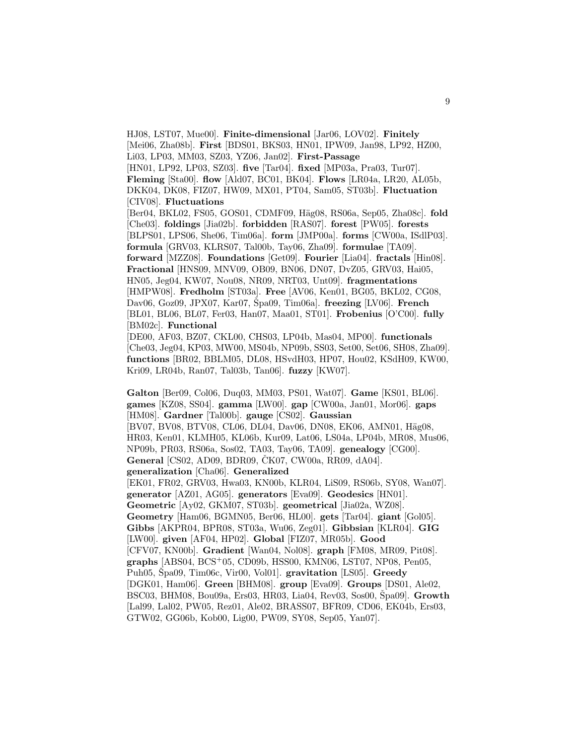HJ08, LST07, Mue00]. **Finite-dimensional** [Jar06, LOV02]. **Finitely** [Mei06, Zha08b]. **First** [BDS01, BKS03, HN01, IPW09, Jan98, LP92, HZ00, Li03, LP03, MM03, SZ03, YZ06, Jan02]. **First-Passage** [HN01, LP92, LP03, SZ03]. **five** [Tar04]. **fixed** [MP03a, Pra03, Tur07]. **Fleming** [Sta00]. **flow** [Ald07, BC01, BK04]. **Flows** [LR04a, LR20, AL05b, DKK04, DK08, FIZ07, HW09, MX01, PT04, Sam05, ST03b]. **Fluctuation** [CIV08]. **Fluctuations** [Ber04, BKL02, FS05, GOS01, CDMF09, Häg08, RS06a, Sep05, Zha08c]. **fold** [Che03]. **foldings** [Jia02b]. **forbidden** [RAS07]. **forest** [PW05]. **forests** [BLPS01, LPS06, She06, Tim06a]. **form** [JMP00a]. **forms** [CW00a, ISdlP03]. **formula** [GRV03, KLRS07, Tal00b, Tay06, Zha09]. **formulae** [TA09]. **forward** [MZZ08]. **Foundations** [Get09]. **Fourier** [Lia04]. **fractals** [Hin08]. **Fractional** [HNS09, MNV09, OB09, BN06, DN07, DvZ05, GRV03, Hai05, HN05, Jeg04, KW07, Nou08, NR09, NRT03, Unt09]. **fragmentations** [HMPW08]. **Fredholm** [ST03a]. **Free** [AV06, Ken01, BG05, BKL02, CG08, Dav06, Goz09, JPX07, Kar07, Spa09, Tim06a]. **freezing** [LV06]. **French** [BL01, BL06, BL07, Fer03, Han07, Maa01, ST01]. **Frobenius** [O'C00]. **fully** [BM02c]. **Functional**

[DE00, AF03, BZ07, CKL00, CHS03, LP04b, Mas04, MP00]. **functionals** [Che03, Jeg04, KP03, MW00, MS04b, NP09b, SS03, Set00, Set06, SH08, Zha09]. **functions** [BR02, BBLM05, DL08, HSvdH03, HP07, Hou02, KSdH09, KW00, Kri09, LR04b, Ran07, Tal03b, Tan06]. **fuzzy** [KW07].

**Galton** [Ber09, Col06, Duq03, MM03, PS01, Wat07]. **Game** [KS01, BL06]. **games** [KZ08, SS04]. **gamma** [LW00]. **gap** [CW00a, Jan01, Mor06]. **gaps** [HM08]. **Gardner** [Tal00b]. **gauge** [CS02]. **Gaussian** [BV07, BV08, BTV08, CL06, DL04, Dav06, DN08, EK06, AMN01, Häg08, HR03, Ken01, KLMH05, KL06b, Kur09, Lat06, LS04a, LP04b, MR08, Mus06, NP09b, PR03, RS06a, Sos02, TA03, Tay06, TA09]. **genealogy** [CG00]. **General** [CS02, AD09, BDR09, ČK07, CW00a, RR09, dA04]. **generalization** [Cha06]. **Generalized** [EK01, FR02, GRV03, Hwa03, KN00b, KLR04, LiS09, RS06b, SY08, Wan07]. **generator** [AZ01, AG05]. **generators** [Eva09]. **Geodesics** [HN01]. **Geometric** [Ay02, GKM07, ST03b]. **geometrical** [Jia02a, WZ08]. **Geometry** [Ham06, BGMN05, Ber06, HL00]. **gets** [Tar04]. **giant** [Gol05]. **Gibbs** [AKPR04, BPR08, ST03a, Wu06, Zeg01]. **Gibbsian** [KLR04]. **GIG** [LW00]. **given** [AF04, HP02]. **Global** [FIZ07, MR05b]. **Good** [CFV07, KN00b]. **Gradient** [Wan04, Nol08]. **graph** [FM08, MR09, Pit08]. **graphs** [ABS04, BCS<sup>+</sup>05, CD09b, HSS00, KMN06, LST07, NP08, Pen05, Puh05, Spa09, Tim06c, Vir00, Vol01. gravitation [LS05]. **Greedy** [DGK01, Ham06]. **Green** [BHM08]. **group** [Eva09]. **Groups** [DS01, Ale02, BSC03, BHM08, Bou09a, Ers03, HR03, Lia04, Rev03, Sos00, Špa09]. **Growth** [Lal99, Lal02, PW05, Rez01, Ale02, BRASS07, BFR09, CD06, EK04b, Ers03, GTW02, GG06b, Kob00, Lig00, PW09, SY08, Sep05, Yan07].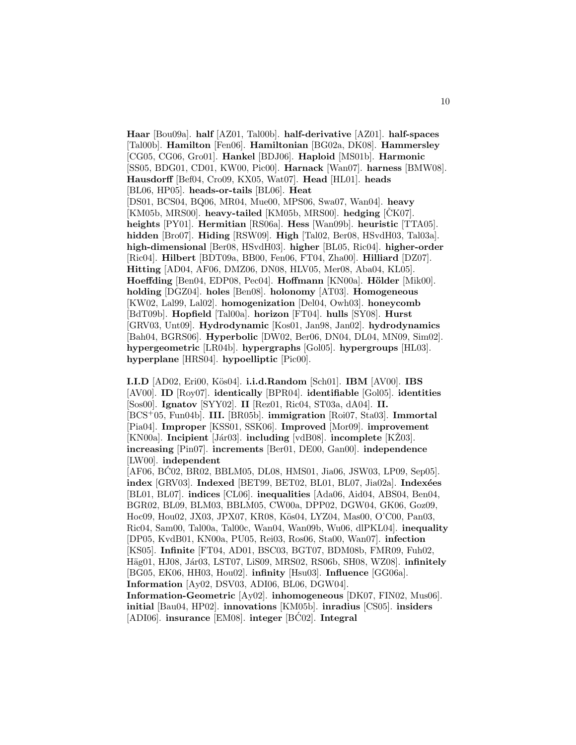**Haar** [Bou09a]. **half** [AZ01, Tal00b]. **half-derivative** [AZ01]. **half-spaces** [Tal00b]. **Hamilton** [Fen06]. **Hamiltonian** [BG02a, DK08]. **Hammersley** [CG05, CG06, Gro01]. **Hankel** [BDJ06]. **Haploid** [MS01b]. **Harmonic** [SS05, BDG01, CD01, KW00, Pic00]. **Harnack** [Wan07]. **harness** [BMW08]. **Hausdorff** [Bef04, Cro09, KX05, Wat07]. **Head** [HL01]. **heads** [BL06, HP05]. **heads-or-tails** [BL06]. **Heat** [DS01, BCS04, BQ06, MR04, Mue00, MPS06, Swa07, Wan04]. **heavy** [KM05b, MRS00]. **heavy-tailed** [KM05b, MRS00]. **hedging** [ČK07]. **heights** [PY01]. **Hermitian** [RS06a]. **Hess** [Wan09b]. **heuristic** [TTA05]. **hidden** [Bro07]. **Hiding** [RSW09]. **High** [Tal02, Ber08, HSvdH03, Tal03a]. **high-dimensional** [Ber08, HSvdH03]. **higher** [BL05, Ric04]. **higher-order** [Ric04]. **Hilbert** [BDT09a, BB00, Fen06, FT04, Zha00]. **Hilliard** [DZ07]. **Hitting** [AD04, AF06, DMZ06, DN08, HLV05, Mer08, Aba04, KL05]. **Hoeffding** [Ben04, EDP08, Pec04]. **Hoffmann** [KN00a]. **Hölder** [Mik00]. **holding** [DGZ04]. **holes** [Ben08]. **holonomy** [AT03]. **Homogeneous** [KW02, Lal99, Lal02]. **homogenization** [Del04, Owh03]. **honeycomb** [BdT09b]. **Hopfield** [Tal00a]. **horizon** [FT04]. **hulls** [SY08]. **Hurst** [GRV03, Unt09]. **Hydrodynamic** [Kos01, Jan98, Jan02]. **hydrodynamics** [Bah04, BGRS06]. **Hyperbolic** [DW02, Ber06, DN04, DL04, MN09, Sim02]. **hypergeometric** [LR04b]. **hypergraphs** [Gol05]. **hypergroups** [HL03]. **hyperplane** [HRS04]. **hypoelliptic** [Pic00].

**I.I.D** [AD02, Eri00, K¨os04]. **i.i.d.Random** [Sch01]. **IBM** [AV00]. **IBS** [AV00]. **ID** [Roy07]. **identically** [BPR04]. **identifiable** [Gol05]. **identities** [Sos00]. **Ignatov** [SYY02]. **II** [Rez01, Ric04, ST03a, dA04]. **II.** [BCS<sup>+</sup>05, Fun04b]. **III.** [BR05b]. **immigration** [Roi07, Sta03]. **Immortal** [Pia04]. **Improper** [KSS01, SSK06]. **Improved** [Mor09]. **improvement** [KN00a]. **Incipient** [Jár03]. **including** [vdB08]. **incomplete** [KŽ03]. **increasing** [Pin07]. **increments** [Ber01, DE00, Gan00]. **independence** [LW00]. **independent**

[AF06, BC02, BR02, BBLM05, DL08, HMS01, Jia06, JSW03, LP09, Sep05]. ´ **index** [GRV03]. **Indexed** [BET99, BET02, BL01, BL07, Jia02a]. **Indexées** [BL01, BL07]. **indices** [CL06]. **inequalities** [Ada06, Aid04, ABS04, Ben04, BGR02, BL09, BLM03, BBLM05, CW00a, DPP02, DGW04, GK06, Goz09, Hoc09, Hou02, JX03, JPX07, KR08, Kös04, LYZ04, Mas00, O'C00, Pan03, Ric04, Sam00, Tal00a, Tal00c, Wan04, Wan09b, Wu06, dlPKL04]. **inequality** [DP05, KvdB01, KN00a, PU05, Rei03, Ros06, Sta00, Wan07]. **infection** [KS05]. **Infinite** [FT04, AD01, BSC03, BGT07, BDM08b, FMR09, Fuh02, Häg01, HJ08, Jár03, LST07, LiS09, MRS02, RS06b, SH08, WZ08]. **infinitely** [BG05, EK06, HH03, Hou02]. **infinity** [Hsu03]. **Influence** [GG06a]. **Information** [Ay02, DSV03, ADI06, BL06, DGW04].

**Information-Geometric** [Ay02]. **inhomogeneous** [DK07, FIN02, Mus06]. **initial** [Bau04, HP02]. **innovations** [KM05b]. **inradius** [CS05]. **insiders**  $[ADI06]$ . **insurance**  $[EM08]$ . **integer**  $[BC02]$ . **Integral**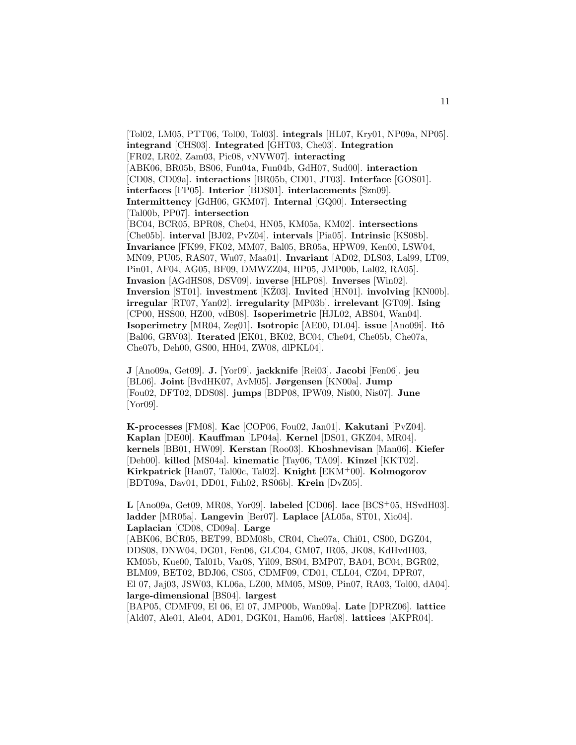[Tol02, LM05, PTT06, Tol00, Tol03]. **integrals** [HL07, Kry01, NP09a, NP05]. **integrand** [CHS03]. **Integrated** [GHT03, Che03]. **Integration** [FR02, LR02, Zam03, Pic08, vNVW07]. **interacting** [ABK06, BR05b, BS06, Fun04a, Fun04b, GdH07, Sud00]. **interaction** [CD08, CD09a]. **interactions** [BR05b, CD01, JT03]. **Interface** [GOS01]. **interfaces** [FP05]. **Interior** [BDS01]. **interlacements** [Szn09]. **Intermittency** [GdH06, GKM07]. **Internal** [GQ00]. **Intersecting** [Tal00b, PP07]. **intersection** [BC04, BCR05, BPR08, Che04, HN05, KM05a, KM02]. **intersections** [Che05b]. **interval** [BJ02, PvZ04]. **intervals** [Pia05]. **Intrinsic** [KS08b]. **Invariance** [FK99, FK02, MM07, Bal05, BR05a, HPW09, Ken00, LSW04, MN09, PU05, RAS07, Wu07, Maa01]. **Invariant** [AD02, DLS03, Lal99, LT09, Pin01, AF04, AG05, BF09, DMWZZ04, HP05, JMP00b, Lal02, RA05]. **Invasion** [AGdHS08, DSV09]. **inverse** [HLP08]. **Inverses** [Win02]. **Inversion** [ST01]. **investment** [KZ03]. **Invited** [HN01]. **involving** [KN00b]. **irregular** [RT07, Yan02]. **irregularity** [MP03b]. **irrelevant** [GT09]. **Ising** [CP00, HSS00, HZ00, vdB08]. **Isoperimetric** [HJL02, ABS04, Wan04]. **Isoperimetry** [MR04, Zeg01]. **Isotropic** [AE00, DL04]. **issue** [Ano09i]. **Itô** [Bal06, GRV03]. **Iterated** [EK01, BK02, BC04, Che04, Che05b, Che07a, Che07b, Deh00, GS00, HH04, ZW08, dlPKL04].

**J** [Ano09a, Get09]. **J.** [Yor09]. **jackknife** [Rei03]. **Jacobi** [Fen06]. **jeu** [BL06]. **Joint** [BvdHK07, AvM05]. **Jørgensen** [KN00a]. **Jump** [Fou02, DFT02, DDS08]. **jumps** [BDP08, IPW09, Nis00, Nis07]. **June** [Yor09].

**K-processes** [FM08]. **Kac** [COP06, Fou02, Jan01]. **Kakutani** [PvZ04]. **Kaplan** [DE00]. **Kauffman** [LP04a]. **Kernel** [DS01, GKZ04, MR04]. **kernels** [BB01, HW09]. **Kerstan** [Roo03]. **Khoshnevisan** [Man06]. **Kiefer** [Deh00]. **killed** [MS04a]. **kinematic** [Tay06, TA09]. **Kinzel** [KKT02]. **Kirkpatrick** [Han07, Tal00c, Tal02]. **Knight** [EKM<sup>+</sup>00]. **Kolmogorov** [BDT09a, Dav01, DD01, Fuh02, RS06b]. **Krein** [DvZ05].

**L** [Ano09a, Get09, MR08, Yor09]. **labeled** [CD06]. **lace** [BCS<sup>+</sup>05, HSvdH03]. **ladder** [MR05a]. **Langevin** [Ber07]. **Laplace** [AL05a, ST01, Xio04]. **Laplacian** [CD08, CD09a]. **Large** [ABK06, BCR05, BET99, BDM08b, CR04, Che07a, Chi01, CS00, DGZ04, DDS08, DNW04, DG01, Fen06, GLC04, GM07, IR05, JK08, KdHvdH03, KM05b, Kue00, Tal01b, Var08, Yil09, BS04, BMP07, BA04, BC04, BGR02, BLM09, BET02, BDJ06, CS05, CDMF09, CD01, CLL04, CZ04, DPR07, El 07, Jaj03, JSW03, KL06a, LZ00, MM05, MS09, Pin07, RA03, Tol00, dA04]. **large-dimensional** [BS04]. **largest**

[BAP05, CDMF09, El 06, El 07, JMP00b, Wan09a]. **Late** [DPRZ06]. **lattice** [Ald07, Ale01, Ale04, AD01, DGK01, Ham06, Har08]. **lattices** [AKPR04].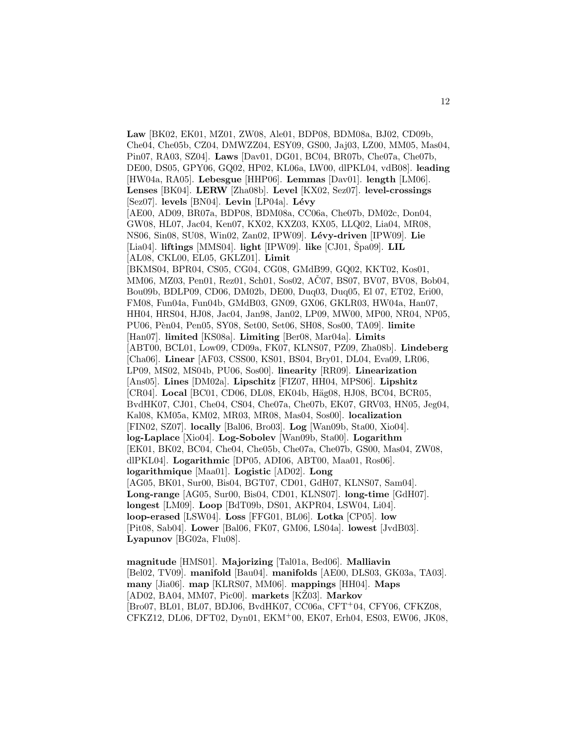**Law** [BK02, EK01, MZ01, ZW08, Ale01, BDP08, BDM08a, BJ02, CD09b, Che04, Che05b, CZ04, DMWZZ04, ESY09, GS00, Jaj03, LZ00, MM05, Mas04, Pin07, RA03, SZ04]. **Laws** [Dav01, DG01, BC04, BR07b, Che07a, Che07b, DE00, DS05, GPY06, GQ02, HP02, KL06a, LW00, dlPKL04, vdB08]. **leading** [HW04a, RA05]. **Lebesgue** [HHP06]. **Lemmas** [Dav01]. **length** [LM06]. **Lenses** [BK04]. **LERW** [Zha08b]. **Level** [KX02, Sez07]. **level-crossings** [Sez07]. **levels** [BN04]. **Levin** [LP04a]. **Lévy** [AE00, AD09, BR07a, BDP08, BDM08a, CC06a, Che07b, DM02c, Don04, GW08, HL07, Jac04, Ken07, KX02, KXZ03, KX05, LLQ02, Lia04, MR08, NS06, Sin08, SU08, Win02, Zan02, IPW09]. **L´evy-driven** [IPW09]. **Lie**  $[Lia04]$ . **liftings**  $[MMS04]$ . **light**  $[IPW09]$ . **like**  $[CJ01, Spa09]$ . **LIL** [AL08, CKL00, EL05, GKLZ01]. **Limit** [BKMS04, BPR04, CS05, CG04, CG08, GMdB99, GQ02, KKT02, Kos01, MM06, MZ03, Pen01, Rez01, Sch01, Sos02, AC07, BS07, BV07, BV08, Bob04, Bou09b, BDLP09, CD06, DM02b, DE00, Duq03, Duq05, El 07, ET02, Eri00, FM08, Fun04a, Fun04b, GMdB03, GN09, GX06, GKLR03, HW04a, Han07, HH04, HRS04, HJ08, Jac04, Jan98, Jan02, LP09, MW00, MP00, NR04, NP05, PU06, P`en04, Pen05, SY08, Set00, Set06, SH08, Sos00, TA09]. **limite** [Han07]. **limited** [KS08a]. **Limiting** [Ber08, Mar04a]. **Limits** [ABT00, BCL01, Low09, CD09a, FK07, KLNS07, PZ09, Zha08b]. **Lindeberg** [Cha06]. **Linear** [AF03, CSS00, KS01, BS04, Bry01, DL04, Eva09, LR06, LP09, MS02, MS04b, PU06, Sos00]. **linearity** [RR09]. **Linearization** [Ans05]. **Lines** [DM02a]. **Lipschitz** [FIZ07, HH04, MPS06]. **Lipshitz** [CR04]. Local [BC01, CD06, DL08, EK04b, Häg08, HJ08, BC04, BCR05, BvdHK07, CJ01, Che04, CS04, Che07a, Che07b, EK07, GRV03, HN05, Jeg04, Kal08, KM05a, KM02, MR03, MR08, Mas04, Sos00]. **localization** [FIN02, SZ07]. **locally** [Bal06, Bro03]. **Log** [Wan09b, Sta00, Xio04]. **log-Laplace** [Xio04]. **Log-Sobolev** [Wan09b, Sta00]. **Logarithm** [EK01, BK02, BC04, Che04, Che05b, Che07a, Che07b, GS00, Mas04, ZW08, dlPKL04]. **Logarithmic** [DP05, ADI06, ABT00, Maa01, Ros06]. **logarithmique** [Maa01]. **Logistic** [AD02]. **Long** [AG05, BK01, Sur00, Bis04, BGT07, CD01, GdH07, KLNS07, Sam04]. **Long-range** [AG05, Sur00, Bis04, CD01, KLNS07]. **long-time** [GdH07]. **longest** [LM09]. **Loop** [BdT09b, DS01, AKPR04, LSW04, Li04]. **loop-erased** [LSW04]. **Loss** [FFG01, BL06]. **Lotka** [CP05]. **low** [Pit08, Sab04]. **Lower** [Bal06, FK07, GM06, LS04a]. **lowest** [JvdB03]. **Lyapunov** [BG02a, Flu08].

**magnitude** [HMS01]. **Majorizing** [Tal01a, Bed06]. **Malliavin** [Bel02, TV09]. **manifold** [Bau04]. **manifolds** [AE00, DLS03, GK03a, TA03]. **many** [Jia06]. **map** [KLRS07, MM06]. **mappings** [HH04]. **Maps**  $[AD02, BA04, MM07, Pic00]$ . **markets**  $[KZ03]$ . **Markov** [Bro07, BL01, BL07, BDJ06, BvdHK07, CC06a, CFT<sup>+</sup>04, CFY06, CFKZ08, CFKZ12, DL06, DFT02, Dyn01, EKM<sup>+</sup>00, EK07, Erh04, ES03, EW06, JK08,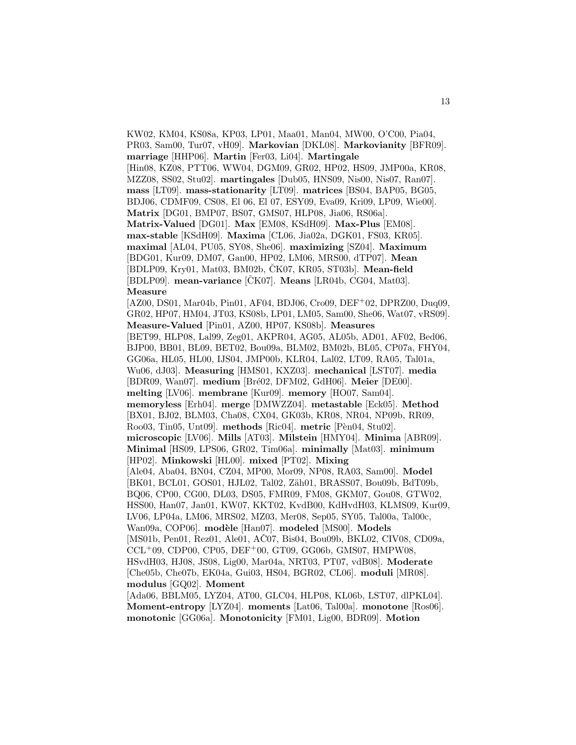KW02, KM04, KS08a, KP03, LP01, Maa01, Man04, MW00, O'C00, Pia04, PR03, Sam00, Tur07, vH09]. **Markovian** [DKL08]. **Markovianity** [BFR09]. **marriage** [HHP06]. **Martin** [Fer03, Li04]. **Martingale** [Hin08, KZ08, PTT06, WW04, DGM09, GR02, HP02, HS09, JMP00a, KR08, MZZ08, SS02, Stu02]. **martingales** [Dub05, HNS09, Nis00, Nis07, Ran07]. **mass** [LT09]. **mass-stationarity** [LT09]. **matrices** [BS04, BAP05, BG05, BDJ06, CDMF09, CS08, El 06, El 07, ESY09, Eva09, Kri09, LP09, Wie00]. **Matrix** [DG01, BMP07, BS07, GMS07, HLP08, Jia06, RS06a]. **Matrix-Valued** [DG01]. **Max** [EM08, KSdH09]. **Max-Plus** [EM08]. **max-stable** [KSdH09]. **Maxima** [CL06, Jia02a, DGK01, FS03, KR05]. **maximal** [AL04, PU05, SY08, She06]. **maximizing** [SZ04]. **Maximum** [BDG01, Kur09, DM07, Gan00, HP02, LM06, MRS00, dTP07]. **Mean** [BDLP09, Kry01, Mat03, BM02b, ČK07, KR05, ST03b]. **Mean-field** [BDLP09]. **mean-variance** [CK07]. **Means** [LR04b, CG04, Mat03]. **Measure** [AZ00, DS01, Mar04b, Pin01, AF04, BDJ06, Cro09, DEF<sup>+</sup>02, DPRZ00, Duq09, GR02, HP07, HM04, JT03, KS08b, LP01, LM05, Sam00, She06, Wat07, vRS09]. **Measure-Valued** [Pin01, AZ00, HP07, KS08b]. **Measures** [BET99, HLP08, Lal99, Zeg01, AKPR04, AG05, AL05b, AD01, AF02, Bed06, BJP00, BB01, BL09, BET02, Bou09a, BLM02, BM02b, BL05, CP07a, FHY04, GG06a, HL05, HL00, IJS04, JMP00b, KLR04, Lal02, LT09, RA05, Tal01a, Wu06, dJ03]. **Measuring** [HMS01, KXZ03]. **mechanical** [LST07]. **media** [BDR09, Wan07]. **medium** [Bré02, DFM02, GdH06]. **Meier** [DE00]. **melting** [LV06]. **membrane** [Kur09]. **memory** [HO07, Sam04]. **memoryless** [Erh04]. **merge** [DMWZZ04]. **metastable** [Eck05]. **Method** [BX01, BJ02, BLM03, Cha08, CX04, GK03b, KR08, NR04, NP09b, RR09, Roo03, Tin05, Unt09]. **methods** [Ric04]. **metric** [Pèn04, Stu02]. **microscopic** [LV06]. **Mills** [AT03]. **Milstein** [HMY04]. **Minima** [ABR09]. **Minimal** [HS09, LPS06, GR02, Tim06a]. **minimally** [Mat03]. **minimum** [HP02]. **Minkowski** [HL00]. **mixed** [PT02]. **Mixing** [Ale04, Aba04, BN04, CZ04, MP00, Mor09, NP08, RA03, Sam00]. **Model** [BK01, BCL01, GOS01, HJL02, Tal02, Zäh01, BRASS07, Bou09b, BdT09b, BQ06, CP00, CG00, DL03, DS05, FMR09, FM08, GKM07, Gou08, GTW02, HSS00, Han07, Jan01, KW07, KKT02, KvdB00, KdHvdH03, KLMS09, Kur09, LV06, LP04a, LM06, MRS02, MZ03, Mer08, Sep05, SY05, Tal00a, Tal00c, Wan09a, COP06]. modèle [Han07]. modeled [MS00]. Models [MS01b, Pen01, Rez01, Ale01, AČ07, Bis04, Bou09b, BKL02, CIV08, CD09a,  $CCL+09$ , CDP00, CP05, DEF<sup>+</sup>00, GT09, GG06b, GMS07, HMPW08, HSvdH03, HJ08, JS08, Lig00, Mar04a, NRT03, PT07, vdB08]. **Moderate** [Che05b, Che07b, EK04a, Gui03, HS04, BGR02, CL06]. **moduli** [MR08]. **modulus** [GQ02]. **Moment** [Ada06, BBLM05, LYZ04, AT00, GLC04, HLP08, KL06b, LST07, dlPKL04].

**Moment-entropy** [LYZ04]. **moments** [Lat06, Tal00a]. **monotone** [Ros06]. **monotonic** [GG06a]. **Monotonicity** [FM01, Lig00, BDR09]. **Motion**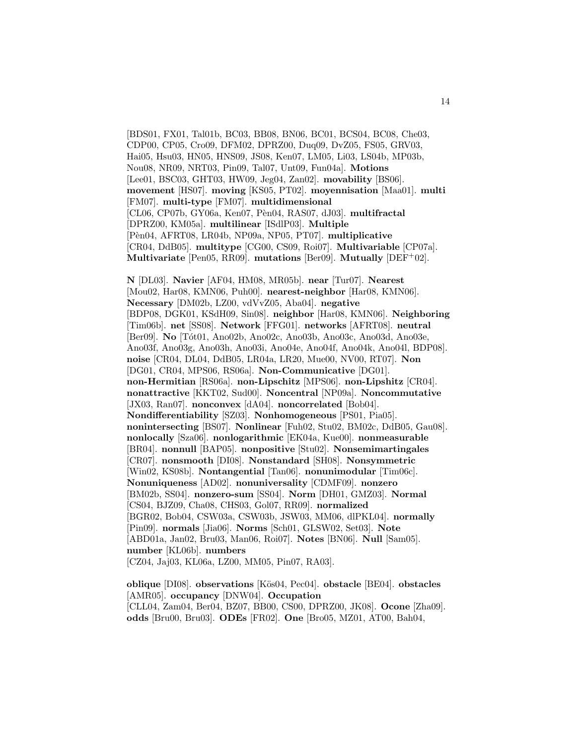[BDS01, FX01, Tal01b, BC03, BB08, BN06, BC01, BCS04, BC08, Che03, CDP00, CP05, Cro09, DFM02, DPRZ00, Duq09, DvZ05, FS05, GRV03, Hai05, Hsu03, HN05, HNS09, JS08, Ken07, LM05, Li03, LS04b, MP03b, Nou08, NR09, NRT03, Pin09, Tal07, Unt09, Fun04a]. **Motions** [Lee01, BSC03, GHT03, HW09, Jeg04, Zan02]. **movability** [BS06]. **movement** [HS07]. **moving** [KS05, PT02]. **moyennisation** [Maa01]. **multi** [FM07]. **multi-type** [FM07]. **multidimensional** [CL06, CP07b, GY06a, Ken07, Pèn04, RAS07, dJ03]. multifractal [DPRZ00, KM05a]. **multilinear** [ISdlP03]. **Multiple** [P`en04, AFRT08, LR04b, NP09a, NP05, PT07]. **multiplicative** [CR04, DdB05]. **multitype** [CG00, CS09, Roi07]. **Multivariable** [CP07a]. **Multivariate** [Pen05, RR09]. **mutations** [Ber09]. **Mutually** [DEF<sup>+</sup>02].

**N** [DL03]. **Navier** [AF04, HM08, MR05b]. **near** [Tur07]. **Nearest** [Mou02, Har08, KMN06, Puh00]. **nearest-neighbor** [Har08, KMN06]. **Necessary** [DM02b, LZ00, vdVvZ05, Aba04]. **negative** [BDP08, DGK01, KSdH09, Sin08]. **neighbor** [Har08, KMN06]. **Neighboring** [Tim06b]. **net** [SS08]. **Network** [FFG01]. **networks** [AFRT08]. **neutral** [Ber09]. **No** [Tót01, Ano02b, Ano02c, Ano03b, Ano03c, Ano03d, Ano03e, Ano03f, Ano03g, Ano03h, Ano03i, Ano04e, Ano04f, Ano04k, Ano04l, BDP08]. **noise** [CR04, DL04, DdB05, LR04a, LR20, Mue00, NV00, RT07]. **Non** [DG01, CR04, MPS06, RS06a]. **Non-Communicative** [DG01]. **non-Hermitian** [RS06a]. **non-Lipschitz** [MPS06]. **non-Lipshitz** [CR04]. **nonattractive** [KKT02, Sud00]. **Noncentral** [NP09a]. **Noncommutative** [JX03, Ran07]. **nonconvex** [dA04]. **noncorrelated** [Bob04]. **Nondifferentiability** [SZ03]. **Nonhomogeneous** [PS01, Pia05]. **nonintersecting** [BS07]. **Nonlinear** [Fuh02, Stu02, BM02c, DdB05, Gau08]. **nonlocally** [Sza06]. **nonlogarithmic** [EK04a, Kue00]. **nonmeasurable** [BR04]. **nonnull** [BAP05]. **nonpositive** [Stu02]. **Nonsemimartingales** [CR07]. **nonsmooth** [DI08]. **Nonstandard** [SH08]. **Nonsymmetric** [Win02, KS08b]. **Nontangential** [Tan06]. **nonunimodular** [Tim06c]. **Nonuniqueness** [AD02]. **nonuniversality** [CDMF09]. **nonzero** [BM02b, SS04]. **nonzero-sum** [SS04]. **Norm** [DH01, GMZ03]. **Normal** [CS04, BJZ09, Cha08, CHS03, Gol07, RR09]. **normalized** [BGR02, Bob04, CSW03a, CSW03b, JSW03, MM06, dlPKL04]. **normally** [Pin09]. **normals** [Jia06]. **Norms** [Sch01, GLSW02, Set03]. **Note** [ABD01a, Jan02, Bru03, Man06, Roi07]. **Notes** [BN06]. **Null** [Sam05]. **number** [KL06b]. **numbers** [CZ04, Jaj03, KL06a, LZ00, MM05, Pin07, RA03].

**oblique** [DI08]. **observations** [K¨os04, Pec04]. **obstacle** [BE04]. **obstacles** [AMR05]. **occupancy** [DNW04]. **Occupation** [CLL04, Zam04, Ber04, BZ07, BB00, CS00, DPRZ00, JK08]. **Ocone** [Zha09]. **odds** [Bru00, Bru03]. **ODEs** [FR02]. **One** [Bro05, MZ01, AT00, Bah04,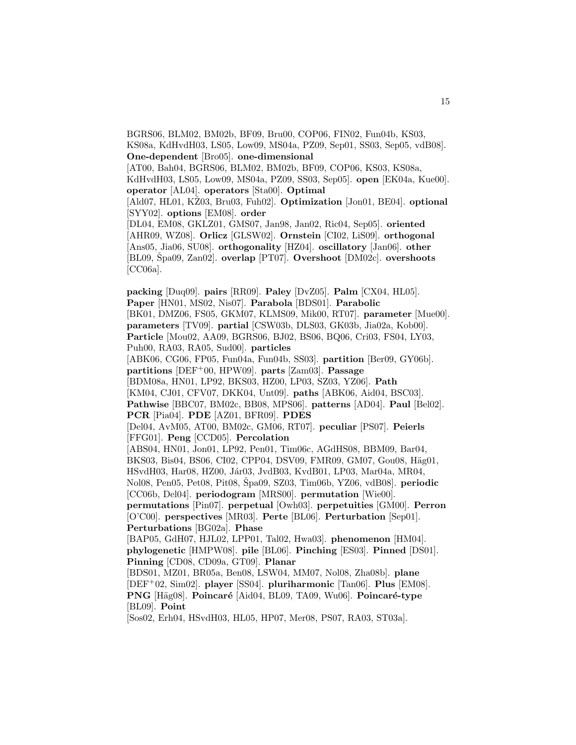BGRS06, BLM02, BM02b, BF09, Bru00, COP06, FIN02, Fun04b, KS03, KS08a, KdHvdH03, LS05, Low09, MS04a, PZ09, Sep01, SS03, Sep05, vdB08]. **One-dependent** [Bro05]. **one-dimensional** [AT00, Bah04, BGRS06, BLM02, BM02b, BF09, COP06, KS03, KS08a, KdHvdH03, LS05, Low09, MS04a, PZ09, SS03, Sep05]. **open** [EK04a, Kue00]. **operator** [AL04]. **operators** [Sta00]. **Optimal** [Ald07, HL01, KŽ03, Bru03, Fuh02]. **Optimization** [Jon01, BE04]. **optional** [SYY02]. **options** [EM08]. **order** [DL04, EM08, GKLZ01, GMS07, Jan98, Jan02, Ric04, Sep05]. **oriented** [AHR09, WZ08]. **Orlicz** [GLSW02]. **Ornstein** [CI02, LiS09]. **orthogonal**

[Ans05, Jia06, SU08]. **orthogonality** [HZ04]. **oscillatory** [Jan06]. **other** [BL09, Špa09, Zan02]. **overlap** [PT07]. **Overshoot** [DM02c]. **overshoots** [CC06a].

**packing** [Duq09]. **pairs** [RR09]. **Paley** [DvZ05]. **Palm** [CX04, HL05]. **Paper** [HN01, MS02, Nis07]. **Parabola** [BDS01]. **Parabolic** [BK01, DMZ06, FS05, GKM07, KLMS09, Mik00, RT07]. **parameter** [Mue00]. **parameters** [TV09]. **partial** [CSW03b, DLS03, GK03b, Jia02a, Kob00]. **Particle** [Mou02, AA09, BGRS06, BJ02, BS06, BQ06, Cri03, FS04, LY03, Puh00, RA03, RA05, Sud00]. **particles** [ABK06, CG06, FP05, Fun04a, Fun04b, SS03]. **partition** [Ber09, GY06b]. **partitions** [DEF<sup>+</sup>00, HPW09]. **parts** [Zam03]. **Passage** [BDM08a, HN01, LP92, BKS03, HZ00, LP03, SZ03, YZ06]. **Path** [KM04, CJ01, CFV07, DKK04, Unt09]. **paths** [ABK06, Aid04, BSC03]. **Pathwise** [BBC07, BM02c, BB08, MPS06]. **patterns** [AD04]. **Paul** [Bel02]. **PCR** [Pia04]. **PDE** [AZ01, BFR09]. **PDES** [Del04, AvM05, AT00, BM02c, GM06, RT07]. **peculiar** [PS07]. **Peierls** [FFG01]. **Peng** [CCD05]. **Percolation** [ABS04, HN01, Jon01, LP92, Pen01, Tim06c, AGdHS08, BBM09, Bar04, BKS03, Bis04, BS06, CI02, CPP04, DSV09, FMR09, GM07, Gou08, Häg01, HSvdH03, Har08, HZ00, Jár03, JvdB03, KvdB01, LP03, Mar04a, MR04, Nol08, Pen05, Pet08, Pit08, Spa09, SZ03, Tim06b, YZ06, vdB08. **periodic** [CC06b, Del04]. **periodogram** [MRS00]. **permutation** [Wie00]. **permutations** [Pin07]. **perpetual** [Owh03]. **perpetuities** [GM00]. **Perron** [O'C00]. **perspectives** [MR03]. **Perte** [BL06]. **Perturbation** [Sep01]. **Perturbations** [BG02a]. **Phase** [BAP05, GdH07, HJL02, LPP01, Tal02, Hwa03]. **phenomenon** [HM04]. **phylogenetic** [HMPW08]. **pile** [BL06]. **Pinching** [ES03]. **Pinned** [DS01]. **Pinning** [CD08, CD09a, GT09]. **Planar** [BDS01, MZ01, BR05a, Ben08, LSW04, MM07, Nol08, Zha08b]. **plane** [DEF<sup>+</sup>02, Sim02]. **player** [SS04]. **pluriharmonic** [Tan06]. **Plus** [EM08]. **PNG** [Häg08]. **Poincaré** [Aid04, BL09, TA09, Wu06]. **Poincaré-type** [BL09]. **Point**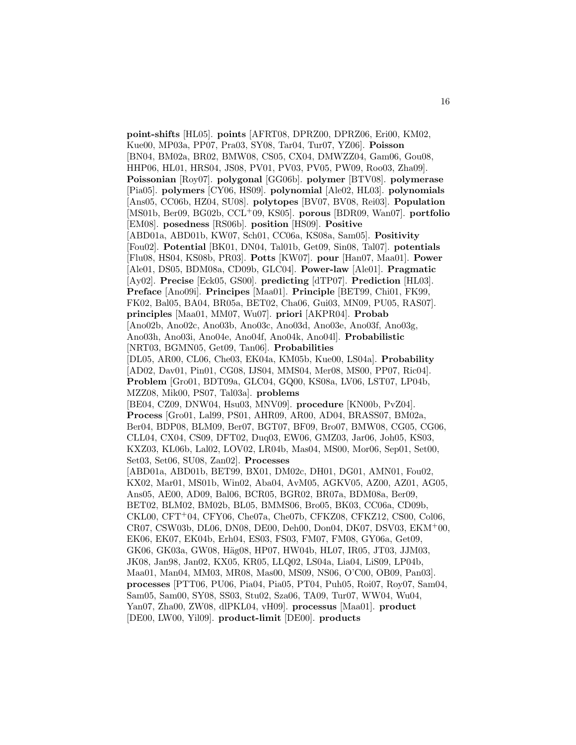**point-shifts** [HL05]. **points** [AFRT08, DPRZ00, DPRZ06, Eri00, KM02, Kue00, MP03a, PP07, Pra03, SY08, Tar04, Tur07, YZ06]. **Poisson** [BN04, BM02a, BR02, BMW08, CS05, CX04, DMWZZ04, Gam06, Gou08, HHP06, HL01, HRS04, JS08, PV01, PV03, PV05, PW09, Roo03, Zha09]. **Poissonian** [Roy07]. **polygonal** [GG06b]. **polymer** [BTV08]. **polymerase** [Pia05]. **polymers** [CY06, HS09]. **polynomial** [Ale02, HL03]. **polynomials** [Ans05, CC06b, HZ04, SU08]. **polytopes** [BV07, BV08, Rei03]. **Population** [MS01b, Ber09, BG02b, CCL<sup>+</sup>09, KS05]. **porous** [BDR09, Wan07]. **portfolio** [EM08]. **posedness** [RS06b]. **position** [HS09]. **Positive** [ABD01a, ABD01b, KW07, Sch01, CC06a, KS08a, Sam05]. **Positivity** [Fou02]. **Potential** [BK01, DN04, Tal01b, Get09, Sin08, Tal07]. **potentials** [Flu08, HS04, KS08b, PR03]. **Potts** [KW07]. **pour** [Han07, Maa01]. **Power** [Ale01, DS05, BDM08a, CD09b, GLC04]. **Power-law** [Ale01]. **Pragmatic** [Ay02]. **Precise** [Eck05, GS00]. **predicting** [dTP07]. **Prediction** [HL03]. **Preface** [Ano09i]. **Principes** [Maa01]. **Principle** [BET99, Chi01, FK99, FK02, Bal05, BA04, BR05a, BET02, Cha06, Gui03, MN09, PU05, RAS07]. **principles** [Maa01, MM07, Wu07]. **priori** [AKPR04]. **Probab** [Ano02b, Ano02c, Ano03b, Ano03c, Ano03d, Ano03e, Ano03f, Ano03g, Ano03h, Ano03i, Ano04e, Ano04f, Ano04k, Ano04l]. **Probabilistic** [NRT03, BGMN05, Get09, Tan06]. **Probabilities** [DL05, AR00, CL06, Che03, EK04a, KM05b, Kue00, LS04a]. **Probability** [AD02, Dav01, Pin01, CG08, IJS04, MMS04, Mer08, MS00, PP07, Ric04]. **Problem** [Gro01, BDT09a, GLC04, GQ00, KS08a, LV06, LST07, LP04b, MZZ08, Mik00, PS07, Tal03a]. **problems** [BE04, CZ09, DNW04, Hsu03, MNV09]. **procedure** [KN00b, PvZ04]. **Process** [Gro01, Lal99, PS01, AHR09, AR00, AD04, BRASS07, BM02a, Ber04, BDP08, BLM09, Ber07, BGT07, BF09, Bro07, BMW08, CG05, CG06, CLL04, CX04, CS09, DFT02, Duq03, EW06, GMZ03, Jar06, Joh05, KS03, KXZ03, KL06b, Lal02, LOV02, LR04b, Mas04, MS00, Mor06, Sep01, Set00, Set03, Set06, SU08, Zan02]. **Processes** [ABD01a, ABD01b, BET99, BX01, DM02c, DH01, DG01, AMN01, Fou02, KX02, Mar01, MS01b, Win02, Aba04, AvM05, AGKV05, AZ00, AZ01, AG05, Ans05, AE00, AD09, Bal06, BCR05, BGR02, BR07a, BDM08a, Ber09, BET02, BLM02, BM02b, BL05, BMMS06, Bro05, BK03, CC06a, CD09b, CKL00, CFT<sup>+</sup>04, CFY06, Che07a, Che07b, CFKZ08, CFKZ12, CS00, Col06, CR07, CSW03b, DL06, DN08, DE00, Deh00, Don04, DK07, DSV03, EKM<sup>+</sup>00, EK06, EK07, EK04b, Erh04, ES03, FS03, FM07, FM08, GY06a, Get09, GK06, GK03a, GW08, Häg08, HP07, HW04b, HL07, IR05, JT03, JJM03, JK08, Jan98, Jan02, KX05, KR05, LLQ02, LS04a, Lia04, LiS09, LP04b, Maa01, Man04, MM03, MR08, Mas00, MS09, NS06, O'C00, OB09, Pan03]. **processes** [PTT06, PU06, Pia04, Pia05, PT04, Puh05, Roi07, Roy07, Sam04, Sam05, Sam00, SY08, SS03, Stu02, Sza06, TA09, Tur07, WW04, Wu04, Yan07, Zha00, ZW08, dlPKL04, vH09]. **processus** [Maa01]. **product** [DE00, LW00, Yil09]. **product-limit** [DE00]. **products**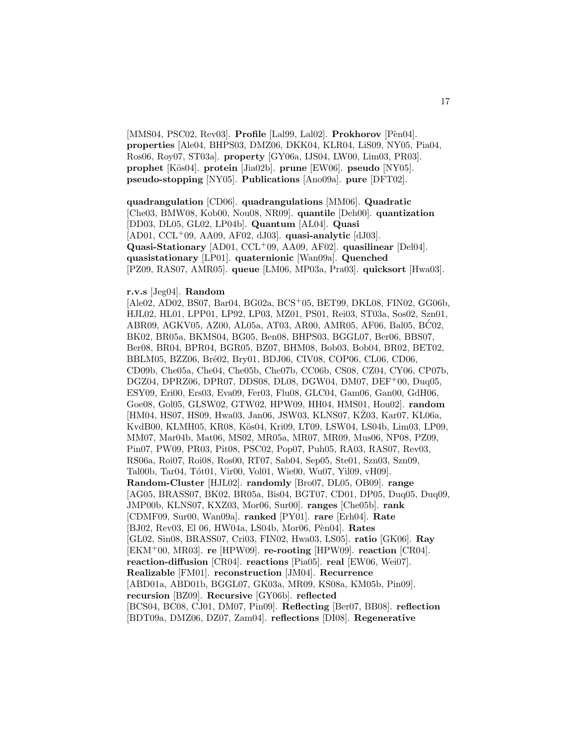[MMS04, PSC02, Rev03]. **Profile** [Lal99, Lal02]. **Prokhorov** [Pèn04]. **properties** [Ale04, BHPS03, DMZ06, DKK04, KLR04, LiS09, NY05, Pia04, Ros06, Roy07, ST03a]. **property** [GY06a, IJS04, LW00, Lim03, PR03]. **prophet** [K¨os04]. **protein** [Jia02b]. **prune** [EW06]. **pseudo** [NY05]. **pseudo-stopping** [NY05]. **Publications** [Ano09a]. **pure** [DFT02].

**quadrangulation** [CD06]. **quadrangulations** [MM06]. **Quadratic** [Che03, BMW08, Kob00, Nou08, NR09]. **quantile** [Deh00]. **quantization** [DD03, DL05, GL02, LP04b]. **Quantum** [AL04]. **Quasi** [AD01, CCL<sup>+</sup>09, AA09, AF02, dJ03]. **quasi-analytic** [dJ03]. **Quasi-Stationary** [AD01, CCL<sup>+</sup>09, AA09, AF02]. **quasilinear** [Del04]. **quasistationary** [LP01]. **quaternionic** [Wan09a]. **Quenched** [PZ09, RAS07, AMR05]. **queue** [LM06, MP03a, Pra03]. **quicksort** [Hwa03].

#### **r.v.s** [Jeg04]. **Random**

[Ale02, AD02, BS07, Bar04, BG02a, BCS<sup>+</sup>05, BET99, DKL08, FIN02, GG06b, HJL02, HL01, LPP01, LP92, LP03, MZ01, PS01, Rei03, ST03a, Sos02, Szn01, ABR09, AGKV05, AZ00, AL05a, AT03, AR00, AMR05, AF06, Bal05, BC02, ´ BK02, BR05a, BKMS04, BG05, Ben08, BHPS03, BGGL07, Ber06, BBS07, Ber08, BR04, BPR04, BGR05, BZ07, BHM08, Bob03, Bob04, BR02, BET02, BBLM05, BZZ06, Bré02, Bry01, BDJ06, CIV08, COP06, CL06, CD06, CD09b, Che05a, Che04, Che05b, Che07b, CC06b, CS08, CZ04, CY06, CP07b, DGZ04, DPRZ06, DPR07, DDS08, DL08, DGW04, DM07, DEF<sup>+</sup>00, Duq05, ESY09, Eri00, Ers03, Eva09, Fer03, Flu08, GLC04, Gam06, Gan00, GdH06, Goe08, Gol05, GLSW02, GTW02, HPW09, HH04, HMS01, Hou02]. **random** [HM04, HS07, HS09, Hwa03, Jan06, JSW03, KLNS07, KŽ03, Kar07, KL06a, KvdB00, KLMH05, KR08, Kös04, Kri09, LT09, LSW04, LS04b, Lim03, LP09, MM07, Mar04b, Mat06, MS02, MR05a, MR07, MR09, Mus06, NP08, PZ09, Pin07, PW09, PR03, Pit08, PSC02, Pop07, Puh05, RA03, RAS07, Rev03, RS06a, Roi07, Roi08, Ros00, RT07, Sab04, Sep05, Ste01, Szn03, Szn09, Tal00b, Tar04, Tót01, Vir00, Vol01, Wie00, Wu07, Yil09, vH09]. **Random-Cluster** [HJL02]. **randomly** [Bro07, DL05, OB09]. **range** [AG05, BRASS07, BK02, BR05a, Bis04, BGT07, CD01, DP05, Duq05, Duq09, JMP00b, KLNS07, KXZ03, Mor06, Sur00]. **ranges** [Che05b]. **rank** [CDMF09, Sur00, Wan09a]. **ranked** [PY01]. **rare** [Erh04]. **Rate** [BJ02, Rev03, El 06, HW04a, LS04b, Mor06, Pèn04]. Rates [GL02, Sin08, BRASS07, Cri03, FIN02, Hwa03, LS05]. **ratio** [GK06]. **Ray** [EKM<sup>+</sup>00, MR03]. **re** [HPW09]. **re-rooting** [HPW09]. **reaction** [CR04]. **reaction-diffusion** [CR04]. **reactions** [Pia05]. **real** [EW06, Wei07]. **Realizable** [FM01]. **reconstruction** [JM04]. **Recurrence** [ABD01a, ABD01b, BGGL07, GK03a, MR09, KS08a, KM05b, Pin09]. **recursion** [BZ09]. **Recursive** [GY06b]. **reflected** [BCS04, BC08, CJ01, DM07, Pin09]. **Reflecting** [Ber07, BB08]. **reflection** [BDT09a, DMZ06, DZ07, Zam04]. **reflections** [DI08]. **Regenerative**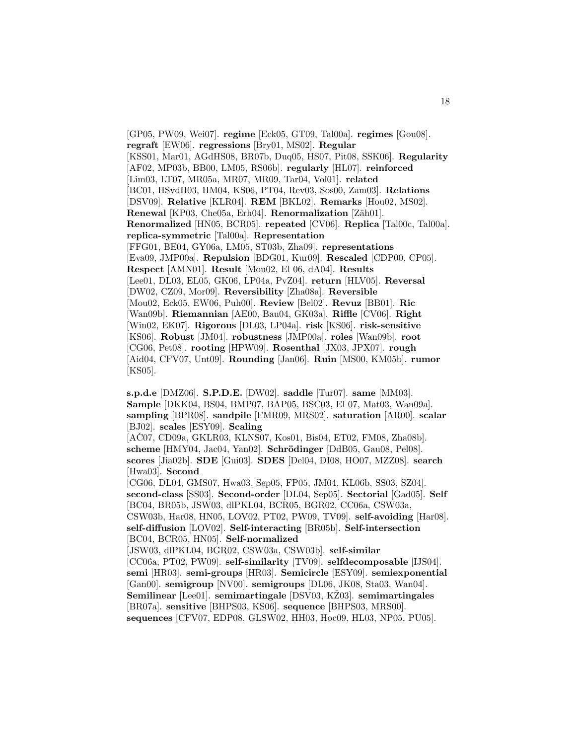[GP05, PW09, Wei07]. **regime** [Eck05, GT09, Tal00a]. **regimes** [Gou08]. **regraft** [EW06]. **regressions** [Bry01, MS02]. **Regular** [KSS01, Mar01, AGdHS08, BR07b, Duq05, HS07, Pit08, SSK06]. **Regularity** [AF02, MP03b, BB00, LM05, RS06b]. **regularly** [HL07]. **reinforced** [Lim03, LT07, MR05a, MR07, MR09, Tar04, Vol01]. **related** [BC01, HSvdH03, HM04, KS06, PT04, Rev03, Sos00, Zam03]. **Relations** [DSV09]. **Relative** [KLR04]. **REM** [BKL02]. **Remarks** [Hou02, MS02]. **Renewal** [KP03, Che05a, Erh04]. **Renormalization** [Zäh01]. **Renormalized** [HN05, BCR05]. **repeated** [CV06]. **Replica** [Tal00c, Tal00a]. **replica-symmetric** [Tal00a]. **Representation** [FFG01, BE04, GY06a, LM05, ST03b, Zha09]. **representations** [Eva09, JMP00a]. **Repulsion** [BDG01, Kur09]. **Rescaled** [CDP00, CP05]. **Respect** [AMN01]. **Result** [Mou02, El 06, dA04]. **Results** [Lee01, DL03, EL05, GK06, LP04a, PvZ04]. **return** [HLV05]. **Reversal** [DW02, CZ09, Mor09]. **Reversibility** [Zha08a]. **Reversible** [Mou02, Eck05, EW06, Puh00]. **Review** [Bel02]. **Revuz** [BB01]. **Ric** [Wan09b]. **Riemannian** [AE00, Bau04, GK03a]. **Riffle** [CV06]. **Right** [Win02, EK07]. **Rigorous** [DL03, LP04a]. **risk** [KS06]. **risk-sensitive** [KS06]. **Robust** [JM04]. **robustness** [JMP00a]. **roles** [Wan09b]. **root** [CG06, Pet08]. **rooting** [HPW09]. **Rosenthal** [JX03, JPX07]. **rough** [Aid04, CFV07, Unt09]. **Rounding** [Jan06]. **Ruin** [MS00, KM05b]. **rumor** [KS05].

**s.p.d.e** [DMZ06]. **S.P.D.E.** [DW02]. **saddle** [Tur07]. **same** [MM03]. **Sample** [DKK04, BS04, BMP07, BAP05, BSC03, El 07, Mat03, Wan09a]. **sampling** [BPR08]. **sandpile** [FMR09, MRS02]. **saturation** [AR00]. **scalar** [BJ02]. **scales** [ESY09]. **Scaling**

 $[ACO7, CD09a, GKLR03, KLNS07, Kos01, Bis04, ETO2, FM08, Zha08b].$ scheme [HMY04, Jac04, Yan02]. **Schrödinger** [DdB05, Gau08, Pel08]. **scores** [Jia02b]. **SDE** [Gui03]. **SDES** [Del04, DI08, HO07, MZZ08]. **search** [Hwa03]. **Second**

[CG06, DL04, GMS07, Hwa03, Sep05, FP05, JM04, KL06b, SS03, SZ04]. **second-class** [SS03]. **Second-order** [DL04, Sep05]. **Sectorial** [Gad05]. **Self** [BC04, BR05b, JSW03, dlPKL04, BCR05, BGR02, CC06a, CSW03a, CSW03b, Har08, HN05, LOV02, PT02, PW09, TV09]. **self-avoiding** [Har08]. **self-diffusion** [LOV02]. **Self-interacting** [BR05b]. **Self-intersection** [BC04, BCR05, HN05]. **Self-normalized**

[JSW03, dlPKL04, BGR02, CSW03a, CSW03b]. **self-similar** [CC06a, PT02, PW09]. **self-similarity** [TV09]. **selfdecomposable** [IJS04]. **semi** [HR03]. **semi-groups** [HR03]. **Semicircle** [ESY09]. **semiexponential** [Gan00]. **semigroup** [NV00]. **semigroups** [DL06, JK08, Sta03, Wan04]. **Semilinear** [Lee01]. **semimartingale** [DSV03, KŽ03]. **semimartingales** [BR07a]. **sensitive** [BHPS03, KS06]. **sequence** [BHPS03, MRS00]. **sequences** [CFV07, EDP08, GLSW02, HH03, Hoc09, HL03, NP05, PU05].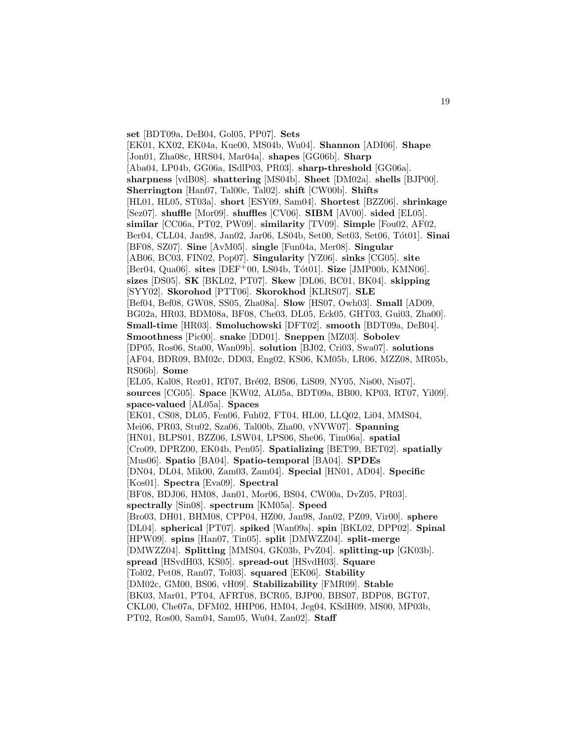**set** [BDT09a, DeB04, Gol05, PP07]. **Sets** [EK01, KX02, EK04a, Kue00, MS04b, Wu04]. **Shannon** [ADI06]. **Shape** [Jon01, Zha08c, HRS04, Mar04a]. **shapes** [GG06b]. **Sharp** [Aba04, LP04b, GG06a, ISdlP03, PR03]. **sharp-threshold** [GG06a]. **sharpness** [vdB08]. **shattering** [MS04b]. **Sheet** [DM02a]. **shells** [BJP00]. **Sherrington** [Han07, Tal00c, Tal02]. **shift** [CW00b]. **Shifts** [HL01, HL05, ST03a]. **short** [ESY09, Sam04]. **Shortest** [BZZ06]. **shrinkage** [Sez07]. **shuffle** [Mor09]. **shuffles** [CV06]. **SIBM** [AV00]. **sided** [EL05]. **similar** [CC06a, PT02, PW09]. **similarity** [TV09]. **Simple** [Fou02, AF02, Ber04, CLL04, Jan98, Jan02, Jar06, LS04b, Set00, Set03, Set06, T´ot01]. **Sinai** [BF08, SZ07]. **Sine** [AvM05]. **single** [Fun04a, Mer08]. **Singular** [AB06, BC03, FIN02, Pop07]. **Singularity** [YZ06]. **sinks** [CG05]. **site** [Ber04, Qua06]. **sites** [DEF+00, LS04b, Tót01]. **Size** [JMP00b, KMN06]. **sizes** [DS05]. **SK** [BKL02, PT07]. **Skew** [DL06, BC01, BK04]. **skipping** [SYY02]. **Skorohod** [PTT06]. **Skorokhod** [KLRS07]. **SLE** [Bef04, Bef08, GW08, SS05, Zha08a]. **Slow** [HS07, Owh03]. **Small** [AD09, BG02a, HR03, BDM08a, BF08, Che03, DL05, Eck05, GHT03, Gui03, Zha00]. **Small-time** [HR03]. **Smoluchowski** [DFT02]. **smooth** [BDT09a, DeB04]. **Smoothness** [Pic00]. **snake** [DD01]. **Sneppen** [MZ03]. **Sobolev** [DP05, Ros06, Sta00, Wan09b]. **solution** [BJ02, Cri03, Swa07]. **solutions** [AF04, BDR09, BM02c, DD03, Eng02, KS06, KM05b, LR06, MZZ08, MR05b, RS06b]. **Some** [EL05, Kal08, Rez01, RT07, Bré02, BS06, LiS09, NY05, Nis00, Nis07]. **sources** [CG05]. **Space** [KW02, AL05a, BDT09a, BB00, KP03, RT07, Yil09]. **space-valued** [AL05a]. **Spaces** [EK01, CS08, DL05, Fen06, Fuh02, FT04, HL00, LLQ02, Li04, MMS04, Mei06, PR03, Stu02, Sza06, Tal00b, Zha00, vNVW07]. **Spanning** [HN01, BLPS01, BZZ06, LSW04, LPS06, She06, Tim06a]. **spatial** [Cro09, DPRZ00, EK04b, Pen05]. **Spatializing** [BET99, BET02]. **spatially** [Mus06]. **Spatio** [BA04]. **Spatio-temporal** [BA04]. **SPDEs** [DN04, DL04, Mik00, Zam03, Zam04]. **Special** [HN01, AD04]. **Specific** [Kos01]. **Spectra** [Eva09]. **Spectral** [BF08, BDJ06, HM08, Jan01, Mor06, BS04, CW00a, DvZ05, PR03]. **spectrally** [Sin08]. **spectrum** [KM05a]. **Speed** [Bro03, DH01, BHM08, CPP04, HZ00, Jan98, Jan02, PZ09, Vir00]. **sphere** [DL04]. **spherical** [PT07]. **spiked** [Wan09a]. **spin** [BKL02, DPP02]. **Spinal** [HPW09]. **spins** [Han07, Tin05]. **split** [DMWZZ04]. **split-merge** [DMWZZ04]. **Splitting** [MMS04, GK03b, PvZ04]. **splitting-up** [GK03b]. **spread** [HSvdH03, KS05]. **spread-out** [HSvdH03]. **Square** [Tol02, Pet08, Ran07, Tol03]. **squared** [EK06]. **Stability** [DM02c, GM00, BS06, vH09]. **Stabilizability** [FMR09]. **Stable** [BK03, Mar01, PT04, AFRT08, BCR05, BJP00, BBS07, BDP08, BGT07, CKL00, Che07a, DFM02, HHP06, HM04, Jeg04, KSdH09, MS00, MP03b, PT02, Ros00, Sam04, Sam05, Wu04, Zan02]. **Staff**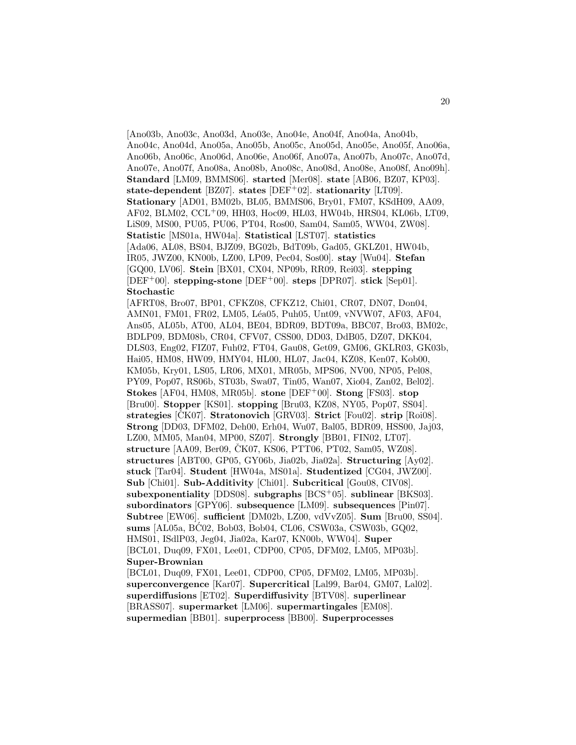[Ano03b, Ano03c, Ano03d, Ano03e, Ano04e, Ano04f, Ano04a, Ano04b, Ano04c, Ano04d, Ano05a, Ano05b, Ano05c, Ano05d, Ano05e, Ano05f, Ano06a, Ano06b, Ano06c, Ano06d, Ano06e, Ano06f, Ano07a, Ano07b, Ano07c, Ano07d, Ano07e, Ano07f, Ano08a, Ano08b, Ano08c, Ano08d, Ano08e, Ano08f, Ano09h]. **Standard** [LM09, BMMS06]. **started** [Mer08]. **state** [AB06, BZ07, KP03]. **state-dependent** [BZ07]. **states** [DEF<sup>+</sup>02]. **stationarity** [LT09]. **Stationary** [AD01, BM02b, BL05, BMMS06, Bry01, FM07, KSdH09, AA09, AF02, BLM02, CCL<sup>+</sup>09, HH03, Hoc09, HL03, HW04b, HRS04, KL06b, LT09, LiS09, MS00, PU05, PU06, PT04, Ros00, Sam04, Sam05, WW04, ZW08]. **Statistic** [MS01a, HW04a]. **Statistical** [LST07]. **statistics** [Ada06, AL08, BS04, BJZ09, BG02b, BdT09b, Gad05, GKLZ01, HW04b, IR05, JWZ00, KN00b, LZ00, LP09, Pec04, Sos00]. **stay** [Wu04]. **Stefan** [GQ00, LV06]. **Stein** [BX01, CX04, NP09b, RR09, Rei03]. **stepping** [DEF<sup>+</sup>00]. **stepping-stone** [DEF<sup>+</sup>00]. **steps** [DPR07]. **stick** [Sep01]. **Stochastic** [AFRT08, Bro07, BP01, CFKZ08, CFKZ12, Chi01, CR07, DN07, Don04,

AMN01, FM01, FR02, LM05, Léa05, Puh05, Unt09, vNVW07, AF03, AF04, Ans05, AL05b, AT00, AL04, BE04, BDR09, BDT09a, BBC07, Bro03, BM02c, BDLP09, BDM08b, CR04, CFV07, CSS00, DD03, DdB05, DZ07, DKK04, DLS03, Eng02, FIZ07, Fuh02, FT04, Gau08, Get09, GM06, GKLR03, GK03b, Hai05, HM08, HW09, HMY04, HL00, HL07, Jac04, KZ08, Ken07, Kob00, KM05b, Kry01, LS05, LR06, MX01, MR05b, MPS06, NV00, NP05, Pel08, PY09, Pop07, RS06b, ST03b, Swa07, Tin05, Wan07, Xio04, Zan02, Bel02]. **Stokes** [AF04, HM08, MR05b]. **stone** [DEF<sup>+</sup>00]. **Stong** [FS03]. **stop** [Bru00]. **Stopper** [KS01]. **stopping** [Bru03, KZ08, NY05, Pop07, SS04]. **strategies** [CK07]. **Stratonovich** [GRV03]. **Strict** [Fou02]. **strip** [Roi08]. **Strong** [DD03, DFM02, Deh00, Erh04, Wu07, Bal05, BDR09, HSS00, Jaj03, LZ00, MM05, Man04, MP00, SZ07]. **Strongly** [BB01, FIN02, LT07]. **structure** [AA09, Ber09, ČK07, KS06, PTT06, PT02, Sam05, WZ08]. **structures** [ABT00, GP05, GY06b, Jia02b, Jia02a]. **Structuring** [Ay02]. **stuck** [Tar04]. **Student** [HW04a, MS01a]. **Studentized** [CG04, JWZ00]. **Sub** [Chi01]. **Sub-Additivity** [Chi01]. **Subcritical** [Gou08, CIV08]. **subexponentiality** [DDS08]. **subgraphs** [BCS<sup>+</sup>05]. **sublinear** [BKS03]. **subordinators** [GPY06]. **subsequence** [LM09]. **subsequences** [Pin07]. **Subtree** [EW06]. **sufficient** [DM02b, LZ00, vdVvZ05]. **Sum** [Bru00, SS04]. **sums** [AL05a, BC02, Bob03, Bob04, CL06, CSW03a, CSW03b, GQ02, ´ HMS01, ISdlP03, Jeg04, Jia02a, Kar07, KN00b, WW04]. **Super** [BCL01, Duq09, FX01, Lee01, CDP00, CP05, DFM02, LM05, MP03b]. **Super-Brownian**

[BCL01, Duq09, FX01, Lee01, CDP00, CP05, DFM02, LM05, MP03b]. **superconvergence** [Kar07]. **Supercritical** [Lal99, Bar04, GM07, Lal02]. **superdiffusions** [ET02]. **Superdiffusivity** [BTV08]. **superlinear** [BRASS07]. **supermarket** [LM06]. **supermartingales** [EM08]. **supermedian** [BB01]. **superprocess** [BB00]. **Superprocesses**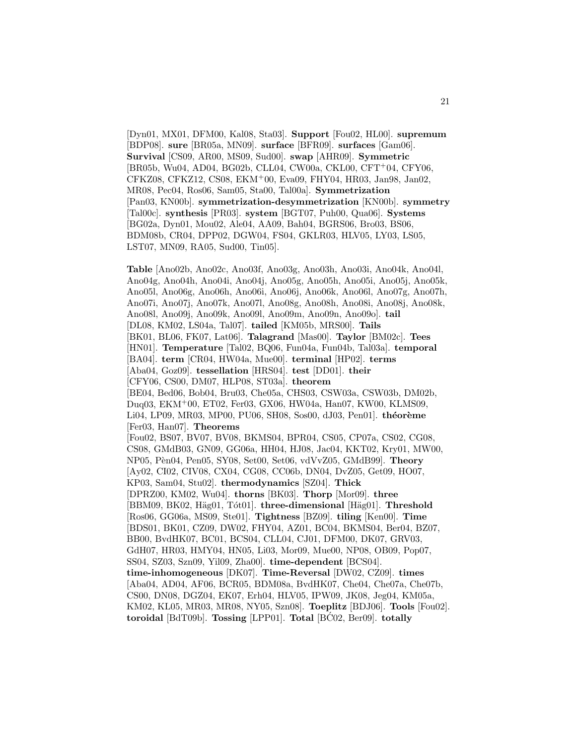[Dyn01, MX01, DFM00, Kal08, Sta03]. **Support** [Fou02, HL00]. **supremum** [BDP08]. **sure** [BR05a, MN09]. **surface** [BFR09]. **surfaces** [Gam06]. **Survival** [CS09, AR00, MS09, Sud00]. **swap** [AHR09]. **Symmetric** [BR05b, Wu04, AD04, BG02b, CLL04, CW00a, CKL00, CFT<sup>+</sup>04, CFY06, CFKZ08, CFKZ12, CS08, EKM<sup>+</sup>00, Eva09, FHY04, HR03, Jan98, Jan02, MR08, Pec04, Ros06, Sam05, Sta00, Tal00a]. **Symmetrization** [Pan03, KN00b]. **symmetrization-desymmetrization** [KN00b]. **symmetry** [Tal00c]. **synthesis** [PR03]. **system** [BGT07, Puh00, Qua06]. **Systems** [BG02a, Dyn01, Mou02, Ale04, AA09, Bah04, BGRS06, Bro03, BS06, BDM08b, CR04, DPP02, DGW04, FS04, GKLR03, HLV05, LY03, LS05, LST07, MN09, RA05, Sud00, Tin05].

**Table** [Ano02b, Ano02c, Ano03f, Ano03g, Ano03h, Ano03i, Ano04k, Ano04l, Ano04g, Ano04h, Ano04i, Ano04j, Ano05g, Ano05h, Ano05i, Ano05j, Ano05k, Ano05l, Ano06g, Ano06h, Ano06i, Ano06j, Ano06k, Ano06l, Ano07g, Ano07h, Ano07i, Ano07j, Ano07k, Ano07l, Ano08g, Ano08h, Ano08i, Ano08j, Ano08k, Ano08l, Ano09j, Ano09k, Ano09l, Ano09m, Ano09n, Ano09o]. **tail** [DL08, KM02, LS04a, Tal07]. **tailed** [KM05b, MRS00]. **Tails** [BK01, BL06, FK07, Lat06]. **Talagrand** [Mas00]. **Taylor** [BM02c]. **Tees** [HN01]. **Temperature** [Tal02, BQ06, Fun04a, Fun04b, Tal03a]. **temporal** [BA04]. **term** [CR04, HW04a, Mue00]. **terminal** [HP02]. **terms** [Aba04, Goz09]. **tessellation** [HRS04]. **test** [DD01]. **their** [CFY06, CS00, DM07, HLP08, ST03a]. **theorem** [BE04, Bed06, Bob04, Bru03, Che05a, CHS03, CSW03a, CSW03b, DM02b, Duq03, EKM<sup>+</sup>00, ET02, Fer03, GX06, HW04a, Han07, KW00, KLMS09, Li04, LP09, MR03, MP00, PU06, SH08, Sos00, dJ03, Pen01]. **théorème** [Fer03, Han07]. **Theorems** [Fou02, BS07, BV07, BV08, BKMS04, BPR04, CS05, CP07a, CS02, CG08, CS08, GMdB03, GN09, GG06a, HH04, HJ08, Jac04, KKT02, Kry01, MW00, NP05, P`en04, Pen05, SY08, Set00, Set06, vdVvZ05, GMdB99]. **Theory** [Ay02, CI02, CIV08, CX04, CG08, CC06b, DN04, DvZ05, Get09, HO07, KP03, Sam04, Stu02]. **thermodynamics** [SZ04]. **Thick** [DPRZ00, KM02, Wu04]. **thorns** [BK03]. **Thorp** [Mor09]. **three** [BBM09, BK02, Häg01, Tót01]. **three-dimensional** [Häg01]. **Threshold** [Ros06, GG06a, MS09, Ste01]. **Tightness** [BZ09]. **tiling** [Ken00]. **Time** [BDS01, BK01, CZ09, DW02, FHY04, AZ01, BC04, BKMS04, Ber04, BZ07, BB00, BvdHK07, BC01, BCS04, CLL04, CJ01, DFM00, DK07, GRV03, GdH07, HR03, HMY04, HN05, Li03, Mor09, Mue00, NP08, OB09, Pop07, SS04, SZ03, Szn09, Yil09, Zha00]. **time-dependent** [BCS04]. **time-inhomogeneous** [DK07]. **Time-Reversal** [DW02, CZ09]. **times** [Aba04, AD04, AF06, BCR05, BDM08a, BvdHK07, Che04, Che07a, Che07b, CS00, DN08, DGZ04, EK07, Erh04, HLV05, IPW09, JK08, Jeg04, KM05a, KM02, KL05, MR03, MR08, NY05, Szn08]. **Toeplitz** [BDJ06]. **Tools** [Fou02]. **toroidal** [BdT09b]. **Tossing** [LPP01]. **Total** [BC02, Ber09]. **totally**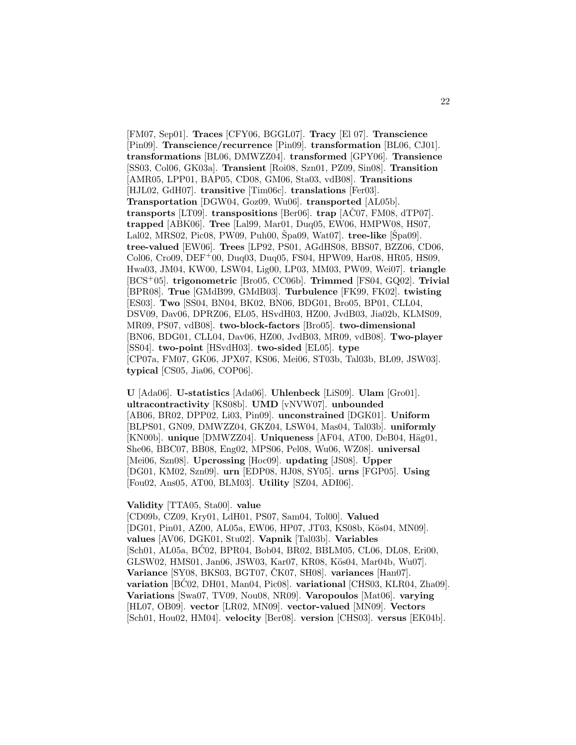[FM07, Sep01]. **Traces** [CFY06, BGGL07]. **Tracy** [El 07]. **Transcience** [Pin09]. **Transcience/recurrence** [Pin09]. **transformation** [BL06, CJ01]. **transformations** [BL06, DMWZZ04]. **transformed** [GPY06]. **Transience** [SS03, Col06, GK03a]. **Transient** [Roi08, Szn01, PZ09, Sin08]. **Transition** [AMR05, LPP01, BAP05, CD08, GM06, Sta03, vdB08]. **Transitions** [HJL02, GdH07]. **transitive** [Tim06c]. **translations** [Fer03]. **Transportation** [DGW04, Goz09, Wu06]. **transported** [AL05b]. **transports** [LT09]. **transpositions** [Ber06]. **trap**  $[ACO7, FM08, dTP07]$ . **trapped** [ABK06]. **Tree** [Lal99, Mar01, Duq05, EW06, HMPW08, HS07, Lal02, MRS02, Pic08, PW09, Puh00, Špa09, Wat07]. **tree-like** [Špa09]. **tree-valued** [EW06]. **Trees** [LP92, PS01, AGdHS08, BBS07, BZZ06, CD06, Col06, Cro09, DEF<sup>+</sup>00, Duq03, Duq05, FS04, HPW09, Har08, HR05, HS09, Hwa03, JM04, KW00, LSW04, Lig00, LP03, MM03, PW09, Wei07]. **triangle** [BCS<sup>+</sup>05]. **trigonometric** [Bro05, CC06b]. **Trimmed** [FS04, GQ02]. **Trivial** [BPR08]. **True** [GMdB99, GMdB03]. **Turbulence** [FK99, FK02]. **twisting** [ES03]. **Two** [SS04, BN04, BK02, BN06, BDG01, Bro05, BP01, CLL04, DSV09, Dav06, DPRZ06, EL05, HSvdH03, HZ00, JvdB03, Jia02b, KLMS09, MR09, PS07, vdB08]. **two-block-factors** [Bro05]. **two-dimensional** [BN06, BDG01, CLL04, Dav06, HZ00, JvdB03, MR09, vdB08]. **Two-player** [SS04]. **two-point** [HSvdH03]. **two-sided** [EL05]. **type** [CP07a, FM07, GK06, JPX07, KS06, Mei06, ST03b, Tal03b, BL09, JSW03]. **typical** [CS05, Jia06, COP06].

**U** [Ada06]. **U-statistics** [Ada06]. **Uhlenbeck** [LiS09]. **Ulam** [Gro01]. **ultracontractivity** [KS08b]. **UMD** [vNVW07]. **unbounded** [AB06, BR02, DPP02, Li03, Pin09]. **unconstrained** [DGK01]. **Uniform** [BLPS01, GN09, DMWZZ04, GKZ04, LSW04, Mas04, Tal03b]. **uniformly** [KN00b]. **unique** [DMWZZ04]. **Uniqueness** [AF04, AT00, DeB04, Häg01, She06, BBC07, BB08, Eng02, MPS06, Pel08, Wu06, WZ08]. **universal** [Mei06, Szn08]. **Upcrossing** [Hoc09]. **updating** [JS08]. **Upper** [DG01, KM02, Szn09]. **urn** [EDP08, HJ08, SY05]. **urns** [FGP05]. **Using** [Fou02, Ans05, AT00, BLM03]. **Utility** [SZ04, ADI06].

#### **Validity** [TTA05, Sta00]. **value**

[CD09b, CZ09, Kry01, LdH01, PS07, Sam04, Tol00]. **Valued** [DG01, Pin01, AZ00, AL05a, EW06, HP07, JT03, KS08b, Kös04, MN09]. **values** [AV06, DGK01, Stu02]. **Vapnik** [Tal03b]. **Variables** [Sch01, AL05a, BĆ02, BPR04, Bob04, BR02, BBLM05, CL06, DL08, Eri00, GLSW02, HMS01, Jan06, JSW03, Kar07, KR08, Kös04, Mar04b, Wu07]. **Variance** [SY08, BKS03, BGT07, CK07, SH08]. **variances** [Han07]. **variation** [BC02, DH01, Man04, Pic08]. **variational** [CHS03, KLR04, Zha09]. **Variations** [Swa07, TV09, Nou08, NR09]. **Varopoulos** [Mat06]. **varying** [HL07, OB09]. **vector** [LR02, MN09]. **vector-valued** [MN09]. **Vectors** [Sch01, Hou02, HM04]. **velocity** [Ber08]. **version** [CHS03]. **versus** [EK04b].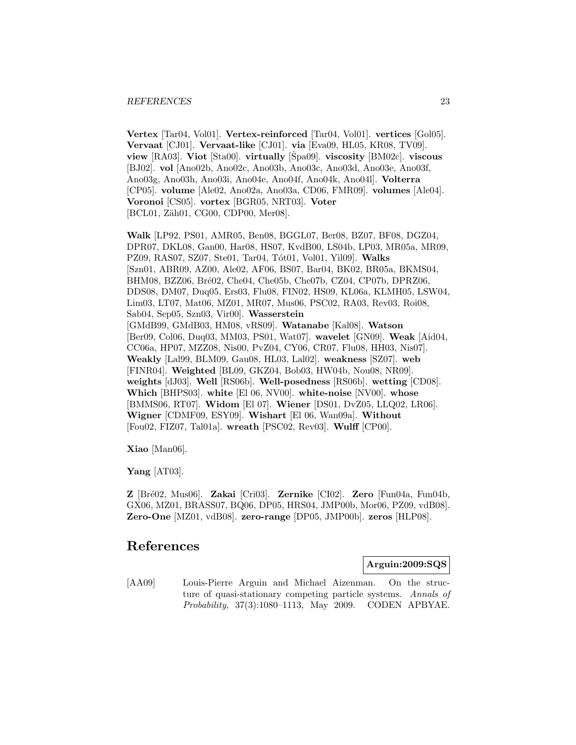**Vertex** [Tar04, Vol01]. **Vertex-reinforced** [Tar04, Vol01]. **vertices** [Gol05]. **Vervaat** [CJ01]. **Vervaat-like** [CJ01]. **via** [Eva09, HL05, KR08, TV09]. **view** [RA03]. **Viot** [Sta00]. **virtually** [Spa09]. **viscosity** [BM02c]. **viscous** [BJ02]. **vol** [Ano02b, Ano02c, Ano03b, Ano03c, Ano03d, Ano03e, Ano03f, Ano03g, Ano03h, Ano03i, Ano04e, Ano04f, Ano04k, Ano04l]. **Volterra** [CP05]. **volume** [Ale02, Ano02a, Ano03a, CD06, FMR09]. **volumes** [Ale04]. **Voronoi** [CS05]. **vortex** [BGR05, NRT03]. **Voter** [BCL01, Zäh01, CG00, CDP00, Mer08].

**Walk** [LP92, PS01, AMR05, Ben08, BGGL07, Ber08, BZ07, BF08, DGZ04, DPR07, DKL08, Gan00, Har08, HS07, KvdB00, LS04b, LP03, MR05a, MR09, PZ09, RAS07, SZ07, Ste01, Tar04, Tót01, Vol01, Yil09]. Walks [Szn01, ABR09, AZ00, Ale02, AF06, BS07, Bar04, BK02, BR05a, BKMS04, BHM08, BZZ06, Bré02, Che04, Che05b, Che07b, CZ04, CP07b, DPRZ06, DDS08, DM07, Duq05, Ers03, Flu08, FIN02, HS09, KL06a, KLMH05, LSW04, Lim03, LT07, Mat06, MZ01, MR07, Mus06, PSC02, RA03, Rev03, Roi08, Sab04, Sep05, Szn03, Vir00]. **Wasserstein** [GMdB99, GMdB03, HM08, vRS09]. **Watanabe** [Kal08]. **Watson** [Ber09, Col06, Duq03, MM03, PS01, Wat07]. **wavelet** [GN09]. **Weak** [Aid04, CC06a, HP07, MZZ08, Nis00, PvZ04, CY06, CR07, Flu08, HH03, Nis07]. **Weakly** [Lal99, BLM09, Gau08, HL03, Lal02]. **weakness** [SZ07]. **web** [FINR04]. **Weighted** [BL09, GKZ04, Bob03, HW04b, Nou08, NR09]. **weights** [dJ03]. **Well** [RS06b]. **Well-posedness** [RS06b]. **wetting** [CD08]. **Which** [BHPS03]. **white** [El 06, NV00]. **white-noise** [NV00]. **whose** [BMMS06, RT07]. **Widom** [El 07]. **Wiener** [DS01, DvZ05, LLQ02, LR06]. **Wigner** [CDMF09, ESY09]. **Wishart** [El 06, Wan09a]. **Without** [Fou02, FIZ07, Tal01a]. **wreath** [PSC02, Rev03]. **Wulff** [CP00].

**Xiao** [Man06].

**Yang** [AT03].

**Z** [Br´e02, Mus06]. **Zakai** [Cri03]. **Zernike** [CI02]. **Zero** [Fun04a, Fun04b, GX06, MZ01, BRASS07, BQ06, DP05, HRS04, JMP00b, Mor06, PZ09, vdB08]. **Zero-One** [MZ01, vdB08]. **zero-range** [DP05, JMP00b]. **zeros** [HLP08].

# **References**

**Arguin:2009:SQS**

[AA09] Louis-Pierre Arguin and Michael Aizenman. On the structure of quasi-stationary competing particle systems. Annals of Probability, 37(3):1080–1113, May 2009. CODEN APBYAE.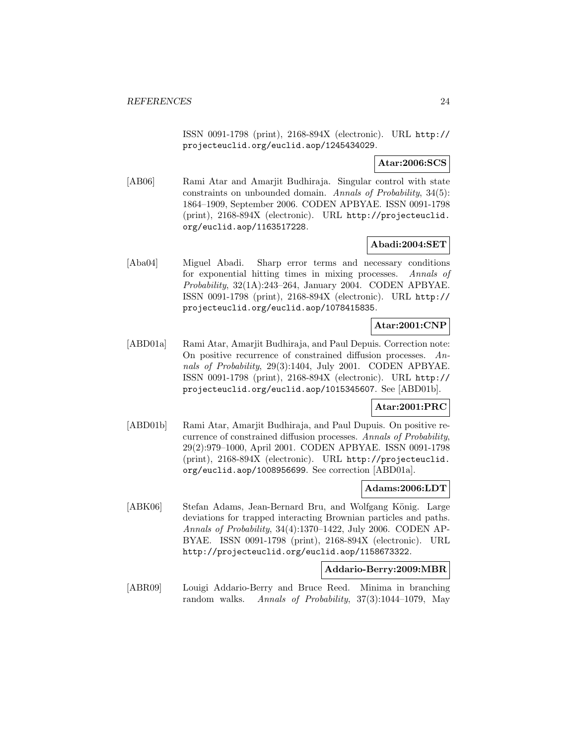ISSN 0091-1798 (print), 2168-894X (electronic). URL http:// projecteuclid.org/euclid.aop/1245434029.

**Atar:2006:SCS**

[AB06] Rami Atar and Amarjit Budhiraja. Singular control with state constraints on unbounded domain. Annals of Probability, 34(5): 1864–1909, September 2006. CODEN APBYAE. ISSN 0091-1798 (print), 2168-894X (electronic). URL http://projecteuclid. org/euclid.aop/1163517228.

# **Abadi:2004:SET**

[Aba04] Miguel Abadi. Sharp error terms and necessary conditions for exponential hitting times in mixing processes. Annals of Probability, 32(1A):243–264, January 2004. CODEN APBYAE. ISSN 0091-1798 (print), 2168-894X (electronic). URL http:// projecteuclid.org/euclid.aop/1078415835.

# **Atar:2001:CNP**

[ABD01a] Rami Atar, Amarjit Budhiraja, and Paul Depuis. Correction note: On positive recurrence of constrained diffusion processes. Annals of Probability, 29(3):1404, July 2001. CODEN APBYAE. ISSN 0091-1798 (print), 2168-894X (electronic). URL http:// projecteuclid.org/euclid.aop/1015345607. See [ABD01b].

## **Atar:2001:PRC**

[ABD01b] Rami Atar, Amarjit Budhiraja, and Paul Dupuis. On positive recurrence of constrained diffusion processes. Annals of Probability, 29(2):979–1000, April 2001. CODEN APBYAE. ISSN 0091-1798 (print), 2168-894X (electronic). URL http://projecteuclid. org/euclid.aop/1008956699. See correction [ABD01a].

# **Adams:2006:LDT**

[ABK06] Stefan Adams, Jean-Bernard Bru, and Wolfgang König. Large deviations for trapped interacting Brownian particles and paths. Annals of Probability, 34(4):1370–1422, July 2006. CODEN AP-BYAE. ISSN 0091-1798 (print), 2168-894X (electronic). URL http://projecteuclid.org/euclid.aop/1158673322.

## **Addario-Berry:2009:MBR**

[ABR09] Louigi Addario-Berry and Bruce Reed. Minima in branching random walks. Annals of Probability, 37(3):1044–1079, May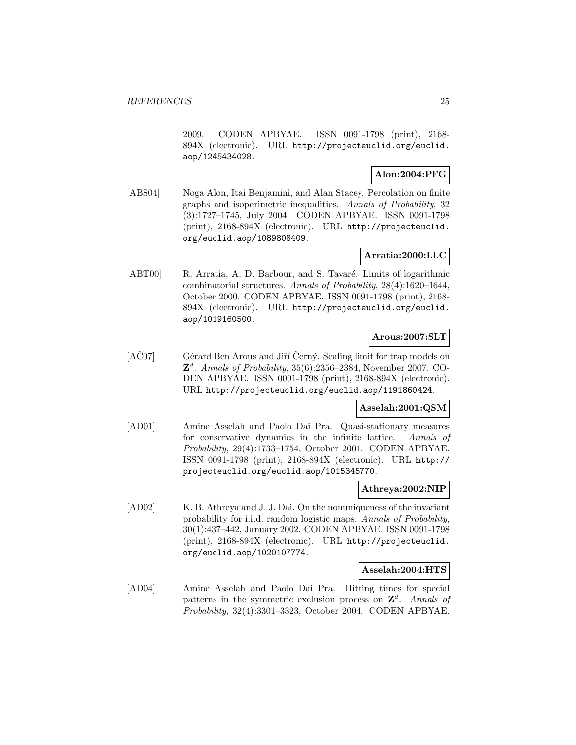2009. CODEN APBYAE. ISSN 0091-1798 (print), 2168- 894X (electronic). URL http://projecteuclid.org/euclid. aop/1245434028.

# **Alon:2004:PFG**

[ABS04] Noga Alon, Itai Benjamini, and Alan Stacey. Percolation on finite graphs and isoperimetric inequalities. Annals of Probability, 32 (3):1727–1745, July 2004. CODEN APBYAE. ISSN 0091-1798 (print), 2168-894X (electronic). URL http://projecteuclid. org/euclid.aop/1089808409.

# **Arratia:2000:LLC**

[ABT00] R. Arratia, A. D. Barbour, and S. Tavaré. Limits of logarithmic combinatorial structures. Annals of Probability, 28(4):1620–1644, October 2000. CODEN APBYAE. ISSN 0091-1798 (print), 2168- 894X (electronic). URL http://projecteuclid.org/euclid. aop/1019160500.

# **Arous:2007:SLT**

[AC07] Gérard Ben Arous and Jiří Černý. Scaling limit for trap models on  $\mathbb{Z}^d$ . Annals of Probability, 35(6):2356–2384, November 2007. CO-DEN APBYAE. ISSN 0091-1798 (print), 2168-894X (electronic). URL http://projecteuclid.org/euclid.aop/1191860424.

## **Asselah:2001:QSM**

[AD01] Amine Asselah and Paolo Dai Pra. Quasi-stationary measures for conservative dynamics in the infinite lattice. Annals of Probability, 29(4):1733–1754, October 2001. CODEN APBYAE. ISSN 0091-1798 (print), 2168-894X (electronic). URL http:// projecteuclid.org/euclid.aop/1015345770.

## **Athreya:2002:NIP**

[AD02] K. B. Athreya and J. J. Dai. On the nonuniqueness of the invariant probability for i.i.d. random logistic maps. Annals of Probability, 30(1):437–442, January 2002. CODEN APBYAE. ISSN 0091-1798 (print), 2168-894X (electronic). URL http://projecteuclid. org/euclid.aop/1020107774.

## **Asselah:2004:HTS**

[AD04] Amine Asselah and Paolo Dai Pra. Hitting times for special patterns in the symmetric exclusion process on  $\mathbf{Z}^d$ . Annals of Probability, 32(4):3301–3323, October 2004. CODEN APBYAE.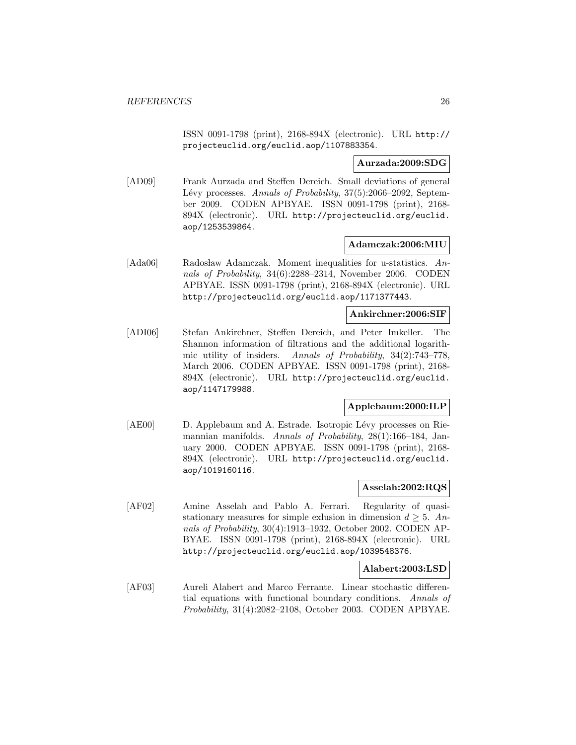ISSN 0091-1798 (print), 2168-894X (electronic). URL http:// projecteuclid.org/euclid.aop/1107883354.

## **Aurzada:2009:SDG**

[AD09] Frank Aurzada and Steffen Dereich. Small deviations of general Lévy processes. Annals of Probability, 37(5):2066–2092, September 2009. CODEN APBYAE. ISSN 0091-1798 (print), 2168- 894X (electronic). URL http://projecteuclid.org/euclid. aop/1253539864.

## **Adamczak:2006:MIU**

[Ada06] Radosław Adamczak. Moment inequalities for u-statistics. Annals of Probability, 34(6):2288–2314, November 2006. CODEN APBYAE. ISSN 0091-1798 (print), 2168-894X (electronic). URL http://projecteuclid.org/euclid.aop/1171377443.

#### **Ankirchner:2006:SIF**

[ADI06] Stefan Ankirchner, Steffen Dereich, and Peter Imkeller. The Shannon information of filtrations and the additional logarithmic utility of insiders. Annals of Probability, 34(2):743–778, March 2006. CODEN APBYAE. ISSN 0091-1798 (print), 2168- 894X (electronic). URL http://projecteuclid.org/euclid. aop/1147179988.

## **Applebaum:2000:ILP**

[AE00] D. Applebaum and A. Estrade. Isotropic Lévy processes on Riemannian manifolds. Annals of Probability, 28(1):166–184, January 2000. CODEN APBYAE. ISSN 0091-1798 (print), 2168- 894X (electronic). URL http://projecteuclid.org/euclid. aop/1019160116.

## **Asselah:2002:RQS**

[AF02] Amine Asselah and Pablo A. Ferrari. Regularity of quasistationary measures for simple exlusion in dimension  $d \geq 5$ . Annals of Probability, 30(4):1913–1932, October 2002. CODEN AP-BYAE. ISSN 0091-1798 (print), 2168-894X (electronic). URL http://projecteuclid.org/euclid.aop/1039548376.

## **Alabert:2003:LSD**

[AF03] Aureli Alabert and Marco Ferrante. Linear stochastic differential equations with functional boundary conditions. Annals of Probability, 31(4):2082–2108, October 2003. CODEN APBYAE.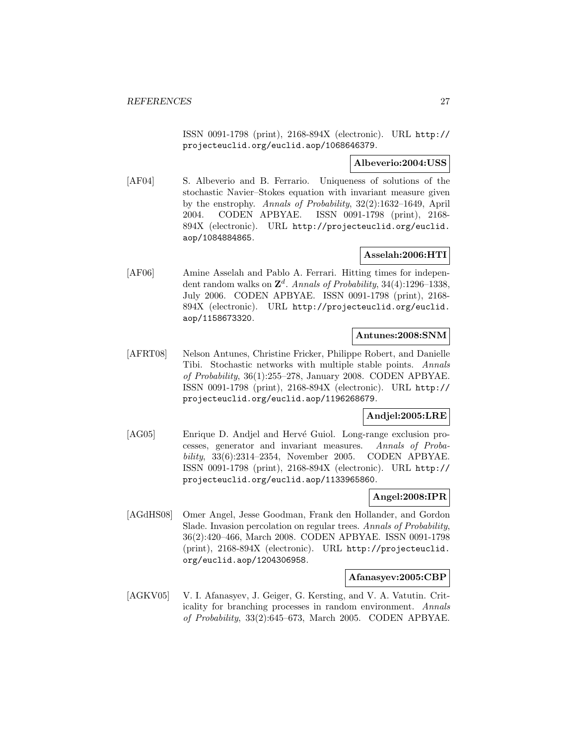ISSN 0091-1798 (print), 2168-894X (electronic). URL http:// projecteuclid.org/euclid.aop/1068646379.

## **Albeverio:2004:USS**

[AF04] S. Albeverio and B. Ferrario. Uniqueness of solutions of the stochastic Navier–Stokes equation with invariant measure given by the enstrophy. Annals of Probability, 32(2):1632–1649, April 2004. CODEN APBYAE. ISSN 0091-1798 (print), 2168- 894X (electronic). URL http://projecteuclid.org/euclid. aop/1084884865.

# **Asselah:2006:HTI**

[AF06] Amine Asselah and Pablo A. Ferrari. Hitting times for independent random walks on  $\mathbb{Z}^d$ . Annals of Probability, 34(4):1296-1338, July 2006. CODEN APBYAE. ISSN 0091-1798 (print), 2168- 894X (electronic). URL http://projecteuclid.org/euclid. aop/1158673320.

# **Antunes:2008:SNM**

[AFRT08] Nelson Antunes, Christine Fricker, Philippe Robert, and Danielle Tibi. Stochastic networks with multiple stable points. Annals of Probability, 36(1):255–278, January 2008. CODEN APBYAE. ISSN 0091-1798 (print), 2168-894X (electronic). URL http:// projecteuclid.org/euclid.aop/1196268679.

# **Andjel:2005:LRE**

[AG05] Enrique D. Andjel and Hervé Guiol. Long-range exclusion processes, generator and invariant measures. Annals of Probability, 33(6):2314–2354, November 2005. CODEN APBYAE. ISSN 0091-1798 (print), 2168-894X (electronic). URL http:// projecteuclid.org/euclid.aop/1133965860.

# **Angel:2008:IPR**

[AGdHS08] Omer Angel, Jesse Goodman, Frank den Hollander, and Gordon Slade. Invasion percolation on regular trees. Annals of Probability, 36(2):420–466, March 2008. CODEN APBYAE. ISSN 0091-1798 (print), 2168-894X (electronic). URL http://projecteuclid. org/euclid.aop/1204306958.

## **Afanasyev:2005:CBP**

[AGKV05] V. I. Afanasyev, J. Geiger, G. Kersting, and V. A. Vatutin. Criticality for branching processes in random environment. Annals of Probability, 33(2):645–673, March 2005. CODEN APBYAE.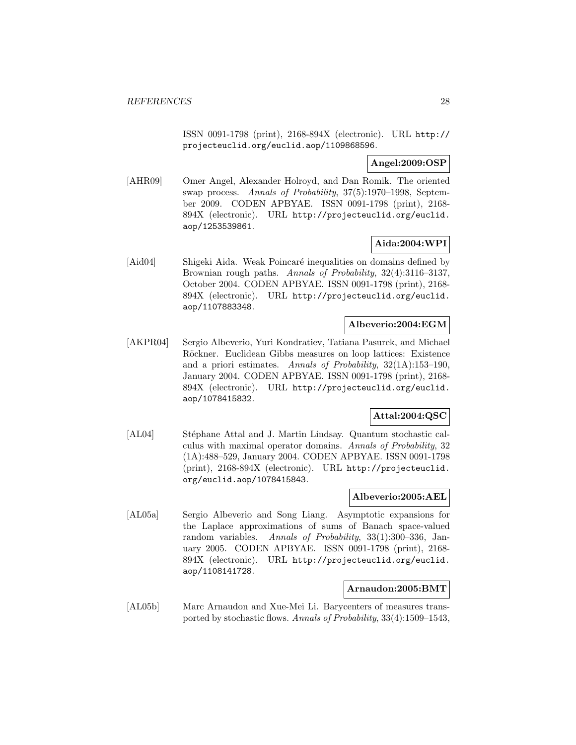ISSN 0091-1798 (print), 2168-894X (electronic). URL http:// projecteuclid.org/euclid.aop/1109868596.

# **Angel:2009:OSP**

[AHR09] Omer Angel, Alexander Holroyd, and Dan Romik. The oriented swap process. Annals of Probability, 37(5):1970–1998, September 2009. CODEN APBYAE. ISSN 0091-1798 (print), 2168- 894X (electronic). URL http://projecteuclid.org/euclid. aop/1253539861.

# **Aida:2004:WPI**

[Aid04] Shigeki Aida. Weak Poincaré inequalities on domains defined by Brownian rough paths. Annals of Probability, 32(4):3116–3137, October 2004. CODEN APBYAE. ISSN 0091-1798 (print), 2168- 894X (electronic). URL http://projecteuclid.org/euclid. aop/1107883348.

# **Albeverio:2004:EGM**

[AKPR04] Sergio Albeverio, Yuri Kondratiev, Tatiana Pasurek, and Michael Röckner. Euclidean Gibbs measures on loop lattices: Existence and a priori estimates. Annals of Probability, 32(1A):153–190, January 2004. CODEN APBYAE. ISSN 0091-1798 (print), 2168- 894X (electronic). URL http://projecteuclid.org/euclid. aop/1078415832.

# **Attal:2004:QSC**

[AL04] Stéphane Attal and J. Martin Lindsay. Quantum stochastic calculus with maximal operator domains. Annals of Probability, 32 (1A):488–529, January 2004. CODEN APBYAE. ISSN 0091-1798 (print), 2168-894X (electronic). URL http://projecteuclid. org/euclid.aop/1078415843.

## **Albeverio:2005:AEL**

[AL05a] Sergio Albeverio and Song Liang. Asymptotic expansions for the Laplace approximations of sums of Banach space-valued random variables. Annals of Probability, 33(1):300–336, January 2005. CODEN APBYAE. ISSN 0091-1798 (print), 2168- 894X (electronic). URL http://projecteuclid.org/euclid. aop/1108141728.

#### **Arnaudon:2005:BMT**

[AL05b] Marc Arnaudon and Xue-Mei Li. Barycenters of measures transported by stochastic flows. Annals of Probability, 33(4):1509–1543,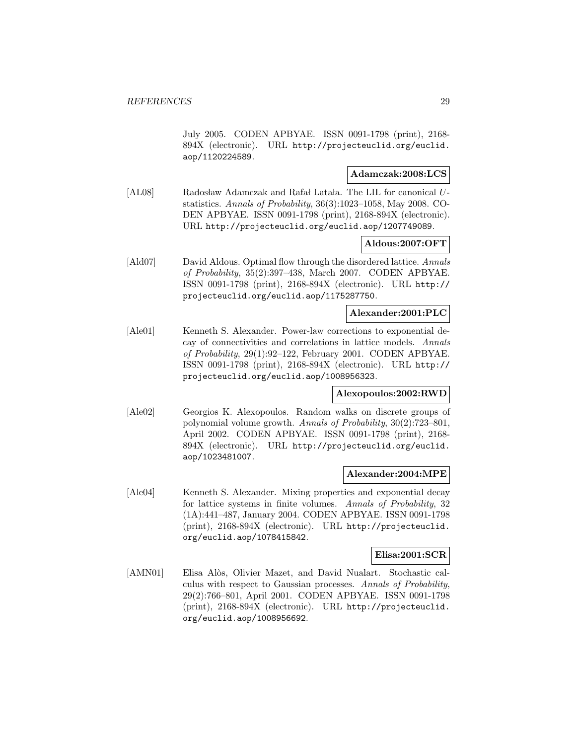July 2005. CODEN APBYAE. ISSN 0091-1798 (print), 2168- 894X (electronic). URL http://projecteuclid.org/euclid. aop/1120224589.

# **Adamczak:2008:LCS**

[AL08] Radosław Adamczak and Rafał Latała. The LIL for canonical Ustatistics. Annals of Probability, 36(3):1023–1058, May 2008. CO-DEN APBYAE. ISSN 0091-1798 (print), 2168-894X (electronic). URL http://projecteuclid.org/euclid.aop/1207749089.

# **Aldous:2007:OFT**

[Ald07] David Aldous. Optimal flow through the disordered lattice. Annals of Probability, 35(2):397–438, March 2007. CODEN APBYAE. ISSN 0091-1798 (print), 2168-894X (electronic). URL http:// projecteuclid.org/euclid.aop/1175287750.

# **Alexander:2001:PLC**

[Ale01] Kenneth S. Alexander. Power-law corrections to exponential decay of connectivities and correlations in lattice models. Annals of Probability, 29(1):92–122, February 2001. CODEN APBYAE. ISSN 0091-1798 (print), 2168-894X (electronic). URL http:// projecteuclid.org/euclid.aop/1008956323.

# **Alexopoulos:2002:RWD**

[Ale02] Georgios K. Alexopoulos. Random walks on discrete groups of polynomial volume growth. Annals of Probability, 30(2):723–801, April 2002. CODEN APBYAE. ISSN 0091-1798 (print), 2168- 894X (electronic). URL http://projecteuclid.org/euclid. aop/1023481007.

## **Alexander:2004:MPE**

[Ale04] Kenneth S. Alexander. Mixing properties and exponential decay for lattice systems in finite volumes. Annals of Probability, 32 (1A):441–487, January 2004. CODEN APBYAE. ISSN 0091-1798 (print), 2168-894X (electronic). URL http://projecteuclid. org/euclid.aop/1078415842.

#### **Elisa:2001:SCR**

[AMN01] Elisa Alòs, Olivier Mazet, and David Nualart. Stochastic calculus with respect to Gaussian processes. Annals of Probability, 29(2):766–801, April 2001. CODEN APBYAE. ISSN 0091-1798 (print), 2168-894X (electronic). URL http://projecteuclid. org/euclid.aop/1008956692.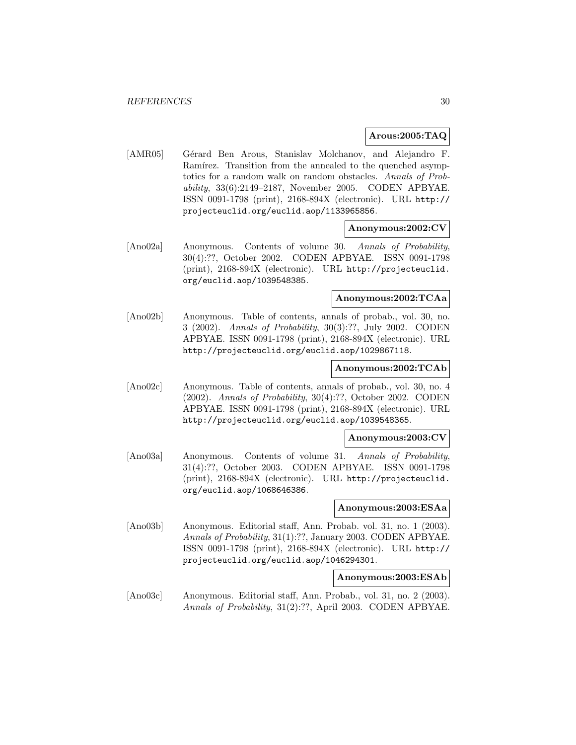#### **Arous:2005:TAQ**

[AMR05] Gérard Ben Arous, Stanislav Molchanov, and Alejandro F. Ramírez. Transition from the annealed to the quenched asymptotics for a random walk on random obstacles. Annals of Probability, 33(6):2149–2187, November 2005. CODEN APBYAE. ISSN 0091-1798 (print), 2168-894X (electronic). URL http:// projecteuclid.org/euclid.aop/1133965856.

## **Anonymous:2002:CV**

[Ano02a] Anonymous. Contents of volume 30. Annals of Probability, 30(4):??, October 2002. CODEN APBYAE. ISSN 0091-1798 (print), 2168-894X (electronic). URL http://projecteuclid. org/euclid.aop/1039548385.

# **Anonymous:2002:TCAa**

[Ano02b] Anonymous. Table of contents, annals of probab., vol. 30, no. 3 (2002). Annals of Probability, 30(3):??, July 2002. CODEN APBYAE. ISSN 0091-1798 (print), 2168-894X (electronic). URL http://projecteuclid.org/euclid.aop/1029867118.

## **Anonymous:2002:TCAb**

[Ano02c] Anonymous. Table of contents, annals of probab., vol. 30, no. 4 (2002). Annals of Probability, 30(4):??, October 2002. CODEN APBYAE. ISSN 0091-1798 (print), 2168-894X (electronic). URL http://projecteuclid.org/euclid.aop/1039548365.

#### **Anonymous:2003:CV**

[Ano03a] Anonymous. Contents of volume 31. Annals of Probability, 31(4):??, October 2003. CODEN APBYAE. ISSN 0091-1798 (print), 2168-894X (electronic). URL http://projecteuclid. org/euclid.aop/1068646386.

#### **Anonymous:2003:ESAa**

[Ano03b] Anonymous. Editorial staff, Ann. Probab. vol. 31, no. 1 (2003). Annals of Probability, 31(1):??, January 2003. CODEN APBYAE. ISSN 0091-1798 (print), 2168-894X (electronic). URL http:// projecteuclid.org/euclid.aop/1046294301.

#### **Anonymous:2003:ESAb**

[Ano03c] Anonymous. Editorial staff, Ann. Probab., vol. 31, no. 2 (2003). Annals of Probability, 31(2):??, April 2003. CODEN APBYAE.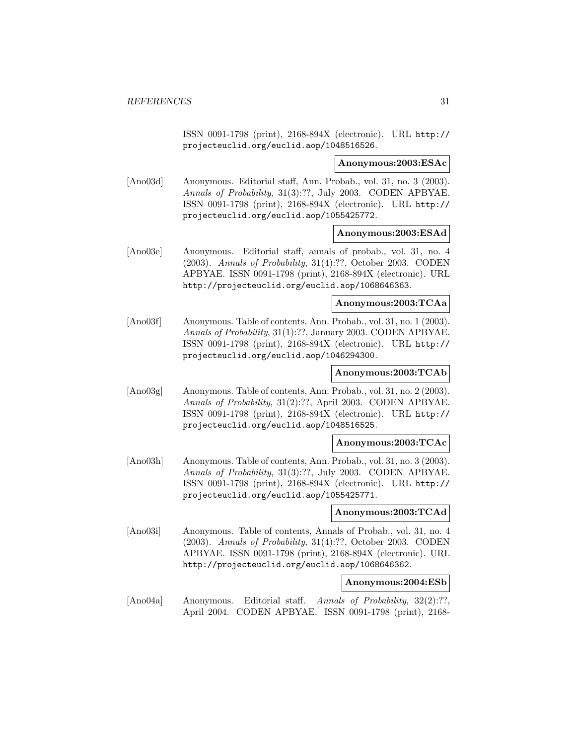ISSN 0091-1798 (print), 2168-894X (electronic). URL http:// projecteuclid.org/euclid.aop/1048516526.

#### **Anonymous:2003:ESAc**

[Ano03d] Anonymous. Editorial staff, Ann. Probab., vol. 31, no. 3 (2003). Annals of Probability, 31(3):??, July 2003. CODEN APBYAE. ISSN 0091-1798 (print), 2168-894X (electronic). URL http:// projecteuclid.org/euclid.aop/1055425772.

## **Anonymous:2003:ESAd**

[Ano03e] Anonymous. Editorial staff, annals of probab., vol. 31, no. 4 (2003). Annals of Probability, 31(4):??, October 2003. CODEN APBYAE. ISSN 0091-1798 (print), 2168-894X (electronic). URL http://projecteuclid.org/euclid.aop/1068646363.

#### **Anonymous:2003:TCAa**

[Ano03f] Anonymous. Table of contents, Ann. Probab., vol. 31, no. 1 (2003). Annals of Probability, 31(1):??, January 2003. CODEN APBYAE. ISSN 0091-1798 (print), 2168-894X (electronic). URL http:// projecteuclid.org/euclid.aop/1046294300.

# **Anonymous:2003:TCAb**

[Ano03g] Anonymous. Table of contents, Ann. Probab., vol. 31, no. 2 (2003). Annals of Probability, 31(2):??, April 2003. CODEN APBYAE. ISSN 0091-1798 (print), 2168-894X (electronic). URL http:// projecteuclid.org/euclid.aop/1048516525.

## **Anonymous:2003:TCAc**

[Ano03h] Anonymous. Table of contents, Ann. Probab., vol. 31, no. 3 (2003). Annals of Probability, 31(3):??, July 2003. CODEN APBYAE. ISSN 0091-1798 (print), 2168-894X (electronic). URL http:// projecteuclid.org/euclid.aop/1055425771.

# **Anonymous:2003:TCAd**

[Ano03i] Anonymous. Table of contents, Annals of Probab., vol. 31, no. 4 (2003). Annals of Probability, 31(4):??, October 2003. CODEN APBYAE. ISSN 0091-1798 (print), 2168-894X (electronic). URL http://projecteuclid.org/euclid.aop/1068646362.

#### **Anonymous:2004:ESb**

[Ano04a] Anonymous. Editorial staff. Annals of Probability, 32(2):??, April 2004. CODEN APBYAE. ISSN 0091-1798 (print), 2168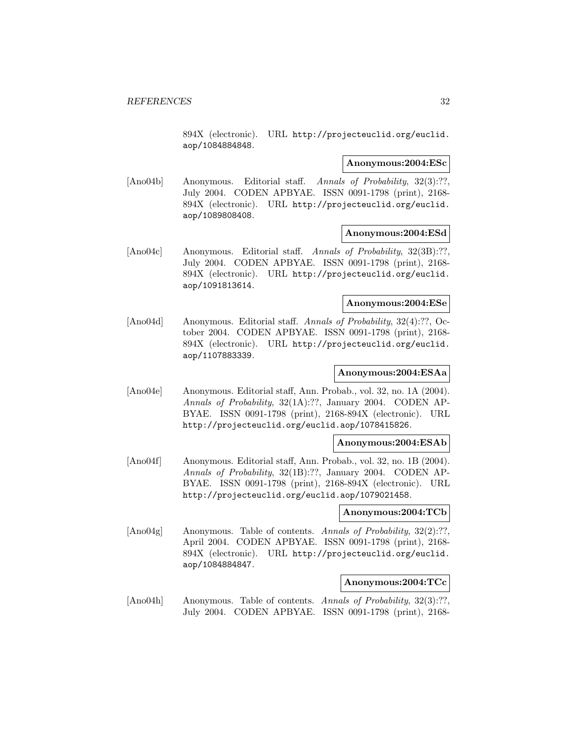894X (electronic). URL http://projecteuclid.org/euclid. aop/1084884848.

#### **Anonymous:2004:ESc**

[Ano04b] Anonymous. Editorial staff. Annals of Probability, 32(3):??, July 2004. CODEN APBYAE. ISSN 0091-1798 (print), 2168- 894X (electronic). URL http://projecteuclid.org/euclid. aop/1089808408.

## **Anonymous:2004:ESd**

[Ano04c] Anonymous. Editorial staff. Annals of Probability, 32(3B):??, July 2004. CODEN APBYAE. ISSN 0091-1798 (print), 2168- 894X (electronic). URL http://projecteuclid.org/euclid. aop/1091813614.

#### **Anonymous:2004:ESe**

[Ano04d] Anonymous. Editorial staff. Annals of Probability, 32(4):??, October 2004. CODEN APBYAE. ISSN 0091-1798 (print), 2168- 894X (electronic). URL http://projecteuclid.org/euclid. aop/1107883339.

# **Anonymous:2004:ESAa**

[Ano04e] Anonymous. Editorial staff, Ann. Probab., vol. 32, no. 1A (2004). Annals of Probability, 32(1A):??, January 2004. CODEN AP-BYAE. ISSN 0091-1798 (print), 2168-894X (electronic). URL http://projecteuclid.org/euclid.aop/1078415826.

## **Anonymous:2004:ESAb**

[Ano04f] Anonymous. Editorial staff, Ann. Probab., vol. 32, no. 1B (2004). Annals of Probability, 32(1B):??, January 2004. CODEN AP-BYAE. ISSN 0091-1798 (print), 2168-894X (electronic). URL http://projecteuclid.org/euclid.aop/1079021458.

## **Anonymous:2004:TCb**

[Ano04g] Anonymous. Table of contents. Annals of Probability, 32(2):??, April 2004. CODEN APBYAE. ISSN 0091-1798 (print), 2168- 894X (electronic). URL http://projecteuclid.org/euclid. aop/1084884847.

#### **Anonymous:2004:TCc**

[Ano04h] Anonymous. Table of contents. Annals of Probability, 32(3):??, July 2004. CODEN APBYAE. ISSN 0091-1798 (print), 2168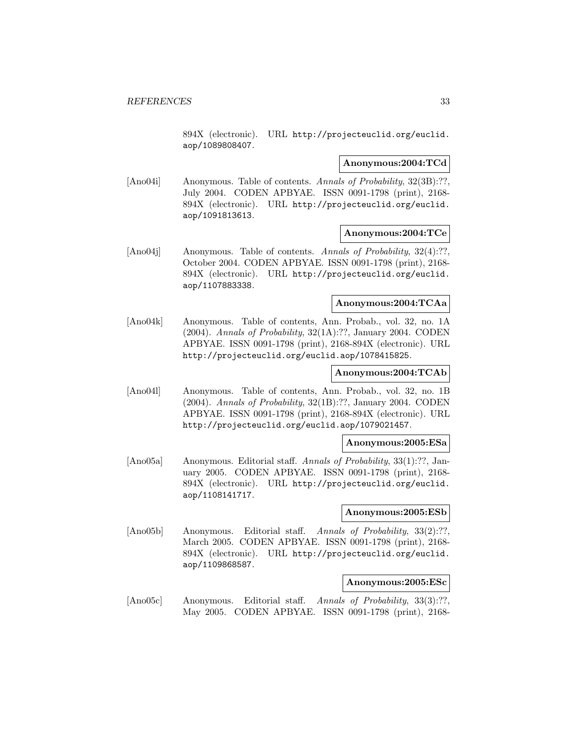894X (electronic). URL http://projecteuclid.org/euclid. aop/1089808407.

#### **Anonymous:2004:TCd**

[Ano04i] Anonymous. Table of contents. Annals of Probability, 32(3B):??, July 2004. CODEN APBYAE. ISSN 0091-1798 (print), 2168- 894X (electronic). URL http://projecteuclid.org/euclid. aop/1091813613.

## **Anonymous:2004:TCe**

[Ano04j] Anonymous. Table of contents. Annals of Probability, 32(4):??, October 2004. CODEN APBYAE. ISSN 0091-1798 (print), 2168- 894X (electronic). URL http://projecteuclid.org/euclid. aop/1107883338.

#### **Anonymous:2004:TCAa**

[Ano04k] Anonymous. Table of contents, Ann. Probab., vol. 32, no. 1A (2004). Annals of Probability, 32(1A):??, January 2004. CODEN APBYAE. ISSN 0091-1798 (print), 2168-894X (electronic). URL http://projecteuclid.org/euclid.aop/1078415825.

# **Anonymous:2004:TCAb**

[Ano04l] Anonymous. Table of contents, Ann. Probab., vol. 32, no. 1B (2004). Annals of Probability, 32(1B):??, January 2004. CODEN APBYAE. ISSN 0091-1798 (print), 2168-894X (electronic). URL http://projecteuclid.org/euclid.aop/1079021457.

## **Anonymous:2005:ESa**

[Ano05a] Anonymous. Editorial staff. Annals of Probability, 33(1):??, January 2005. CODEN APBYAE. ISSN 0091-1798 (print), 2168- 894X (electronic). URL http://projecteuclid.org/euclid. aop/1108141717.

# **Anonymous:2005:ESb**

[Ano05b] Anonymous. Editorial staff. Annals of Probability, 33(2):??, March 2005. CODEN APBYAE. ISSN 0091-1798 (print), 2168- 894X (electronic). URL http://projecteuclid.org/euclid. aop/1109868587.

#### **Anonymous:2005:ESc**

[Ano05c] Anonymous. Editorial staff. Annals of Probability, 33(3):??, May 2005. CODEN APBYAE. ISSN 0091-1798 (print), 2168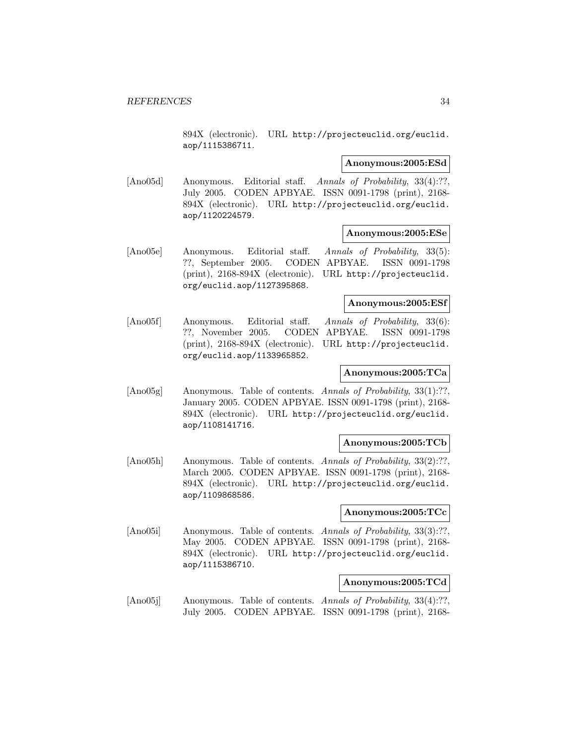894X (electronic). URL http://projecteuclid.org/euclid. aop/1115386711.

#### **Anonymous:2005:ESd**

[Ano05d] Anonymous. Editorial staff. Annals of Probability, 33(4):??, July 2005. CODEN APBYAE. ISSN 0091-1798 (print), 2168- 894X (electronic). URL http://projecteuclid.org/euclid. aop/1120224579.

#### **Anonymous:2005:ESe**

[Ano05e] Anonymous. Editorial staff. Annals of Probability, 33(5): ??, September 2005. CODEN APBYAE. ISSN 0091-1798 (print), 2168-894X (electronic). URL http://projecteuclid. org/euclid.aop/1127395868.

#### **Anonymous:2005:ESf**

[Ano05f] Anonymous. Editorial staff. Annals of Probability, 33(6): ??, November 2005. CODEN APBYAE. ISSN 0091-1798 (print), 2168-894X (electronic). URL http://projecteuclid. org/euclid.aop/1133965852.

# **Anonymous:2005:TCa**

[Ano05g] Anonymous. Table of contents. Annals of Probability, 33(1):??, January 2005. CODEN APBYAE. ISSN 0091-1798 (print), 2168- 894X (electronic). URL http://projecteuclid.org/euclid. aop/1108141716.

#### **Anonymous:2005:TCb**

[Ano05h] Anonymous. Table of contents. Annals of Probability, 33(2):??, March 2005. CODEN APBYAE. ISSN 0091-1798 (print), 2168- 894X (electronic). URL http://projecteuclid.org/euclid. aop/1109868586.

# **Anonymous:2005:TCc**

[Ano05i] Anonymous. Table of contents. Annals of Probability, 33(3):??, May 2005. CODEN APBYAE. ISSN 0091-1798 (print), 2168- 894X (electronic). URL http://projecteuclid.org/euclid. aop/1115386710.

# **Anonymous:2005:TCd**

[Ano05j] Anonymous. Table of contents. Annals of Probability, 33(4):??, July 2005. CODEN APBYAE. ISSN 0091-1798 (print), 2168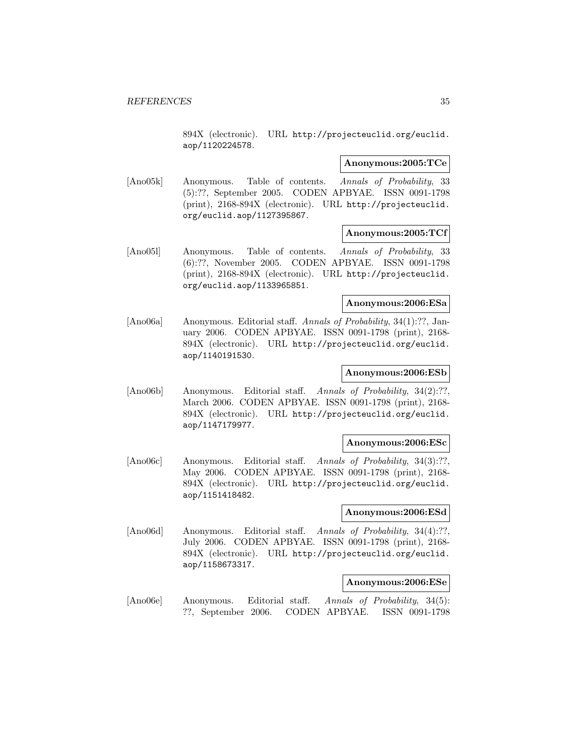894X (electronic). URL http://projecteuclid.org/euclid. aop/1120224578.

#### **Anonymous:2005:TCe**

[Ano05k] Anonymous. Table of contents. Annals of Probability, 33 (5):??, September 2005. CODEN APBYAE. ISSN 0091-1798 (print), 2168-894X (electronic). URL http://projecteuclid. org/euclid.aop/1127395867.

#### **Anonymous:2005:TCf**

[Ano05l] Anonymous. Table of contents. Annals of Probability, 33 (6):??, November 2005. CODEN APBYAE. ISSN 0091-1798 (print), 2168-894X (electronic). URL http://projecteuclid. org/euclid.aop/1133965851.

#### **Anonymous:2006:ESa**

[Ano06a] Anonymous. Editorial staff. Annals of Probability, 34(1):??, January 2006. CODEN APBYAE. ISSN 0091-1798 (print), 2168- 894X (electronic). URL http://projecteuclid.org/euclid. aop/1140191530.

# **Anonymous:2006:ESb**

[Ano06b] Anonymous. Editorial staff. Annals of Probability, 34(2):??, March 2006. CODEN APBYAE. ISSN 0091-1798 (print), 2168- 894X (electronic). URL http://projecteuclid.org/euclid. aop/1147179977.

#### **Anonymous:2006:ESc**

[Ano06c] Anonymous. Editorial staff. Annals of Probability, 34(3):??, May 2006. CODEN APBYAE. ISSN 0091-1798 (print), 2168- 894X (electronic). URL http://projecteuclid.org/euclid. aop/1151418482.

# **Anonymous:2006:ESd**

[Ano06d] Anonymous. Editorial staff. Annals of Probability, 34(4):??, July 2006. CODEN APBYAE. ISSN 0091-1798 (print), 2168- 894X (electronic). URL http://projecteuclid.org/euclid. aop/1158673317.

#### **Anonymous:2006:ESe**

[Ano06e] Anonymous. Editorial staff. Annals of Probability, 34(5): ??, September 2006. CODEN APBYAE. ISSN 0091-1798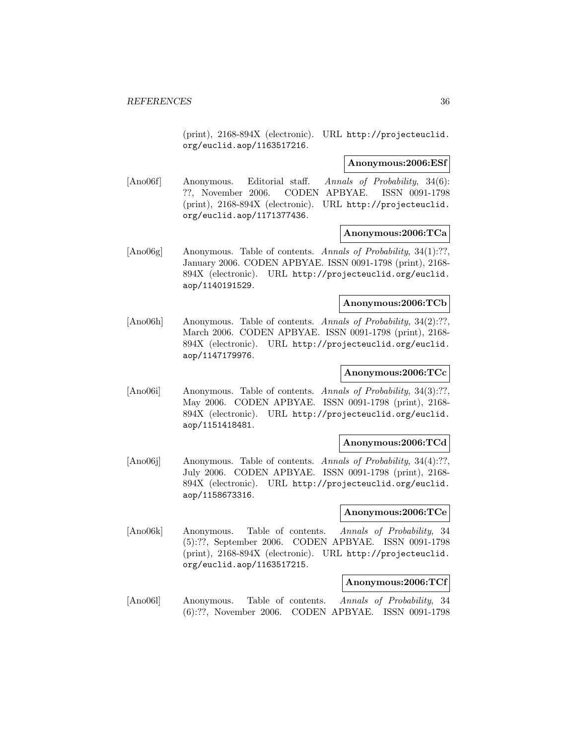(print), 2168-894X (electronic). URL http://projecteuclid. org/euclid.aop/1163517216.

#### **Anonymous:2006:ESf**

[Ano06f] Anonymous. Editorial staff. Annals of Probability, 34(6): ??, November 2006. CODEN APBYAE. ISSN 0091-1798 (print), 2168-894X (electronic). URL http://projecteuclid. org/euclid.aop/1171377436.

#### **Anonymous:2006:TCa**

[Ano06g] Anonymous. Table of contents. Annals of Probability, 34(1):??, January 2006. CODEN APBYAE. ISSN 0091-1798 (print), 2168- 894X (electronic). URL http://projecteuclid.org/euclid. aop/1140191529.

#### **Anonymous:2006:TCb**

[Ano06h] Anonymous. Table of contents. Annals of Probability, 34(2):??, March 2006. CODEN APBYAE. ISSN 0091-1798 (print), 2168- 894X (electronic). URL http://projecteuclid.org/euclid. aop/1147179976.

# **Anonymous:2006:TCc**

[Ano06i] Anonymous. Table of contents. Annals of Probability, 34(3):??, May 2006. CODEN APBYAE. ISSN 0091-1798 (print), 2168- 894X (electronic). URL http://projecteuclid.org/euclid. aop/1151418481.

#### **Anonymous:2006:TCd**

[Ano06j] Anonymous. Table of contents. Annals of Probability, 34(4):??, July 2006. CODEN APBYAE. ISSN 0091-1798 (print), 2168- 894X (electronic). URL http://projecteuclid.org/euclid. aop/1158673316.

# **Anonymous:2006:TCe**

[Ano06k] Anonymous. Table of contents. Annals of Probability, 34 (5):??, September 2006. CODEN APBYAE. ISSN 0091-1798 (print), 2168-894X (electronic). URL http://projecteuclid. org/euclid.aop/1163517215.

#### **Anonymous:2006:TCf**

[Ano06l] Anonymous. Table of contents. Annals of Probability, 34 (6):??, November 2006. CODEN APBYAE. ISSN 0091-1798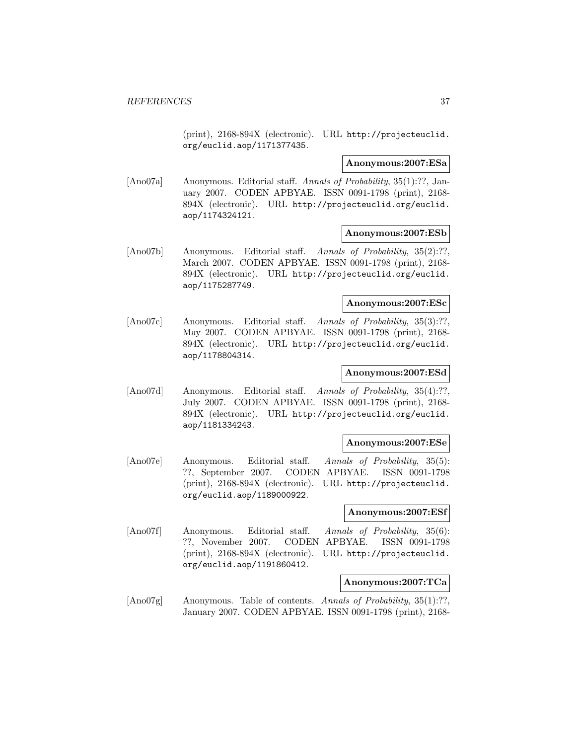(print), 2168-894X (electronic). URL http://projecteuclid. org/euclid.aop/1171377435.

#### **Anonymous:2007:ESa**

[Ano07a] Anonymous. Editorial staff. Annals of Probability, 35(1):??, January 2007. CODEN APBYAE. ISSN 0091-1798 (print), 2168- 894X (electronic). URL http://projecteuclid.org/euclid. aop/1174324121.

#### **Anonymous:2007:ESb**

[Ano07b] Anonymous. Editorial staff. Annals of Probability, 35(2):??, March 2007. CODEN APBYAE. ISSN 0091-1798 (print), 2168- 894X (electronic). URL http://projecteuclid.org/euclid. aop/1175287749.

#### **Anonymous:2007:ESc**

[Ano07c] Anonymous. Editorial staff. Annals of Probability, 35(3):??, May 2007. CODEN APBYAE. ISSN 0091-1798 (print), 2168- 894X (electronic). URL http://projecteuclid.org/euclid. aop/1178804314.

## **Anonymous:2007:ESd**

[Ano07d] Anonymous. Editorial staff. Annals of Probability, 35(4):??, July 2007. CODEN APBYAE. ISSN 0091-1798 (print), 2168- 894X (electronic). URL http://projecteuclid.org/euclid. aop/1181334243.

#### **Anonymous:2007:ESe**

[Ano07e] Anonymous. Editorial staff. Annals of Probability, 35(5): ??, September 2007. CODEN APBYAE. ISSN 0091-1798 (print), 2168-894X (electronic). URL http://projecteuclid. org/euclid.aop/1189000922.

#### **Anonymous:2007:ESf**

[Ano07f] Anonymous. Editorial staff. Annals of Probability, 35(6): ??, November 2007. CODEN APBYAE. ISSN 0091-1798 (print), 2168-894X (electronic). URL http://projecteuclid. org/euclid.aop/1191860412.

#### **Anonymous:2007:TCa**

[Ano07g] Anonymous. Table of contents. Annals of Probability, 35(1):??, January 2007. CODEN APBYAE. ISSN 0091-1798 (print), 2168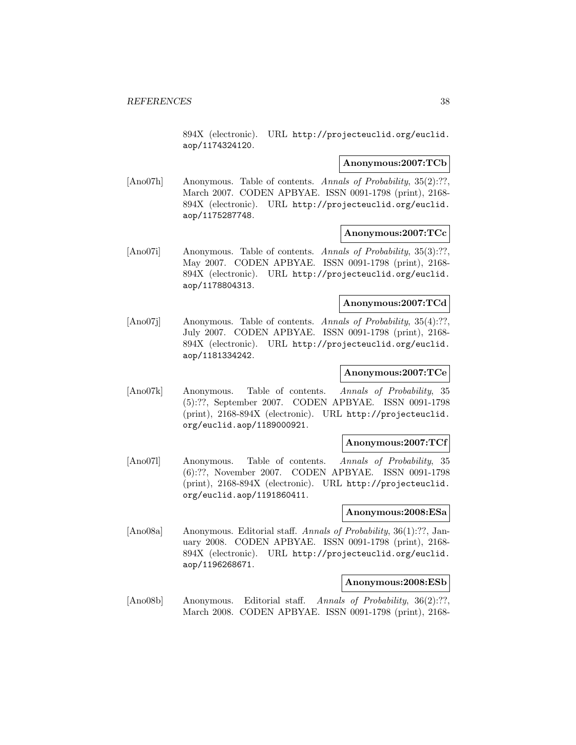894X (electronic). URL http://projecteuclid.org/euclid. aop/1174324120.

#### **Anonymous:2007:TCb**

[Ano07h] Anonymous. Table of contents. Annals of Probability, 35(2):??, March 2007. CODEN APBYAE. ISSN 0091-1798 (print), 2168- 894X (electronic). URL http://projecteuclid.org/euclid. aop/1175287748.

## **Anonymous:2007:TCc**

[Ano07i] Anonymous. Table of contents. Annals of Probability, 35(3):??, May 2007. CODEN APBYAE. ISSN 0091-1798 (print), 2168- 894X (electronic). URL http://projecteuclid.org/euclid. aop/1178804313.

## **Anonymous:2007:TCd**

[Ano07]] Anonymous. Table of contents. Annals of Probability, 35(4):??, July 2007. CODEN APBYAE. ISSN 0091-1798 (print), 2168- 894X (electronic). URL http://projecteuclid.org/euclid. aop/1181334242.

# **Anonymous:2007:TCe**

[Ano07k] Anonymous. Table of contents. Annals of Probability, 35 (5):??, September 2007. CODEN APBYAE. ISSN 0091-1798 (print), 2168-894X (electronic). URL http://projecteuclid. org/euclid.aop/1189000921.

#### **Anonymous:2007:TCf**

[Ano07l] Anonymous. Table of contents. Annals of Probability, 35 (6):??, November 2007. CODEN APBYAE. ISSN 0091-1798 (print), 2168-894X (electronic). URL http://projecteuclid. org/euclid.aop/1191860411.

#### **Anonymous:2008:ESa**

[Ano08a] Anonymous. Editorial staff. Annals of Probability, 36(1):??, January 2008. CODEN APBYAE. ISSN 0091-1798 (print), 2168- 894X (electronic). URL http://projecteuclid.org/euclid. aop/1196268671.

#### **Anonymous:2008:ESb**

[Ano08b] Anonymous. Editorial staff. Annals of Probability, 36(2):??, March 2008. CODEN APBYAE. ISSN 0091-1798 (print), 2168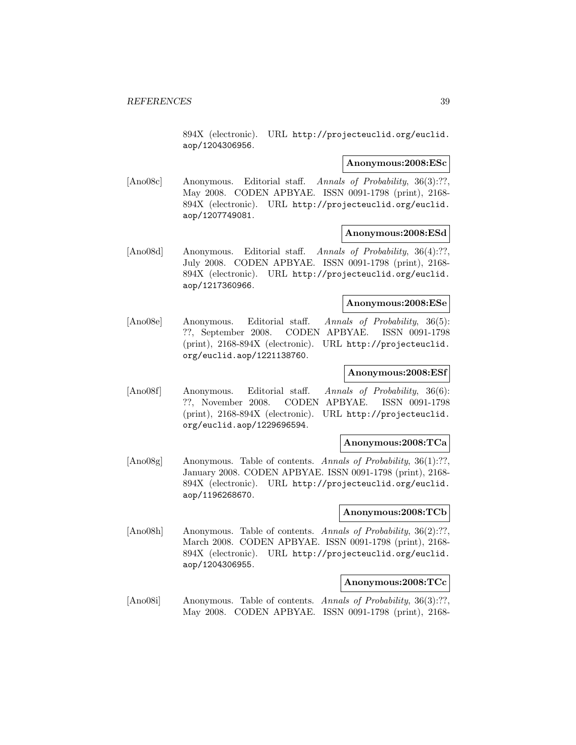894X (electronic). URL http://projecteuclid.org/euclid. aop/1204306956.

#### **Anonymous:2008:ESc**

[Ano08c] Anonymous. Editorial staff. Annals of Probability, 36(3):??, May 2008. CODEN APBYAE. ISSN 0091-1798 (print), 2168- 894X (electronic). URL http://projecteuclid.org/euclid. aop/1207749081.

## **Anonymous:2008:ESd**

[Ano08d] Anonymous. Editorial staff. Annals of Probability, 36(4):??, July 2008. CODEN APBYAE. ISSN 0091-1798 (print), 2168- 894X (electronic). URL http://projecteuclid.org/euclid. aop/1217360966.

#### **Anonymous:2008:ESe**

[Ano08e] Anonymous. Editorial staff. Annals of Probability, 36(5): ??, September 2008. CODEN APBYAE. ISSN 0091-1798 (print), 2168-894X (electronic). URL http://projecteuclid. org/euclid.aop/1221138760.

## **Anonymous:2008:ESf**

[Ano08f] Anonymous. Editorial staff. Annals of Probability, 36(6): ??, November 2008. CODEN APBYAE. ISSN 0091-1798 (print), 2168-894X (electronic). URL http://projecteuclid. org/euclid.aop/1229696594.

#### **Anonymous:2008:TCa**

[Ano08g] Anonymous. Table of contents. Annals of Probability, 36(1):??, January 2008. CODEN APBYAE. ISSN 0091-1798 (print), 2168- 894X (electronic). URL http://projecteuclid.org/euclid. aop/1196268670.

## **Anonymous:2008:TCb**

[Ano08h] Anonymous. Table of contents. Annals of Probability, 36(2):??, March 2008. CODEN APBYAE. ISSN 0091-1798 (print), 2168- 894X (electronic). URL http://projecteuclid.org/euclid. aop/1204306955.

#### **Anonymous:2008:TCc**

[Ano08i] Anonymous. Table of contents. Annals of Probability, 36(3):??, May 2008. CODEN APBYAE. ISSN 0091-1798 (print), 2168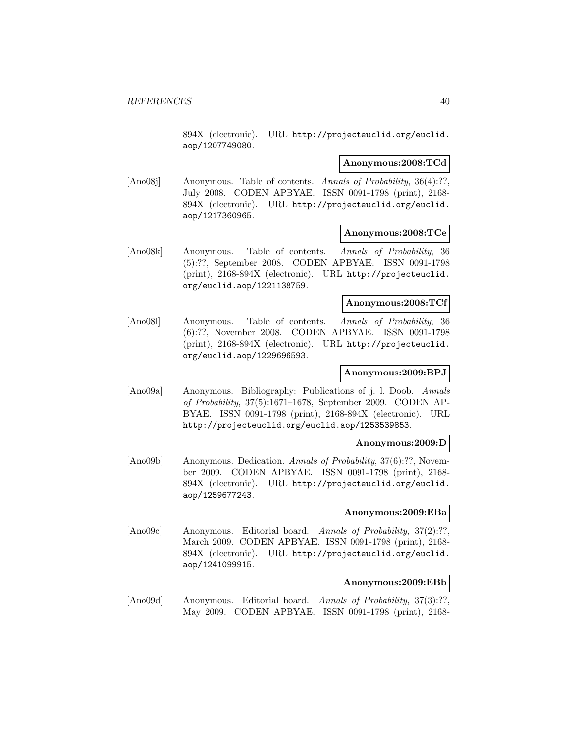894X (electronic). URL http://projecteuclid.org/euclid. aop/1207749080.

#### **Anonymous:2008:TCd**

[Ano08j] Anonymous. Table of contents. Annals of Probability, 36(4):??, July 2008. CODEN APBYAE. ISSN 0091-1798 (print), 2168- 894X (electronic). URL http://projecteuclid.org/euclid. aop/1217360965.

## **Anonymous:2008:TCe**

[Ano08k] Anonymous. Table of contents. Annals of Probability, 36 (5):??, September 2008. CODEN APBYAE. ISSN 0091-1798 (print), 2168-894X (electronic). URL http://projecteuclid. org/euclid.aop/1221138759.

# **Anonymous:2008:TCf**

[Ano08l] Anonymous. Table of contents. Annals of Probability, 36 (6):??, November 2008. CODEN APBYAE. ISSN 0091-1798 (print), 2168-894X (electronic). URL http://projecteuclid. org/euclid.aop/1229696593.

# **Anonymous:2009:BPJ**

[Ano09a] Anonymous. Bibliography: Publications of j. l. Doob. Annals of Probability, 37(5):1671–1678, September 2009. CODEN AP-BYAE. ISSN 0091-1798 (print), 2168-894X (electronic). URL http://projecteuclid.org/euclid.aop/1253539853.

#### **Anonymous:2009:D**

[Ano09b] Anonymous. Dedication. Annals of Probability, 37(6):??, November 2009. CODEN APBYAE. ISSN 0091-1798 (print), 2168- 894X (electronic). URL http://projecteuclid.org/euclid. aop/1259677243.

## **Anonymous:2009:EBa**

[Ano09c] Anonymous. Editorial board. Annals of Probability, 37(2):??, March 2009. CODEN APBYAE. ISSN 0091-1798 (print), 2168- 894X (electronic). URL http://projecteuclid.org/euclid. aop/1241099915.

#### **Anonymous:2009:EBb**

[Ano09d] Anonymous. Editorial board. Annals of Probability, 37(3):??, May 2009. CODEN APBYAE. ISSN 0091-1798 (print), 2168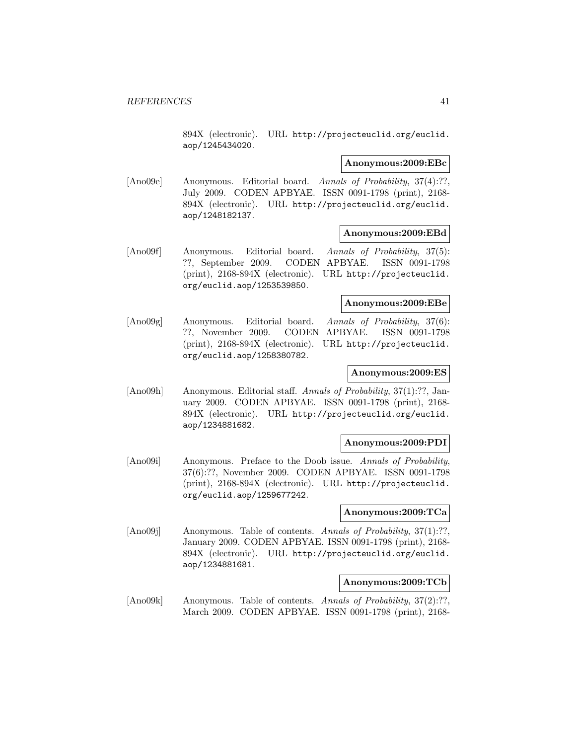894X (electronic). URL http://projecteuclid.org/euclid. aop/1245434020.

#### **Anonymous:2009:EBc**

[Ano09e] Anonymous. Editorial board. Annals of Probability, 37(4):??, July 2009. CODEN APBYAE. ISSN 0091-1798 (print), 2168- 894X (electronic). URL http://projecteuclid.org/euclid. aop/1248182137.

#### **Anonymous:2009:EBd**

[Ano09f] Anonymous. Editorial board. Annals of Probability, 37(5): ??, September 2009. CODEN APBYAE. ISSN 0091-1798 (print), 2168-894X (electronic). URL http://projecteuclid. org/euclid.aop/1253539850.

# **Anonymous:2009:EBe**

[Ano09g] Anonymous. Editorial board. Annals of Probability, 37(6): ??, November 2009. CODEN APBYAE. ISSN 0091-1798 (print), 2168-894X (electronic). URL http://projecteuclid. org/euclid.aop/1258380782.

## **Anonymous:2009:ES**

[Ano09h] Anonymous. Editorial staff. Annals of Probability, 37(1):??, January 2009. CODEN APBYAE. ISSN 0091-1798 (print), 2168- 894X (electronic). URL http://projecteuclid.org/euclid. aop/1234881682.

## **Anonymous:2009:PDI**

[Ano09i] Anonymous. Preface to the Doob issue. Annals of Probability, 37(6):??, November 2009. CODEN APBYAE. ISSN 0091-1798 (print), 2168-894X (electronic). URL http://projecteuclid. org/euclid.aop/1259677242.

## **Anonymous:2009:TCa**

[Ano09j] Anonymous. Table of contents. Annals of Probability, 37(1):??, January 2009. CODEN APBYAE. ISSN 0091-1798 (print), 2168- 894X (electronic). URL http://projecteuclid.org/euclid. aop/1234881681.

## **Anonymous:2009:TCb**

[Ano09k] Anonymous. Table of contents. Annals of Probability, 37(2):??, March 2009. CODEN APBYAE. ISSN 0091-1798 (print), 2168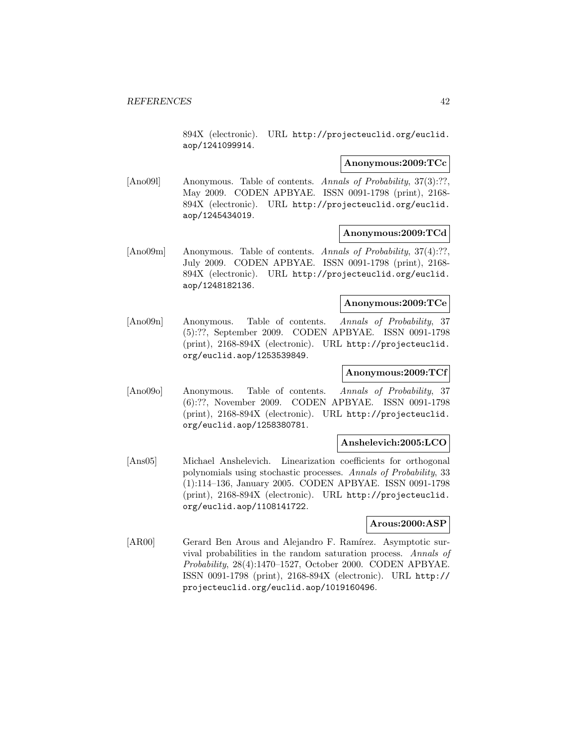894X (electronic). URL http://projecteuclid.org/euclid. aop/1241099914.

#### **Anonymous:2009:TCc**

[Ano091] Anonymous. Table of contents. Annals of Probability, 37(3):??, May 2009. CODEN APBYAE. ISSN 0091-1798 (print), 2168- 894X (electronic). URL http://projecteuclid.org/euclid. aop/1245434019.

## **Anonymous:2009:TCd**

[Ano09m] Anonymous. Table of contents. Annals of Probability, 37(4):??, July 2009. CODEN APBYAE. ISSN 0091-1798 (print), 2168- 894X (electronic). URL http://projecteuclid.org/euclid. aop/1248182136.

## **Anonymous:2009:TCe**

[Ano09n] Anonymous. Table of contents. Annals of Probability, 37 (5):??, September 2009. CODEN APBYAE. ISSN 0091-1798 (print), 2168-894X (electronic). URL http://projecteuclid. org/euclid.aop/1253539849.

## **Anonymous:2009:TCf**

[Ano09o] Anonymous. Table of contents. Annals of Probability, 37 (6):??, November 2009. CODEN APBYAE. ISSN 0091-1798 (print), 2168-894X (electronic). URL http://projecteuclid. org/euclid.aop/1258380781.

## **Anshelevich:2005:LCO**

[Ans05] Michael Anshelevich. Linearization coefficients for orthogonal polynomials using stochastic processes. Annals of Probability, 33 (1):114–136, January 2005. CODEN APBYAE. ISSN 0091-1798 (print), 2168-894X (electronic). URL http://projecteuclid. org/euclid.aop/1108141722.

#### **Arous:2000:ASP**

[AR00] Gerard Ben Arous and Alejandro F. Ramírez. Asymptotic survival probabilities in the random saturation process. Annals of Probability, 28(4):1470–1527, October 2000. CODEN APBYAE. ISSN 0091-1798 (print), 2168-894X (electronic). URL http:// projecteuclid.org/euclid.aop/1019160496.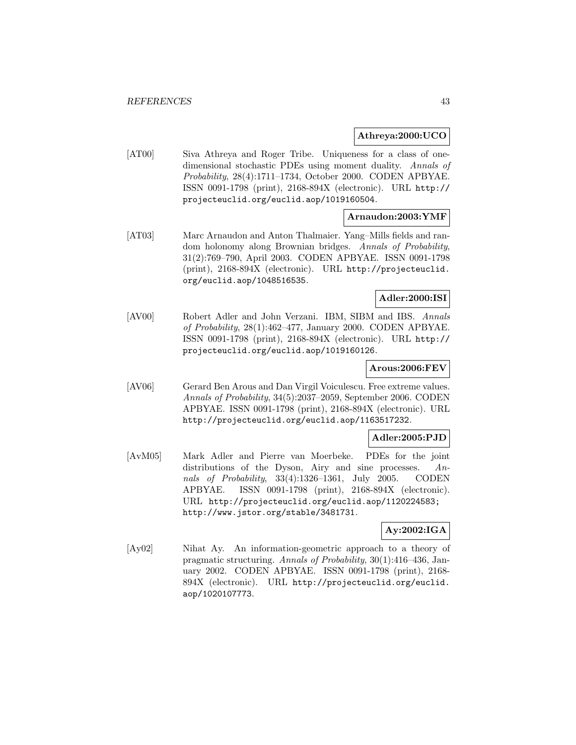## **Athreya:2000:UCO**

[AT00] Siva Athreya and Roger Tribe. Uniqueness for a class of onedimensional stochastic PDEs using moment duality. Annals of Probability, 28(4):1711–1734, October 2000. CODEN APBYAE. ISSN 0091-1798 (print), 2168-894X (electronic). URL http:// projecteuclid.org/euclid.aop/1019160504.

## **Arnaudon:2003:YMF**

[AT03] Marc Arnaudon and Anton Thalmaier. Yang–Mills fields and random holonomy along Brownian bridges. Annals of Probability, 31(2):769–790, April 2003. CODEN APBYAE. ISSN 0091-1798 (print), 2168-894X (electronic). URL http://projecteuclid. org/euclid.aop/1048516535.

## **Adler:2000:ISI**

[AV00] Robert Adler and John Verzani. IBM, SIBM and IBS. Annals of Probability, 28(1):462–477, January 2000. CODEN APBYAE. ISSN 0091-1798 (print), 2168-894X (electronic). URL http:// projecteuclid.org/euclid.aop/1019160126.

## **Arous:2006:FEV**

[AV06] Gerard Ben Arous and Dan Virgil Voiculescu. Free extreme values. Annals of Probability, 34(5):2037–2059, September 2006. CODEN APBYAE. ISSN 0091-1798 (print), 2168-894X (electronic). URL http://projecteuclid.org/euclid.aop/1163517232.

## **Adler:2005:PJD**

[AvM05] Mark Adler and Pierre van Moerbeke. PDEs for the joint distributions of the Dyson, Airy and sine processes. Annals of Probability, 33(4):1326–1361, July 2005. CODEN APBYAE. ISSN 0091-1798 (print), 2168-894X (electronic). URL http://projecteuclid.org/euclid.aop/1120224583; http://www.jstor.org/stable/3481731.

## **Ay:2002:IGA**

[Ay02] Nihat Ay. An information-geometric approach to a theory of pragmatic structuring. Annals of Probability, 30(1):416–436, January 2002. CODEN APBYAE. ISSN 0091-1798 (print), 2168- 894X (electronic). URL http://projecteuclid.org/euclid. aop/1020107773.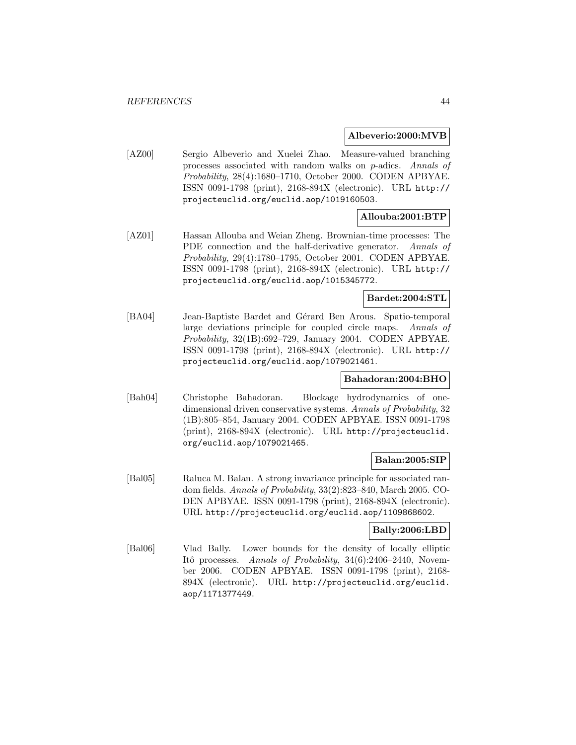#### **Albeverio:2000:MVB**

[AZ00] Sergio Albeverio and Xuelei Zhao. Measure-valued branching processes associated with random walks on p-adics. Annals of Probability, 28(4):1680–1710, October 2000. CODEN APBYAE. ISSN 0091-1798 (print), 2168-894X (electronic). URL http:// projecteuclid.org/euclid.aop/1019160503.

## **Allouba:2001:BTP**

[AZ01] Hassan Allouba and Weian Zheng. Brownian-time processes: The PDE connection and the half-derivative generator. Annals of Probability, 29(4):1780–1795, October 2001. CODEN APBYAE. ISSN 0091-1798 (print), 2168-894X (electronic). URL http:// projecteuclid.org/euclid.aop/1015345772.

# **Bardet:2004:STL**

[BA04] Jean-Baptiste Bardet and Gérard Ben Arous. Spatio-temporal large deviations principle for coupled circle maps. Annals of Probability, 32(1B):692–729, January 2004. CODEN APBYAE. ISSN 0091-1798 (print), 2168-894X (electronic). URL http:// projecteuclid.org/euclid.aop/1079021461.

## **Bahadoran:2004:BHO**

[Bah04] Christophe Bahadoran. Blockage hydrodynamics of onedimensional driven conservative systems. Annals of Probability, 32 (1B):805–854, January 2004. CODEN APBYAE. ISSN 0091-1798 (print), 2168-894X (electronic). URL http://projecteuclid. org/euclid.aop/1079021465.

## **Balan:2005:SIP**

[Bal05] Raluca M. Balan. A strong invariance principle for associated random fields. Annals of Probability, 33(2):823–840, March 2005. CO-DEN APBYAE. ISSN 0091-1798 (print), 2168-894X (electronic). URL http://projecteuclid.org/euclid.aop/1109868602.

## **Bally:2006:LBD**

[Bal06] Vlad Bally. Lower bounds for the density of locally elliptic Itô processes. Annals of Probability, 34(6):2406–2440, November 2006. CODEN APBYAE. ISSN 0091-1798 (print), 2168- 894X (electronic). URL http://projecteuclid.org/euclid. aop/1171377449.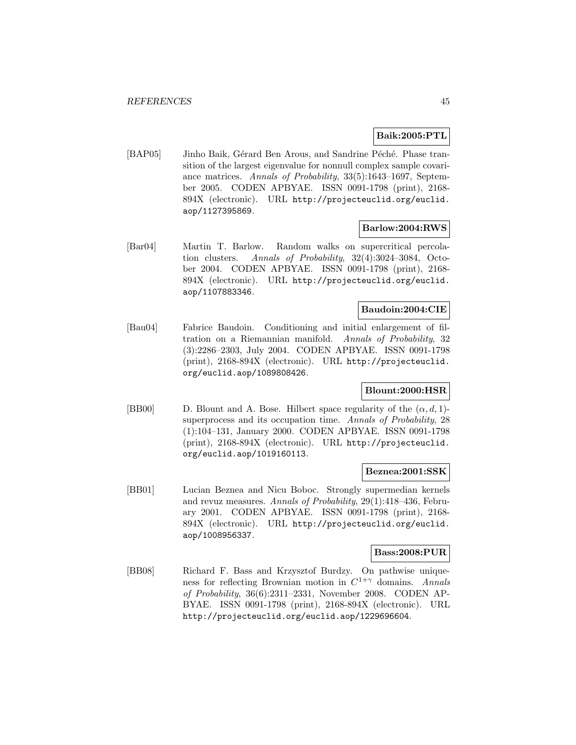## **Baik:2005:PTL**

[BAP05] Jinho Baik, Gérard Ben Arous, and Sandrine Péché. Phase transition of the largest eigenvalue for nonnull complex sample covariance matrices. Annals of Probability, 33(5):1643–1697, September 2005. CODEN APBYAE. ISSN 0091-1798 (print), 2168- 894X (electronic). URL http://projecteuclid.org/euclid. aop/1127395869.

#### **Barlow:2004:RWS**

[Bar04] Martin T. Barlow. Random walks on supercritical percolation clusters. Annals of Probability, 32(4):3024–3084, October 2004. CODEN APBYAE. ISSN 0091-1798 (print), 2168- 894X (electronic). URL http://projecteuclid.org/euclid. aop/1107883346.

# **Baudoin:2004:CIE**

[Bau04] Fabrice Baudoin. Conditioning and initial enlargement of filtration on a Riemannian manifold. Annals of Probability, 32 (3):2286–2303, July 2004. CODEN APBYAE. ISSN 0091-1798 (print), 2168-894X (electronic). URL http://projecteuclid. org/euclid.aop/1089808426.

## **Blount:2000:HSR**

[BB00] D. Blount and A. Bose. Hilbert space regularity of the  $(\alpha, d, 1)$ superprocess and its occupation time. Annals of Probability, 28 (1):104–131, January 2000. CODEN APBYAE. ISSN 0091-1798 (print), 2168-894X (electronic). URL http://projecteuclid. org/euclid.aop/1019160113.

#### **Beznea:2001:SSK**

[BB01] Lucian Beznea and Nicu Boboc. Strongly supermedian kernels and revuz measures. Annals of Probability, 29(1):418–436, February 2001. CODEN APBYAE. ISSN 0091-1798 (print), 2168- 894X (electronic). URL http://projecteuclid.org/euclid. aop/1008956337.

#### **Bass:2008:PUR**

[BB08] Richard F. Bass and Krzysztof Burdzy. On pathwise uniqueness for reflecting Brownian motion in  $C^{1+\gamma}$  domains. Annals of Probability, 36(6):2311–2331, November 2008. CODEN AP-BYAE. ISSN 0091-1798 (print), 2168-894X (electronic). URL http://projecteuclid.org/euclid.aop/1229696604.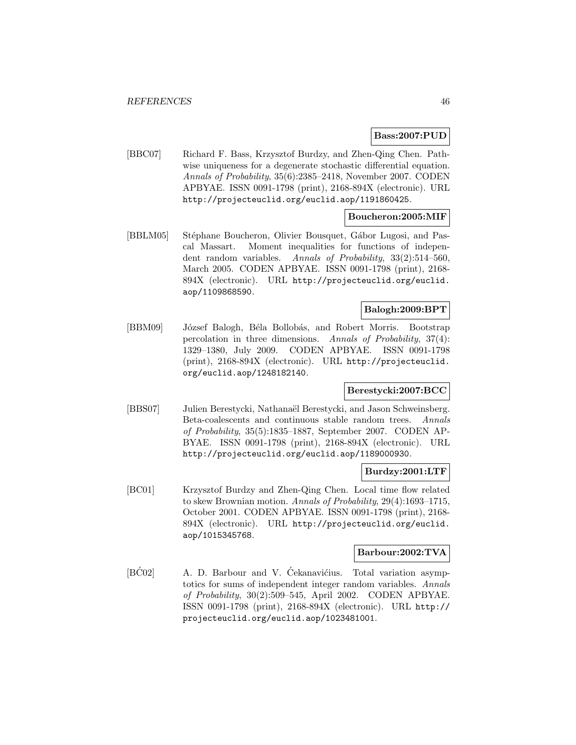## **Bass:2007:PUD**

[BBC07] Richard F. Bass, Krzysztof Burdzy, and Zhen-Qing Chen. Pathwise uniqueness for a degenerate stochastic differential equation. Annals of Probability, 35(6):2385–2418, November 2007. CODEN APBYAE. ISSN 0091-1798 (print), 2168-894X (electronic). URL http://projecteuclid.org/euclid.aop/1191860425.

## **Boucheron:2005:MIF**

[BBLM05] Stéphane Boucheron, Olivier Bousquet, Gábor Lugosi, and Pascal Massart. Moment inequalities for functions of independent random variables. Annals of Probability, 33(2):514–560, March 2005. CODEN APBYAE. ISSN 0091-1798 (print), 2168- 894X (electronic). URL http://projecteuclid.org/euclid. aop/1109868590.

# **Balogh:2009:BPT**

[BBM09] József Balogh, Béla Bollobás, and Robert Morris. Bootstrap percolation in three dimensions. Annals of Probability, 37(4): 1329–1380, July 2009. CODEN APBYAE. ISSN 0091-1798 (print), 2168-894X (electronic). URL http://projecteuclid. org/euclid.aop/1248182140.

## **Berestycki:2007:BCC**

[BBS07] Julien Berestycki, Nathanaël Berestycki, and Jason Schweinsberg. Beta-coalescents and continuous stable random trees. Annals of Probability, 35(5):1835–1887, September 2007. CODEN AP-BYAE. ISSN 0091-1798 (print), 2168-894X (electronic). URL http://projecteuclid.org/euclid.aop/1189000930.

#### **Burdzy:2001:LTF**

[BC01] Krzysztof Burdzy and Zhen-Qing Chen. Local time flow related to skew Brownian motion. Annals of Probability, 29(4):1693–1715, October 2001. CODEN APBYAE. ISSN 0091-1798 (print), 2168- 894X (electronic). URL http://projecteuclid.org/euclid. aop/1015345768.

#### **Barbour:2002:TVA**

 $[\overline{BCO2}]$  A. D. Barbour and V. Ćekanavićius. Total variation asymptotics for sums of independent integer random variables. Annals of Probability, 30(2):509–545, April 2002. CODEN APBYAE. ISSN 0091-1798 (print), 2168-894X (electronic). URL http:// projecteuclid.org/euclid.aop/1023481001.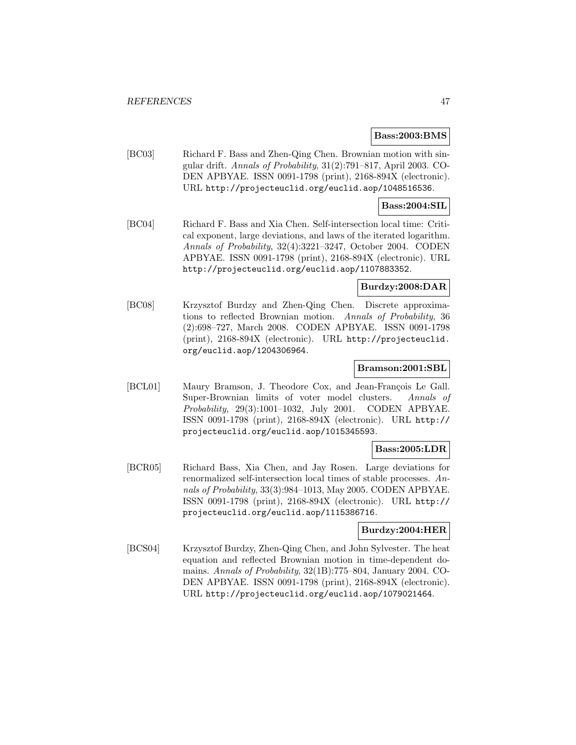#### **Bass:2003:BMS**

[BC03] Richard F. Bass and Zhen-Qing Chen. Brownian motion with singular drift. Annals of Probability, 31(2):791–817, April 2003. CO-DEN APBYAE. ISSN 0091-1798 (print), 2168-894X (electronic). URL http://projecteuclid.org/euclid.aop/1048516536.

## **Bass:2004:SIL**

[BC04] Richard F. Bass and Xia Chen. Self-intersection local time: Critical exponent, large deviations, and laws of the iterated logarithm. Annals of Probability, 32(4):3221–3247, October 2004. CODEN APBYAE. ISSN 0091-1798 (print), 2168-894X (electronic). URL http://projecteuclid.org/euclid.aop/1107883352.

#### **Burdzy:2008:DAR**

[BC08] Krzysztof Burdzy and Zhen-Qing Chen. Discrete approximations to reflected Brownian motion. Annals of Probability, 36 (2):698–727, March 2008. CODEN APBYAE. ISSN 0091-1798 (print), 2168-894X (electronic). URL http://projecteuclid. org/euclid.aop/1204306964.

## **Bramson:2001:SBL**

[BCL01] Maury Bramson, J. Theodore Cox, and Jean-François Le Gall. Super-Brownian limits of voter model clusters. Annals of Probability, 29(3):1001–1032, July 2001. CODEN APBYAE. ISSN 0091-1798 (print), 2168-894X (electronic). URL http:// projecteuclid.org/euclid.aop/1015345593.

# **Bass:2005:LDR**

[BCR05] Richard Bass, Xia Chen, and Jay Rosen. Large deviations for renormalized self-intersection local times of stable processes. Annals of Probability, 33(3):984–1013, May 2005. CODEN APBYAE. ISSN 0091-1798 (print), 2168-894X (electronic). URL http:// projecteuclid.org/euclid.aop/1115386716.

## **Burdzy:2004:HER**

[BCS04] Krzysztof Burdzy, Zhen-Qing Chen, and John Sylvester. The heat equation and reflected Brownian motion in time-dependent domains. Annals of Probability, 32(1B):775–804, January 2004. CO-DEN APBYAE. ISSN 0091-1798 (print), 2168-894X (electronic). URL http://projecteuclid.org/euclid.aop/1079021464.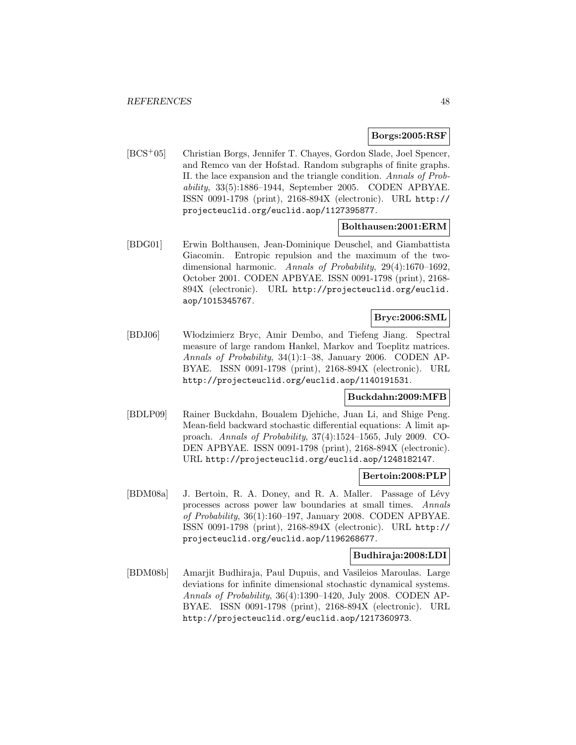## **Borgs:2005:RSF**

[BCS<sup>+</sup>05] Christian Borgs, Jennifer T. Chayes, Gordon Slade, Joel Spencer, and Remco van der Hofstad. Random subgraphs of finite graphs. II. the lace expansion and the triangle condition. Annals of Probability, 33(5):1886–1944, September 2005. CODEN APBYAE. ISSN 0091-1798 (print), 2168-894X (electronic). URL http:// projecteuclid.org/euclid.aop/1127395877.

## **Bolthausen:2001:ERM**

[BDG01] Erwin Bolthausen, Jean-Dominique Deuschel, and Giambattista Giacomin. Entropic repulsion and the maximum of the twodimensional harmonic. Annals of Probability, 29(4):1670–1692, October 2001. CODEN APBYAE. ISSN 0091-1798 (print), 2168- 894X (electronic). URL http://projecteuclid.org/euclid. aop/1015345767.

## **Bryc:2006:SML**

[BDJ06] W lodzimierz Bryc, Amir Dembo, and Tiefeng Jiang. Spectral measure of large random Hankel, Markov and Toeplitz matrices. Annals of Probability, 34(1):1–38, January 2006. CODEN AP-BYAE. ISSN 0091-1798 (print), 2168-894X (electronic). URL http://projecteuclid.org/euclid.aop/1140191531.

## **Buckdahn:2009:MFB**

[BDLP09] Rainer Buckdahn, Boualem Djehiche, Juan Li, and Shige Peng. Mean-field backward stochastic differential equations: A limit approach. Annals of Probability, 37(4):1524–1565, July 2009. CO-DEN APBYAE. ISSN 0091-1798 (print), 2168-894X (electronic). URL http://projecteuclid.org/euclid.aop/1248182147.

## **Bertoin:2008:PLP**

[BDM08a] J. Bertoin, R. A. Doney, and R. A. Maller. Passage of Lévy processes across power law boundaries at small times. Annals of Probability, 36(1):160–197, January 2008. CODEN APBYAE. ISSN 0091-1798 (print), 2168-894X (electronic). URL http:// projecteuclid.org/euclid.aop/1196268677.

#### **Budhiraja:2008:LDI**

[BDM08b] Amarjit Budhiraja, Paul Dupuis, and Vasileios Maroulas. Large deviations for infinite dimensional stochastic dynamical systems. Annals of Probability, 36(4):1390–1420, July 2008. CODEN AP-BYAE. ISSN 0091-1798 (print), 2168-894X (electronic). URL http://projecteuclid.org/euclid.aop/1217360973.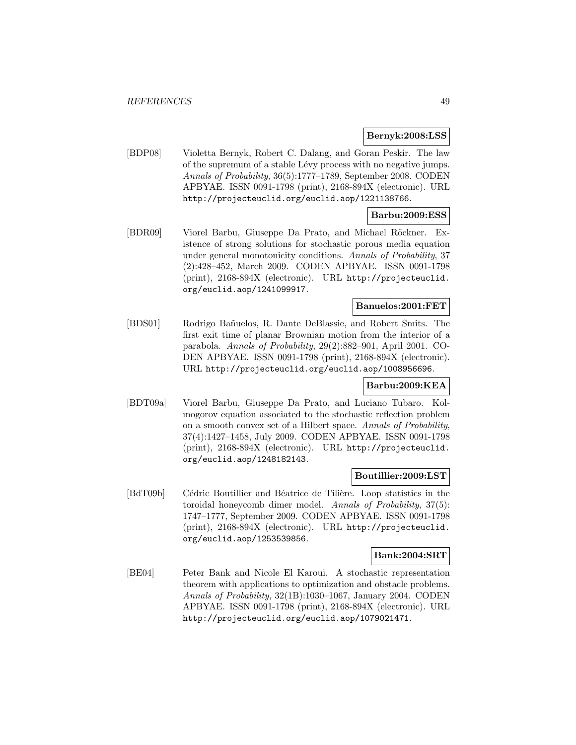#### **Bernyk:2008:LSS**

[BDP08] Violetta Bernyk, Robert C. Dalang, and Goran Peskir. The law of the supremum of a stable Lévy process with no negative jumps. Annals of Probability, 36(5):1777–1789, September 2008. CODEN APBYAE. ISSN 0091-1798 (print), 2168-894X (electronic). URL http://projecteuclid.org/euclid.aop/1221138766.

# **Barbu:2009:ESS**

[BDR09] Viorel Barbu, Giuseppe Da Prato, and Michael Röckner. Existence of strong solutions for stochastic porous media equation under general monotonicity conditions. Annals of Probability, 37 (2):428–452, March 2009. CODEN APBYAE. ISSN 0091-1798 (print), 2168-894X (electronic). URL http://projecteuclid. org/euclid.aop/1241099917.

## **Banuelos:2001:FET**

[BDS01] Rodrigo Ba˜nuelos, R. Dante DeBlassie, and Robert Smits. The first exit time of planar Brownian motion from the interior of a parabola. Annals of Probability, 29(2):882–901, April 2001. CO-DEN APBYAE. ISSN 0091-1798 (print), 2168-894X (electronic). URL http://projecteuclid.org/euclid.aop/1008956696.

# **Barbu:2009:KEA**

[BDT09a] Viorel Barbu, Giuseppe Da Prato, and Luciano Tubaro. Kolmogorov equation associated to the stochastic reflection problem on a smooth convex set of a Hilbert space. Annals of Probability, 37(4):1427–1458, July 2009. CODEN APBYAE. ISSN 0091-1798 (print), 2168-894X (electronic). URL http://projecteuclid. org/euclid.aop/1248182143.

## **Boutillier:2009:LST**

[BdT09b] Cédric Boutillier and Béatrice de Tilière. Loop statistics in the toroidal honeycomb dimer model. Annals of Probability, 37(5): 1747–1777, September 2009. CODEN APBYAE. ISSN 0091-1798 (print), 2168-894X (electronic). URL http://projecteuclid. org/euclid.aop/1253539856.

#### **Bank:2004:SRT**

[BE04] Peter Bank and Nicole El Karoui. A stochastic representation theorem with applications to optimization and obstacle problems. Annals of Probability, 32(1B):1030–1067, January 2004. CODEN APBYAE. ISSN 0091-1798 (print), 2168-894X (electronic). URL http://projecteuclid.org/euclid.aop/1079021471.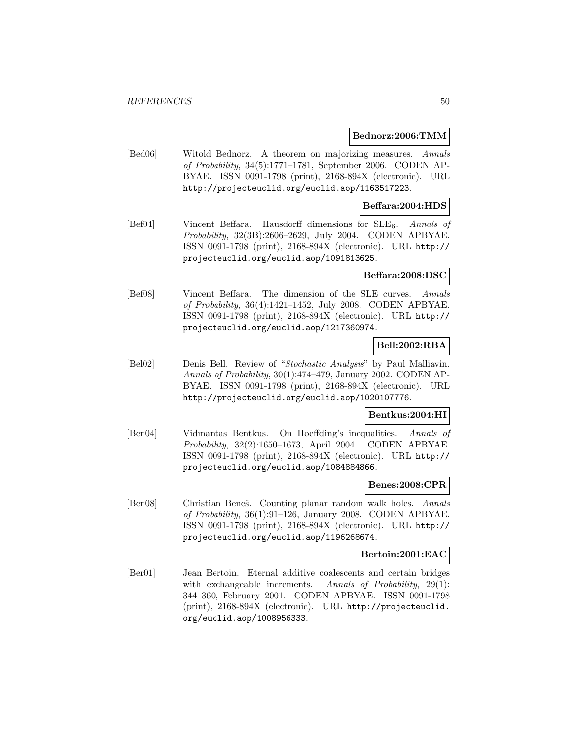#### **Bednorz:2006:TMM**

[Bed06] Witold Bednorz. A theorem on majorizing measures. Annals of Probability, 34(5):1771–1781, September 2006. CODEN AP-BYAE. ISSN 0091-1798 (print), 2168-894X (electronic). URL http://projecteuclid.org/euclid.aop/1163517223.

#### **Beffara:2004:HDS**

[Bef04] Vincent Beffara. Hausdorff dimensions for SLE<sub>6</sub>. Annals of Probability, 32(3B):2606–2629, July 2004. CODEN APBYAE. ISSN 0091-1798 (print), 2168-894X (electronic). URL http:// projecteuclid.org/euclid.aop/1091813625.

#### **Beffara:2008:DSC**

[Bef08] Vincent Beffara. The dimension of the SLE curves. Annals of Probability, 36(4):1421–1452, July 2008. CODEN APBYAE. ISSN 0091-1798 (print), 2168-894X (electronic). URL http:// projecteuclid.org/euclid.aop/1217360974.

## **Bell:2002:RBA**

[Bel02] Denis Bell. Review of "Stochastic Analysis" by Paul Malliavin. Annals of Probability, 30(1):474–479, January 2002. CODEN AP-BYAE. ISSN 0091-1798 (print), 2168-894X (electronic). URL http://projecteuclid.org/euclid.aop/1020107776.

#### **Bentkus:2004:HI**

[Ben04] Vidmantas Bentkus. On Hoeffding's inequalities. Annals of Probability, 32(2):1650–1673, April 2004. CODEN APBYAE. ISSN 0091-1798 (print), 2168-894X (electronic). URL http:// projecteuclid.org/euclid.aop/1084884866.

## **Benes:2008:CPR**

[Ben08] Christian Beneš. Counting planar random walk holes. Annals of Probability, 36(1):91–126, January 2008. CODEN APBYAE. ISSN 0091-1798 (print), 2168-894X (electronic). URL http:// projecteuclid.org/euclid.aop/1196268674.

#### **Bertoin:2001:EAC**

[Ber01] Jean Bertoin. Eternal additive coalescents and certain bridges with exchangeable increments. Annals of Probability, 29(1): 344–360, February 2001. CODEN APBYAE. ISSN 0091-1798 (print), 2168-894X (electronic). URL http://projecteuclid. org/euclid.aop/1008956333.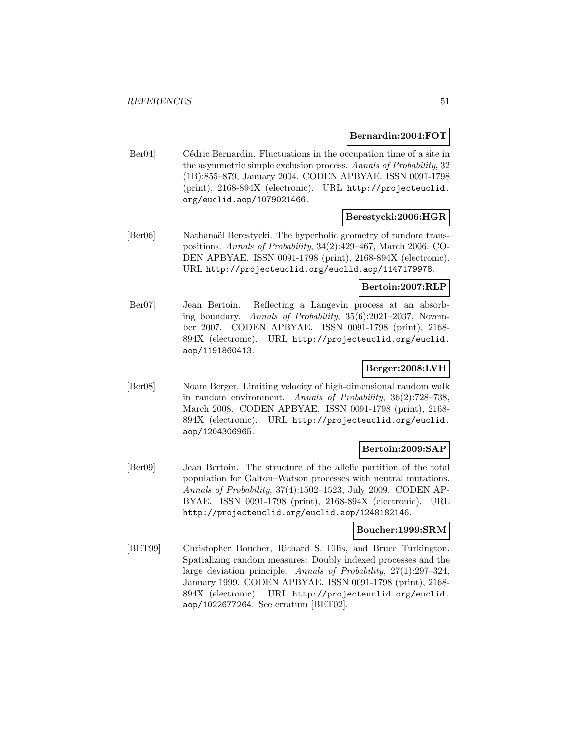#### **Bernardin:2004:FOT**

[Ber04] Cédric Bernardin. Fluctuations in the occupation time of a site in the asymmetric simple exclusion process. Annals of Probability, 32 (1B):855–879, January 2004. CODEN APBYAE. ISSN 0091-1798 (print), 2168-894X (electronic). URL http://projecteuclid. org/euclid.aop/1079021466.

## **Berestycki:2006:HGR**

[Ber06] Nathanaël Berestycki. The hyperbolic geometry of random transpositions. Annals of Probability, 34(2):429–467, March 2006. CO-DEN APBYAE. ISSN 0091-1798 (print), 2168-894X (electronic). URL http://projecteuclid.org/euclid.aop/1147179978.

## **Bertoin:2007:RLP**

[Ber07] Jean Bertoin. Reflecting a Langevin process at an absorbing boundary. Annals of Probability, 35(6):2021–2037, November 2007. CODEN APBYAE. ISSN 0091-1798 (print), 2168- 894X (electronic). URL http://projecteuclid.org/euclid. aop/1191860413.

# **Berger:2008:LVH**

[Ber08] Noam Berger. Limiting velocity of high-dimensional random walk in random environment. Annals of Probability, 36(2):728–738, March 2008. CODEN APBYAE. ISSN 0091-1798 (print), 2168- 894X (electronic). URL http://projecteuclid.org/euclid. aop/1204306965.

## **Bertoin:2009:SAP**

[Ber09] Jean Bertoin. The structure of the allelic partition of the total population for Galton–Watson processes with neutral mutations. Annals of Probability, 37(4):1502–1523, July 2009. CODEN AP-BYAE. ISSN 0091-1798 (print), 2168-894X (electronic). URL http://projecteuclid.org/euclid.aop/1248182146.

## **Boucher:1999:SRM**

[BET99] Christopher Boucher, Richard S. Ellis, and Bruce Turkington. Spatializing random measures: Doubly indexed processes and the large deviation principle. Annals of Probability, 27(1):297–324, January 1999. CODEN APBYAE. ISSN 0091-1798 (print), 2168- 894X (electronic). URL http://projecteuclid.org/euclid. aop/1022677264. See erratum [BET02].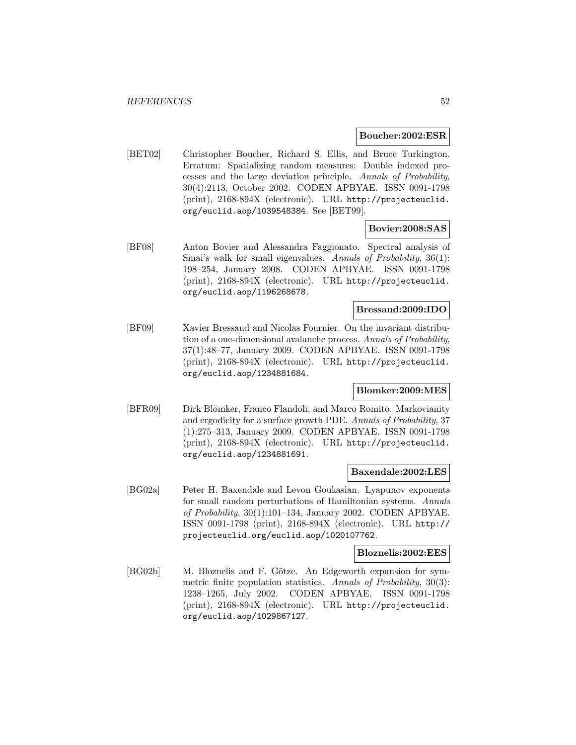#### **Boucher:2002:ESR**

[BET02] Christopher Boucher, Richard S. Ellis, and Bruce Turkington. Erratum: Spatializing random measures: Double indexed processes and the large deviation principle. Annals of Probability, 30(4):2113, October 2002. CODEN APBYAE. ISSN 0091-1798 (print), 2168-894X (electronic). URL http://projecteuclid. org/euclid.aop/1039548384. See [BET99].

## **Bovier:2008:SAS**

[BF08] Anton Bovier and Alessandra Faggionato. Spectral analysis of Sinai's walk for small eigenvalues. Annals of Probability, 36(1): 198–254, January 2008. CODEN APBYAE. ISSN 0091-1798 (print), 2168-894X (electronic). URL http://projecteuclid. org/euclid.aop/1196268678.

# **Bressaud:2009:IDO**

[BF09] Xavier Bressaud and Nicolas Fournier. On the invariant distribution of a one-dimensional avalanche process. Annals of Probability, 37(1):48–77, January 2009. CODEN APBYAE. ISSN 0091-1798 (print), 2168-894X (electronic). URL http://projecteuclid. org/euclid.aop/1234881684.

# **Blomker:2009:MES**

[BFR09] Dirk Blömker, Franco Flandoli, and Marco Romito. Markovianity and ergodicity for a surface growth PDE. Annals of Probability, 37 (1):275–313, January 2009. CODEN APBYAE. ISSN 0091-1798 (print), 2168-894X (electronic). URL http://projecteuclid. org/euclid.aop/1234881691.

#### **Baxendale:2002:LES**

[BG02a] Peter H. Baxendale and Levon Goukasian. Lyapunov exponents for small random perturbations of Hamiltonian systems. Annals of Probability, 30(1):101–134, January 2002. CODEN APBYAE. ISSN 0091-1798 (print), 2168-894X (electronic). URL http:// projecteuclid.org/euclid.aop/1020107762.

#### **Bloznelis:2002:EES**

[BG02b] M. Bloznelis and F. Götze. An Edgeworth expansion for symmetric finite population statistics. Annals of Probability, 30(3): 1238–1265, July 2002. CODEN APBYAE. ISSN 0091-1798 (print), 2168-894X (electronic). URL http://projecteuclid. org/euclid.aop/1029867127.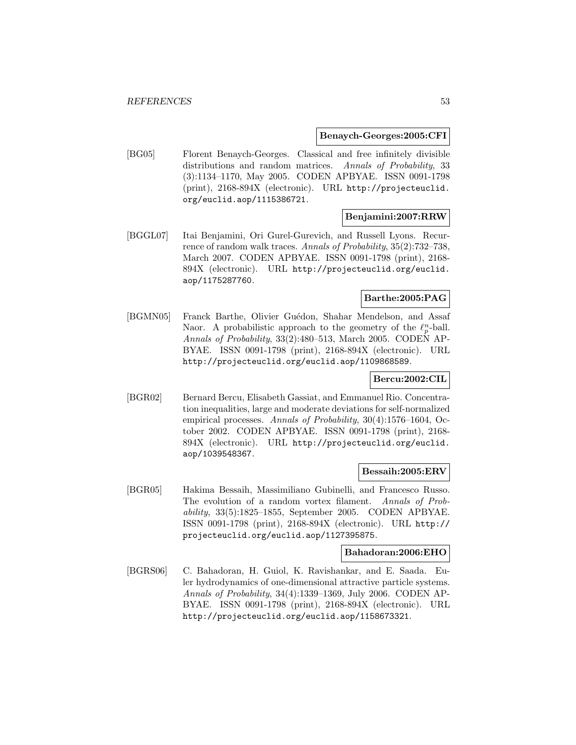#### **Benaych-Georges:2005:CFI**

[BG05] Florent Benaych-Georges. Classical and free infinitely divisible distributions and random matrices. Annals of Probability, 33 (3):1134–1170, May 2005. CODEN APBYAE. ISSN 0091-1798 (print), 2168-894X (electronic). URL http://projecteuclid. org/euclid.aop/1115386721.

## **Benjamini:2007:RRW**

[BGGL07] Itai Benjamini, Ori Gurel-Gurevich, and Russell Lyons. Recurrence of random walk traces. Annals of Probability, 35(2):732–738, March 2007. CODEN APBYAE. ISSN 0091-1798 (print), 2168- 894X (electronic). URL http://projecteuclid.org/euclid. aop/1175287760.

# **Barthe:2005:PAG**

[BGMN05] Franck Barthe, Olivier Guédon, Shahar Mendelson, and Assaf Naor. A probabilistic approach to the geometry of the  $\ell_p^n$ -ball. Annals of Probability, 33(2):480–513, March 2005. CODEN AP-BYAE. ISSN 0091-1798 (print), 2168-894X (electronic). URL http://projecteuclid.org/euclid.aop/1109868589.

## **Bercu:2002:CIL**

[BGR02] Bernard Bercu, Elisabeth Gassiat, and Emmanuel Rio. Concentration inequalities, large and moderate deviations for self-normalized empirical processes. Annals of Probability, 30(4):1576–1604, October 2002. CODEN APBYAE. ISSN 0091-1798 (print), 2168- 894X (electronic). URL http://projecteuclid.org/euclid. aop/1039548367.

#### **Bessaih:2005:ERV**

[BGR05] Hakima Bessaih, Massimiliano Gubinelli, and Francesco Russo. The evolution of a random vortex filament. Annals of Probability, 33(5):1825–1855, September 2005. CODEN APBYAE. ISSN 0091-1798 (print), 2168-894X (electronic). URL http:// projecteuclid.org/euclid.aop/1127395875.

#### **Bahadoran:2006:EHO**

[BGRS06] C. Bahadoran, H. Guiol, K. Ravishankar, and E. Saada. Euler hydrodynamics of one-dimensional attractive particle systems. Annals of Probability, 34(4):1339–1369, July 2006. CODEN AP-BYAE. ISSN 0091-1798 (print), 2168-894X (electronic). URL http://projecteuclid.org/euclid.aop/1158673321.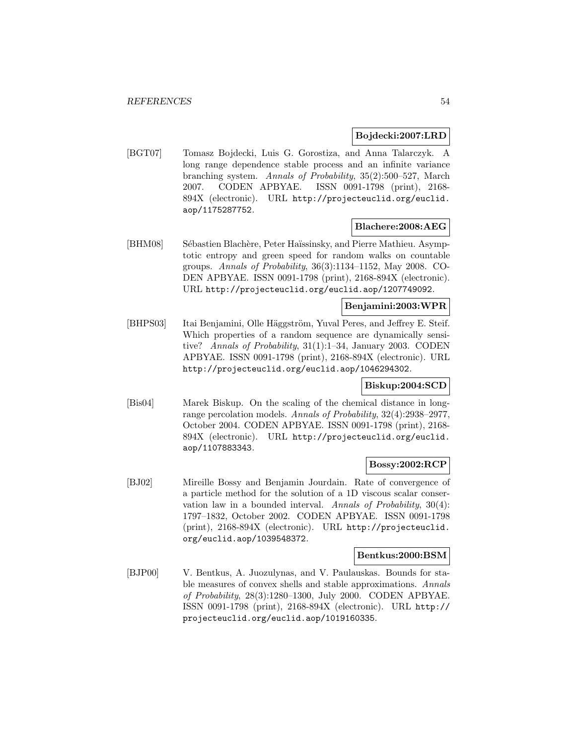## **Bojdecki:2007:LRD**

[BGT07] Tomasz Bojdecki, Luis G. Gorostiza, and Anna Talarczyk. A long range dependence stable process and an infinite variance branching system. Annals of Probability, 35(2):500–527, March 2007. CODEN APBYAE. ISSN 0091-1798 (print), 2168- 894X (electronic). URL http://projecteuclid.org/euclid. aop/1175287752.

# **Blachere:2008:AEG**

[BHM08] Sébastien Blachère, Peter Haïssinsky, and Pierre Mathieu. Asymptotic entropy and green speed for random walks on countable groups. Annals of Probability, 36(3):1134–1152, May 2008. CO-DEN APBYAE. ISSN 0091-1798 (print), 2168-894X (electronic). URL http://projecteuclid.org/euclid.aop/1207749092.

# **Benjamini:2003:WPR**

[BHPS03] Itai Benjamini, Olle Häggström, Yuval Peres, and Jeffrey E. Steif. Which properties of a random sequence are dynamically sensitive? Annals of Probability, 31(1):1–34, January 2003. CODEN APBYAE. ISSN 0091-1798 (print), 2168-894X (electronic). URL http://projecteuclid.org/euclid.aop/1046294302.

# **Biskup:2004:SCD**

[Bis04] Marek Biskup. On the scaling of the chemical distance in longrange percolation models. Annals of Probability, 32(4):2938–2977, October 2004. CODEN APBYAE. ISSN 0091-1798 (print), 2168- 894X (electronic). URL http://projecteuclid.org/euclid. aop/1107883343.

# **Bossy:2002:RCP**

[BJ02] Mireille Bossy and Benjamin Jourdain. Rate of convergence of a particle method for the solution of a 1D viscous scalar conservation law in a bounded interval. Annals of Probability, 30(4): 1797–1832, October 2002. CODEN APBYAE. ISSN 0091-1798 (print), 2168-894X (electronic). URL http://projecteuclid. org/euclid.aop/1039548372.

#### **Bentkus:2000:BSM**

[BJP00] V. Bentkus, A. Juozulynas, and V. Paulauskas. Bounds for stable measures of convex shells and stable approximations. Annals of Probability, 28(3):1280–1300, July 2000. CODEN APBYAE. ISSN 0091-1798 (print), 2168-894X (electronic). URL http:// projecteuclid.org/euclid.aop/1019160335.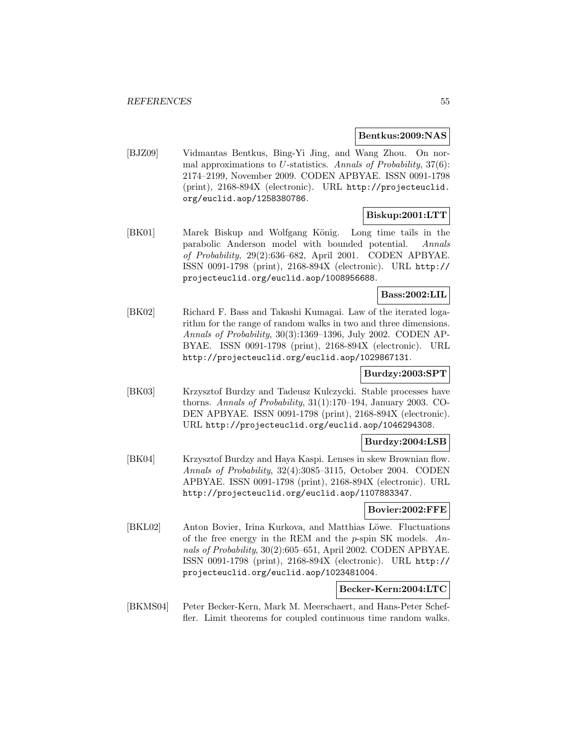#### **Bentkus:2009:NAS**

[BJZ09] Vidmantas Bentkus, Bing-Yi Jing, and Wang Zhou. On normal approximations to U-statistics. Annals of Probability,  $37(6)$ : 2174–2199, November 2009. CODEN APBYAE. ISSN 0091-1798 (print), 2168-894X (electronic). URL http://projecteuclid. org/euclid.aop/1258380786.

## **Biskup:2001:LTT**

[BK01] Marek Biskup and Wolfgang König. Long time tails in the parabolic Anderson model with bounded potential. Annals of Probability, 29(2):636–682, April 2001. CODEN APBYAE. ISSN 0091-1798 (print), 2168-894X (electronic). URL http:// projecteuclid.org/euclid.aop/1008956688.

# **Bass:2002:LIL**

[BK02] Richard F. Bass and Takashi Kumagai. Law of the iterated logarithm for the range of random walks in two and three dimensions. Annals of Probability, 30(3):1369–1396, July 2002. CODEN AP-BYAE. ISSN 0091-1798 (print), 2168-894X (electronic). URL http://projecteuclid.org/euclid.aop/1029867131.

## **Burdzy:2003:SPT**

[BK03] Krzysztof Burdzy and Tadeusz Kulczycki. Stable processes have thorns. Annals of Probability, 31(1):170–194, January 2003. CO-DEN APBYAE. ISSN 0091-1798 (print), 2168-894X (electronic). URL http://projecteuclid.org/euclid.aop/1046294308.

## **Burdzy:2004:LSB**

[BK04] Krzysztof Burdzy and Haya Kaspi. Lenses in skew Brownian flow. Annals of Probability, 32(4):3085–3115, October 2004. CODEN APBYAE. ISSN 0091-1798 (print), 2168-894X (electronic). URL http://projecteuclid.org/euclid.aop/1107883347.

## **Bovier:2002:FFE**

[BKL02] Anton Bovier, Irina Kurkova, and Matthias Löwe. Fluctuations of the free energy in the REM and the  $p$ -spin SK models. Annals of Probability, 30(2):605–651, April 2002. CODEN APBYAE. ISSN 0091-1798 (print), 2168-894X (electronic). URL http:// projecteuclid.org/euclid.aop/1023481004.

## **Becker-Kern:2004:LTC**

[BKMS04] Peter Becker-Kern, Mark M. Meerschaert, and Hans-Peter Scheffler. Limit theorems for coupled continuous time random walks.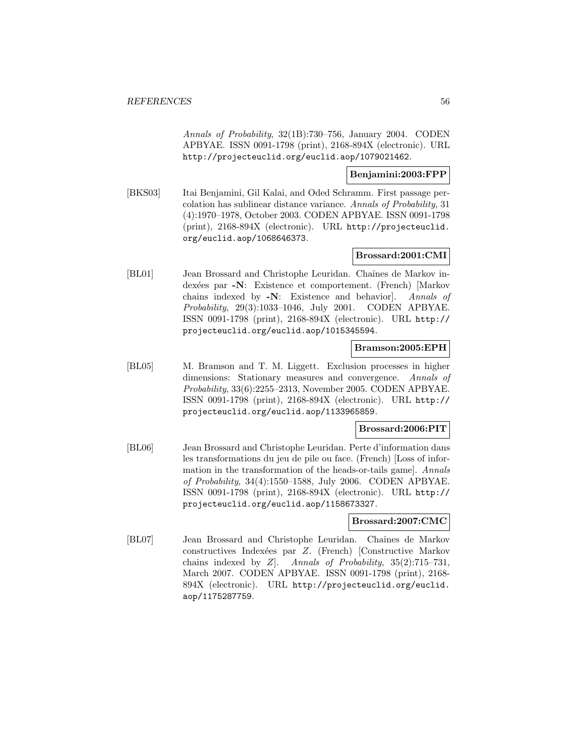Annals of Probability, 32(1B):730–756, January 2004. CODEN APBYAE. ISSN 0091-1798 (print), 2168-894X (electronic). URL http://projecteuclid.org/euclid.aop/1079021462.

## **Benjamini:2003:FPP**

[BKS03] Itai Benjamini, Gil Kalai, and Oded Schramm. First passage percolation has sublinear distance variance. Annals of Probability, 31 (4):1970–1978, October 2003. CODEN APBYAE. ISSN 0091-1798 (print), 2168-894X (electronic). URL http://projecteuclid. org/euclid.aop/1068646373.

## **Brossard:2001:CMI**

[BL01] Jean Brossard and Christophe Leuridan. Chaînes de Markov indexées par **-N**: Existence et comportement. (French) [Markov chains indexed by **-N**: Existence and behavior]. Annals of Probability, 29(3):1033–1046, July 2001. CODEN APBYAE. ISSN 0091-1798 (print), 2168-894X (electronic). URL http:// projecteuclid.org/euclid.aop/1015345594.

## **Bramson:2005:EPH**

[BL05] M. Bramson and T. M. Liggett. Exclusion processes in higher dimensions: Stationary measures and convergence. Annals of Probability, 33(6):2255–2313, November 2005. CODEN APBYAE. ISSN 0091-1798 (print), 2168-894X (electronic). URL http:// projecteuclid.org/euclid.aop/1133965859.

# **Brossard:2006:PIT**

[BL06] Jean Brossard and Christophe Leuridan. Perte d'information dans les transformations du jeu de pile ou face. (French) [Loss of information in the transformation of the heads-or-tails game]. Annals of Probability, 34(4):1550–1588, July 2006. CODEN APBYAE. ISSN 0091-1798 (print), 2168-894X (electronic). URL http:// projecteuclid.org/euclid.aop/1158673327.

## **Brossard:2007:CMC**

[BL07] Jean Brossard and Christophe Leuridan. Chaînes de Markov constructives Index´ees par Z. (French) [Constructive Markov chains indexed by  $Z$ . Annals of Probability,  $35(2):715-731$ , March 2007. CODEN APBYAE. ISSN 0091-1798 (print), 2168- 894X (electronic). URL http://projecteuclid.org/euclid. aop/1175287759.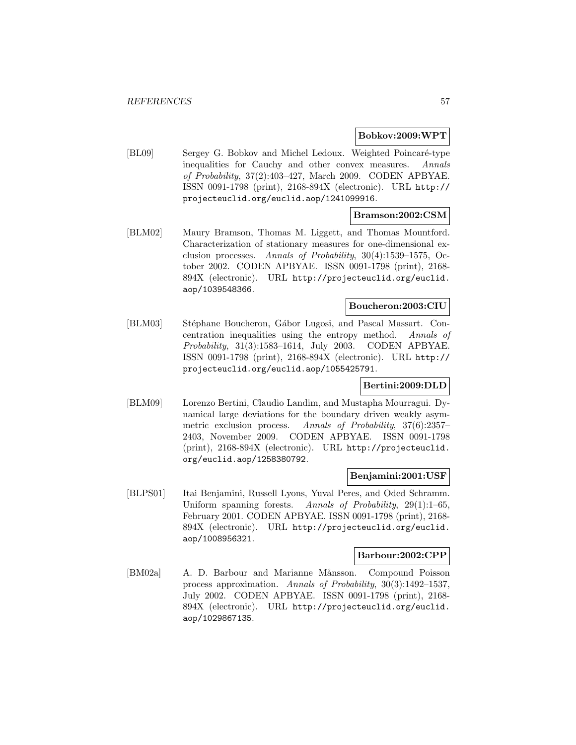#### **Bobkov:2009:WPT**

[BL09] Sergey G. Bobkov and Michel Ledoux. Weighted Poincaré-type inequalities for Cauchy and other convex measures. Annals of Probability, 37(2):403–427, March 2009. CODEN APBYAE. ISSN 0091-1798 (print), 2168-894X (electronic). URL http:// projecteuclid.org/euclid.aop/1241099916.

## **Bramson:2002:CSM**

[BLM02] Maury Bramson, Thomas M. Liggett, and Thomas Mountford. Characterization of stationary measures for one-dimensional exclusion processes. Annals of Probability, 30(4):1539–1575, October 2002. CODEN APBYAE. ISSN 0091-1798 (print), 2168- 894X (electronic). URL http://projecteuclid.org/euclid. aop/1039548366.

# **Boucheron:2003:CIU**

[BLM03] Stéphane Boucheron, Gábor Lugosi, and Pascal Massart. Concentration inequalities using the entropy method. Annals of Probability, 31(3):1583–1614, July 2003. CODEN APBYAE. ISSN 0091-1798 (print), 2168-894X (electronic). URL http:// projecteuclid.org/euclid.aop/1055425791.

# **Bertini:2009:DLD**

[BLM09] Lorenzo Bertini, Claudio Landim, and Mustapha Mourragui. Dynamical large deviations for the boundary driven weakly asymmetric exclusion process. Annals of Probability, 37(6):2357– 2403, November 2009. CODEN APBYAE. ISSN 0091-1798 (print), 2168-894X (electronic). URL http://projecteuclid. org/euclid.aop/1258380792.

## **Benjamini:2001:USF**

[BLPS01] Itai Benjamini, Russell Lyons, Yuval Peres, and Oded Schramm. Uniform spanning forests. Annals of Probability, 29(1):1–65, February 2001. CODEN APBYAE. ISSN 0091-1798 (print), 2168- 894X (electronic). URL http://projecteuclid.org/euclid. aop/1008956321.

## **Barbour:2002:CPP**

[BM02a] A. D. Barbour and Marianne Månsson. Compound Poisson process approximation. Annals of Probability, 30(3):1492–1537, July 2002. CODEN APBYAE. ISSN 0091-1798 (print), 2168- 894X (electronic). URL http://projecteuclid.org/euclid. aop/1029867135.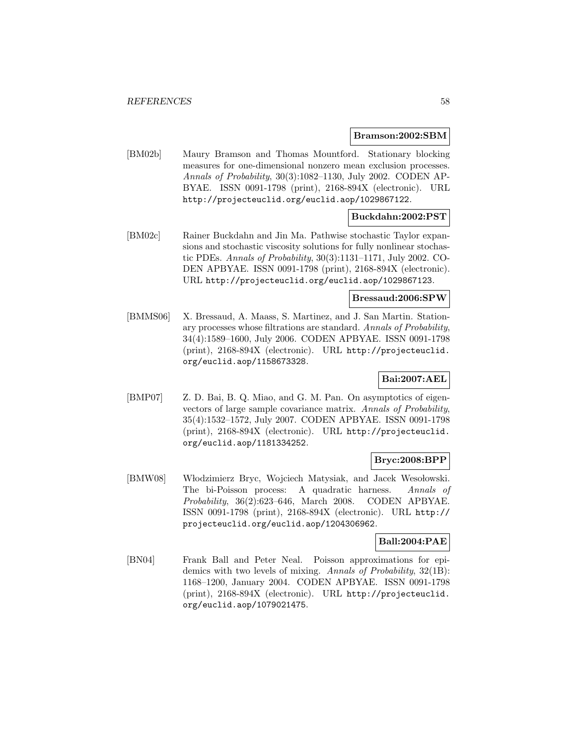#### **Bramson:2002:SBM**

[BM02b] Maury Bramson and Thomas Mountford. Stationary blocking measures for one-dimensional nonzero mean exclusion processes. Annals of Probability, 30(3):1082–1130, July 2002. CODEN AP-BYAE. ISSN 0091-1798 (print), 2168-894X (electronic). URL http://projecteuclid.org/euclid.aop/1029867122.

## **Buckdahn:2002:PST**

[BM02c] Rainer Buckdahn and Jin Ma. Pathwise stochastic Taylor expansions and stochastic viscosity solutions for fully nonlinear stochastic PDEs. Annals of Probability, 30(3):1131–1171, July 2002. CO-DEN APBYAE. ISSN 0091-1798 (print), 2168-894X (electronic). URL http://projecteuclid.org/euclid.aop/1029867123.

#### **Bressaud:2006:SPW**

[BMMS06] X. Bressaud, A. Maass, S. Martinez, and J. San Martin. Stationary processes whose filtrations are standard. Annals of Probability, 34(4):1589–1600, July 2006. CODEN APBYAE. ISSN 0091-1798 (print), 2168-894X (electronic). URL http://projecteuclid. org/euclid.aop/1158673328.

# **Bai:2007:AEL**

[BMP07] Z. D. Bai, B. Q. Miao, and G. M. Pan. On asymptotics of eigenvectors of large sample covariance matrix. Annals of Probability, 35(4):1532–1572, July 2007. CODEN APBYAE. ISSN 0091-1798 (print), 2168-894X (electronic). URL http://projecteuclid. org/euclid.aop/1181334252.

## **Bryc:2008:BPP**

[BMW08] Włodzimierz Bryc, Wojciech Matysiak, and Jacek Wesołowski. The bi-Poisson process: A quadratic harness. Annals of Probability, 36(2):623–646, March 2008. CODEN APBYAE. ISSN 0091-1798 (print), 2168-894X (electronic). URL http:// projecteuclid.org/euclid.aop/1204306962.

## **Ball:2004:PAE**

[BN04] Frank Ball and Peter Neal. Poisson approximations for epidemics with two levels of mixing. Annals of Probability, 32(1B): 1168–1200, January 2004. CODEN APBYAE. ISSN 0091-1798 (print), 2168-894X (electronic). URL http://projecteuclid. org/euclid.aop/1079021475.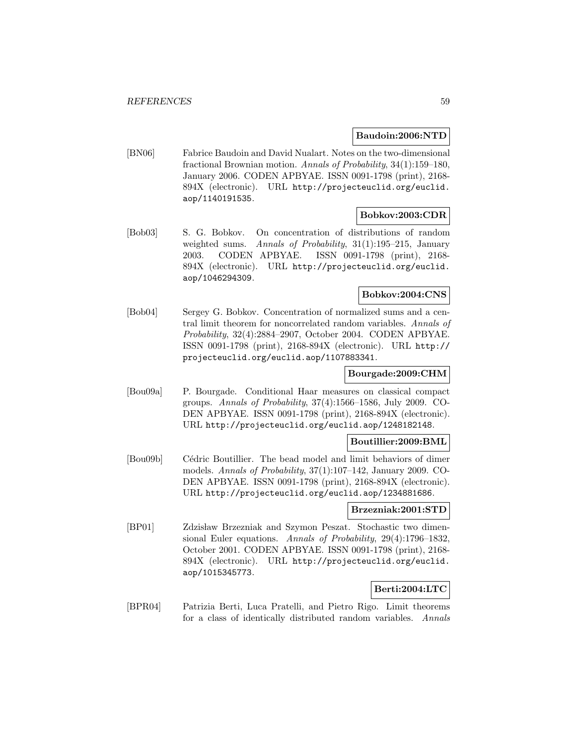#### **Baudoin:2006:NTD**

[BN06] Fabrice Baudoin and David Nualart. Notes on the two-dimensional fractional Brownian motion. Annals of Probability, 34(1):159–180, January 2006. CODEN APBYAE. ISSN 0091-1798 (print), 2168- 894X (electronic). URL http://projecteuclid.org/euclid. aop/1140191535.

#### **Bobkov:2003:CDR**

[Bob03] S. G. Bobkov. On concentration of distributions of random weighted sums. Annals of Probability, 31(1):195–215, January 2003. CODEN APBYAE. ISSN 0091-1798 (print), 2168- 894X (electronic). URL http://projecteuclid.org/euclid. aop/1046294309.

## **Bobkov:2004:CNS**

[Bob04] Sergey G. Bobkov. Concentration of normalized sums and a central limit theorem for noncorrelated random variables. Annals of Probability, 32(4):2884–2907, October 2004. CODEN APBYAE. ISSN 0091-1798 (print), 2168-894X (electronic). URL http:// projecteuclid.org/euclid.aop/1107883341.

## **Bourgade:2009:CHM**

[Bou09a] P. Bourgade. Conditional Haar measures on classical compact groups. Annals of Probability, 37(4):1566–1586, July 2009. CO-DEN APBYAE. ISSN 0091-1798 (print), 2168-894X (electronic). URL http://projecteuclid.org/euclid.aop/1248182148.

#### **Boutillier:2009:BML**

[Bou09b] Cédric Boutillier. The bead model and limit behaviors of dimer models. Annals of Probability, 37(1):107–142, January 2009. CO-DEN APBYAE. ISSN 0091-1798 (print), 2168-894X (electronic). URL http://projecteuclid.org/euclid.aop/1234881686.

# **Brzezniak:2001:STD**

[BP01] Zdzisław Brzezniak and Szymon Peszat. Stochastic two dimensional Euler equations. Annals of Probability, 29(4):1796–1832, October 2001. CODEN APBYAE. ISSN 0091-1798 (print), 2168- 894X (electronic). URL http://projecteuclid.org/euclid. aop/1015345773.

## **Berti:2004:LTC**

[BPR04] Patrizia Berti, Luca Pratelli, and Pietro Rigo. Limit theorems for a class of identically distributed random variables. Annals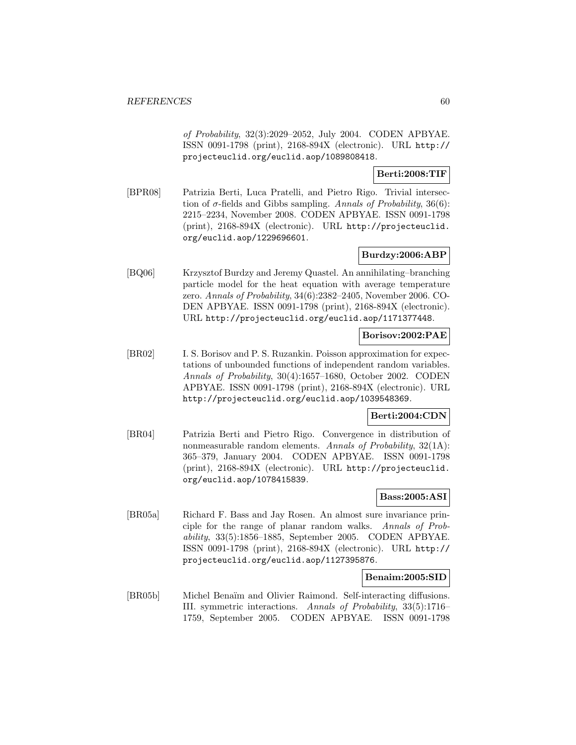of Probability, 32(3):2029–2052, July 2004. CODEN APBYAE. ISSN 0091-1798 (print), 2168-894X (electronic). URL http:// projecteuclid.org/euclid.aop/1089808418.

## **Berti:2008:TIF**

[BPR08] Patrizia Berti, Luca Pratelli, and Pietro Rigo. Trivial intersection of  $\sigma$ -fields and Gibbs sampling. Annals of Probability, 36(6): 2215–2234, November 2008. CODEN APBYAE. ISSN 0091-1798 (print), 2168-894X (electronic). URL http://projecteuclid. org/euclid.aop/1229696601.

# **Burdzy:2006:ABP**

[BQ06] Krzysztof Burdzy and Jeremy Quastel. An annihilating–branching particle model for the heat equation with average temperature zero. Annals of Probability, 34(6):2382–2405, November 2006. CO-DEN APBYAE. ISSN 0091-1798 (print), 2168-894X (electronic). URL http://projecteuclid.org/euclid.aop/1171377448.

#### **Borisov:2002:PAE**

[BR02] I. S. Borisov and P. S. Ruzankin. Poisson approximation for expectations of unbounded functions of independent random variables. Annals of Probability, 30(4):1657–1680, October 2002. CODEN APBYAE. ISSN 0091-1798 (print), 2168-894X (electronic). URL http://projecteuclid.org/euclid.aop/1039548369.

# **Berti:2004:CDN**

[BR04] Patrizia Berti and Pietro Rigo. Convergence in distribution of nonmeasurable random elements. Annals of Probability, 32(1A): 365–379, January 2004. CODEN APBYAE. ISSN 0091-1798 (print), 2168-894X (electronic). URL http://projecteuclid. org/euclid.aop/1078415839.

# **Bass:2005:ASI**

[BR05a] Richard F. Bass and Jay Rosen. An almost sure invariance principle for the range of planar random walks. Annals of Probability, 33(5):1856–1885, September 2005. CODEN APBYAE. ISSN 0091-1798 (print), 2168-894X (electronic). URL http:// projecteuclid.org/euclid.aop/1127395876.

## **Benaim:2005:SID**

[BR05b] Michel Benaïm and Olivier Raimond. Self-interacting diffusions. III. symmetric interactions. Annals of Probability, 33(5):1716– 1759, September 2005. CODEN APBYAE. ISSN 0091-1798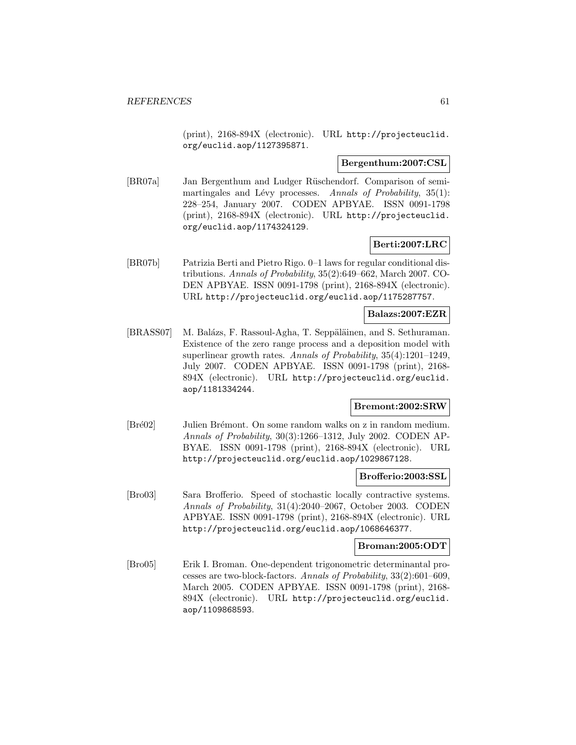(print), 2168-894X (electronic). URL http://projecteuclid. org/euclid.aop/1127395871.

#### **Bergenthum:2007:CSL**

[BR07a] Jan Bergenthum and Ludger Rüschendorf. Comparison of semimartingales and Lévy processes. Annals of Probability,  $35(1)$ : 228–254, January 2007. CODEN APBYAE. ISSN 0091-1798 (print), 2168-894X (electronic). URL http://projecteuclid. org/euclid.aop/1174324129.

## **Berti:2007:LRC**

[BR07b] Patrizia Berti and Pietro Rigo. 0–1 laws for regular conditional distributions. Annals of Probability, 35(2):649–662, March 2007. CO-DEN APBYAE. ISSN 0091-1798 (print), 2168-894X (electronic). URL http://projecteuclid.org/euclid.aop/1175287757.

#### **Balazs:2007:EZR**

[BRASS07] M. Balázs, F. Rassoul-Agha, T. Seppäläinen, and S. Sethuraman. Existence of the zero range process and a deposition model with superlinear growth rates. Annals of Probability, 35(4):1201–1249, July 2007. CODEN APBYAE. ISSN 0091-1798 (print), 2168- 894X (electronic). URL http://projecteuclid.org/euclid. aop/1181334244.

## **Bremont:2002:SRW**

[Bré02] Julien Brémont. On some random walks on z in random medium. Annals of Probability, 30(3):1266–1312, July 2002. CODEN AP-BYAE. ISSN 0091-1798 (print), 2168-894X (electronic). URL http://projecteuclid.org/euclid.aop/1029867128.

#### **Brofferio:2003:SSL**

[Bro03] Sara Brofferio. Speed of stochastic locally contractive systems. Annals of Probability, 31(4):2040–2067, October 2003. CODEN APBYAE. ISSN 0091-1798 (print), 2168-894X (electronic). URL http://projecteuclid.org/euclid.aop/1068646377.

#### **Broman:2005:ODT**

[Bro05] Erik I. Broman. One-dependent trigonometric determinantal processes are two-block-factors. Annals of Probability, 33(2):601–609, March 2005. CODEN APBYAE. ISSN 0091-1798 (print), 2168- 894X (electronic). URL http://projecteuclid.org/euclid. aop/1109868593.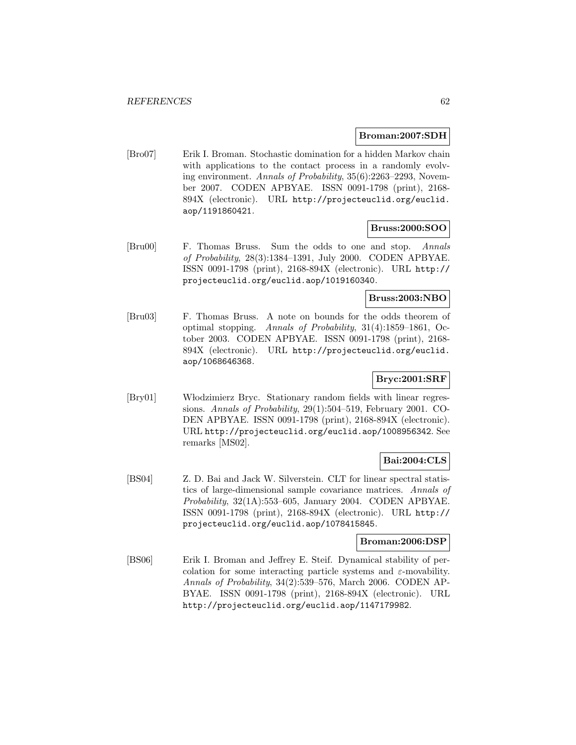#### **Broman:2007:SDH**

[Bro07] Erik I. Broman. Stochastic domination for a hidden Markov chain with applications to the contact process in a randomly evolving environment. Annals of Probability, 35(6):2263–2293, November 2007. CODEN APBYAE. ISSN 0091-1798 (print), 2168- 894X (electronic). URL http://projecteuclid.org/euclid. aop/1191860421.

## **Bruss:2000:SOO**

[Bru00] F. Thomas Bruss. Sum the odds to one and stop. Annals of Probability, 28(3):1384–1391, July 2000. CODEN APBYAE. ISSN 0091-1798 (print), 2168-894X (electronic). URL http:// projecteuclid.org/euclid.aop/1019160340.

# **Bruss:2003:NBO**

[Bru03] F. Thomas Bruss. A note on bounds for the odds theorem of optimal stopping. Annals of Probability, 31(4):1859–1861, October 2003. CODEN APBYAE. ISSN 0091-1798 (print), 2168- 894X (electronic). URL http://projecteuclid.org/euclid. aop/1068646368.

# **Bryc:2001:SRF**

[Bry01] Włodzimierz Bryc. Stationary random fields with linear regressions. Annals of Probability, 29(1):504–519, February 2001. CO-DEN APBYAE. ISSN 0091-1798 (print), 2168-894X (electronic). URL http://projecteuclid.org/euclid.aop/1008956342. See remarks [MS02].

# **Bai:2004:CLS**

[BS04] Z. D. Bai and Jack W. Silverstein. CLT for linear spectral statistics of large-dimensional sample covariance matrices. Annals of Probability, 32(1A):553–605, January 2004. CODEN APBYAE. ISSN 0091-1798 (print), 2168-894X (electronic). URL http:// projecteuclid.org/euclid.aop/1078415845.

## **Broman:2006:DSP**

[BS06] Erik I. Broman and Jeffrey E. Steif. Dynamical stability of percolation for some interacting particle systems and  $\varepsilon$ -movability. Annals of Probability, 34(2):539–576, March 2006. CODEN AP-BYAE. ISSN 0091-1798 (print), 2168-894X (electronic). URL http://projecteuclid.org/euclid.aop/1147179982.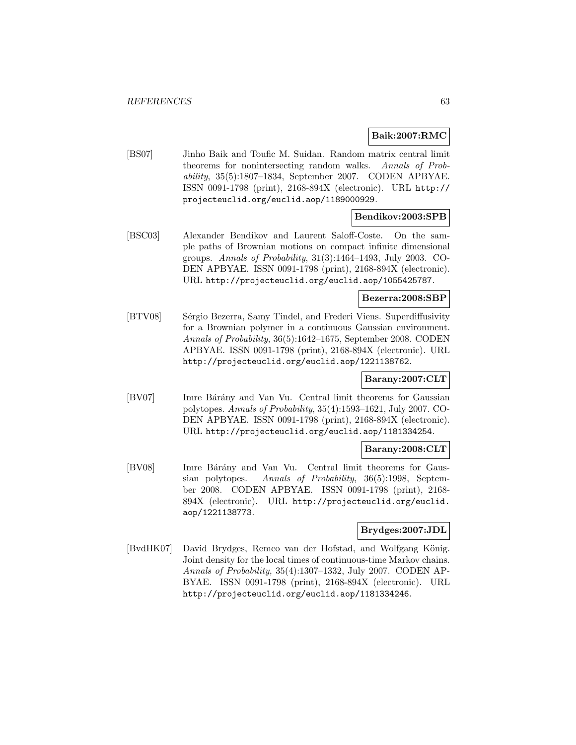#### **Baik:2007:RMC**

[BS07] Jinho Baik and Toufic M. Suidan. Random matrix central limit theorems for nonintersecting random walks. Annals of Probability, 35(5):1807–1834, September 2007. CODEN APBYAE. ISSN 0091-1798 (print), 2168-894X (electronic). URL http:// projecteuclid.org/euclid.aop/1189000929.

## **Bendikov:2003:SPB**

[BSC03] Alexander Bendikov and Laurent Saloff-Coste. On the sample paths of Brownian motions on compact infinite dimensional groups. Annals of Probability, 31(3):1464–1493, July 2003. CO-DEN APBYAE. ISSN 0091-1798 (print), 2168-894X (electronic). URL http://projecteuclid.org/euclid.aop/1055425787.

## **Bezerra:2008:SBP**

[BTV08] Sérgio Bezerra, Samy Tindel, and Frederi Viens. Superdiffusivity for a Brownian polymer in a continuous Gaussian environment. Annals of Probability, 36(5):1642–1675, September 2008. CODEN APBYAE. ISSN 0091-1798 (print), 2168-894X (electronic). URL http://projecteuclid.org/euclid.aop/1221138762.

# **Barany:2007:CLT**

[BV07] Imre Bárány and Van Vu. Central limit theorems for Gaussian polytopes. Annals of Probability, 35(4):1593–1621, July 2007. CO-DEN APBYAE. ISSN 0091-1798 (print), 2168-894X (electronic). URL http://projecteuclid.org/euclid.aop/1181334254.

## **Barany:2008:CLT**

[BV08] Imre Bárány and Van Vu. Central limit theorems for Gaussian polytopes. Annals of Probability, 36(5):1998, September 2008. CODEN APBYAE. ISSN 0091-1798 (print), 2168- 894X (electronic). URL http://projecteuclid.org/euclid. aop/1221138773.

## **Brydges:2007:JDL**

[BvdHK07] David Brydges, Remco van der Hofstad, and Wolfgang König. Joint density for the local times of continuous-time Markov chains. Annals of Probability, 35(4):1307–1332, July 2007. CODEN AP-BYAE. ISSN 0091-1798 (print), 2168-894X (electronic). URL http://projecteuclid.org/euclid.aop/1181334246.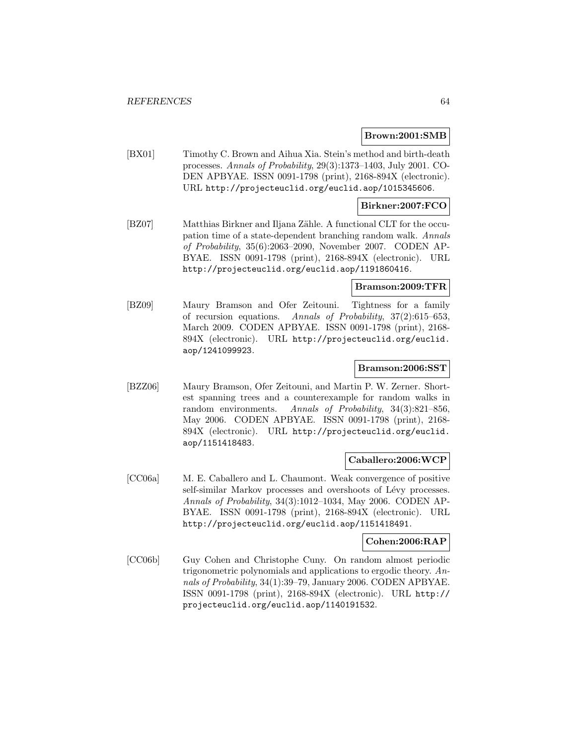#### **Brown:2001:SMB**

[BX01] Timothy C. Brown and Aihua Xia. Stein's method and birth-death processes. Annals of Probability, 29(3):1373–1403, July 2001. CO-DEN APBYAE. ISSN 0091-1798 (print), 2168-894X (electronic). URL http://projecteuclid.org/euclid.aop/1015345606.

### **Birkner:2007:FCO**

[BZ07] Matthias Birkner and Iljana Zähle. A functional CLT for the occupation time of a state-dependent branching random walk. Annals of Probability, 35(6):2063–2090, November 2007. CODEN AP-BYAE. ISSN 0091-1798 (print), 2168-894X (electronic). URL http://projecteuclid.org/euclid.aop/1191860416.

#### **Bramson:2009:TFR**

[BZ09] Maury Bramson and Ofer Zeitouni. Tightness for a family of recursion equations. Annals of Probability, 37(2):615–653, March 2009. CODEN APBYAE. ISSN 0091-1798 (print), 2168- 894X (electronic). URL http://projecteuclid.org/euclid. aop/1241099923.

## **Bramson:2006:SST**

[BZZ06] Maury Bramson, Ofer Zeitouni, and Martin P. W. Zerner. Shortest spanning trees and a counterexample for random walks in random environments. Annals of Probability, 34(3):821–856, May 2006. CODEN APBYAE. ISSN 0091-1798 (print), 2168- 894X (electronic). URL http://projecteuclid.org/euclid. aop/1151418483.

#### **Caballero:2006:WCP**

[CC06a] M. E. Caballero and L. Chaumont. Weak convergence of positive self-similar Markov processes and overshoots of Lévy processes. Annals of Probability, 34(3):1012–1034, May 2006. CODEN AP-BYAE. ISSN 0091-1798 (print), 2168-894X (electronic). URL http://projecteuclid.org/euclid.aop/1151418491.

## **Cohen:2006:RAP**

[CC06b] Guy Cohen and Christophe Cuny. On random almost periodic trigonometric polynomials and applications to ergodic theory. Annals of Probability, 34(1):39–79, January 2006. CODEN APBYAE. ISSN 0091-1798 (print), 2168-894X (electronic). URL http:// projecteuclid.org/euclid.aop/1140191532.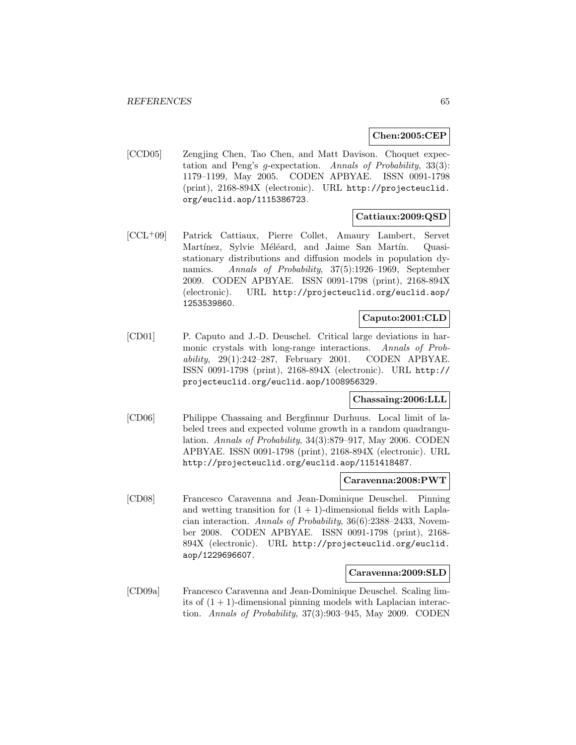## **Chen:2005:CEP**

[CCD05] Zengjing Chen, Tao Chen, and Matt Davison. Choquet expectation and Peng's g-expectation. Annals of Probability, 33(3): 1179–1199, May 2005. CODEN APBYAE. ISSN 0091-1798 (print), 2168-894X (electronic). URL http://projecteuclid. org/euclid.aop/1115386723.

## **Cattiaux:2009:QSD**

[CCL<sup>+</sup>09] Patrick Cattiaux, Pierre Collet, Amaury Lambert, Servet Martínez, Sylvie Méléard, and Jaime San Martín. Quasistationary distributions and diffusion models in population dynamics. Annals of Probability, 37(5):1926–1969, September 2009. CODEN APBYAE. ISSN 0091-1798 (print), 2168-894X (electronic). URL http://projecteuclid.org/euclid.aop/ 1253539860.

## **Caputo:2001:CLD**

[CD01] P. Caputo and J.-D. Deuschel. Critical large deviations in harmonic crystals with long-range interactions. Annals of Probability, 29(1):242–287, February 2001. CODEN APBYAE. ISSN 0091-1798 (print), 2168-894X (electronic). URL http:// projecteuclid.org/euclid.aop/1008956329.

## **Chassaing:2006:LLL**

[CD06] Philippe Chassaing and Bergfinnur Durhuus. Local limit of labeled trees and expected volume growth in a random quadrangulation. Annals of Probability, 34(3):879–917, May 2006. CODEN APBYAE. ISSN 0091-1798 (print), 2168-894X (electronic). URL http://projecteuclid.org/euclid.aop/1151418487.

## **Caravenna:2008:PWT**

[CD08] Francesco Caravenna and Jean-Dominique Deuschel. Pinning and wetting transition for  $(1 + 1)$ -dimensional fields with Laplacian interaction. Annals of Probability, 36(6):2388–2433, November 2008. CODEN APBYAE. ISSN 0091-1798 (print), 2168- 894X (electronic). URL http://projecteuclid.org/euclid. aop/1229696607.

### **Caravenna:2009:SLD**

[CD09a] Francesco Caravenna and Jean-Dominique Deuschel. Scaling limits of  $(1 + 1)$ -dimensional pinning models with Laplacian interaction. Annals of Probability, 37(3):903–945, May 2009. CODEN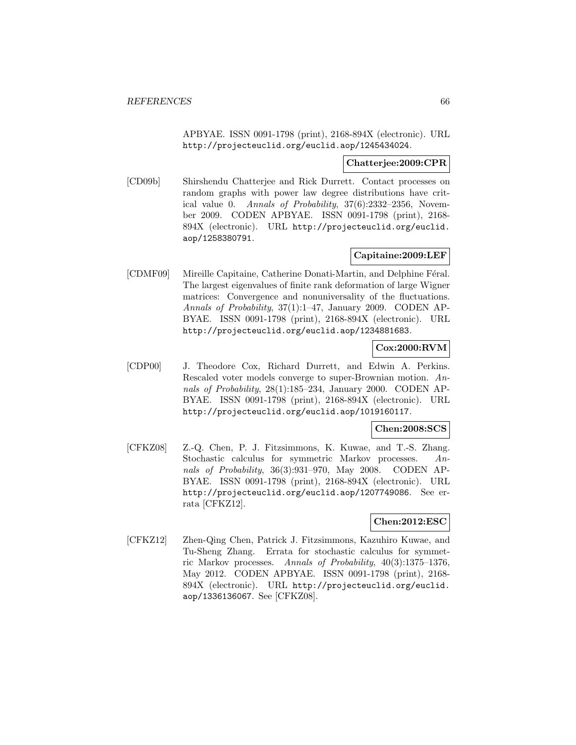APBYAE. ISSN 0091-1798 (print), 2168-894X (electronic). URL http://projecteuclid.org/euclid.aop/1245434024.

## **Chatterjee:2009:CPR**

[CD09b] Shirshendu Chatterjee and Rick Durrett. Contact processes on random graphs with power law degree distributions have critical value 0. Annals of Probability, 37(6):2332–2356, November 2009. CODEN APBYAE. ISSN 0091-1798 (print), 2168- 894X (electronic). URL http://projecteuclid.org/euclid. aop/1258380791.

# **Capitaine:2009:LEF**

[CDMF09] Mireille Capitaine, Catherine Donati-Martin, and Delphine Féral. The largest eigenvalues of finite rank deformation of large Wigner matrices: Convergence and nonuniversality of the fluctuations. Annals of Probability, 37(1):1–47, January 2009. CODEN AP-BYAE. ISSN 0091-1798 (print), 2168-894X (electronic). URL http://projecteuclid.org/euclid.aop/1234881683.

# **Cox:2000:RVM**

[CDP00] J. Theodore Cox, Richard Durrett, and Edwin A. Perkins. Rescaled voter models converge to super-Brownian motion. Annals of Probability, 28(1):185–234, January 2000. CODEN AP-BYAE. ISSN 0091-1798 (print), 2168-894X (electronic). URL http://projecteuclid.org/euclid.aop/1019160117.

## **Chen:2008:SCS**

[CFKZ08] Z.-Q. Chen, P. J. Fitzsimmons, K. Kuwae, and T.-S. Zhang. Stochastic calculus for symmetric Markov processes. Annals of Probability, 36(3):931–970, May 2008. CODEN AP-BYAE. ISSN 0091-1798 (print), 2168-894X (electronic). URL http://projecteuclid.org/euclid.aop/1207749086. See errata [CFKZ12].

## **Chen:2012:ESC**

[CFKZ12] Zhen-Qing Chen, Patrick J. Fitzsimmons, Kazuhiro Kuwae, and Tu-Sheng Zhang. Errata for stochastic calculus for symmetric Markov processes. Annals of Probability, 40(3):1375–1376, May 2012. CODEN APBYAE. ISSN 0091-1798 (print), 2168- 894X (electronic). URL http://projecteuclid.org/euclid. aop/1336136067. See [CFKZ08].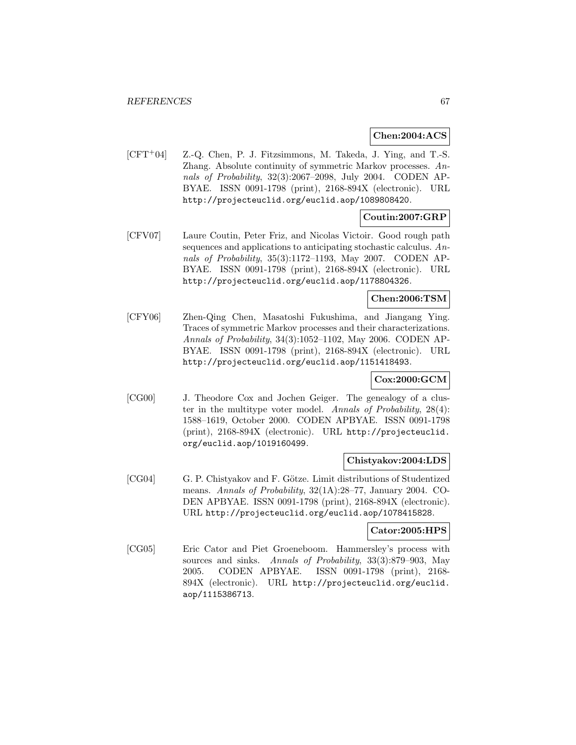## **Chen:2004:ACS**

[CFT<sup>+</sup>04] Z.-Q. Chen, P. J. Fitzsimmons, M. Takeda, J. Ying, and T.-S. Zhang. Absolute continuity of symmetric Markov processes. Annals of Probability, 32(3):2067–2098, July 2004. CODEN AP-BYAE. ISSN 0091-1798 (print), 2168-894X (electronic). URL http://projecteuclid.org/euclid.aop/1089808420.

# **Coutin:2007:GRP**

[CFV07] Laure Coutin, Peter Friz, and Nicolas Victoir. Good rough path sequences and applications to anticipating stochastic calculus. Annals of Probability, 35(3):1172–1193, May 2007. CODEN AP-BYAE. ISSN 0091-1798 (print), 2168-894X (electronic). URL http://projecteuclid.org/euclid.aop/1178804326.

## **Chen:2006:TSM**

[CFY06] Zhen-Qing Chen, Masatoshi Fukushima, and Jiangang Ying. Traces of symmetric Markov processes and their characterizations. Annals of Probability, 34(3):1052–1102, May 2006. CODEN AP-BYAE. ISSN 0091-1798 (print), 2168-894X (electronic). URL http://projecteuclid.org/euclid.aop/1151418493.

## **Cox:2000:GCM**

[CG00] J. Theodore Cox and Jochen Geiger. The genealogy of a cluster in the multitype voter model. Annals of Probability, 28(4): 1588–1619, October 2000. CODEN APBYAE. ISSN 0091-1798 (print), 2168-894X (electronic). URL http://projecteuclid. org/euclid.aop/1019160499.

#### **Chistyakov:2004:LDS**

[CG04] G. P. Chistyakov and F. Götze. Limit distributions of Studentized means. Annals of Probability, 32(1A):28–77, January 2004. CO-DEN APBYAE. ISSN 0091-1798 (print), 2168-894X (electronic). URL http://projecteuclid.org/euclid.aop/1078415828.

#### **Cator:2005:HPS**

[CG05] Eric Cator and Piet Groeneboom. Hammersley's process with sources and sinks. Annals of Probability, 33(3):879–903, May 2005. CODEN APBYAE. ISSN 0091-1798 (print), 2168- 894X (electronic). URL http://projecteuclid.org/euclid. aop/1115386713.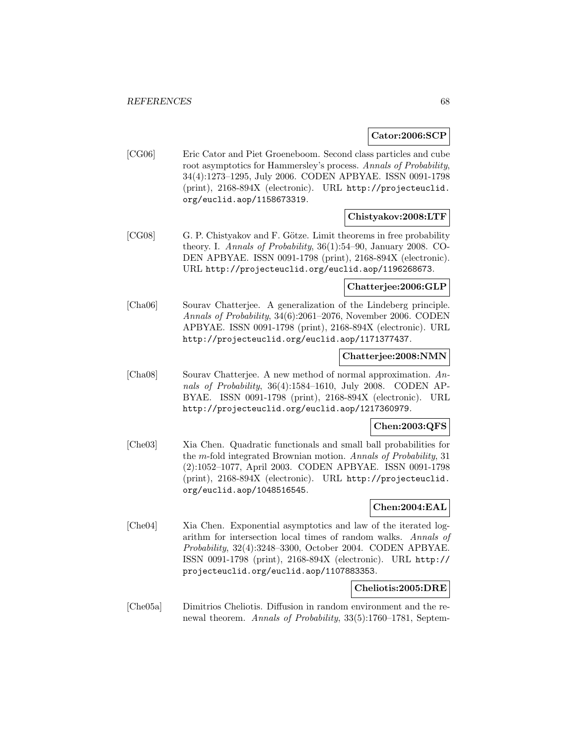## **Cator:2006:SCP**

[CG06] Eric Cator and Piet Groeneboom. Second class particles and cube root asymptotics for Hammersley's process. Annals of Probability, 34(4):1273–1295, July 2006. CODEN APBYAE. ISSN 0091-1798 (print), 2168-894X (electronic). URL http://projecteuclid. org/euclid.aop/1158673319.

## **Chistyakov:2008:LTF**

[CG08] G. P. Chistyakov and F. Götze. Limit theorems in free probability theory. I. Annals of Probability, 36(1):54–90, January 2008. CO-DEN APBYAE. ISSN 0091-1798 (print), 2168-894X (electronic). URL http://projecteuclid.org/euclid.aop/1196268673.

#### **Chatterjee:2006:GLP**

[Cha06] Sourav Chatterjee. A generalization of the Lindeberg principle. Annals of Probability, 34(6):2061–2076, November 2006. CODEN APBYAE. ISSN 0091-1798 (print), 2168-894X (electronic). URL http://projecteuclid.org/euclid.aop/1171377437.

## **Chatterjee:2008:NMN**

[Cha08] Sourav Chatterjee. A new method of normal approximation. Annals of Probability, 36(4):1584–1610, July 2008. CODEN AP-BYAE. ISSN 0091-1798 (print), 2168-894X (electronic). URL http://projecteuclid.org/euclid.aop/1217360979.

## **Chen:2003:QFS**

[Che03] Xia Chen. Quadratic functionals and small ball probabilities for the m-fold integrated Brownian motion. Annals of Probability, 31 (2):1052–1077, April 2003. CODEN APBYAE. ISSN 0091-1798 (print), 2168-894X (electronic). URL http://projecteuclid. org/euclid.aop/1048516545.

# **Chen:2004:EAL**

[Che04] Xia Chen. Exponential asymptotics and law of the iterated logarithm for intersection local times of random walks. Annals of Probability, 32(4):3248–3300, October 2004. CODEN APBYAE. ISSN 0091-1798 (print), 2168-894X (electronic). URL http:// projecteuclid.org/euclid.aop/1107883353.

#### **Cheliotis:2005:DRE**

[Che05a] Dimitrios Cheliotis. Diffusion in random environment and the renewal theorem. Annals of Probability, 33(5):1760–1781, Septem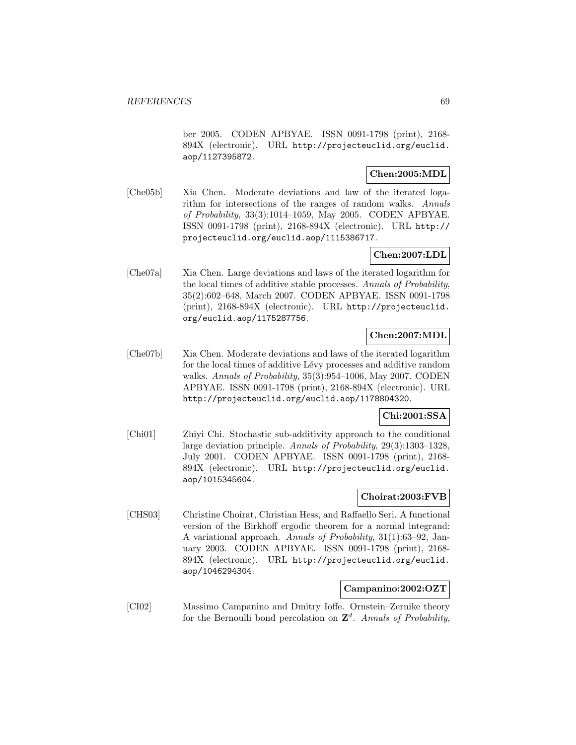ber 2005. CODEN APBYAE. ISSN 0091-1798 (print), 2168- 894X (electronic). URL http://projecteuclid.org/euclid. aop/1127395872.

## **Chen:2005:MDL**

[Che05b] Xia Chen. Moderate deviations and law of the iterated logarithm for intersections of the ranges of random walks. Annals of Probability, 33(3):1014–1059, May 2005. CODEN APBYAE. ISSN 0091-1798 (print), 2168-894X (electronic). URL http:// projecteuclid.org/euclid.aop/1115386717.

# **Chen:2007:LDL**

[Che07a] Xia Chen. Large deviations and laws of the iterated logarithm for the local times of additive stable processes. Annals of Probability, 35(2):602–648, March 2007. CODEN APBYAE. ISSN 0091-1798 (print), 2168-894X (electronic). URL http://projecteuclid. org/euclid.aop/1175287756.

# **Chen:2007:MDL**

[Che07b] Xia Chen. Moderate deviations and laws of the iterated logarithm for the local times of additive Lévy processes and additive random walks. Annals of Probability, 35(3):954–1006, May 2007. CODEN APBYAE. ISSN 0091-1798 (print), 2168-894X (electronic). URL http://projecteuclid.org/euclid.aop/1178804320.

# **Chi:2001:SSA**

[Chi01] Zhiyi Chi. Stochastic sub-additivity approach to the conditional large deviation principle. Annals of Probability, 29(3):1303–1328, July 2001. CODEN APBYAE. ISSN 0091-1798 (print), 2168- 894X (electronic). URL http://projecteuclid.org/euclid. aop/1015345604.

# **Choirat:2003:FVB**

[CHS03] Christine Choirat, Christian Hess, and Raffaello Seri. A functional version of the Birkhoff ergodic theorem for a normal integrand: A variational approach. Annals of Probability, 31(1):63–92, January 2003. CODEN APBYAE. ISSN 0091-1798 (print), 2168- 894X (electronic). URL http://projecteuclid.org/euclid. aop/1046294304.

# **Campanino:2002:OZT**

[CI02] Massimo Campanino and Dmitry Ioffe. Ornstein–Zernike theory for the Bernoulli bond percolation on  $\mathbb{Z}^d$ . Annals of Probability,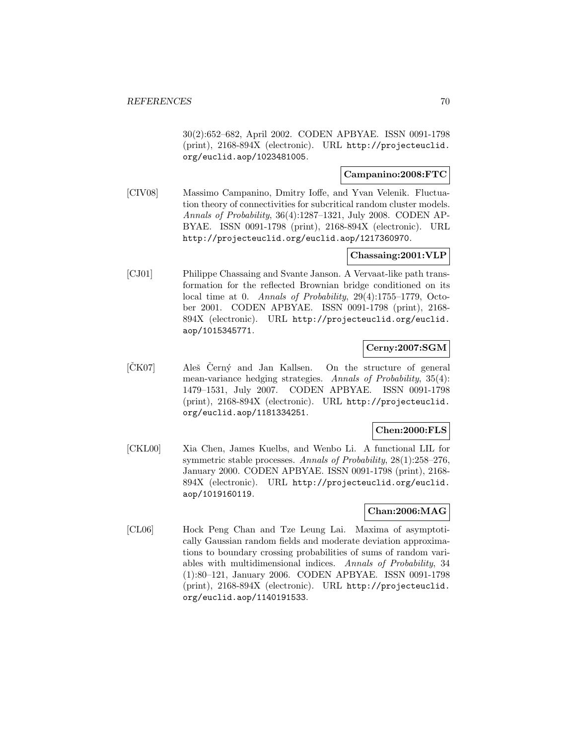30(2):652–682, April 2002. CODEN APBYAE. ISSN 0091-1798 (print), 2168-894X (electronic). URL http://projecteuclid. org/euclid.aop/1023481005.

# **Campanino:2008:FTC**

[CIV08] Massimo Campanino, Dmitry Ioffe, and Yvan Velenik. Fluctuation theory of connectivities for subcritical random cluster models. Annals of Probability, 36(4):1287–1321, July 2008. CODEN AP-BYAE. ISSN 0091-1798 (print), 2168-894X (electronic). URL http://projecteuclid.org/euclid.aop/1217360970.

## **Chassaing:2001:VLP**

[CJ01] Philippe Chassaing and Svante Janson. A Vervaat-like path transformation for the reflected Brownian bridge conditioned on its local time at 0. Annals of Probability, 29(4):1755–1779, October 2001. CODEN APBYAE. ISSN 0091-1798 (print), 2168- 894X (electronic). URL http://projecteuclid.org/euclid. aop/1015345771.

## **Cerny:2007:SGM**

 $[\text{ČK}07]$  Aleš Černý and Jan Kallsen. On the structure of general mean-variance hedging strategies. Annals of Probability, 35(4): 1479–1531, July 2007. CODEN APBYAE. ISSN 0091-1798 (print), 2168-894X (electronic). URL http://projecteuclid. org/euclid.aop/1181334251.

## **Chen:2000:FLS**

[CKL00] Xia Chen, James Kuelbs, and Wenbo Li. A functional LIL for symmetric stable processes. Annals of Probability, 28(1):258–276, January 2000. CODEN APBYAE. ISSN 0091-1798 (print), 2168- 894X (electronic). URL http://projecteuclid.org/euclid. aop/1019160119.

# **Chan:2006:MAG**

[CL06] Hock Peng Chan and Tze Leung Lai. Maxima of asymptotically Gaussian random fields and moderate deviation approximations to boundary crossing probabilities of sums of random variables with multidimensional indices. Annals of Probability, 34 (1):80–121, January 2006. CODEN APBYAE. ISSN 0091-1798 (print), 2168-894X (electronic). URL http://projecteuclid. org/euclid.aop/1140191533.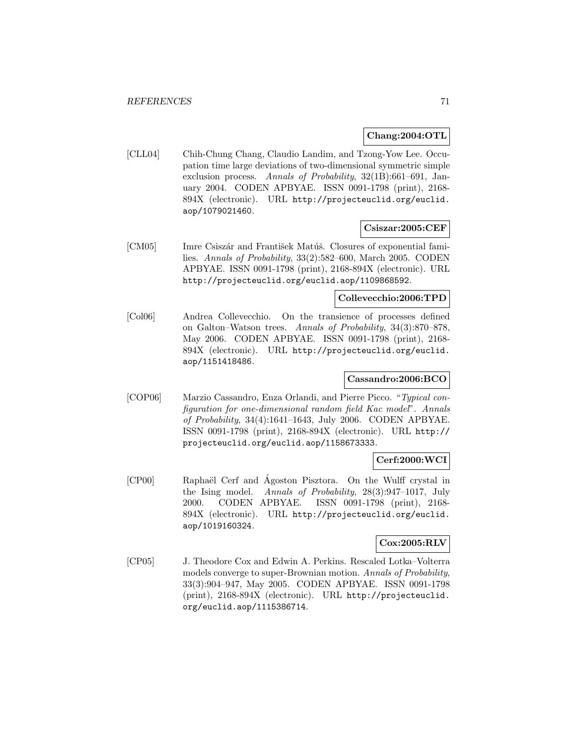## **Chang:2004:OTL**

[CLL04] Chih-Chung Chang, Claudio Landim, and Tzong-Yow Lee. Occupation time large deviations of two-dimensional symmetric simple exclusion process. Annals of Probability, 32(1B):661–691, January 2004. CODEN APBYAE. ISSN 0091-1798 (print), 2168- 894X (electronic). URL http://projecteuclid.org/euclid. aop/1079021460.

## **Csiszar:2005:CEF**

[CM05] Imre Csiszár and František Matúš. Closures of exponential families. Annals of Probability, 33(2):582–600, March 2005. CODEN APBYAE. ISSN 0091-1798 (print), 2168-894X (electronic). URL http://projecteuclid.org/euclid.aop/1109868592.

## **Collevecchio:2006:TPD**

[Col06] Andrea Collevecchio. On the transience of processes defined on Galton–Watson trees. Annals of Probability, 34(3):870–878, May 2006. CODEN APBYAE. ISSN 0091-1798 (print), 2168- 894X (electronic). URL http://projecteuclid.org/euclid. aop/1151418486.

# **Cassandro:2006:BCO**

[COP06] Marzio Cassandro, Enza Orlandi, and Pierre Picco. "Typical configuration for one-dimensional random field Kac model". Annals of Probability, 34(4):1641–1643, July 2006. CODEN APBYAE. ISSN 0091-1798 (print), 2168-894X (electronic). URL http:// projecteuclid.org/euclid.aop/1158673333.

## **Cerf:2000:WCI**

[CP00] Raphaël Cerf and Ágoston Pisztora. On the Wulff crystal in the Ising model. Annals of Probability, 28(3):947–1017, July 2000. CODEN APBYAE. ISSN 0091-1798 (print), 2168- 894X (electronic). URL http://projecteuclid.org/euclid. aop/1019160324.

# **Cox:2005:RLV**

[CP05] J. Theodore Cox and Edwin A. Perkins. Rescaled Lotka–Volterra models converge to super-Brownian motion. Annals of Probability, 33(3):904–947, May 2005. CODEN APBYAE. ISSN 0091-1798 (print), 2168-894X (electronic). URL http://projecteuclid. org/euclid.aop/1115386714.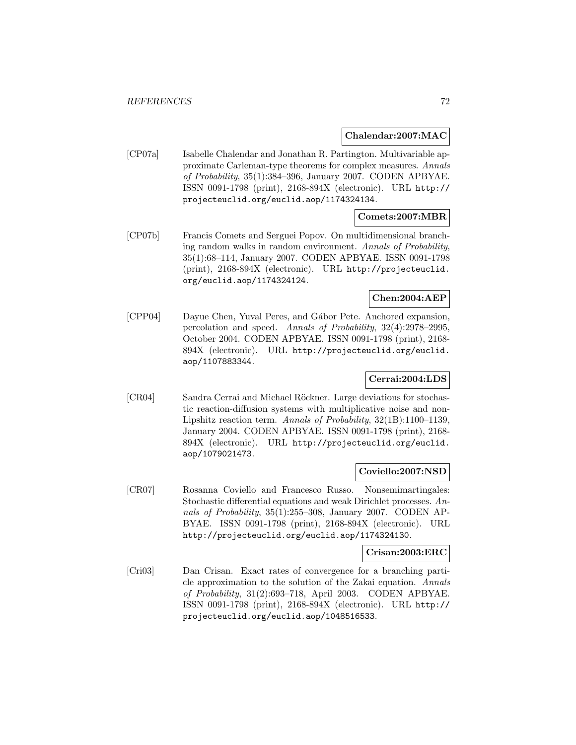#### **Chalendar:2007:MAC**

[CP07a] Isabelle Chalendar and Jonathan R. Partington. Multivariable approximate Carleman-type theorems for complex measures. Annals of Probability, 35(1):384–396, January 2007. CODEN APBYAE. ISSN 0091-1798 (print), 2168-894X (electronic). URL http:// projecteuclid.org/euclid.aop/1174324134.

## **Comets:2007:MBR**

[CP07b] Francis Comets and Serguei Popov. On multidimensional branching random walks in random environment. Annals of Probability, 35(1):68–114, January 2007. CODEN APBYAE. ISSN 0091-1798 (print), 2168-894X (electronic). URL http://projecteuclid. org/euclid.aop/1174324124.

# **Chen:2004:AEP**

[CPP04] Dayue Chen, Yuval Peres, and G´abor Pete. Anchored expansion, percolation and speed. Annals of Probability, 32(4):2978–2995, October 2004. CODEN APBYAE. ISSN 0091-1798 (print), 2168- 894X (electronic). URL http://projecteuclid.org/euclid. aop/1107883344.

## **Cerrai:2004:LDS**

[CR04] Sandra Cerrai and Michael Röckner. Large deviations for stochastic reaction-diffusion systems with multiplicative noise and non-Lipshitz reaction term. Annals of Probability, 32(1B):1100–1139, January 2004. CODEN APBYAE. ISSN 0091-1798 (print), 2168- 894X (electronic). URL http://projecteuclid.org/euclid. aop/1079021473.

## **Coviello:2007:NSD**

[CR07] Rosanna Coviello and Francesco Russo. Nonsemimartingales: Stochastic differential equations and weak Dirichlet processes. Annals of Probability, 35(1):255-308, January 2007. CODEN AP-BYAE. ISSN 0091-1798 (print), 2168-894X (electronic). URL http://projecteuclid.org/euclid.aop/1174324130.

#### **Crisan:2003:ERC**

[Cri03] Dan Crisan. Exact rates of convergence for a branching particle approximation to the solution of the Zakai equation. Annals of Probability, 31(2):693–718, April 2003. CODEN APBYAE. ISSN 0091-1798 (print), 2168-894X (electronic). URL http:// projecteuclid.org/euclid.aop/1048516533.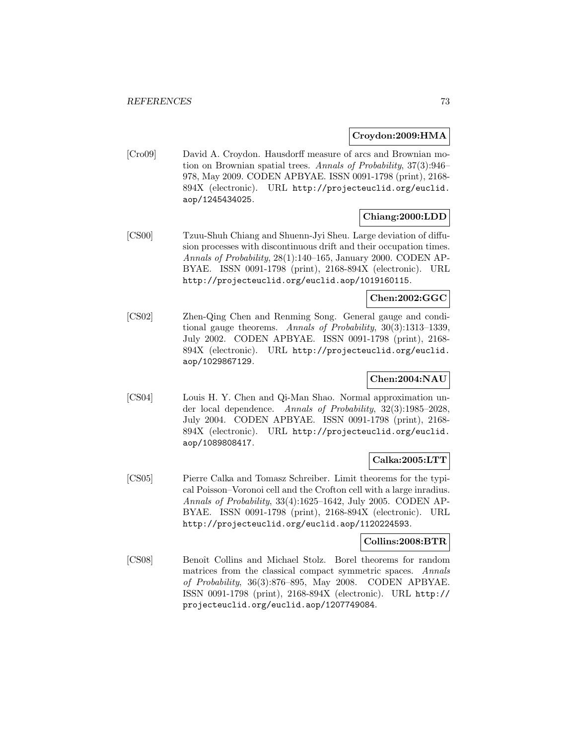### **Croydon:2009:HMA**

[Cro09] David A. Croydon. Hausdorff measure of arcs and Brownian motion on Brownian spatial trees. Annals of Probability, 37(3):946– 978, May 2009. CODEN APBYAE. ISSN 0091-1798 (print), 2168- 894X (electronic). URL http://projecteuclid.org/euclid. aop/1245434025.

# **Chiang:2000:LDD**

[CS00] Tzuu-Shuh Chiang and Shuenn-Jyi Sheu. Large deviation of diffusion processes with discontinuous drift and their occupation times. Annals of Probability, 28(1):140–165, January 2000. CODEN AP-BYAE. ISSN 0091-1798 (print), 2168-894X (electronic). URL http://projecteuclid.org/euclid.aop/1019160115.

## **Chen:2002:GGC**

[CS02] Zhen-Qing Chen and Renming Song. General gauge and conditional gauge theorems. Annals of Probability, 30(3):1313–1339, July 2002. CODEN APBYAE. ISSN 0091-1798 (print), 2168- 894X (electronic). URL http://projecteuclid.org/euclid. aop/1029867129.

# **Chen:2004:NAU**

[CS04] Louis H. Y. Chen and Qi-Man Shao. Normal approximation under local dependence. Annals of Probability, 32(3):1985–2028, July 2004. CODEN APBYAE. ISSN 0091-1798 (print), 2168- 894X (electronic). URL http://projecteuclid.org/euclid. aop/1089808417.

# **Calka:2005:LTT**

[CS05] Pierre Calka and Tomasz Schreiber. Limit theorems for the typical Poisson–Voronoi cell and the Crofton cell with a large inradius. Annals of Probability, 33(4):1625–1642, July 2005. CODEN AP-BYAE. ISSN 0091-1798 (print), 2168-894X (electronic). URL http://projecteuclid.org/euclid.aop/1120224593.

## **Collins:2008:BTR**

[CS08] Benoît Collins and Michael Stolz. Borel theorems for random matrices from the classical compact symmetric spaces. Annals of Probability, 36(3):876–895, May 2008. CODEN APBYAE. ISSN 0091-1798 (print), 2168-894X (electronic). URL http:// projecteuclid.org/euclid.aop/1207749084.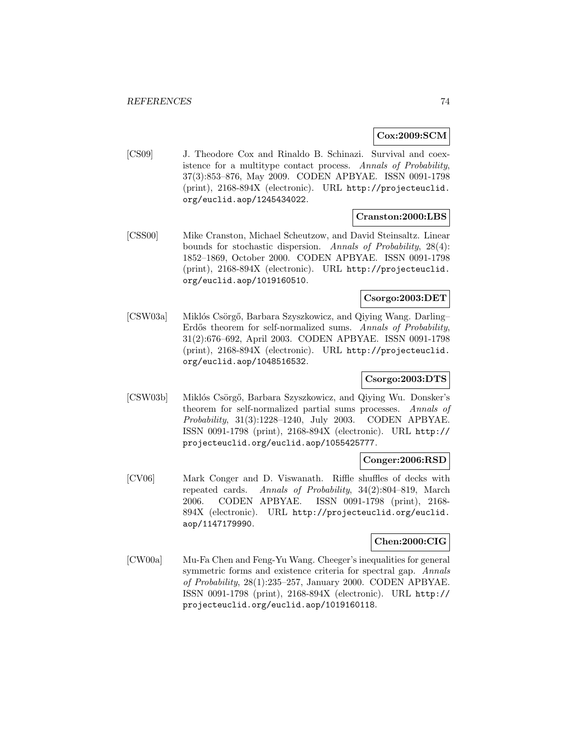## **Cox:2009:SCM**

[CS09] J. Theodore Cox and Rinaldo B. Schinazi. Survival and coexistence for a multitype contact process. Annals of Probability, 37(3):853–876, May 2009. CODEN APBYAE. ISSN 0091-1798 (print), 2168-894X (electronic). URL http://projecteuclid. org/euclid.aop/1245434022.

## **Cranston:2000:LBS**

[CSS00] Mike Cranston, Michael Scheutzow, and David Steinsaltz. Linear bounds for stochastic dispersion. Annals of Probability, 28(4): 1852–1869, October 2000. CODEN APBYAE. ISSN 0091-1798 (print), 2168-894X (electronic). URL http://projecteuclid. org/euclid.aop/1019160510.

# **Csorgo:2003:DET**

[CSW03a] Miklós Csörgő, Barbara Szyszkowicz, and Qiying Wang. Darling– Erdős theorem for self-normalized sums. Annals of Probability, 31(2):676–692, April 2003. CODEN APBYAE. ISSN 0091-1798 (print), 2168-894X (electronic). URL http://projecteuclid. org/euclid.aop/1048516532.

# **Csorgo:2003:DTS**

[CSW03b] Miklós Csörgő, Barbara Szyszkowicz, and Qiying Wu. Donsker's theorem for self-normalized partial sums processes. Annals of Probability, 31(3):1228–1240, July 2003. CODEN APBYAE. ISSN 0091-1798 (print), 2168-894X (electronic). URL http:// projecteuclid.org/euclid.aop/1055425777.

## **Conger:2006:RSD**

[CV06] Mark Conger and D. Viswanath. Riffle shuffles of decks with repeated cards. Annals of Probability, 34(2):804–819, March 2006. CODEN APBYAE. ISSN 0091-1798 (print), 2168- 894X (electronic). URL http://projecteuclid.org/euclid. aop/1147179990.

### **Chen:2000:CIG**

[CW00a] Mu-Fa Chen and Feng-Yu Wang. Cheeger's inequalities for general symmetric forms and existence criteria for spectral gap. Annals of Probability, 28(1):235–257, January 2000. CODEN APBYAE. ISSN 0091-1798 (print), 2168-894X (electronic). URL http:// projecteuclid.org/euclid.aop/1019160118.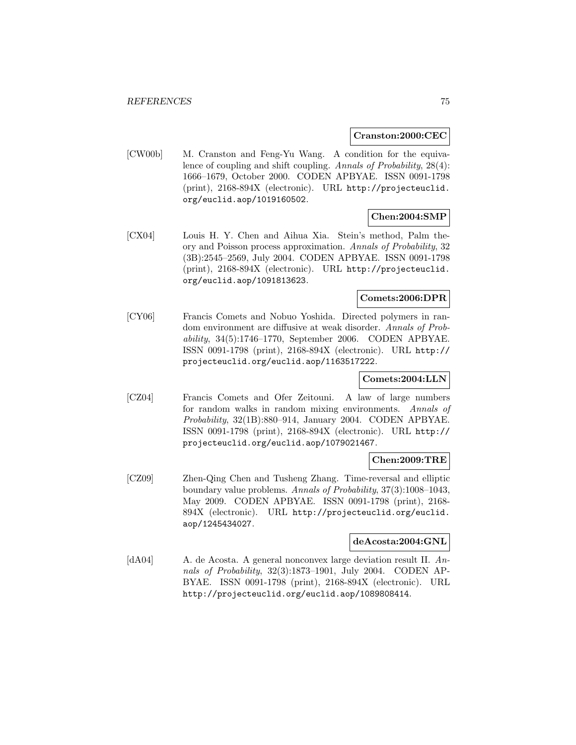#### **Cranston:2000:CEC**

[CW00b] M. Cranston and Feng-Yu Wang. A condition for the equivalence of coupling and shift coupling. Annals of Probability, 28(4): 1666–1679, October 2000. CODEN APBYAE. ISSN 0091-1798 (print), 2168-894X (electronic). URL http://projecteuclid. org/euclid.aop/1019160502.

# **Chen:2004:SMP**

[CX04] Louis H. Y. Chen and Aihua Xia. Stein's method, Palm theory and Poisson process approximation. Annals of Probability, 32 (3B):2545–2569, July 2004. CODEN APBYAE. ISSN 0091-1798 (print), 2168-894X (electronic). URL http://projecteuclid. org/euclid.aop/1091813623.

# **Comets:2006:DPR**

[CY06] Francis Comets and Nobuo Yoshida. Directed polymers in random environment are diffusive at weak disorder. Annals of Probability, 34(5):1746–1770, September 2006. CODEN APBYAE. ISSN 0091-1798 (print), 2168-894X (electronic). URL http:// projecteuclid.org/euclid.aop/1163517222.

## **Comets:2004:LLN**

[CZ04] Francis Comets and Ofer Zeitouni. A law of large numbers for random walks in random mixing environments. Annals of Probability, 32(1B):880–914, January 2004. CODEN APBYAE. ISSN 0091-1798 (print), 2168-894X (electronic). URL http:// projecteuclid.org/euclid.aop/1079021467.

# **Chen:2009:TRE**

[CZ09] Zhen-Qing Chen and Tusheng Zhang. Time-reversal and elliptic boundary value problems. Annals of Probability, 37(3):1008–1043, May 2009. CODEN APBYAE. ISSN 0091-1798 (print), 2168- 894X (electronic). URL http://projecteuclid.org/euclid. aop/1245434027.

## **deAcosta:2004:GNL**

[dA04] A. de Acosta. A general nonconvex large deviation result II. Annals of Probability, 32(3):1873–1901, July 2004. CODEN AP-BYAE. ISSN 0091-1798 (print), 2168-894X (electronic). URL http://projecteuclid.org/euclid.aop/1089808414.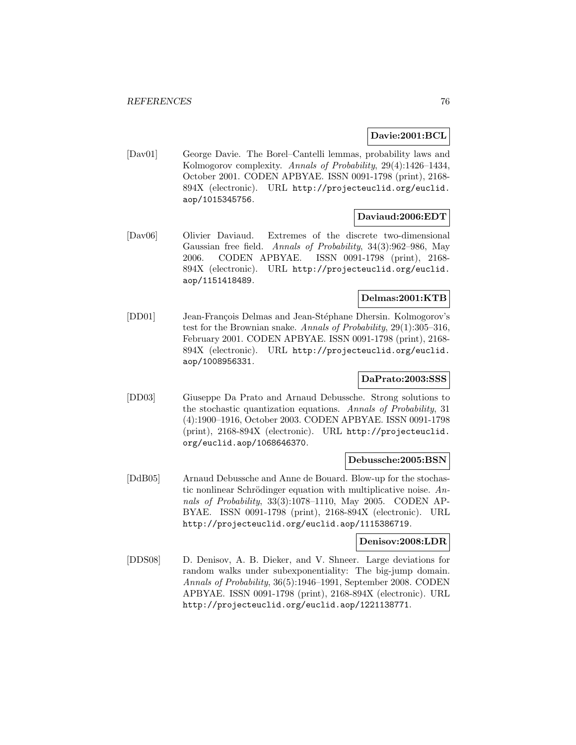### **Davie:2001:BCL**

[Dav01] George Davie. The Borel–Cantelli lemmas, probability laws and Kolmogorov complexity. Annals of Probability, 29(4):1426–1434, October 2001. CODEN APBYAE. ISSN 0091-1798 (print), 2168- 894X (electronic). URL http://projecteuclid.org/euclid. aop/1015345756.

## **Daviaud:2006:EDT**

[Dav06] Olivier Daviaud. Extremes of the discrete two-dimensional Gaussian free field. Annals of Probability, 34(3):962–986, May 2006. CODEN APBYAE. ISSN 0091-1798 (print), 2168- 894X (electronic). URL http://projecteuclid.org/euclid. aop/1151418489.

# **Delmas:2001:KTB**

[DD01] Jean-François Delmas and Jean-Stéphane Dhersin. Kolmogorov's test for the Brownian snake. Annals of Probability, 29(1):305–316, February 2001. CODEN APBYAE. ISSN 0091-1798 (print), 2168- 894X (electronic). URL http://projecteuclid.org/euclid. aop/1008956331.

## **DaPrato:2003:SSS**

[DD03] Giuseppe Da Prato and Arnaud Debussche. Strong solutions to the stochastic quantization equations. Annals of Probability, 31 (4):1900–1916, October 2003. CODEN APBYAE. ISSN 0091-1798 (print), 2168-894X (electronic). URL http://projecteuclid. org/euclid.aop/1068646370.

### **Debussche:2005:BSN**

[DdB05] Arnaud Debussche and Anne de Bouard. Blow-up for the stochastic nonlinear Schrödinger equation with multiplicative noise.  $An$ nals of Probability, 33(3):1078–1110, May 2005. CODEN AP-BYAE. ISSN 0091-1798 (print), 2168-894X (electronic). URL http://projecteuclid.org/euclid.aop/1115386719.

## **Denisov:2008:LDR**

[DDS08] D. Denisov, A. B. Dieker, and V. Shneer. Large deviations for random walks under subexponentiality: The big-jump domain. Annals of Probability, 36(5):1946–1991, September 2008. CODEN APBYAE. ISSN 0091-1798 (print), 2168-894X (electronic). URL http://projecteuclid.org/euclid.aop/1221138771.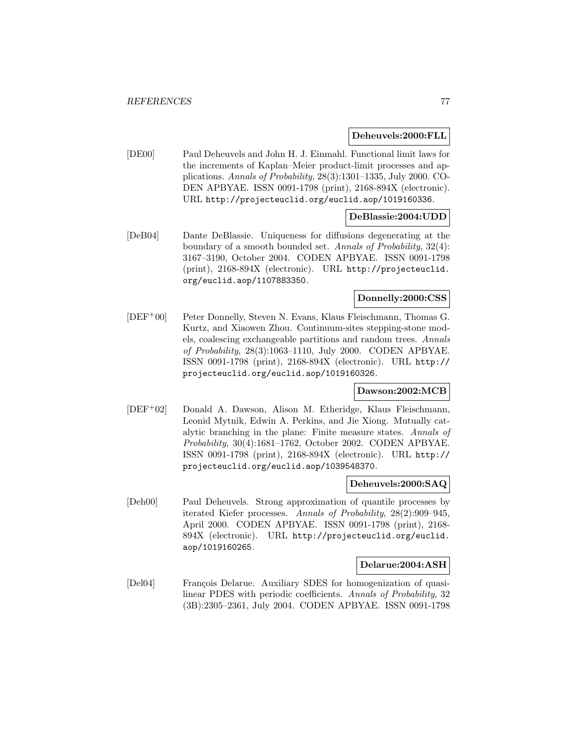### **Deheuvels:2000:FLL**

[DE00] Paul Deheuvels and John H. J. Einmahl. Functional limit laws for the increments of Kaplan–Meier product-limit processes and applications. Annals of Probability, 28(3):1301–1335, July 2000. CO-DEN APBYAE. ISSN 0091-1798 (print), 2168-894X (electronic). URL http://projecteuclid.org/euclid.aop/1019160336.

### **DeBlassie:2004:UDD**

[DeB04] Dante DeBlassie. Uniqueness for diffusions degenerating at the boundary of a smooth bounded set. Annals of Probability, 32(4): 3167–3190, October 2004. CODEN APBYAE. ISSN 0091-1798 (print), 2168-894X (electronic). URL http://projecteuclid. org/euclid.aop/1107883350.

# **Donnelly:2000:CSS**

[DEF<sup>+</sup>00] Peter Donnelly, Steven N. Evans, Klaus Fleischmann, Thomas G. Kurtz, and Xiaowen Zhou. Continuum-sites stepping-stone models, coalescing exchangeable partitions and random trees. Annals of Probability, 28(3):1063–1110, July 2000. CODEN APBYAE. ISSN 0091-1798 (print), 2168-894X (electronic). URL http:// projecteuclid.org/euclid.aop/1019160326.

# **Dawson:2002:MCB**

[DEF<sup>+</sup>02] Donald A. Dawson, Alison M. Etheridge, Klaus Fleischmann, Leonid Mytnik, Edwin A. Perkins, and Jie Xiong. Mutually catalytic branching in the plane: Finite measure states. Annals of Probability, 30(4):1681–1762, October 2002. CODEN APBYAE. ISSN 0091-1798 (print), 2168-894X (electronic). URL http:// projecteuclid.org/euclid.aop/1039548370.

### **Deheuvels:2000:SAQ**

[Deh00] Paul Deheuvels. Strong approximation of quantile processes by iterated Kiefer processes. Annals of Probability, 28(2):909–945, April 2000. CODEN APBYAE. ISSN 0091-1798 (print), 2168- 894X (electronic). URL http://projecteuclid.org/euclid. aop/1019160265.

#### **Delarue:2004:ASH**

[Del04] François Delarue. Auxiliary SDES for homogenization of quasilinear PDES with periodic coefficients. Annals of Probability, 32 (3B):2305–2361, July 2004. CODEN APBYAE. ISSN 0091-1798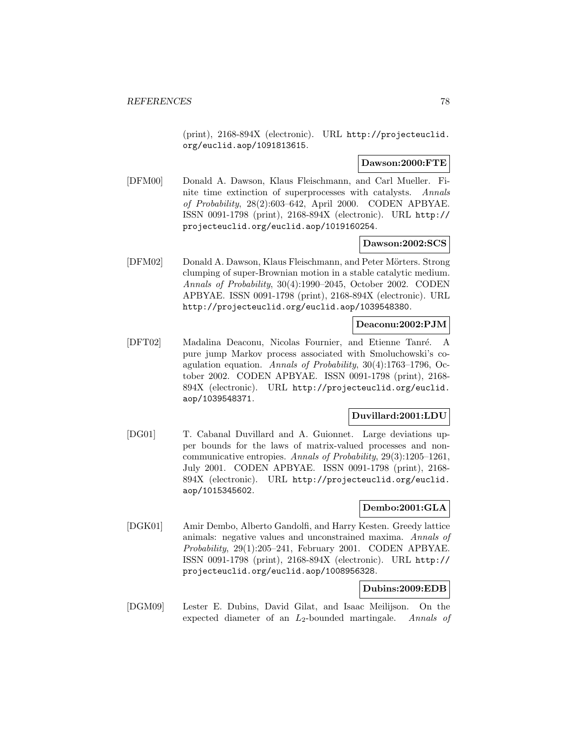(print), 2168-894X (electronic). URL http://projecteuclid. org/euclid.aop/1091813615.

## **Dawson:2000:FTE**

[DFM00] Donald A. Dawson, Klaus Fleischmann, and Carl Mueller. Finite time extinction of superprocesses with catalysts. Annals of Probability, 28(2):603–642, April 2000. CODEN APBYAE. ISSN 0091-1798 (print), 2168-894X (electronic). URL http:// projecteuclid.org/euclid.aop/1019160254.

### **Dawson:2002:SCS**

[DFM02] Donald A. Dawson, Klaus Fleischmann, and Peter Mörters. Strong clumping of super-Brownian motion in a stable catalytic medium. Annals of Probability, 30(4):1990–2045, October 2002. CODEN APBYAE. ISSN 0091-1798 (print), 2168-894X (electronic). URL http://projecteuclid.org/euclid.aop/1039548380.

## **Deaconu:2002:PJM**

[DFT02] Madalina Deaconu, Nicolas Fournier, and Etienne Tanr´e. A pure jump Markov process associated with Smoluchowski's coagulation equation. Annals of Probability, 30(4):1763–1796, October 2002. CODEN APBYAE. ISSN 0091-1798 (print), 2168- 894X (electronic). URL http://projecteuclid.org/euclid. aop/1039548371.

### **Duvillard:2001:LDU**

[DG01] T. Cabanal Duvillard and A. Guionnet. Large deviations upper bounds for the laws of matrix-valued processes and noncommunicative entropies. Annals of Probability, 29(3):1205–1261, July 2001. CODEN APBYAE. ISSN 0091-1798 (print), 2168- 894X (electronic). URL http://projecteuclid.org/euclid. aop/1015345602.

### **Dembo:2001:GLA**

[DGK01] Amir Dembo, Alberto Gandolfi, and Harry Kesten. Greedy lattice animals: negative values and unconstrained maxima. Annals of Probability, 29(1):205–241, February 2001. CODEN APBYAE. ISSN 0091-1798 (print), 2168-894X (electronic). URL http:// projecteuclid.org/euclid.aop/1008956328.

## **Dubins:2009:EDB**

[DGM09] Lester E. Dubins, David Gilat, and Isaac Meilijson. On the expected diameter of an  $L_2$ -bounded martingale. Annals of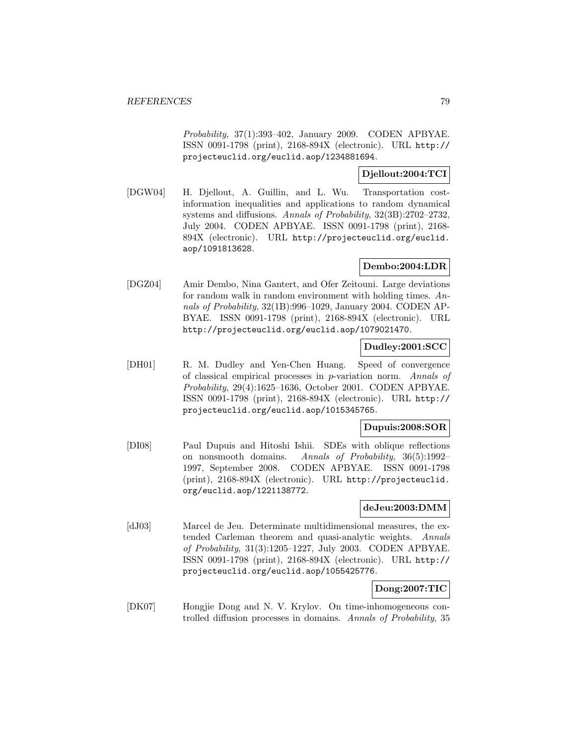Probability, 37(1):393–402, January 2009. CODEN APBYAE. ISSN 0091-1798 (print), 2168-894X (electronic). URL http:// projecteuclid.org/euclid.aop/1234881694.

# **Djellout:2004:TCI**

[DGW04] H. Djellout, A. Guillin, and L. Wu. Transportation costinformation inequalities and applications to random dynamical systems and diffusions. Annals of Probability, 32(3B):2702–2732, July 2004. CODEN APBYAE. ISSN 0091-1798 (print), 2168- 894X (electronic). URL http://projecteuclid.org/euclid. aop/1091813628.

# **Dembo:2004:LDR**

[DGZ04] Amir Dembo, Nina Gantert, and Ofer Zeitouni. Large deviations for random walk in random environment with holding times. Annals of Probability, 32(1B):996–1029, January 2004. CODEN AP-BYAE. ISSN 0091-1798 (print), 2168-894X (electronic). URL http://projecteuclid.org/euclid.aop/1079021470.

# **Dudley:2001:SCC**

[DH01] R. M. Dudley and Yen-Chen Huang. Speed of convergence of classical empirical processes in p-variation norm. Annals of Probability, 29(4):1625–1636, October 2001. CODEN APBYAE. ISSN 0091-1798 (print), 2168-894X (electronic). URL http:// projecteuclid.org/euclid.aop/1015345765.

## **Dupuis:2008:SOR**

[DI08] Paul Dupuis and Hitoshi Ishii. SDEs with oblique reflections on nonsmooth domains. Annals of Probability, 36(5):1992– 1997, September 2008. CODEN APBYAE. ISSN 0091-1798 (print), 2168-894X (electronic). URL http://projecteuclid. org/euclid.aop/1221138772.

## **deJeu:2003:DMM**

[dJ03] Marcel de Jeu. Determinate multidimensional measures, the extended Carleman theorem and quasi-analytic weights. Annals of Probability, 31(3):1205–1227, July 2003. CODEN APBYAE. ISSN 0091-1798 (print), 2168-894X (electronic). URL http:// projecteuclid.org/euclid.aop/1055425776.

# **Dong:2007:TIC**

[DK07] Hongjie Dong and N. V. Krylov. On time-inhomogeneous controlled diffusion processes in domains. Annals of Probability, 35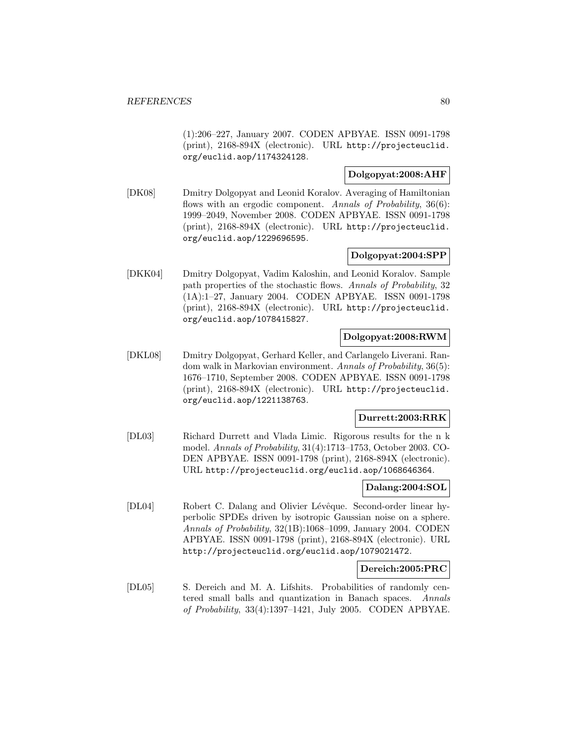(1):206–227, January 2007. CODEN APBYAE. ISSN 0091-1798 (print), 2168-894X (electronic). URL http://projecteuclid. org/euclid.aop/1174324128.

# **Dolgopyat:2008:AHF**

[DK08] Dmitry Dolgopyat and Leonid Koralov. Averaging of Hamiltonian flows with an ergodic component. Annals of Probability, 36(6): 1999–2049, November 2008. CODEN APBYAE. ISSN 0091-1798 (print), 2168-894X (electronic). URL http://projecteuclid. org/euclid.aop/1229696595.

## **Dolgopyat:2004:SPP**

[DKK04] Dmitry Dolgopyat, Vadim Kaloshin, and Leonid Koralov. Sample path properties of the stochastic flows. Annals of Probability, 32 (1A):1–27, January 2004. CODEN APBYAE. ISSN 0091-1798 (print), 2168-894X (electronic). URL http://projecteuclid. org/euclid.aop/1078415827.

### **Dolgopyat:2008:RWM**

[DKL08] Dmitry Dolgopyat, Gerhard Keller, and Carlangelo Liverani. Random walk in Markovian environment. Annals of Probability, 36(5): 1676–1710, September 2008. CODEN APBYAE. ISSN 0091-1798 (print), 2168-894X (electronic). URL http://projecteuclid. org/euclid.aop/1221138763.

# **Durrett:2003:RRK**

[DL03] Richard Durrett and Vlada Limic. Rigorous results for the n k model. Annals of Probability, 31(4):1713–1753, October 2003. CO-DEN APBYAE. ISSN 0091-1798 (print), 2168-894X (electronic). URL http://projecteuclid.org/euclid.aop/1068646364.

## **Dalang:2004:SOL**

[DL04] Robert C. Dalang and Olivier Lévêque. Second-order linear hyperbolic SPDEs driven by isotropic Gaussian noise on a sphere. Annals of Probability, 32(1B):1068–1099, January 2004. CODEN APBYAE. ISSN 0091-1798 (print), 2168-894X (electronic). URL http://projecteuclid.org/euclid.aop/1079021472.

## **Dereich:2005:PRC**

[DL05] S. Dereich and M. A. Lifshits. Probabilities of randomly centered small balls and quantization in Banach spaces. Annals of Probability, 33(4):1397–1421, July 2005. CODEN APBYAE.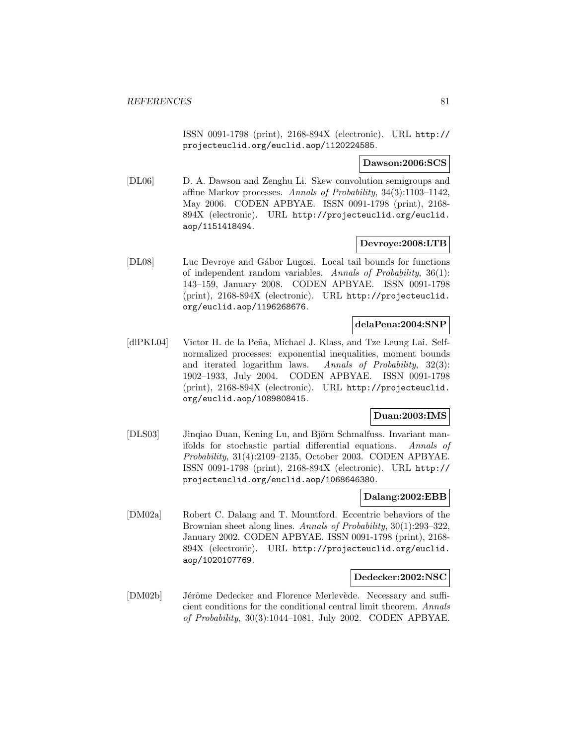ISSN 0091-1798 (print), 2168-894X (electronic). URL http:// projecteuclid.org/euclid.aop/1120224585.

### **Dawson:2006:SCS**

[DL06] D. A. Dawson and Zenghu Li. Skew convolution semigroups and affine Markov processes. Annals of Probability, 34(3):1103–1142, May 2006. CODEN APBYAE. ISSN 0091-1798 (print), 2168- 894X (electronic). URL http://projecteuclid.org/euclid. aop/1151418494.

## **Devroye:2008:LTB**

[DL08] Luc Devroye and G´abor Lugosi. Local tail bounds for functions of independent random variables. Annals of Probability, 36(1): 143–159, January 2008. CODEN APBYAE. ISSN 0091-1798 (print), 2168-894X (electronic). URL http://projecteuclid. org/euclid.aop/1196268676.

## **delaPena:2004:SNP**

[dlPKL04] Victor H. de la Peña, Michael J. Klass, and Tze Leung Lai. Selfnormalized processes: exponential inequalities, moment bounds and iterated logarithm laws. Annals of Probability, 32(3): 1902–1933, July 2004. CODEN APBYAE. ISSN 0091-1798 (print), 2168-894X (electronic). URL http://projecteuclid. org/euclid.aop/1089808415.

## **Duan:2003:IMS**

[DLS03] Jinqiao Duan, Kening Lu, and Björn Schmalfuss. Invariant manifolds for stochastic partial differential equations. Annals of Probability, 31(4):2109–2135, October 2003. CODEN APBYAE. ISSN 0091-1798 (print), 2168-894X (electronic). URL http:// projecteuclid.org/euclid.aop/1068646380.

### **Dalang:2002:EBB**

[DM02a] Robert C. Dalang and T. Mountford. Eccentric behaviors of the Brownian sheet along lines. Annals of Probability, 30(1):293–322, January 2002. CODEN APBYAE. ISSN 0091-1798 (print), 2168- 894X (electronic). URL http://projecteuclid.org/euclid. aop/1020107769.

#### **Dedecker:2002:NSC**

[DM02b] Jérôme Dedecker and Florence Merlevède. Necessary and sufficient conditions for the conditional central limit theorem. Annals of Probability, 30(3):1044–1081, July 2002. CODEN APBYAE.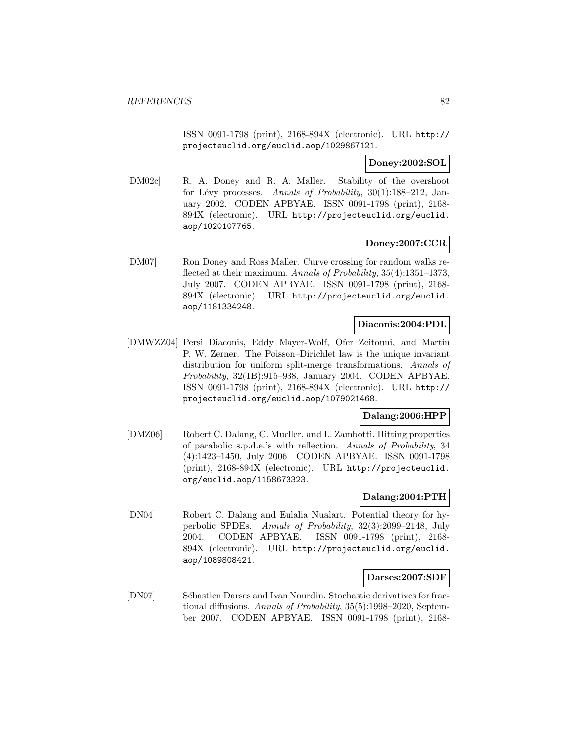ISSN 0091-1798 (print), 2168-894X (electronic). URL http:// projecteuclid.org/euclid.aop/1029867121.

## **Doney:2002:SOL**

[DM02c] R. A. Doney and R. A. Maller. Stability of the overshoot for Lévy processes. Annals of Probability,  $30(1):188-212$ , January 2002. CODEN APBYAE. ISSN 0091-1798 (print), 2168- 894X (electronic). URL http://projecteuclid.org/euclid. aop/1020107765.

## **Doney:2007:CCR**

[DM07] Ron Doney and Ross Maller. Curve crossing for random walks reflected at their maximum. Annals of Probability, 35(4):1351–1373, July 2007. CODEN APBYAE. ISSN 0091-1798 (print), 2168- 894X (electronic). URL http://projecteuclid.org/euclid. aop/1181334248.

## **Diaconis:2004:PDL**

[DMWZZ04] Persi Diaconis, Eddy Mayer-Wolf, Ofer Zeitouni, and Martin P. W. Zerner. The Poisson–Dirichlet law is the unique invariant distribution for uniform split-merge transformations. Annals of Probability, 32(1B):915–938, January 2004. CODEN APBYAE. ISSN 0091-1798 (print), 2168-894X (electronic). URL http:// projecteuclid.org/euclid.aop/1079021468.

## **Dalang:2006:HPP**

[DMZ06] Robert C. Dalang, C. Mueller, and L. Zambotti. Hitting properties of parabolic s.p.d.e.'s with reflection. Annals of Probability, 34 (4):1423–1450, July 2006. CODEN APBYAE. ISSN 0091-1798 (print), 2168-894X (electronic). URL http://projecteuclid. org/euclid.aop/1158673323.

## **Dalang:2004:PTH**

[DN04] Robert C. Dalang and Eulalia Nualart. Potential theory for hyperbolic SPDEs. Annals of Probability, 32(3):2099–2148, July 2004. CODEN APBYAE. ISSN 0091-1798 (print), 2168- 894X (electronic). URL http://projecteuclid.org/euclid. aop/1089808421.

## **Darses:2007:SDF**

[DN07] Sébastien Darses and Ivan Nourdin. Stochastic derivatives for fractional diffusions. Annals of Probability, 35(5):1998–2020, September 2007. CODEN APBYAE. ISSN 0091-1798 (print), 2168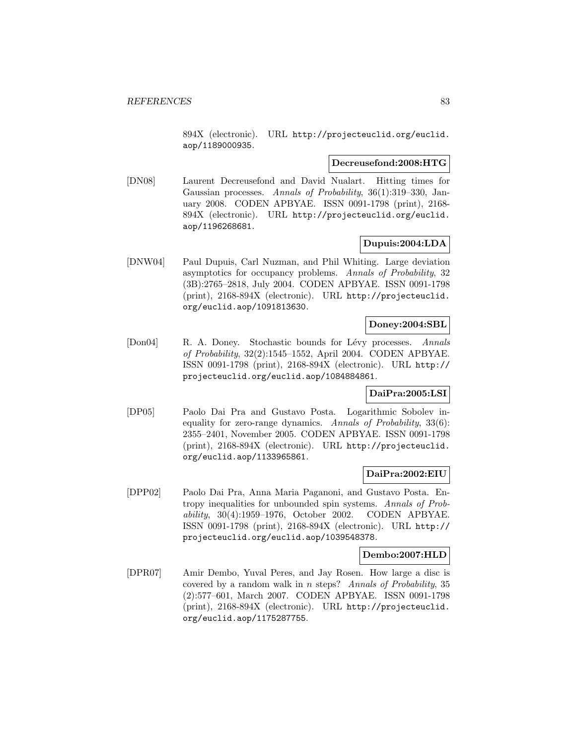894X (electronic). URL http://projecteuclid.org/euclid. aop/1189000935.

### **Decreusefond:2008:HTG**

[DN08] Laurent Decreusefond and David Nualart. Hitting times for Gaussian processes. Annals of Probability, 36(1):319–330, January 2008. CODEN APBYAE. ISSN 0091-1798 (print), 2168- 894X (electronic). URL http://projecteuclid.org/euclid. aop/1196268681.

### **Dupuis:2004:LDA**

[DNW04] Paul Dupuis, Carl Nuzman, and Phil Whiting. Large deviation asymptotics for occupancy problems. Annals of Probability, 32 (3B):2765–2818, July 2004. CODEN APBYAE. ISSN 0091-1798 (print), 2168-894X (electronic). URL http://projecteuclid. org/euclid.aop/1091813630.

## **Doney:2004:SBL**

[Don04] R. A. Doney. Stochastic bounds for Lévy processes. Annals of Probability, 32(2):1545–1552, April 2004. CODEN APBYAE. ISSN 0091-1798 (print), 2168-894X (electronic). URL http:// projecteuclid.org/euclid.aop/1084884861.

# **DaiPra:2005:LSI**

[DP05] Paolo Dai Pra and Gustavo Posta. Logarithmic Sobolev inequality for zero-range dynamics. Annals of Probability, 33(6): 2355–2401, November 2005. CODEN APBYAE. ISSN 0091-1798 (print), 2168-894X (electronic). URL http://projecteuclid. org/euclid.aop/1133965861.

## **DaiPra:2002:EIU**

[DPP02] Paolo Dai Pra, Anna Maria Paganoni, and Gustavo Posta. Entropy inequalities for unbounded spin systems. Annals of Probability, 30(4):1959–1976, October 2002. CODEN APBYAE. ISSN 0091-1798 (print), 2168-894X (electronic). URL http:// projecteuclid.org/euclid.aop/1039548378.

#### **Dembo:2007:HLD**

[DPR07] Amir Dembo, Yuval Peres, and Jay Rosen. How large a disc is covered by a random walk in n steps? Annals of Probability, 35 (2):577–601, March 2007. CODEN APBYAE. ISSN 0091-1798 (print), 2168-894X (electronic). URL http://projecteuclid. org/euclid.aop/1175287755.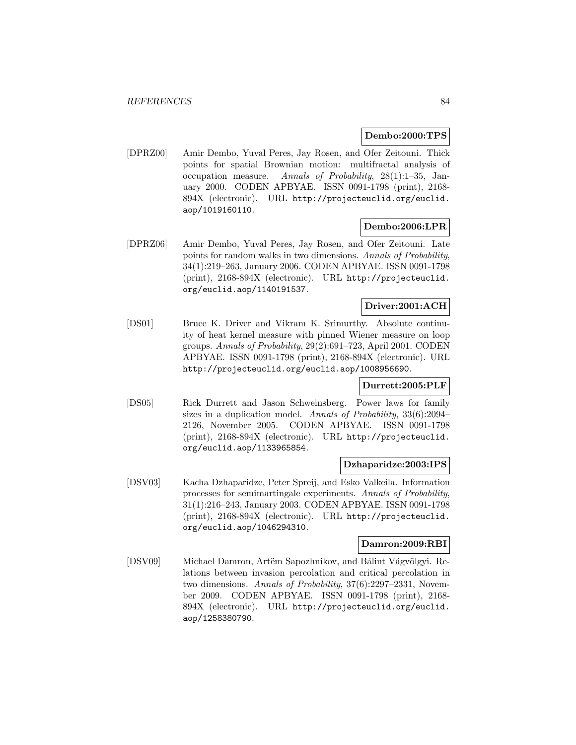## **Dembo:2000:TPS**

[DPRZ00] Amir Dembo, Yuval Peres, Jay Rosen, and Ofer Zeitouni. Thick points for spatial Brownian motion: multifractal analysis of occupation measure. Annals of Probability, 28(1):1–35, January 2000. CODEN APBYAE. ISSN 0091-1798 (print), 2168- 894X (electronic). URL http://projecteuclid.org/euclid. aop/1019160110.

## **Dembo:2006:LPR**

[DPRZ06] Amir Dembo, Yuval Peres, Jay Rosen, and Ofer Zeitouni. Late points for random walks in two dimensions. Annals of Probability, 34(1):219–263, January 2006. CODEN APBYAE. ISSN 0091-1798 (print), 2168-894X (electronic). URL http://projecteuclid. org/euclid.aop/1140191537.

## **Driver:2001:ACH**

[DS01] Bruce K. Driver and Vikram K. Srimurthy. Absolute continuity of heat kernel measure with pinned Wiener measure on loop groups. Annals of Probability, 29(2):691–723, April 2001. CODEN APBYAE. ISSN 0091-1798 (print), 2168-894X (electronic). URL http://projecteuclid.org/euclid.aop/1008956690.

#### **Durrett:2005:PLF**

[DS05] Rick Durrett and Jason Schweinsberg. Power laws for family sizes in a duplication model. Annals of Probability, 33(6):2094– 2126, November 2005. CODEN APBYAE. ISSN 0091-1798 (print), 2168-894X (electronic). URL http://projecteuclid. org/euclid.aop/1133965854.

#### **Dzhaparidze:2003:IPS**

[DSV03] Kacha Dzhaparidze, Peter Spreij, and Esko Valkeila. Information processes for semimartingale experiments. Annals of Probability, 31(1):216–243, January 2003. CODEN APBYAE. ISSN 0091-1798 (print), 2168-894X (electronic). URL http://projecteuclid. org/euclid.aop/1046294310.

## **Damron:2009:RBI**

[DSV09] Michael Damron, Artëm Sapozhnikov, and Bálint Vágvölgyi. Relations between invasion percolation and critical percolation in two dimensions. Annals of Probability, 37(6):2297–2331, November 2009. CODEN APBYAE. ISSN 0091-1798 (print), 2168- 894X (electronic). URL http://projecteuclid.org/euclid. aop/1258380790.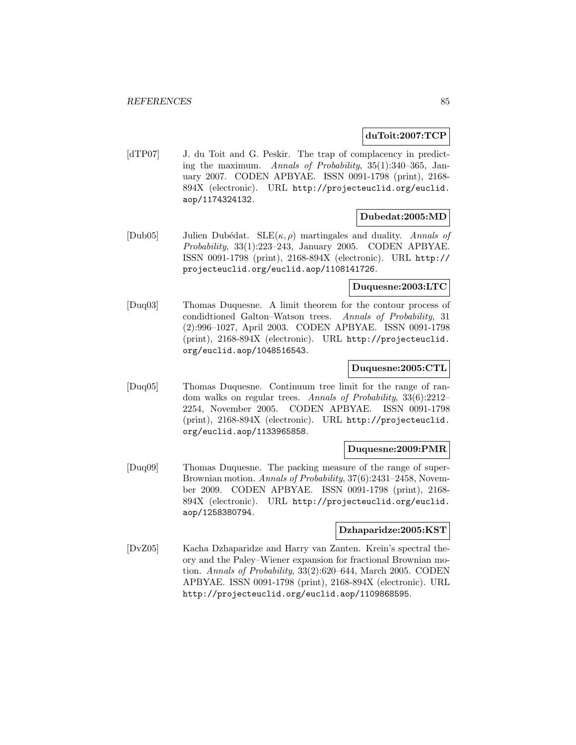### **duToit:2007:TCP**

[dTP07] J. du Toit and G. Peskir. The trap of complacency in predicting the maximum. Annals of Probability, 35(1):340–365, January 2007. CODEN APBYAE. ISSN 0091-1798 (print), 2168- 894X (electronic). URL http://projecteuclid.org/euclid. aop/1174324132.

## **Dubedat:2005:MD**

[Dub05] Julien Dubédat.  $SLE(\kappa, \rho)$  martingales and duality. Annals of Probability, 33(1):223–243, January 2005. CODEN APBYAE. ISSN 0091-1798 (print), 2168-894X (electronic). URL http:// projecteuclid.org/euclid.aop/1108141726.

### **Duquesne:2003:LTC**

[Duq03] Thomas Duquesne. A limit theorem for the contour process of condidtioned Galton–Watson trees. Annals of Probability, 31 (2):996–1027, April 2003. CODEN APBYAE. ISSN 0091-1798 (print), 2168-894X (electronic). URL http://projecteuclid. org/euclid.aop/1048516543.

### **Duquesne:2005:CTL**

[Duq05] Thomas Duquesne. Continuum tree limit for the range of random walks on regular trees. Annals of Probability, 33(6):2212– 2254, November 2005. CODEN APBYAE. ISSN 0091-1798 (print), 2168-894X (electronic). URL http://projecteuclid. org/euclid.aop/1133965858.

### **Duquesne:2009:PMR**

[Duq09] Thomas Duquesne. The packing measure of the range of super-Brownian motion. Annals of Probability, 37(6):2431–2458, November 2009. CODEN APBYAE. ISSN 0091-1798 (print), 2168- 894X (electronic). URL http://projecteuclid.org/euclid. aop/1258380794.

## **Dzhaparidze:2005:KST**

[DvZ05] Kacha Dzhaparidze and Harry van Zanten. Krein's spectral theory and the Paley–Wiener expansion for fractional Brownian motion. Annals of Probability, 33(2):620–644, March 2005. CODEN APBYAE. ISSN 0091-1798 (print), 2168-894X (electronic). URL http://projecteuclid.org/euclid.aop/1109868595.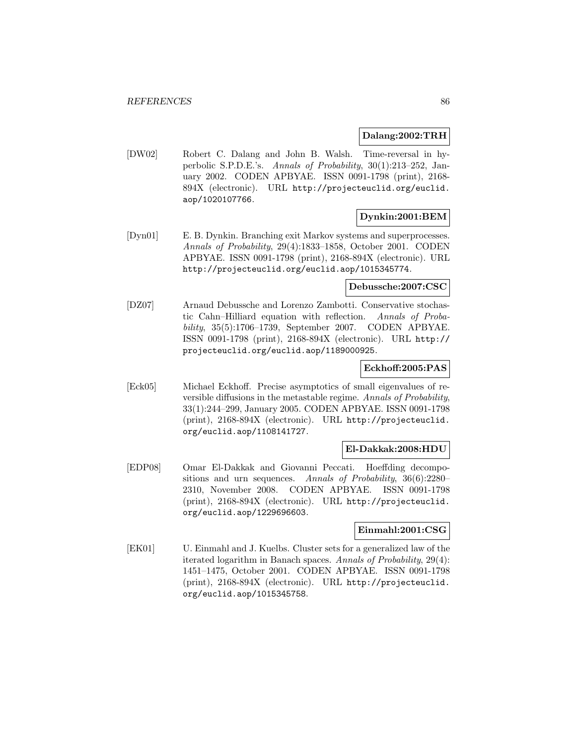#### **Dalang:2002:TRH**

[DW02] Robert C. Dalang and John B. Walsh. Time-reversal in hyperbolic S.P.D.E.'s. Annals of Probability, 30(1):213–252, January 2002. CODEN APBYAE. ISSN 0091-1798 (print), 2168- 894X (electronic). URL http://projecteuclid.org/euclid. aop/1020107766.

# **Dynkin:2001:BEM**

[Dyn01] E. B. Dynkin. Branching exit Markov systems and superprocesses. Annals of Probability, 29(4):1833–1858, October 2001. CODEN APBYAE. ISSN 0091-1798 (print), 2168-894X (electronic). URL http://projecteuclid.org/euclid.aop/1015345774.

#### **Debussche:2007:CSC**

[DZ07] Arnaud Debussche and Lorenzo Zambotti. Conservative stochastic Cahn–Hilliard equation with reflection. Annals of Probability, 35(5):1706–1739, September 2007. CODEN APBYAE. ISSN 0091-1798 (print), 2168-894X (electronic). URL http:// projecteuclid.org/euclid.aop/1189000925.

## **Eckhoff:2005:PAS**

[Eck05] Michael Eckhoff. Precise asymptotics of small eigenvalues of reversible diffusions in the metastable regime. Annals of Probability, 33(1):244–299, January 2005. CODEN APBYAE. ISSN 0091-1798 (print), 2168-894X (electronic). URL http://projecteuclid. org/euclid.aop/1108141727.

#### **El-Dakkak:2008:HDU**

[EDP08] Omar El-Dakkak and Giovanni Peccati. Hoeffding decompositions and urn sequences. Annals of Probability, 36(6):2280– 2310, November 2008. CODEN APBYAE. ISSN 0091-1798 (print), 2168-894X (electronic). URL http://projecteuclid. org/euclid.aop/1229696603.

## **Einmahl:2001:CSG**

[EK01] U. Einmahl and J. Kuelbs. Cluster sets for a generalized law of the iterated logarithm in Banach spaces. Annals of Probability, 29(4): 1451–1475, October 2001. CODEN APBYAE. ISSN 0091-1798 (print), 2168-894X (electronic). URL http://projecteuclid. org/euclid.aop/1015345758.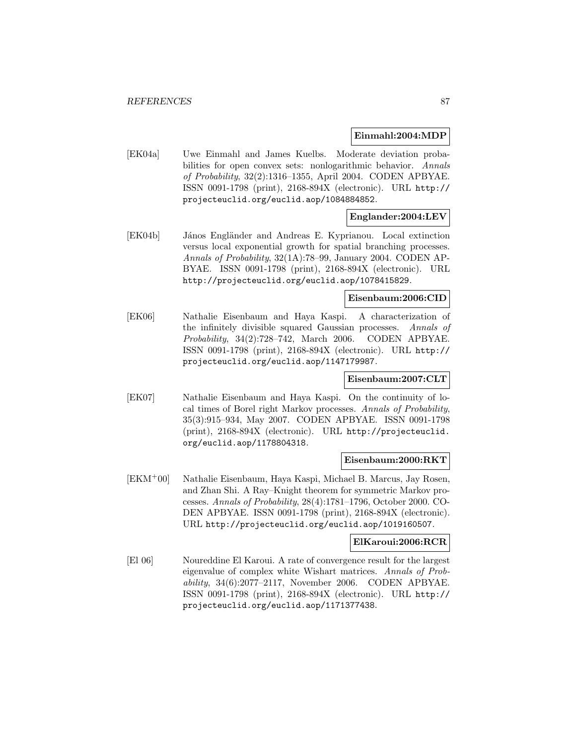### **Einmahl:2004:MDP**

[EK04a] Uwe Einmahl and James Kuelbs. Moderate deviation probabilities for open convex sets: nonlogarithmic behavior. Annals of Probability, 32(2):1316–1355, April 2004. CODEN APBYAE. ISSN 0091-1798 (print), 2168-894X (electronic). URL http:// projecteuclid.org/euclid.aop/1084884852.

## **Englander:2004:LEV**

[EK04b] János Engländer and Andreas E. Kyprianou. Local extinction versus local exponential growth for spatial branching processes. Annals of Probability, 32(1A):78–99, January 2004. CODEN AP-BYAE. ISSN 0091-1798 (print), 2168-894X (electronic). URL http://projecteuclid.org/euclid.aop/1078415829.

## **Eisenbaum:2006:CID**

[EK06] Nathalie Eisenbaum and Haya Kaspi. A characterization of the infinitely divisible squared Gaussian processes. Annals of Probability, 34(2):728–742, March 2006. CODEN APBYAE. ISSN 0091-1798 (print), 2168-894X (electronic). URL http:// projecteuclid.org/euclid.aop/1147179987.

## **Eisenbaum:2007:CLT**

[EK07] Nathalie Eisenbaum and Haya Kaspi. On the continuity of local times of Borel right Markov processes. Annals of Probability, 35(3):915–934, May 2007. CODEN APBYAE. ISSN 0091-1798 (print), 2168-894X (electronic). URL http://projecteuclid. org/euclid.aop/1178804318.

#### **Eisenbaum:2000:RKT**

[EKM<sup>+</sup>00] Nathalie Eisenbaum, Haya Kaspi, Michael B. Marcus, Jay Rosen, and Zhan Shi. A Ray–Knight theorem for symmetric Markov processes. Annals of Probability, 28(4):1781–1796, October 2000. CO-DEN APBYAE. ISSN 0091-1798 (print), 2168-894X (electronic). URL http://projecteuclid.org/euclid.aop/1019160507.

## **ElKaroui:2006:RCR**

[El 06] Noureddine El Karoui. A rate of convergence result for the largest eigenvalue of complex white Wishart matrices. Annals of Probability, 34(6):2077–2117, November 2006. CODEN APBYAE. ISSN 0091-1798 (print), 2168-894X (electronic). URL http:// projecteuclid.org/euclid.aop/1171377438.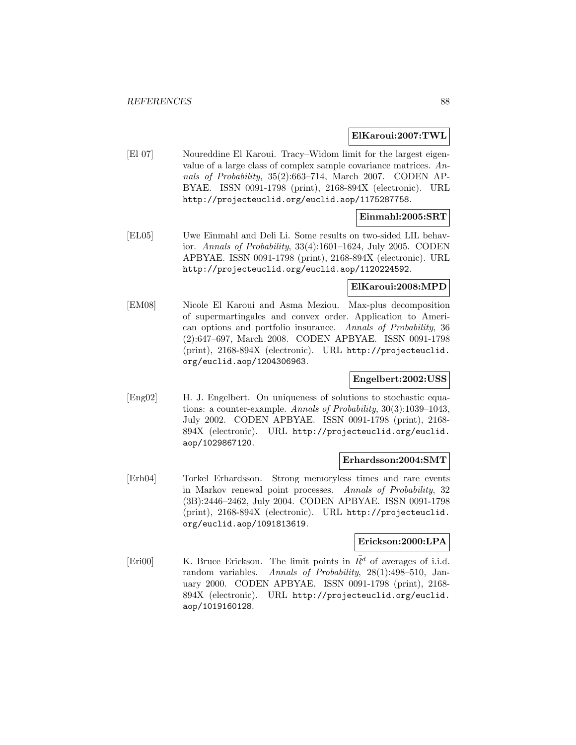### **ElKaroui:2007:TWL**

[El 07] Noureddine El Karoui. Tracy–Widom limit for the largest eigenvalue of a large class of complex sample covariance matrices. Annals of Probability, 35(2):663–714, March 2007. CODEN AP-BYAE. ISSN 0091-1798 (print), 2168-894X (electronic). URL http://projecteuclid.org/euclid.aop/1175287758.

## **Einmahl:2005:SRT**

[EL05] Uwe Einmahl and Deli Li. Some results on two-sided LIL behavior. Annals of Probability, 33(4):1601–1624, July 2005. CODEN APBYAE. ISSN 0091-1798 (print), 2168-894X (electronic). URL http://projecteuclid.org/euclid.aop/1120224592.

## **ElKaroui:2008:MPD**

[EM08] Nicole El Karoui and Asma Meziou. Max-plus decomposition of supermartingales and convex order. Application to American options and portfolio insurance. Annals of Probability, 36 (2):647–697, March 2008. CODEN APBYAE. ISSN 0091-1798 (print), 2168-894X (electronic). URL http://projecteuclid. org/euclid.aop/1204306963.

## **Engelbert:2002:USS**

[Eng02] H. J. Engelbert. On uniqueness of solutions to stochastic equations: a counter-example. Annals of Probability, 30(3):1039–1043, July 2002. CODEN APBYAE. ISSN 0091-1798 (print), 2168- 894X (electronic). URL http://projecteuclid.org/euclid. aop/1029867120.

#### **Erhardsson:2004:SMT**

[Erh04] Torkel Erhardsson. Strong memoryless times and rare events in Markov renewal point processes. Annals of Probability, 32 (3B):2446–2462, July 2004. CODEN APBYAE. ISSN 0091-1798 (print), 2168-894X (electronic). URL http://projecteuclid. org/euclid.aop/1091813619.

## **Erickson:2000:LPA**

[Eri00] K. Bruce Erickson. The limit points in  $\overline{R}^d$  of averages of i.i.d. random variables. Annals of Probability, 28(1):498–510, January 2000. CODEN APBYAE. ISSN 0091-1798 (print), 2168- 894X (electronic). URL http://projecteuclid.org/euclid. aop/1019160128.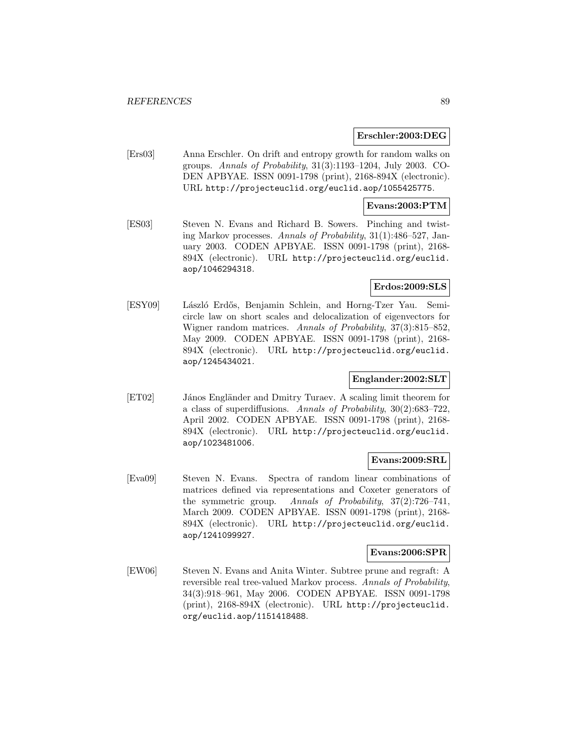### **Erschler:2003:DEG**

[Ers03] Anna Erschler. On drift and entropy growth for random walks on groups. Annals of Probability, 31(3):1193–1204, July 2003. CO-DEN APBYAE. ISSN 0091-1798 (print), 2168-894X (electronic). URL http://projecteuclid.org/euclid.aop/1055425775.

### **Evans:2003:PTM**

[ES03] Steven N. Evans and Richard B. Sowers. Pinching and twisting Markov processes. Annals of Probability, 31(1):486–527, January 2003. CODEN APBYAE. ISSN 0091-1798 (print), 2168- 894X (electronic). URL http://projecteuclid.org/euclid. aop/1046294318.

## **Erdos:2009:SLS**

[ESY09] László Erdős, Benjamin Schlein, and Horng-Tzer Yau. Semicircle law on short scales and delocalization of eigenvectors for Wigner random matrices. Annals of Probability, 37(3):815–852, May 2009. CODEN APBYAE. ISSN 0091-1798 (print), 2168- 894X (electronic). URL http://projecteuclid.org/euclid. aop/1245434021.

## **Englander:2002:SLT**

[ET02] János Engländer and Dmitry Turaev. A scaling limit theorem for a class of superdiffusions. Annals of Probability, 30(2):683–722, April 2002. CODEN APBYAE. ISSN 0091-1798 (print), 2168- 894X (electronic). URL http://projecteuclid.org/euclid. aop/1023481006.

#### **Evans:2009:SRL**

[Eva09] Steven N. Evans. Spectra of random linear combinations of matrices defined via representations and Coxeter generators of the symmetric group. Annals of Probability, 37(2):726–741, March 2009. CODEN APBYAE. ISSN 0091-1798 (print), 2168- 894X (electronic). URL http://projecteuclid.org/euclid. aop/1241099927.

#### **Evans:2006:SPR**

[EW06] Steven N. Evans and Anita Winter. Subtree prune and regraft: A reversible real tree-valued Markov process. Annals of Probability, 34(3):918–961, May 2006. CODEN APBYAE. ISSN 0091-1798 (print), 2168-894X (electronic). URL http://projecteuclid. org/euclid.aop/1151418488.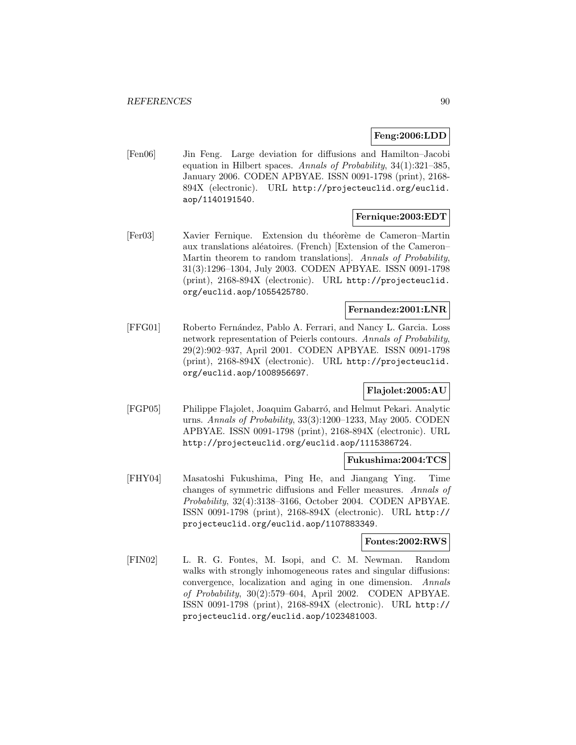## **Feng:2006:LDD**

[Fen06] Jin Feng. Large deviation for diffusions and Hamilton–Jacobi equation in Hilbert spaces. Annals of Probability, 34(1):321–385, January 2006. CODEN APBYAE. ISSN 0091-1798 (print), 2168- 894X (electronic). URL http://projecteuclid.org/euclid. aop/1140191540.

# **Fernique:2003:EDT**

[Fer03] Xavier Fernique. Extension du théorème de Cameron–Martin aux translations aléatoires. (French) [Extension of the Cameron– Martin theorem to random translations]. Annals of Probability, 31(3):1296–1304, July 2003. CODEN APBYAE. ISSN 0091-1798 (print), 2168-894X (electronic). URL http://projecteuclid. org/euclid.aop/1055425780.

## **Fernandez:2001:LNR**

[FFG01] Roberto Fern´andez, Pablo A. Ferrari, and Nancy L. Garcia. Loss network representation of Peierls contours. Annals of Probability, 29(2):902–937, April 2001. CODEN APBYAE. ISSN 0091-1798 (print), 2168-894X (electronic). URL http://projecteuclid. org/euclid.aop/1008956697.

# **Flajolet:2005:AU**

[FGP05] Philippe Flajolet, Joaquim Gabarró, and Helmut Pekari. Analytic urns. Annals of Probability, 33(3):1200–1233, May 2005. CODEN APBYAE. ISSN 0091-1798 (print), 2168-894X (electronic). URL http://projecteuclid.org/euclid.aop/1115386724.

## **Fukushima:2004:TCS**

[FHY04] Masatoshi Fukushima, Ping He, and Jiangang Ying. Time changes of symmetric diffusions and Feller measures. Annals of Probability, 32(4):3138–3166, October 2004. CODEN APBYAE. ISSN 0091-1798 (print), 2168-894X (electronic). URL http:// projecteuclid.org/euclid.aop/1107883349.

## **Fontes:2002:RWS**

[FIN02] L. R. G. Fontes, M. Isopi, and C. M. Newman. Random walks with strongly inhomogeneous rates and singular diffusions: convergence, localization and aging in one dimension. Annals of Probability, 30(2):579–604, April 2002. CODEN APBYAE. ISSN 0091-1798 (print), 2168-894X (electronic). URL http:// projecteuclid.org/euclid.aop/1023481003.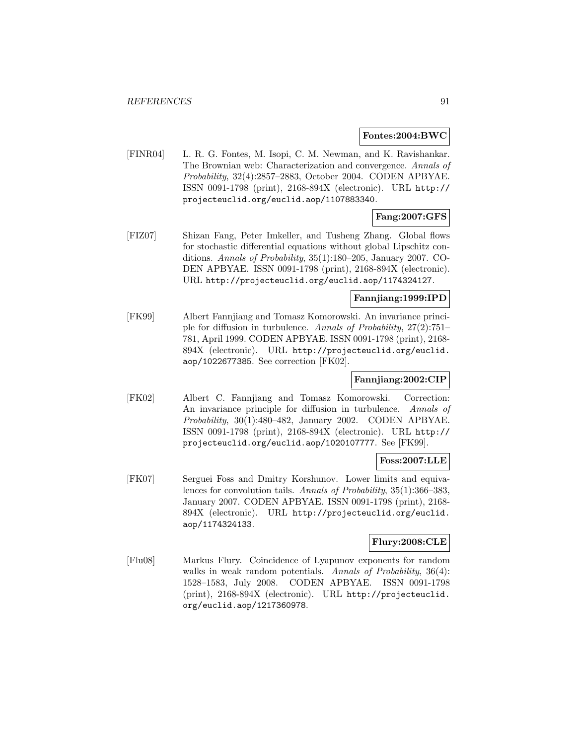#### **Fontes:2004:BWC**

[FINR04] L. R. G. Fontes, M. Isopi, C. M. Newman, and K. Ravishankar. The Brownian web: Characterization and convergence. Annals of Probability, 32(4):2857–2883, October 2004. CODEN APBYAE. ISSN 0091-1798 (print), 2168-894X (electronic). URL http:// projecteuclid.org/euclid.aop/1107883340.

# **Fang:2007:GFS**

[FIZ07] Shizan Fang, Peter Imkeller, and Tusheng Zhang. Global flows for stochastic differential equations without global Lipschitz conditions. Annals of Probability, 35(1):180–205, January 2007. CO-DEN APBYAE. ISSN 0091-1798 (print), 2168-894X (electronic). URL http://projecteuclid.org/euclid.aop/1174324127.

# **Fannjiang:1999:IPD**

[FK99] Albert Fannjiang and Tomasz Komorowski. An invariance principle for diffusion in turbulence. Annals of Probability, 27(2):751– 781, April 1999. CODEN APBYAE. ISSN 0091-1798 (print), 2168- 894X (electronic). URL http://projecteuclid.org/euclid. aop/1022677385. See correction [FK02].

# **Fannjiang:2002:CIP**

[FK02] Albert C. Fannjiang and Tomasz Komorowski. Correction: An invariance principle for diffusion in turbulence. Annals of Probability, 30(1):480–482, January 2002. CODEN APBYAE. ISSN 0091-1798 (print), 2168-894X (electronic). URL http:// projecteuclid.org/euclid.aop/1020107777. See [FK99].

## **Foss:2007:LLE**

[FK07] Serguei Foss and Dmitry Korshunov. Lower limits and equivalences for convolution tails. Annals of Probability, 35(1):366–383, January 2007. CODEN APBYAE. ISSN 0091-1798 (print), 2168- 894X (electronic). URL http://projecteuclid.org/euclid. aop/1174324133.

## **Flury:2008:CLE**

[Flu08] Markus Flury. Coincidence of Lyapunov exponents for random walks in weak random potentials. Annals of Probability, 36(4): 1528–1583, July 2008. CODEN APBYAE. ISSN 0091-1798 (print), 2168-894X (electronic). URL http://projecteuclid. org/euclid.aop/1217360978.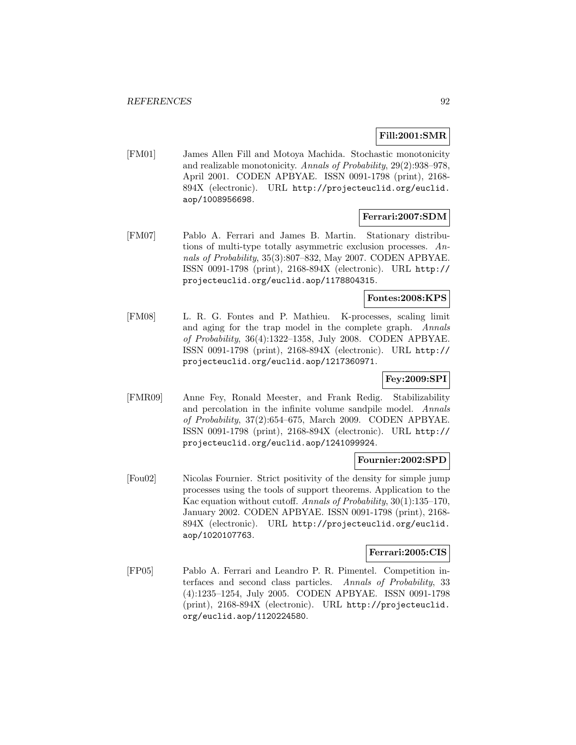# **Fill:2001:SMR**

[FM01] James Allen Fill and Motoya Machida. Stochastic monotonicity and realizable monotonicity. Annals of Probability, 29(2):938–978, April 2001. CODEN APBYAE. ISSN 0091-1798 (print), 2168- 894X (electronic). URL http://projecteuclid.org/euclid. aop/1008956698.

## **Ferrari:2007:SDM**

[FM07] Pablo A. Ferrari and James B. Martin. Stationary distributions of multi-type totally asymmetric exclusion processes. Annals of Probability, 35(3):807–832, May 2007. CODEN APBYAE. ISSN 0091-1798 (print), 2168-894X (electronic). URL http:// projecteuclid.org/euclid.aop/1178804315.

## **Fontes:2008:KPS**

[FM08] L. R. G. Fontes and P. Mathieu. K-processes, scaling limit and aging for the trap model in the complete graph. Annals of Probability, 36(4):1322–1358, July 2008. CODEN APBYAE. ISSN 0091-1798 (print), 2168-894X (electronic). URL http:// projecteuclid.org/euclid.aop/1217360971.

## **Fey:2009:SPI**

[FMR09] Anne Fey, Ronald Meester, and Frank Redig. Stabilizability and percolation in the infinite volume sandpile model. Annals of Probability, 37(2):654–675, March 2009. CODEN APBYAE. ISSN 0091-1798 (print), 2168-894X (electronic). URL http:// projecteuclid.org/euclid.aop/1241099924.

#### **Fournier:2002:SPD**

[Fou02] Nicolas Fournier. Strict positivity of the density for simple jump processes using the tools of support theorems. Application to the Kac equation without cutoff. Annals of Probability, 30(1):135–170, January 2002. CODEN APBYAE. ISSN 0091-1798 (print), 2168- 894X (electronic). URL http://projecteuclid.org/euclid. aop/1020107763.

#### **Ferrari:2005:CIS**

[FP05] Pablo A. Ferrari and Leandro P. R. Pimentel. Competition interfaces and second class particles. Annals of Probability, 33 (4):1235–1254, July 2005. CODEN APBYAE. ISSN 0091-1798 (print), 2168-894X (electronic). URL http://projecteuclid. org/euclid.aop/1120224580.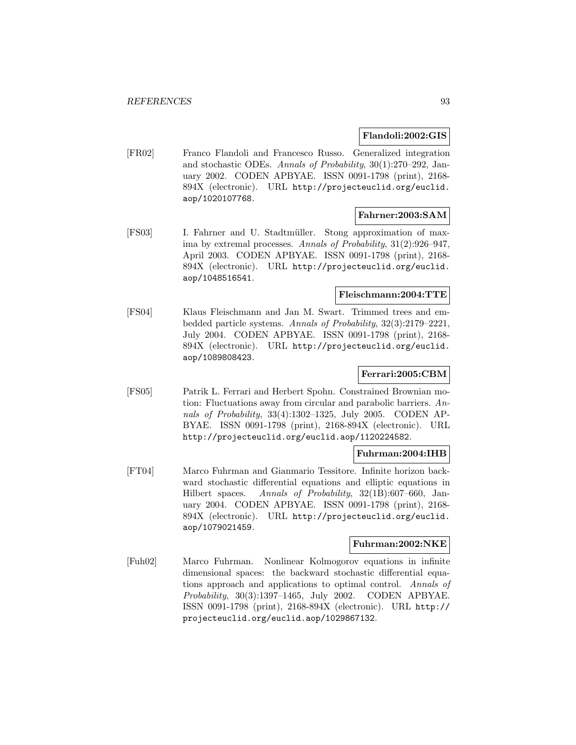## **Flandoli:2002:GIS**

[FR02] Franco Flandoli and Francesco Russo. Generalized integration and stochastic ODEs. Annals of Probability, 30(1):270–292, January 2002. CODEN APBYAE. ISSN 0091-1798 (print), 2168- 894X (electronic). URL http://projecteuclid.org/euclid. aop/1020107768.

# **Fahrner:2003:SAM**

[FS03] I. Fahrner and U. Stadtmüller. Stong approximation of maxima by extremal processes. Annals of Probability, 31(2):926–947, April 2003. CODEN APBYAE. ISSN 0091-1798 (print), 2168- 894X (electronic). URL http://projecteuclid.org/euclid. aop/1048516541.

## **Fleischmann:2004:TTE**

[FS04] Klaus Fleischmann and Jan M. Swart. Trimmed trees and embedded particle systems. Annals of Probability, 32(3):2179–2221, July 2004. CODEN APBYAE. ISSN 0091-1798 (print), 2168- 894X (electronic). URL http://projecteuclid.org/euclid. aop/1089808423.

# **Ferrari:2005:CBM**

[FS05] Patrik L. Ferrari and Herbert Spohn. Constrained Brownian motion: Fluctuations away from circular and parabolic barriers. Annals of Probability, 33(4):1302–1325, July 2005. CODEN AP-BYAE. ISSN 0091-1798 (print), 2168-894X (electronic). URL http://projecteuclid.org/euclid.aop/1120224582.

## **Fuhrman:2004:IHB**

[FT04] Marco Fuhrman and Gianmario Tessitore. Infinite horizon backward stochastic differential equations and elliptic equations in Hilbert spaces. Annals of Probability, 32(1B):607–660, January 2004. CODEN APBYAE. ISSN 0091-1798 (print), 2168- 894X (electronic). URL http://projecteuclid.org/euclid. aop/1079021459.

# **Fuhrman:2002:NKE**

[Fuh02] Marco Fuhrman. Nonlinear Kolmogorov equations in infinite dimensional spaces: the backward stochastic differential equations approach and applications to optimal control. Annals of Probability, 30(3):1397–1465, July 2002. CODEN APBYAE. ISSN 0091-1798 (print), 2168-894X (electronic). URL http:// projecteuclid.org/euclid.aop/1029867132.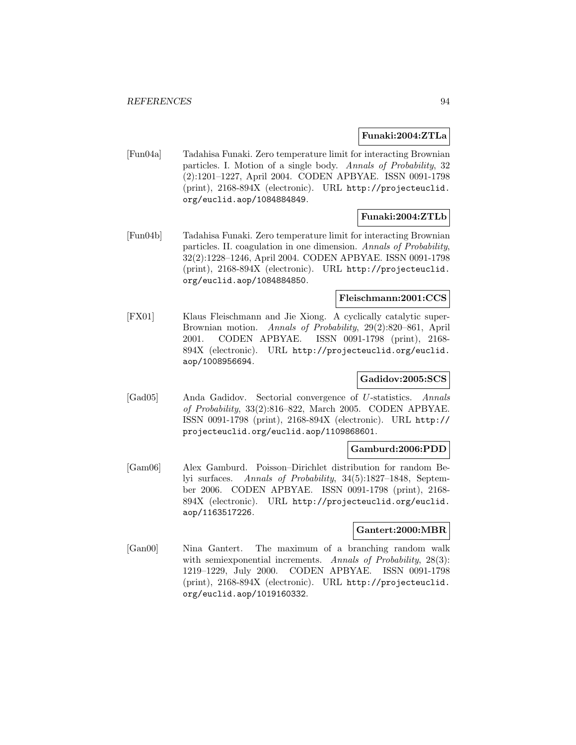### **Funaki:2004:ZTLa**

[Fun04a] Tadahisa Funaki. Zero temperature limit for interacting Brownian particles. I. Motion of a single body. Annals of Probability, 32 (2):1201–1227, April 2004. CODEN APBYAE. ISSN 0091-1798 (print), 2168-894X (electronic). URL http://projecteuclid. org/euclid.aop/1084884849.

## **Funaki:2004:ZTLb**

[Fun04b] Tadahisa Funaki. Zero temperature limit for interacting Brownian particles. II. coagulation in one dimension. Annals of Probability, 32(2):1228–1246, April 2004. CODEN APBYAE. ISSN 0091-1798 (print), 2168-894X (electronic). URL http://projecteuclid. org/euclid.aop/1084884850.

## **Fleischmann:2001:CCS**

[FX01] Klaus Fleischmann and Jie Xiong. A cyclically catalytic super-Brownian motion. Annals of Probability, 29(2):820–861, April 2001. CODEN APBYAE. ISSN 0091-1798 (print), 2168- 894X (electronic). URL http://projecteuclid.org/euclid. aop/1008956694.

## **Gadidov:2005:SCS**

[Gad05] Anda Gadidov. Sectorial convergence of U-statistics. Annals of Probability, 33(2):816–822, March 2005. CODEN APBYAE. ISSN 0091-1798 (print), 2168-894X (electronic). URL http:// projecteuclid.org/euclid.aop/1109868601.

### **Gamburd:2006:PDD**

[Gam06] Alex Gamburd. Poisson–Dirichlet distribution for random Belyi surfaces. Annals of Probability, 34(5):1827–1848, September 2006. CODEN APBYAE. ISSN 0091-1798 (print), 2168- 894X (electronic). URL http://projecteuclid.org/euclid. aop/1163517226.

#### **Gantert:2000:MBR**

[Gan00] Nina Gantert. The maximum of a branching random walk with semiexponential increments. Annals of Probability, 28(3): 1219–1229, July 2000. CODEN APBYAE. ISSN 0091-1798 (print), 2168-894X (electronic). URL http://projecteuclid. org/euclid.aop/1019160332.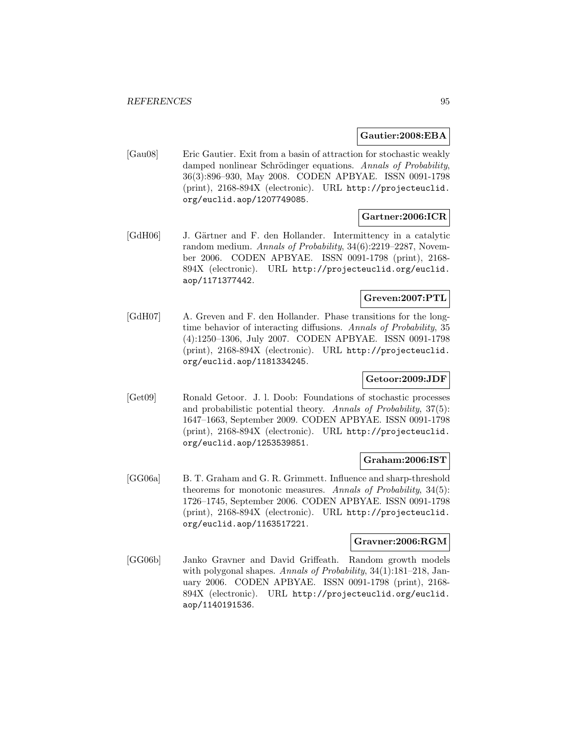### **Gautier:2008:EBA**

[Gau08] Eric Gautier. Exit from a basin of attraction for stochastic weakly damped nonlinear Schrödinger equations. Annals of Probability, 36(3):896–930, May 2008. CODEN APBYAE. ISSN 0091-1798 (print), 2168-894X (electronic). URL http://projecteuclid. org/euclid.aop/1207749085.

## **Gartner:2006:ICR**

[GdH06] J. Gärtner and F. den Hollander. Intermittency in a catalytic random medium. Annals of Probability, 34(6):2219–2287, November 2006. CODEN APBYAE. ISSN 0091-1798 (print), 2168- 894X (electronic). URL http://projecteuclid.org/euclid. aop/1171377442.

# **Greven:2007:PTL**

[GdH07] A. Greven and F. den Hollander. Phase transitions for the longtime behavior of interacting diffusions. Annals of Probability, 35 (4):1250–1306, July 2007. CODEN APBYAE. ISSN 0091-1798 (print), 2168-894X (electronic). URL http://projecteuclid. org/euclid.aop/1181334245.

## **Getoor:2009:JDF**

[Get09] Ronald Getoor. J. l. Doob: Foundations of stochastic processes and probabilistic potential theory. Annals of Probability, 37(5): 1647–1663, September 2009. CODEN APBYAE. ISSN 0091-1798 (print), 2168-894X (electronic). URL http://projecteuclid. org/euclid.aop/1253539851.

### **Graham:2006:IST**

[GG06a] B. T. Graham and G. R. Grimmett. Influence and sharp-threshold theorems for monotonic measures. Annals of Probability, 34(5): 1726–1745, September 2006. CODEN APBYAE. ISSN 0091-1798 (print), 2168-894X (electronic). URL http://projecteuclid. org/euclid.aop/1163517221.

## **Gravner:2006:RGM**

[GG06b] Janko Gravner and David Griffeath. Random growth models with polygonal shapes. Annals of Probability, 34(1):181-218, January 2006. CODEN APBYAE. ISSN 0091-1798 (print), 2168- 894X (electronic). URL http://projecteuclid.org/euclid. aop/1140191536.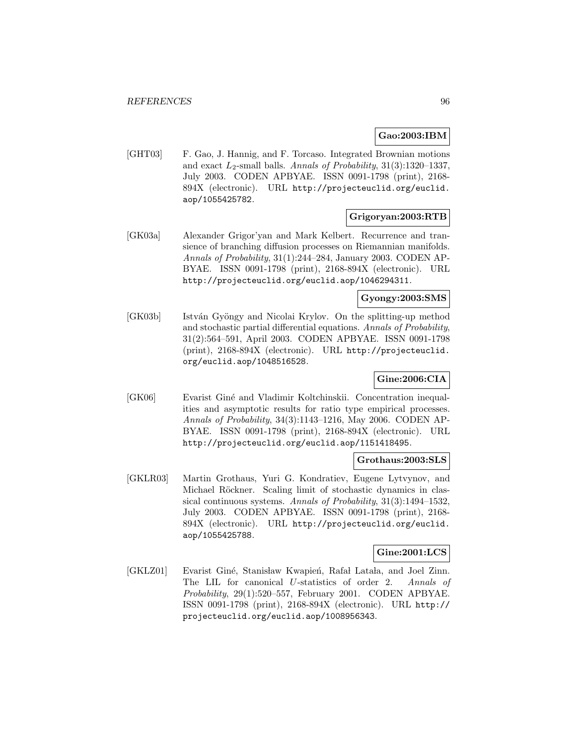## **Gao:2003:IBM**

[GHT03] F. Gao, J. Hannig, and F. Torcaso. Integrated Brownian motions and exact  $L_2$ -small balls. Annals of Probability, 31(3):1320–1337, July 2003. CODEN APBYAE. ISSN 0091-1798 (print), 2168- 894X (electronic). URL http://projecteuclid.org/euclid. aop/1055425782.

## **Grigoryan:2003:RTB**

[GK03a] Alexander Grigor'yan and Mark Kelbert. Recurrence and transience of branching diffusion processes on Riemannian manifolds. Annals of Probability, 31(1):244–284, January 2003. CODEN AP-BYAE. ISSN 0091-1798 (print), 2168-894X (electronic). URL http://projecteuclid.org/euclid.aop/1046294311.

# **Gyongy:2003:SMS**

[GK03b] István Gyöngy and Nicolai Krylov. On the splitting-up method and stochastic partial differential equations. Annals of Probability, 31(2):564–591, April 2003. CODEN APBYAE. ISSN 0091-1798 (print), 2168-894X (electronic). URL http://projecteuclid. org/euclid.aop/1048516528.

# **Gine:2006:CIA**

[GK06] Evarist Giné and Vladimir Koltchinskii. Concentration inequalities and asymptotic results for ratio type empirical processes. Annals of Probability, 34(3):1143–1216, May 2006. CODEN AP-BYAE. ISSN 0091-1798 (print), 2168-894X (electronic). URL http://projecteuclid.org/euclid.aop/1151418495.

## **Grothaus:2003:SLS**

[GKLR03] Martin Grothaus, Yuri G. Kondratiev, Eugene Lytvynov, and Michael Röckner. Scaling limit of stochastic dynamics in classical continuous systems. Annals of Probability, 31(3):1494–1532, July 2003. CODEN APBYAE. ISSN 0091-1798 (print), 2168- 894X (electronic). URL http://projecteuclid.org/euclid. aop/1055425788.

## **Gine:2001:LCS**

[GKLZ01] Evarist Giné, Stanisław Kwapień, Rafał Latała, and Joel Zinn. The LIL for canonical U-statistics of order 2. Annals of Probability, 29(1):520–557, February 2001. CODEN APBYAE. ISSN 0091-1798 (print), 2168-894X (electronic). URL http:// projecteuclid.org/euclid.aop/1008956343.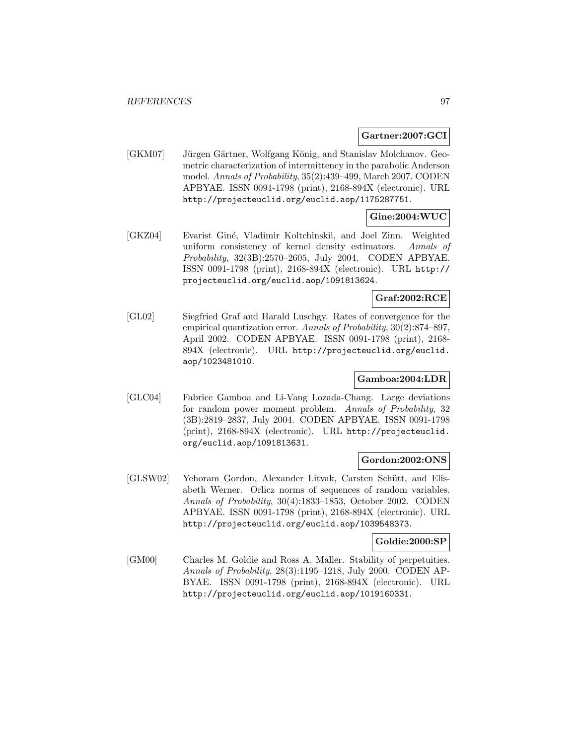### **Gartner:2007:GCI**

[GKM07] Jürgen Gärtner, Wolfgang König, and Stanislav Molchanov. Geometric characterization of intermittency in the parabolic Anderson model. Annals of Probability, 35(2):439–499, March 2007. CODEN APBYAE. ISSN 0091-1798 (print), 2168-894X (electronic). URL http://projecteuclid.org/euclid.aop/1175287751.

# **Gine:2004:WUC**

[GKZ04] Evarist Giné, Vladimir Koltchinskii, and Joel Zinn. Weighted uniform consistency of kernel density estimators. Annals of Probability, 32(3B):2570–2605, July 2004. CODEN APBYAE. ISSN 0091-1798 (print), 2168-894X (electronic). URL http:// projecteuclid.org/euclid.aop/1091813624.

# **Graf:2002:RCE**

[GL02] Siegfried Graf and Harald Luschgy. Rates of convergence for the empirical quantization error. Annals of Probability, 30(2):874–897, April 2002. CODEN APBYAE. ISSN 0091-1798 (print), 2168- 894X (electronic). URL http://projecteuclid.org/euclid. aop/1023481010.

# **Gamboa:2004:LDR**

[GLC04] Fabrice Gamboa and Li-Vang Lozada-Chang. Large deviations for random power moment problem. Annals of Probability, 32 (3B):2819–2837, July 2004. CODEN APBYAE. ISSN 0091-1798 (print), 2168-894X (electronic). URL http://projecteuclid. org/euclid.aop/1091813631.

## **Gordon:2002:ONS**

[GLSW02] Yehoram Gordon, Alexander Litvak, Carsten Schütt, and Elisabeth Werner. Orlicz norms of sequences of random variables. Annals of Probability, 30(4):1833–1853, October 2002. CODEN APBYAE. ISSN 0091-1798 (print), 2168-894X (electronic). URL http://projecteuclid.org/euclid.aop/1039548373.

## **Goldie:2000:SP**

[GM00] Charles M. Goldie and Ross A. Maller. Stability of perpetuities. Annals of Probability, 28(3):1195–1218, July 2000. CODEN AP-BYAE. ISSN 0091-1798 (print), 2168-894X (electronic). URL http://projecteuclid.org/euclid.aop/1019160331.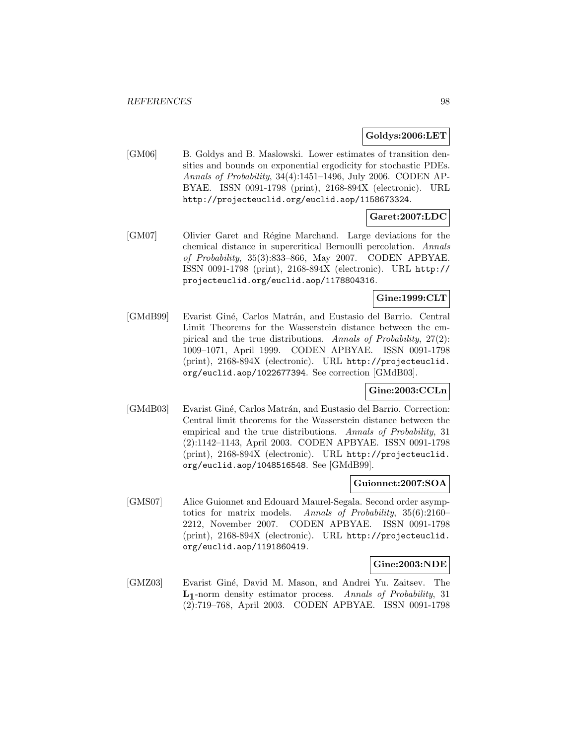### **Goldys:2006:LET**

[GM06] B. Goldys and B. Maslowski. Lower estimates of transition densities and bounds on exponential ergodicity for stochastic PDEs. Annals of Probability, 34(4):1451–1496, July 2006. CODEN AP-BYAE. ISSN 0091-1798 (print), 2168-894X (electronic). URL http://projecteuclid.org/euclid.aop/1158673324.

# **Garet:2007:LDC**

[GM07] Olivier Garet and R´egine Marchand. Large deviations for the chemical distance in supercritical Bernoulli percolation. Annals of Probability, 35(3):833–866, May 2007. CODEN APBYAE. ISSN 0091-1798 (print), 2168-894X (electronic). URL http:// projecteuclid.org/euclid.aop/1178804316.

# **Gine:1999:CLT**

[GMdB99] Evarist Giné, Carlos Matrán, and Eustasio del Barrio. Central Limit Theorems for the Wasserstein distance between the empirical and the true distributions. Annals of Probability, 27(2): 1009–1071, April 1999. CODEN APBYAE. ISSN 0091-1798 (print), 2168-894X (electronic). URL http://projecteuclid. org/euclid.aop/1022677394. See correction [GMdB03].

## **Gine:2003:CCLn**

[GMdB03] Evarist Giné, Carlos Matrán, and Eustasio del Barrio. Correction: Central limit theorems for the Wasserstein distance between the empirical and the true distributions. Annals of Probability, 31 (2):1142–1143, April 2003. CODEN APBYAE. ISSN 0091-1798 (print), 2168-894X (electronic). URL http://projecteuclid. org/euclid.aop/1048516548. See [GMdB99].

#### **Guionnet:2007:SOA**

[GMS07] Alice Guionnet and Edouard Maurel-Segala. Second order asymptotics for matrix models. Annals of Probability, 35(6):2160– 2212, November 2007. CODEN APBYAE. ISSN 0091-1798 (print), 2168-894X (electronic). URL http://projecteuclid. org/euclid.aop/1191860419.

## **Gine:2003:NDE**

[GMZ03] Evarist Giné, David M. Mason, and Andrei Yu. Zaitsev. The **L1**-norm density estimator process. Annals of Probability, 31 (2):719–768, April 2003. CODEN APBYAE. ISSN 0091-1798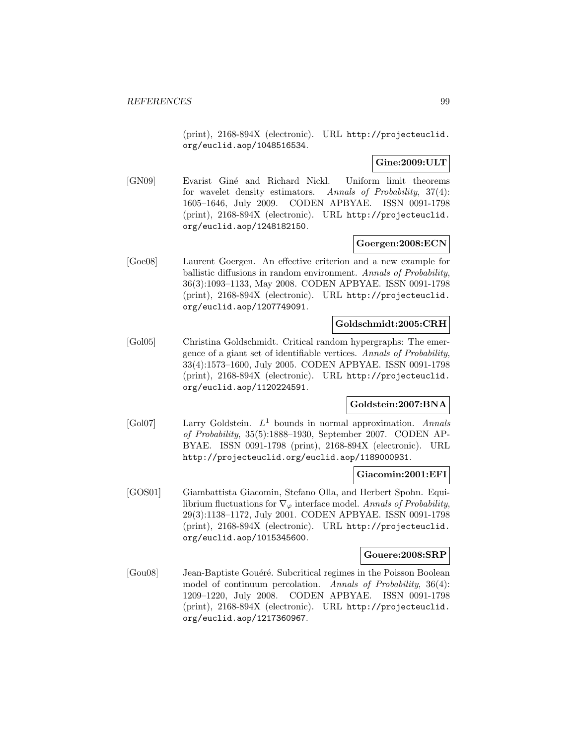(print), 2168-894X (electronic). URL http://projecteuclid. org/euclid.aop/1048516534.

## **Gine:2009:ULT**

[GN09] Evarist Gin´e and Richard Nickl. Uniform limit theorems for wavelet density estimators. Annals of Probability, 37(4): 1605–1646, July 2009. CODEN APBYAE. ISSN 0091-1798 (print), 2168-894X (electronic). URL http://projecteuclid. org/euclid.aop/1248182150.

## **Goergen:2008:ECN**

[Goe08] Laurent Goergen. An effective criterion and a new example for ballistic diffusions in random environment. Annals of Probability, 36(3):1093–1133, May 2008. CODEN APBYAE. ISSN 0091-1798 (print), 2168-894X (electronic). URL http://projecteuclid. org/euclid.aop/1207749091.

## **Goldschmidt:2005:CRH**

[Gol05] Christina Goldschmidt. Critical random hypergraphs: The emergence of a giant set of identifiable vertices. Annals of Probability, 33(4):1573–1600, July 2005. CODEN APBYAE. ISSN 0091-1798 (print), 2168-894X (electronic). URL http://projecteuclid. org/euclid.aop/1120224591.

## **Goldstein:2007:BNA**

[Gol07] Larry Goldstein. L<sup>1</sup> bounds in normal approximation. Annals of Probability, 35(5):1888–1930, September 2007. CODEN AP-BYAE. ISSN 0091-1798 (print), 2168-894X (electronic). URL http://projecteuclid.org/euclid.aop/1189000931.

## **Giacomin:2001:EFI**

[GOS01] Giambattista Giacomin, Stefano Olla, and Herbert Spohn. Equilibrium fluctuations for  $\nabla_{\varphi}$  interface model. Annals of Probability, 29(3):1138–1172, July 2001. CODEN APBYAE. ISSN 0091-1798 (print), 2168-894X (electronic). URL http://projecteuclid. org/euclid.aop/1015345600.

#### **Gouere:2008:SRP**

[Gou08] Jean-Baptiste Gouéré. Subcritical regimes in the Poisson Boolean model of continuum percolation. Annals of Probability, 36(4): 1209–1220, July 2008. CODEN APBYAE. ISSN 0091-1798 (print), 2168-894X (electronic). URL http://projecteuclid. org/euclid.aop/1217360967.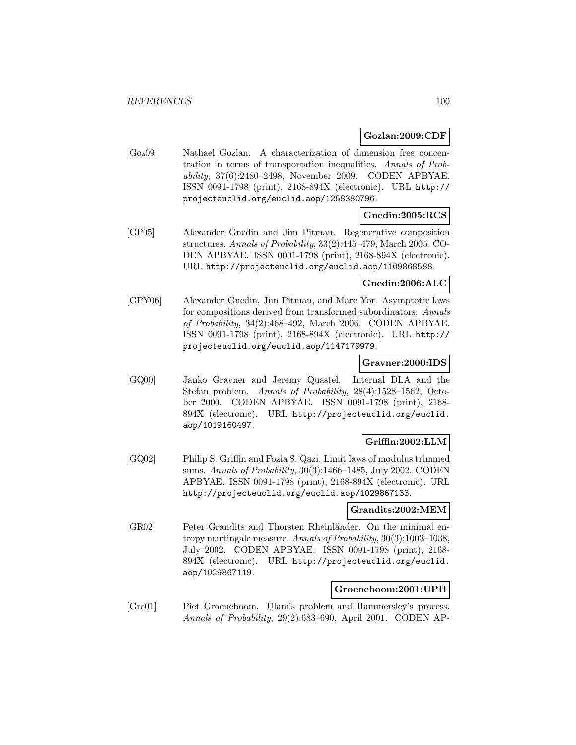### **Gozlan:2009:CDF**

[Goz09] Nathael Gozlan. A characterization of dimension free concentration in terms of transportation inequalities. Annals of Probability, 37(6):2480–2498, November 2009. CODEN APBYAE. ISSN 0091-1798 (print), 2168-894X (electronic). URL http:// projecteuclid.org/euclid.aop/1258380796.

## **Gnedin:2005:RCS**

[GP05] Alexander Gnedin and Jim Pitman. Regenerative composition structures. Annals of Probability, 33(2):445–479, March 2005. CO-DEN APBYAE. ISSN 0091-1798 (print), 2168-894X (electronic). URL http://projecteuclid.org/euclid.aop/1109868588.

## **Gnedin:2006:ALC**

[GPY06] Alexander Gnedin, Jim Pitman, and Marc Yor. Asymptotic laws for compositions derived from transformed subordinators. Annals of Probability, 34(2):468–492, March 2006. CODEN APBYAE. ISSN 0091-1798 (print), 2168-894X (electronic). URL http:// projecteuclid.org/euclid.aop/1147179979.

## **Gravner:2000:IDS**

[GQ00] Janko Gravner and Jeremy Quastel. Internal DLA and the Stefan problem. Annals of Probability, 28(4):1528–1562, October 2000. CODEN APBYAE. ISSN 0091-1798 (print), 2168- 894X (electronic). URL http://projecteuclid.org/euclid. aop/1019160497.

# **Griffin:2002:LLM**

[GQ02] Philip S. Griffin and Fozia S. Qazi. Limit laws of modulus trimmed sums. Annals of Probability, 30(3):1466–1485, July 2002. CODEN APBYAE. ISSN 0091-1798 (print), 2168-894X (electronic). URL http://projecteuclid.org/euclid.aop/1029867133.

# **Grandits:2002:MEM**

[GR02] Peter Grandits and Thorsten Rheinländer. On the minimal entropy martingale measure. Annals of Probability, 30(3):1003–1038, July 2002. CODEN APBYAE. ISSN 0091-1798 (print), 2168- 894X (electronic). URL http://projecteuclid.org/euclid. aop/1029867119.

## **Groeneboom:2001:UPH**

[Gro01] Piet Groeneboom. Ulam's problem and Hammersley's process. Annals of Probability, 29(2):683–690, April 2001. CODEN AP-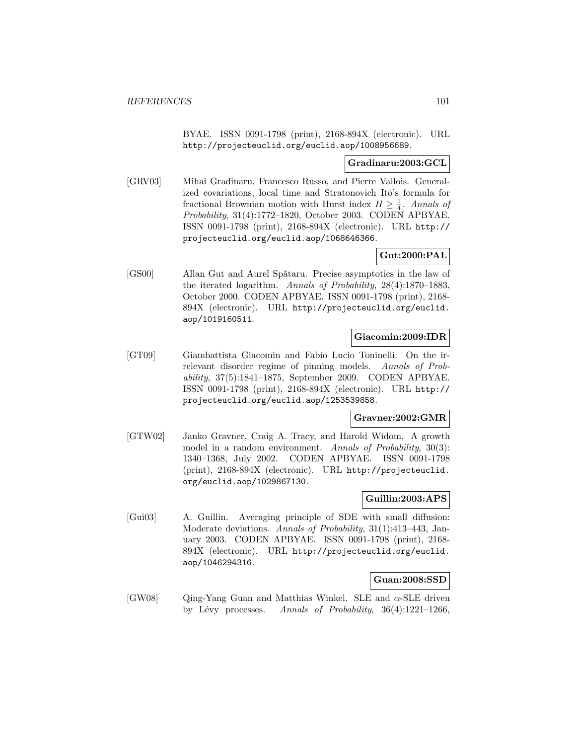BYAE. ISSN 0091-1798 (print), 2168-894X (electronic). URL http://projecteuclid.org/euclid.aop/1008956689.

## **Gradinaru:2003:GCL**

[GRV03] Mihai Gradinaru, Francesco Russo, and Pierre Vallois. Generalized covariations, local time and Stratonovich Itô's formula for fractional Brownian motion with Hurst index  $H \geq \frac{1}{4}$ . Annals of Probability, 31(4):1772–1820, October 2003. CODEN APBYAE. ISSN 0091-1798 (print), 2168-894X (electronic). URL http:// projecteuclid.org/euclid.aop/1068646366.

# **Gut:2000:PAL**

[GS00] Allan Gut and Aurel Spătaru. Precise asymptotics in the law of the iterated logarithm. Annals of Probability, 28(4):1870–1883, October 2000. CODEN APBYAE. ISSN 0091-1798 (print), 2168- 894X (electronic). URL http://projecteuclid.org/euclid. aop/1019160511.

## **Giacomin:2009:IDR**

[GT09] Giambattista Giacomin and Fabio Lucio Toninelli. On the irrelevant disorder regime of pinning models. Annals of Probability, 37(5):1841–1875, September 2009. CODEN APBYAE. ISSN 0091-1798 (print), 2168-894X (electronic). URL http:// projecteuclid.org/euclid.aop/1253539858.

## **Gravner:2002:GMR**

[GTW02] Janko Gravner, Craig A. Tracy, and Harold Widom. A growth model in a random environment. Annals of Probability, 30(3): 1340–1368, July 2002. CODEN APBYAE. ISSN 0091-1798 (print), 2168-894X (electronic). URL http://projecteuclid. org/euclid.aop/1029867130.

## **Guillin:2003:APS**

[Gui03] A. Guillin. Averaging principle of SDE with small diffusion: Moderate deviations. Annals of Probability, 31(1):413–443, January 2003. CODEN APBYAE. ISSN 0091-1798 (print), 2168- 894X (electronic). URL http://projecteuclid.org/euclid. aop/1046294316.

## **Guan:2008:SSD**

[GW08] Qing-Yang Guan and Matthias Winkel. SLE and α-SLE driven by Lévy processes. Annals of Probability,  $36(4):1221-1266$ ,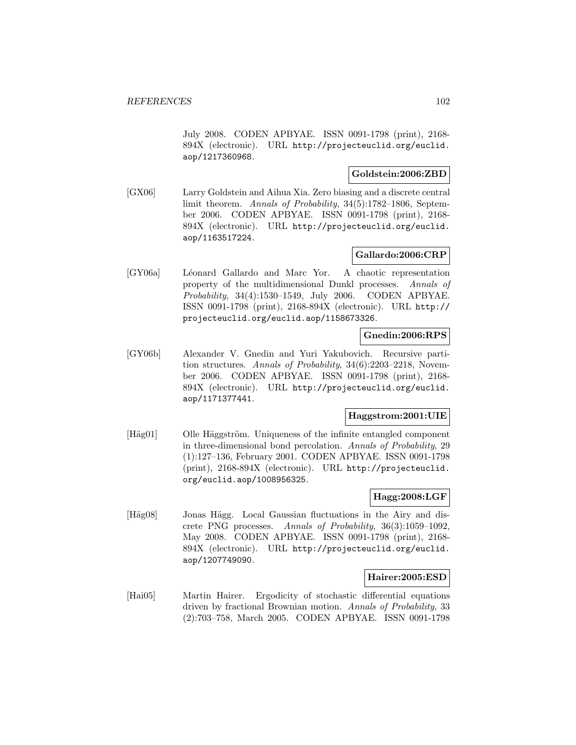July 2008. CODEN APBYAE. ISSN 0091-1798 (print), 2168- 894X (electronic). URL http://projecteuclid.org/euclid. aop/1217360968.

# **Goldstein:2006:ZBD**

[GX06] Larry Goldstein and Aihua Xia. Zero biasing and a discrete central limit theorem. Annals of Probability, 34(5):1782–1806, September 2006. CODEN APBYAE. ISSN 0091-1798 (print), 2168- 894X (electronic). URL http://projecteuclid.org/euclid. aop/1163517224.

# **Gallardo:2006:CRP**

[GY06a] Léonard Gallardo and Marc Yor. A chaotic representation property of the multidimensional Dunkl processes. Annals of Probability, 34(4):1530–1549, July 2006. CODEN APBYAE. ISSN 0091-1798 (print), 2168-894X (electronic). URL http:// projecteuclid.org/euclid.aop/1158673326.

## **Gnedin:2006:RPS**

[GY06b] Alexander V. Gnedin and Yuri Yakubovich. Recursive partition structures. Annals of Probability, 34(6):2203–2218, November 2006. CODEN APBYAE. ISSN 0091-1798 (print), 2168- 894X (electronic). URL http://projecteuclid.org/euclid. aop/1171377441.

## **Haggstrom:2001:UIE**

[Häg01] Olle Häggström. Uniqueness of the infinite entangled component in three-dimensional bond percolation. Annals of Probability, 29 (1):127–136, February 2001. CODEN APBYAE. ISSN 0091-1798 (print), 2168-894X (electronic). URL http://projecteuclid. org/euclid.aop/1008956325.

## **Hagg:2008:LGF**

[Häg08] Jonas Hägg. Local Gaussian fluctuations in the Airy and discrete PNG processes. Annals of Probability, 36(3):1059–1092, May 2008. CODEN APBYAE. ISSN 0091-1798 (print), 2168- 894X (electronic). URL http://projecteuclid.org/euclid. aop/1207749090.

## **Hairer:2005:ESD**

[Hai05] Martin Hairer. Ergodicity of stochastic differential equations driven by fractional Brownian motion. Annals of Probability, 33 (2):703–758, March 2005. CODEN APBYAE. ISSN 0091-1798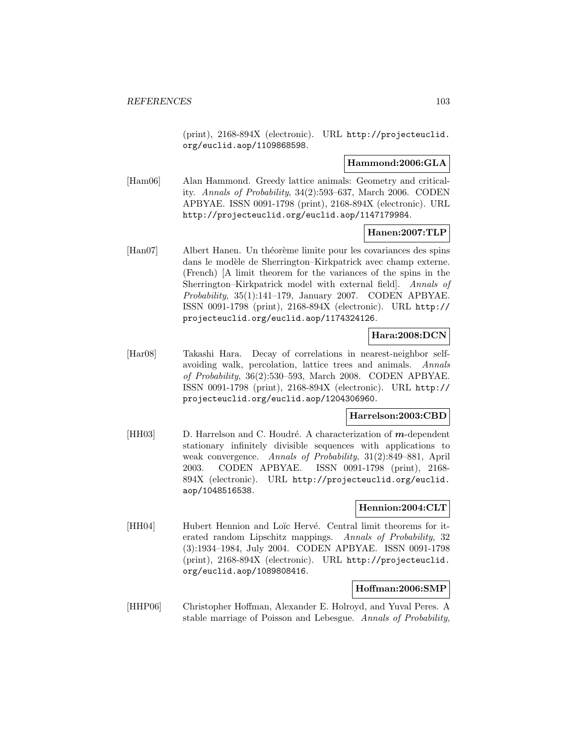(print), 2168-894X (electronic). URL http://projecteuclid. org/euclid.aop/1109868598.

## **Hammond:2006:GLA**

[Ham06] Alan Hammond. Greedy lattice animals: Geometry and criticality. Annals of Probability, 34(2):593–637, March 2006. CODEN APBYAE. ISSN 0091-1798 (print), 2168-894X (electronic). URL http://projecteuclid.org/euclid.aop/1147179984.

## **Hanen:2007:TLP**

[Han07] Albert Hanen. Un théorème limite pour les covariances des spins dans le modèle de Sherrington–Kirkpatrick avec champ externe. (French) [A limit theorem for the variances of the spins in the Sherrington–Kirkpatrick model with external field]. Annals of Probability, 35(1):141–179, January 2007. CODEN APBYAE. ISSN 0091-1798 (print), 2168-894X (electronic). URL http:// projecteuclid.org/euclid.aop/1174324126.

# **Hara:2008:DCN**

[Har08] Takashi Hara. Decay of correlations in nearest-neighbor selfavoiding walk, percolation, lattice trees and animals. Annals of Probability, 36(2):530–593, March 2008. CODEN APBYAE. ISSN 0091-1798 (print), 2168-894X (electronic). URL http:// projecteuclid.org/euclid.aop/1204306960.

## **Harrelson:2003:CBD**

[HH03] D. Harrelson and C. Houdr´e. A characterization of *m*-dependent stationary infinitely divisible sequences with applications to weak convergence. Annals of Probability, 31(2):849–881, April 2003. CODEN APBYAE. ISSN 0091-1798 (print), 2168- 894X (electronic). URL http://projecteuclid.org/euclid. aop/1048516538.

## **Hennion:2004:CLT**

[HH04] Hubert Hennion and Loïc Hervé. Central limit theorems for iterated random Lipschitz mappings. Annals of Probability, 32 (3):1934–1984, July 2004. CODEN APBYAE. ISSN 0091-1798 (print), 2168-894X (electronic). URL http://projecteuclid. org/euclid.aop/1089808416.

# **Hoffman:2006:SMP**

[HHP06] Christopher Hoffman, Alexander E. Holroyd, and Yuval Peres. A stable marriage of Poisson and Lebesgue. Annals of Probability,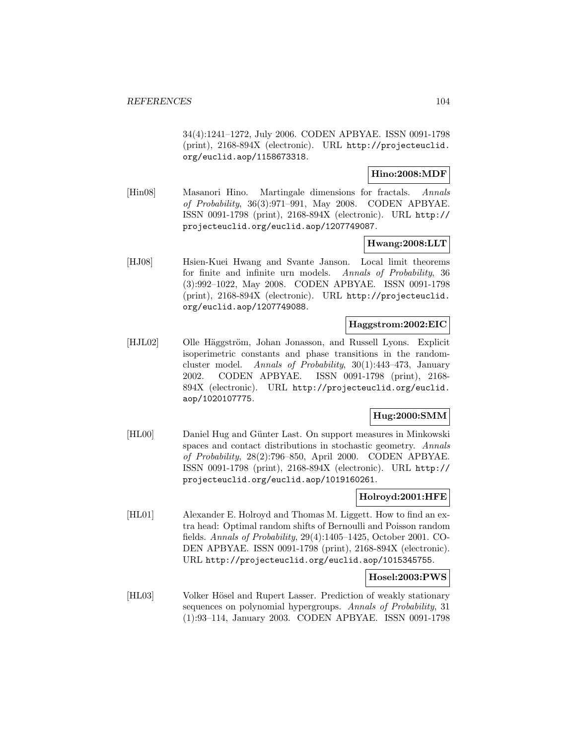34(4):1241–1272, July 2006. CODEN APBYAE. ISSN 0091-1798 (print), 2168-894X (electronic). URL http://projecteuclid. org/euclid.aop/1158673318.

# **Hino:2008:MDF**

[Hin08] Masanori Hino. Martingale dimensions for fractals. Annals of Probability, 36(3):971–991, May 2008. CODEN APBYAE. ISSN 0091-1798 (print), 2168-894X (electronic). URL http:// projecteuclid.org/euclid.aop/1207749087.

## **Hwang:2008:LLT**

[HJ08] Hsien-Kuei Hwang and Svante Janson. Local limit theorems for finite and infinite urn models. Annals of Probability, 36 (3):992–1022, May 2008. CODEN APBYAE. ISSN 0091-1798 (print), 2168-894X (electronic). URL http://projecteuclid. org/euclid.aop/1207749088.

## **Haggstrom:2002:EIC**

[HJL02] Olle Häggström, Johan Jonasson, and Russell Lyons. Explicit isoperimetric constants and phase transitions in the randomcluster model. Annals of Probability, 30(1):443–473, January 2002. CODEN APBYAE. ISSN 0091-1798 (print), 2168- 894X (electronic). URL http://projecteuclid.org/euclid. aop/1020107775.

# **Hug:2000:SMM**

[HL00] Daniel Hug and Günter Last. On support measures in Minkowski spaces and contact distributions in stochastic geometry. Annals of Probability, 28(2):796–850, April 2000. CODEN APBYAE. ISSN 0091-1798 (print), 2168-894X (electronic). URL http:// projecteuclid.org/euclid.aop/1019160261.

## **Holroyd:2001:HFE**

[HL01] Alexander E. Holroyd and Thomas M. Liggett. How to find an extra head: Optimal random shifts of Bernoulli and Poisson random fields. Annals of Probability, 29(4):1405–1425, October 2001. CO-DEN APBYAE. ISSN 0091-1798 (print), 2168-894X (electronic). URL http://projecteuclid.org/euclid.aop/1015345755.

## **Hosel:2003:PWS**

[HL03] Volker Hösel and Rupert Lasser. Prediction of weakly stationary sequences on polynomial hypergroups. Annals of Probability, 31 (1):93–114, January 2003. CODEN APBYAE. ISSN 0091-1798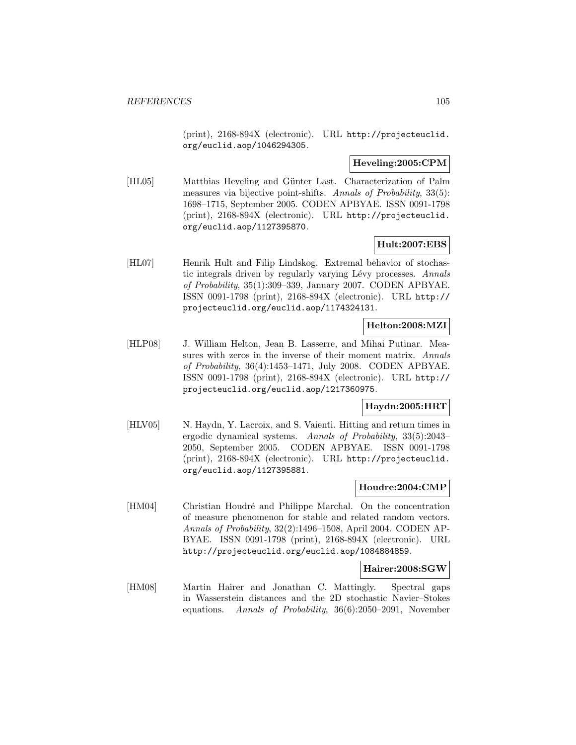(print), 2168-894X (electronic). URL http://projecteuclid. org/euclid.aop/1046294305.

## **Heveling:2005:CPM**

[HL05] Matthias Heveling and Günter Last. Characterization of Palm measures via bijective point-shifts. Annals of Probability, 33(5): 1698–1715, September 2005. CODEN APBYAE. ISSN 0091-1798 (print), 2168-894X (electronic). URL http://projecteuclid. org/euclid.aop/1127395870.

## **Hult:2007:EBS**

[HL07] Henrik Hult and Filip Lindskog. Extremal behavior of stochastic integrals driven by regularly varying Lévy processes. Annals of Probability, 35(1):309–339, January 2007. CODEN APBYAE. ISSN 0091-1798 (print), 2168-894X (electronic). URL http:// projecteuclid.org/euclid.aop/1174324131.

# **Helton:2008:MZI**

[HLP08] J. William Helton, Jean B. Lasserre, and Mihai Putinar. Measures with zeros in the inverse of their moment matrix. Annals of Probability, 36(4):1453–1471, July 2008. CODEN APBYAE. ISSN 0091-1798 (print), 2168-894X (electronic). URL http:// projecteuclid.org/euclid.aop/1217360975.

## **Haydn:2005:HRT**

[HLV05] N. Haydn, Y. Lacroix, and S. Vaienti. Hitting and return times in ergodic dynamical systems. Annals of Probability, 33(5):2043– 2050, September 2005. CODEN APBYAE. ISSN 0091-1798 (print), 2168-894X (electronic). URL http://projecteuclid. org/euclid.aop/1127395881.

## **Houdre:2004:CMP**

[HM04] Christian Houdré and Philippe Marchal. On the concentration of measure phenomenon for stable and related random vectors. Annals of Probability, 32(2):1496–1508, April 2004. CODEN AP-BYAE. ISSN 0091-1798 (print), 2168-894X (electronic). URL http://projecteuclid.org/euclid.aop/1084884859.

## **Hairer:2008:SGW**

[HM08] Martin Hairer and Jonathan C. Mattingly. Spectral gaps in Wasserstein distances and the 2D stochastic Navier–Stokes equations. Annals of Probability, 36(6):2050–2091, November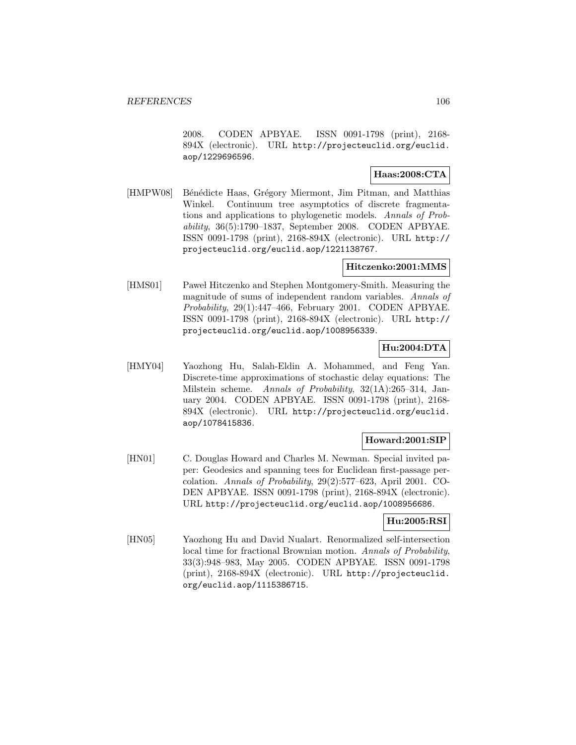2008. CODEN APBYAE. ISSN 0091-1798 (print), 2168- 894X (electronic). URL http://projecteuclid.org/euclid. aop/1229696596.

# **Haas:2008:CTA**

[HMPW08] Bénédicte Haas, Grégory Miermont, Jim Pitman, and Matthias Winkel. Continuum tree asymptotics of discrete fragmentations and applications to phylogenetic models. Annals of Probability, 36(5):1790–1837, September 2008. CODEN APBYAE. ISSN 0091-1798 (print), 2168-894X (electronic). URL http:// projecteuclid.org/euclid.aop/1221138767.

## **Hitczenko:2001:MMS**

[HMS01] Pawel Hitczenko and Stephen Montgomery-Smith. Measuring the magnitude of sums of independent random variables. Annals of Probability, 29(1):447–466, February 2001. CODEN APBYAE. ISSN 0091-1798 (print), 2168-894X (electronic). URL http:// projecteuclid.org/euclid.aop/1008956339.

# **Hu:2004:DTA**

[HMY04] Yaozhong Hu, Salah-Eldin A. Mohammed, and Feng Yan. Discrete-time approximations of stochastic delay equations: The Milstein scheme. Annals of Probability, 32(1A):265–314, January 2004. CODEN APBYAE. ISSN 0091-1798 (print), 2168- 894X (electronic). URL http://projecteuclid.org/euclid. aop/1078415836.

# **Howard:2001:SIP**

[HN01] C. Douglas Howard and Charles M. Newman. Special invited paper: Geodesics and spanning tees for Euclidean first-passage percolation. Annals of Probability, 29(2):577–623, April 2001. CO-DEN APBYAE. ISSN 0091-1798 (print), 2168-894X (electronic). URL http://projecteuclid.org/euclid.aop/1008956686.

## **Hu:2005:RSI**

[HN05] Yaozhong Hu and David Nualart. Renormalized self-intersection local time for fractional Brownian motion. Annals of Probability, 33(3):948–983, May 2005. CODEN APBYAE. ISSN 0091-1798 (print), 2168-894X (electronic). URL http://projecteuclid. org/euclid.aop/1115386715.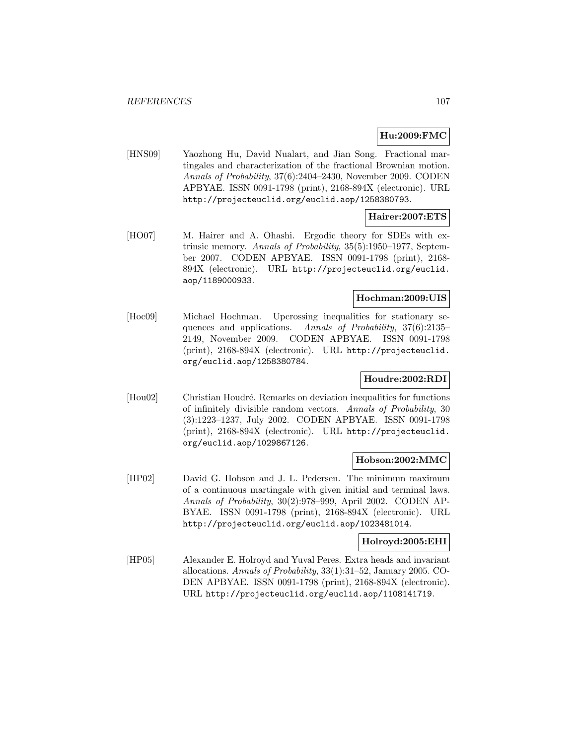## **Hu:2009:FMC**

[HNS09] Yaozhong Hu, David Nualart, and Jian Song. Fractional martingales and characterization of the fractional Brownian motion. Annals of Probability, 37(6):2404–2430, November 2009. CODEN APBYAE. ISSN 0091-1798 (print), 2168-894X (electronic). URL http://projecteuclid.org/euclid.aop/1258380793.

## **Hairer:2007:ETS**

[HO07] M. Hairer and A. Ohashi. Ergodic theory for SDEs with extrinsic memory. Annals of Probability, 35(5):1950–1977, September 2007. CODEN APBYAE. ISSN 0091-1798 (print), 2168- 894X (electronic). URL http://projecteuclid.org/euclid. aop/1189000933.

# **Hochman:2009:UIS**

[Hoc09] Michael Hochman. Upcrossing inequalities for stationary sequences and applications. Annals of Probability, 37(6):2135– 2149, November 2009. CODEN APBYAE. ISSN 0091-1798 (print), 2168-894X (electronic). URL http://projecteuclid. org/euclid.aop/1258380784.

# **Houdre:2002:RDI**

[Hou02] Christian Houdré. Remarks on deviation inequalities for functions of infinitely divisible random vectors. Annals of Probability, 30 (3):1223–1237, July 2002. CODEN APBYAE. ISSN 0091-1798 (print), 2168-894X (electronic). URL http://projecteuclid. org/euclid.aop/1029867126.

### **Hobson:2002:MMC**

[HP02] David G. Hobson and J. L. Pedersen. The minimum maximum of a continuous martingale with given initial and terminal laws. Annals of Probability, 30(2):978–999, April 2002. CODEN AP-BYAE. ISSN 0091-1798 (print), 2168-894X (electronic). URL http://projecteuclid.org/euclid.aop/1023481014.

## **Holroyd:2005:EHI**

[HP05] Alexander E. Holroyd and Yuval Peres. Extra heads and invariant allocations. Annals of Probability, 33(1):31–52, January 2005. CO-DEN APBYAE. ISSN 0091-1798 (print), 2168-894X (electronic). URL http://projecteuclid.org/euclid.aop/1108141719.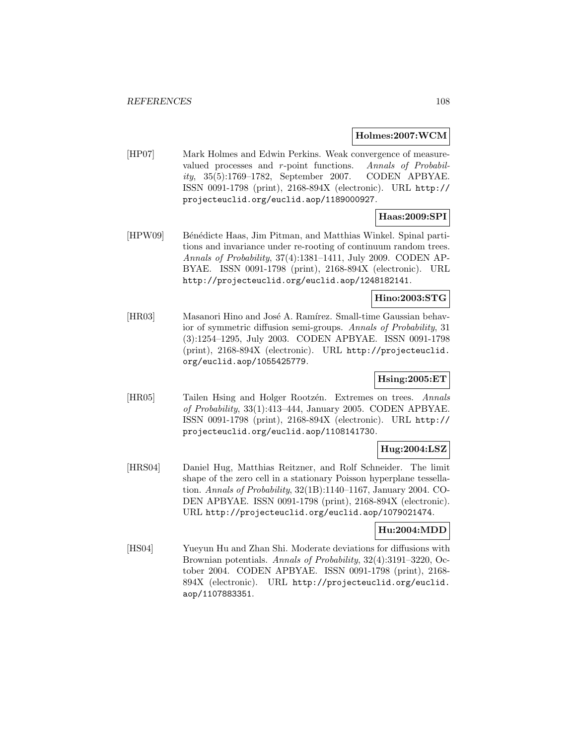### **Holmes:2007:WCM**

[HP07] Mark Holmes and Edwin Perkins. Weak convergence of measurevalued processes and r-point functions. Annals of Probability, 35(5):1769–1782, September 2007. CODEN APBYAE. ISSN 0091-1798 (print), 2168-894X (electronic). URL http:// projecteuclid.org/euclid.aop/1189000927.

# **Haas:2009:SPI**

[HPW09] Bénédicte Haas, Jim Pitman, and Matthias Winkel. Spinal partitions and invariance under re-rooting of continuum random trees. Annals of Probability, 37(4):1381–1411, July 2009. CODEN AP-BYAE. ISSN 0091-1798 (print), 2168-894X (electronic). URL http://projecteuclid.org/euclid.aop/1248182141.

## **Hino:2003:STG**

[HR03] Masanori Hino and José A. Ramírez. Small-time Gaussian behavior of symmetric diffusion semi-groups. Annals of Probability, 31 (3):1254–1295, July 2003. CODEN APBYAE. ISSN 0091-1798 (print), 2168-894X (electronic). URL http://projecteuclid. org/euclid.aop/1055425779.

# **Hsing:2005:ET**

[HR05] Tailen Hsing and Holger Rootzén. Extremes on trees. Annals of Probability, 33(1):413–444, January 2005. CODEN APBYAE. ISSN 0091-1798 (print), 2168-894X (electronic). URL http:// projecteuclid.org/euclid.aop/1108141730.

# **Hug:2004:LSZ**

[HRS04] Daniel Hug, Matthias Reitzner, and Rolf Schneider. The limit shape of the zero cell in a stationary Poisson hyperplane tessellation. Annals of Probability, 32(1B):1140–1167, January 2004. CO-DEN APBYAE. ISSN 0091-1798 (print), 2168-894X (electronic). URL http://projecteuclid.org/euclid.aop/1079021474.

## **Hu:2004:MDD**

[HS04] Yueyun Hu and Zhan Shi. Moderate deviations for diffusions with Brownian potentials. Annals of Probability, 32(4):3191–3220, October 2004. CODEN APBYAE. ISSN 0091-1798 (print), 2168- 894X (electronic). URL http://projecteuclid.org/euclid. aop/1107883351.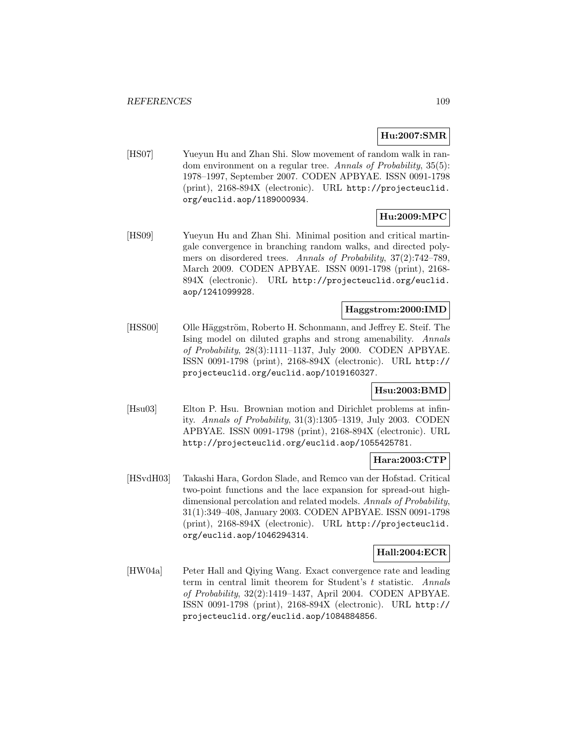# **Hu:2007:SMR**

[HS07] Yueyun Hu and Zhan Shi. Slow movement of random walk in random environment on a regular tree. Annals of Probability, 35(5): 1978–1997, September 2007. CODEN APBYAE. ISSN 0091-1798 (print), 2168-894X (electronic). URL http://projecteuclid. org/euclid.aop/1189000934.

# **Hu:2009:MPC**

[HS09] Yueyun Hu and Zhan Shi. Minimal position and critical martingale convergence in branching random walks, and directed polymers on disordered trees. Annals of Probability, 37(2):742–789, March 2009. CODEN APBYAE. ISSN 0091-1798 (print), 2168- 894X (electronic). URL http://projecteuclid.org/euclid. aop/1241099928.

#### **Haggstrom:2000:IMD**

[HSS00] Olle Häggström, Roberto H. Schonmann, and Jeffrey E. Steif. The Ising model on diluted graphs and strong amenability. Annals of Probability, 28(3):1111–1137, July 2000. CODEN APBYAE. ISSN 0091-1798 (print), 2168-894X (electronic). URL http:// projecteuclid.org/euclid.aop/1019160327.

### **Hsu:2003:BMD**

[Hsu03] Elton P. Hsu. Brownian motion and Dirichlet problems at infinity. Annals of Probability, 31(3):1305–1319, July 2003. CODEN APBYAE. ISSN 0091-1798 (print), 2168-894X (electronic). URL http://projecteuclid.org/euclid.aop/1055425781.

### **Hara:2003:CTP**

[HSvdH03] Takashi Hara, Gordon Slade, and Remco van der Hofstad. Critical two-point functions and the lace expansion for spread-out highdimensional percolation and related models. Annals of Probability, 31(1):349–408, January 2003. CODEN APBYAE. ISSN 0091-1798 (print), 2168-894X (electronic). URL http://projecteuclid. org/euclid.aop/1046294314.

#### **Hall:2004:ECR**

[HW04a] Peter Hall and Qiying Wang. Exact convergence rate and leading term in central limit theorem for Student's t statistic. Annals of Probability, 32(2):1419–1437, April 2004. CODEN APBYAE. ISSN 0091-1798 (print), 2168-894X (electronic). URL http:// projecteuclid.org/euclid.aop/1084884856.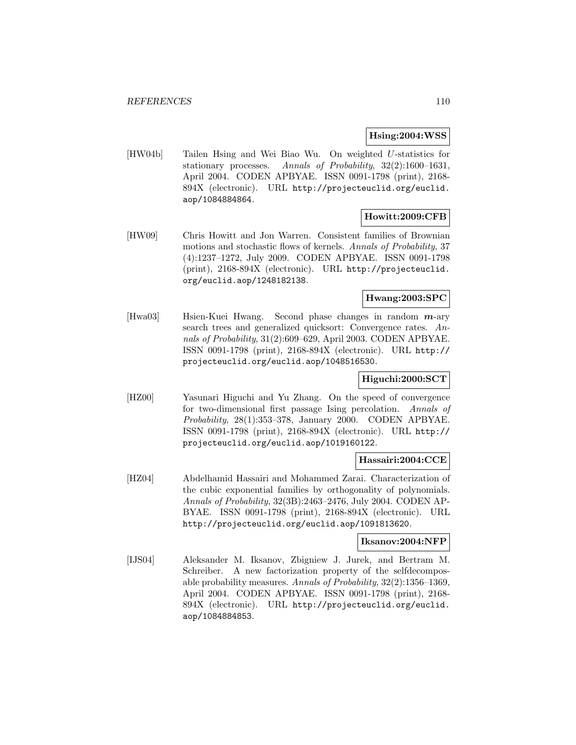#### **Hsing:2004:WSS**

[HW04b] Tailen Hsing and Wei Biao Wu. On weighted U-statistics for stationary processes. Annals of Probability, 32(2):1600–1631, April 2004. CODEN APBYAE. ISSN 0091-1798 (print), 2168- 894X (electronic). URL http://projecteuclid.org/euclid. aop/1084884864.

# **Howitt:2009:CFB**

[HW09] Chris Howitt and Jon Warren. Consistent families of Brownian motions and stochastic flows of kernels. Annals of Probability, 37 (4):1237–1272, July 2009. CODEN APBYAE. ISSN 0091-1798 (print), 2168-894X (electronic). URL http://projecteuclid. org/euclid.aop/1248182138.

# **Hwang:2003:SPC**

[Hwa03] Hsien-Kuei Hwang. Second phase changes in random *m*-ary search trees and generalized quicksort: Convergence rates. Annals of Probability, 31(2):609–629, April 2003. CODEN APBYAE. ISSN 0091-1798 (print), 2168-894X (electronic). URL http:// projecteuclid.org/euclid.aop/1048516530.

## **Higuchi:2000:SCT**

[HZ00] Yasunari Higuchi and Yu Zhang. On the speed of convergence for two-dimensional first passage Ising percolation. Annals of Probability, 28(1):353–378, January 2000. CODEN APBYAE. ISSN 0091-1798 (print), 2168-894X (electronic). URL http:// projecteuclid.org/euclid.aop/1019160122.

#### **Hassairi:2004:CCE**

[HZ04] Abdelhamid Hassairi and Mohammed Zarai. Characterization of the cubic exponential families by orthogonality of polynomials. Annals of Probability, 32(3B):2463–2476, July 2004. CODEN AP-BYAE. ISSN 0091-1798 (print), 2168-894X (electronic). URL http://projecteuclid.org/euclid.aop/1091813620.

#### **Iksanov:2004:NFP**

[IJS04] Aleksander M. Iksanov, Zbigniew J. Jurek, and Bertram M. Schreiber. A new factorization property of the selfdecomposable probability measures. Annals of Probability, 32(2):1356–1369, April 2004. CODEN APBYAE. ISSN 0091-1798 (print), 2168- 894X (electronic). URL http://projecteuclid.org/euclid. aop/1084884853.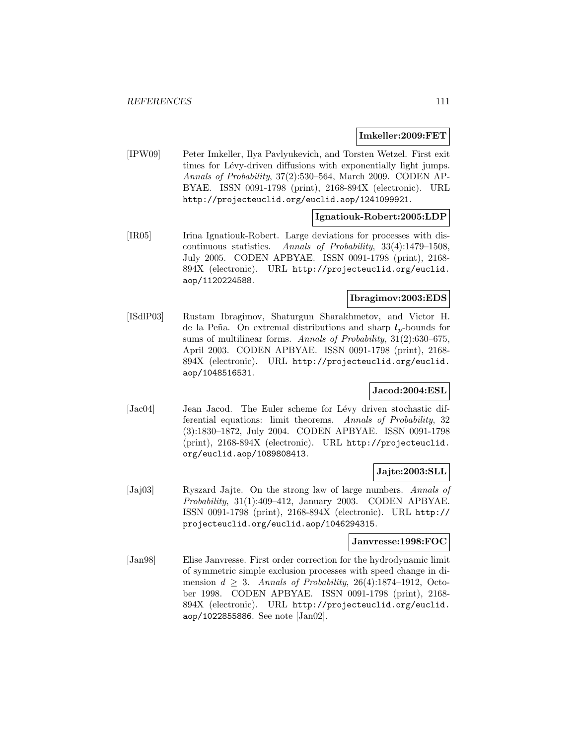#### **Imkeller:2009:FET**

[IPW09] Peter Imkeller, Ilya Pavlyukevich, and Torsten Wetzel. First exit times for Lévy-driven diffusions with exponentially light jumps. Annals of Probability, 37(2):530–564, March 2009. CODEN AP-BYAE. ISSN 0091-1798 (print), 2168-894X (electronic). URL http://projecteuclid.org/euclid.aop/1241099921.

#### **Ignatiouk-Robert:2005:LDP**

[IR05] Irina Ignatiouk-Robert. Large deviations for processes with discontinuous statistics. Annals of Probability, 33(4):1479–1508, July 2005. CODEN APBYAE. ISSN 0091-1798 (print), 2168- 894X (electronic). URL http://projecteuclid.org/euclid. aop/1120224588.

### **Ibragimov:2003:EDS**

[ISdlP03] Rustam Ibragimov, Shaturgun Sharakhmetov, and Victor H. de la Peña. On extremal distributions and sharp  $l_p$ -bounds for sums of multilinear forms. Annals of Probability, 31(2):630–675, April 2003. CODEN APBYAE. ISSN 0091-1798 (print), 2168- 894X (electronic). URL http://projecteuclid.org/euclid. aop/1048516531.

### **Jacod:2004:ESL**

[Jac04] Jean Jacod. The Euler scheme for Lévy driven stochastic differential equations: limit theorems. Annals of Probability, 32 (3):1830–1872, July 2004. CODEN APBYAE. ISSN 0091-1798 (print), 2168-894X (electronic). URL http://projecteuclid. org/euclid.aop/1089808413.

#### **Jajte:2003:SLL**

[Jaj03] Ryszard Jajte. On the strong law of large numbers. Annals of Probability, 31(1):409–412, January 2003. CODEN APBYAE. ISSN 0091-1798 (print), 2168-894X (electronic). URL http:// projecteuclid.org/euclid.aop/1046294315.

### **Janvresse:1998:FOC**

[Jan98] Elise Janvresse. First order correction for the hydrodynamic limit of symmetric simple exclusion processes with speed change in dimension  $d \geq 3$ . Annals of Probability, 26(4):1874-1912, October 1998. CODEN APBYAE. ISSN 0091-1798 (print), 2168- 894X (electronic). URL http://projecteuclid.org/euclid. aop/1022855886. See note [Jan02].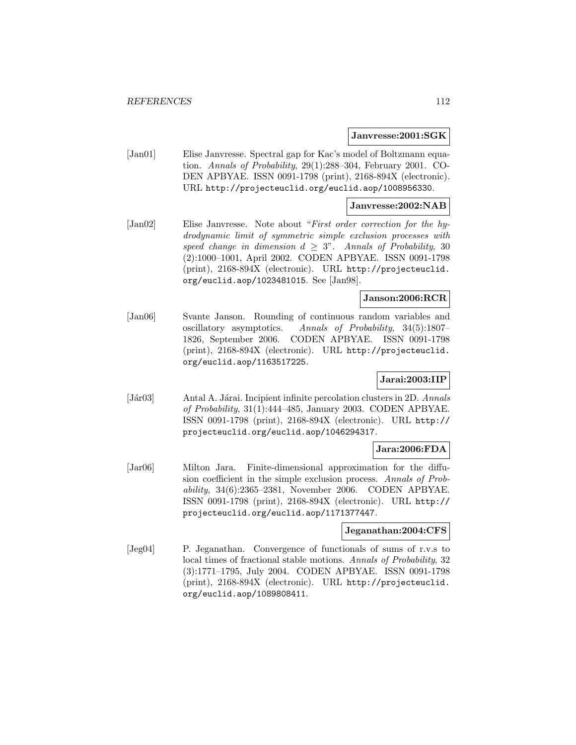#### **Janvresse:2001:SGK**

[Jan01] Elise Janvresse. Spectral gap for Kac's model of Boltzmann equation. Annals of Probability, 29(1):288–304, February 2001. CO-DEN APBYAE. ISSN 0091-1798 (print), 2168-894X (electronic). URL http://projecteuclid.org/euclid.aop/1008956330.

#### **Janvresse:2002:NAB**

[Jan02] Elise Janvresse. Note about "First order correction for the hydrodynamic limit of symmetric simple exclusion processes with speed change in dimension  $d \geq 3$ ". Annals of Probability, 30 (2):1000–1001, April 2002. CODEN APBYAE. ISSN 0091-1798 (print), 2168-894X (electronic). URL http://projecteuclid. org/euclid.aop/1023481015. See [Jan98].

### **Janson:2006:RCR**

[Jan06] Svante Janson. Rounding of continuous random variables and oscillatory asymptotics. Annals of Probability, 34(5):1807– 1826, September 2006. CODEN APBYAE. ISSN 0091-1798 (print), 2168-894X (electronic). URL http://projecteuclid. org/euclid.aop/1163517225.

## **Jarai:2003:IIP**

[Jár03] Antal A. Járai. Incipient infinite percolation clusters in 2D. Annals of Probability, 31(1):444–485, January 2003. CODEN APBYAE. ISSN 0091-1798 (print), 2168-894X (electronic). URL http:// projecteuclid.org/euclid.aop/1046294317.

# **Jara:2006:FDA**

[Jar06] Milton Jara. Finite-dimensional approximation for the diffusion coefficient in the simple exclusion process. Annals of Probability, 34(6):2365–2381, November 2006. CODEN APBYAE. ISSN 0091-1798 (print), 2168-894X (electronic). URL http:// projecteuclid.org/euclid.aop/1171377447.

#### **Jeganathan:2004:CFS**

[Jeg04] P. Jeganathan. Convergence of functionals of sums of r.v.s to local times of fractional stable motions. Annals of Probability, 32 (3):1771–1795, July 2004. CODEN APBYAE. ISSN 0091-1798 (print), 2168-894X (electronic). URL http://projecteuclid. org/euclid.aop/1089808411.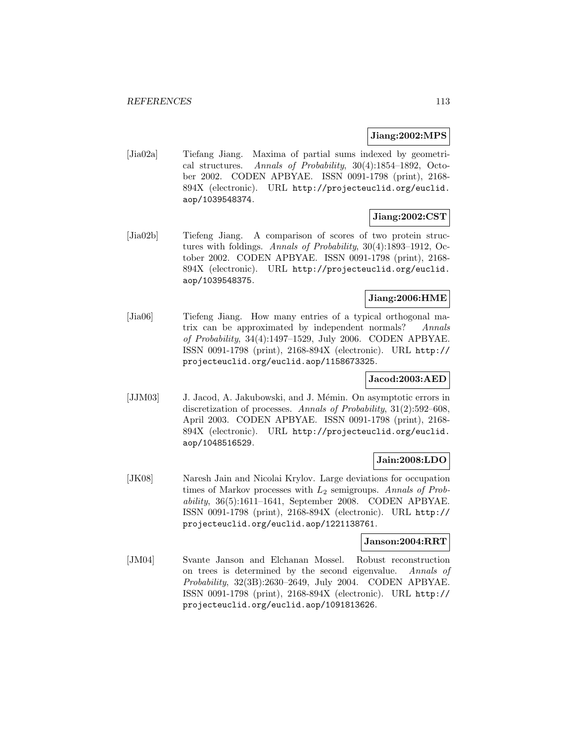#### **Jiang:2002:MPS**

[Jia02a] Tiefang Jiang. Maxima of partial sums indexed by geometrical structures. Annals of Probability, 30(4):1854–1892, October 2002. CODEN APBYAE. ISSN 0091-1798 (print), 2168- 894X (electronic). URL http://projecteuclid.org/euclid. aop/1039548374.

# **Jiang:2002:CST**

[Jia02b] Tiefeng Jiang. A comparison of scores of two protein structures with foldings. Annals of Probability, 30(4):1893–1912, October 2002. CODEN APBYAE. ISSN 0091-1798 (print), 2168- 894X (electronic). URL http://projecteuclid.org/euclid. aop/1039548375.

### **Jiang:2006:HME**

[Jia06] Tiefeng Jiang. How many entries of a typical orthogonal matrix can be approximated by independent normals? Annals of Probability, 34(4):1497–1529, July 2006. CODEN APBYAE. ISSN 0091-1798 (print), 2168-894X (electronic). URL http:// projecteuclid.org/euclid.aop/1158673325.

## **Jacod:2003:AED**

[JJM03] J. Jacod, A. Jakubowski, and J. Mémin. On asymptotic errors in discretization of processes. Annals of Probability, 31(2):592–608, April 2003. CODEN APBYAE. ISSN 0091-1798 (print), 2168- 894X (electronic). URL http://projecteuclid.org/euclid. aop/1048516529.

# **Jain:2008:LDO**

[JK08] Naresh Jain and Nicolai Krylov. Large deviations for occupation times of Markov processes with  $L_2$  semigroups. Annals of Probability, 36(5):1611–1641, September 2008. CODEN APBYAE. ISSN 0091-1798 (print), 2168-894X (electronic). URL http:// projecteuclid.org/euclid.aop/1221138761.

#### **Janson:2004:RRT**

[JM04] Svante Janson and Elchanan Mossel. Robust reconstruction on trees is determined by the second eigenvalue. Annals of Probability, 32(3B):2630–2649, July 2004. CODEN APBYAE. ISSN 0091-1798 (print), 2168-894X (electronic). URL http:// projecteuclid.org/euclid.aop/1091813626.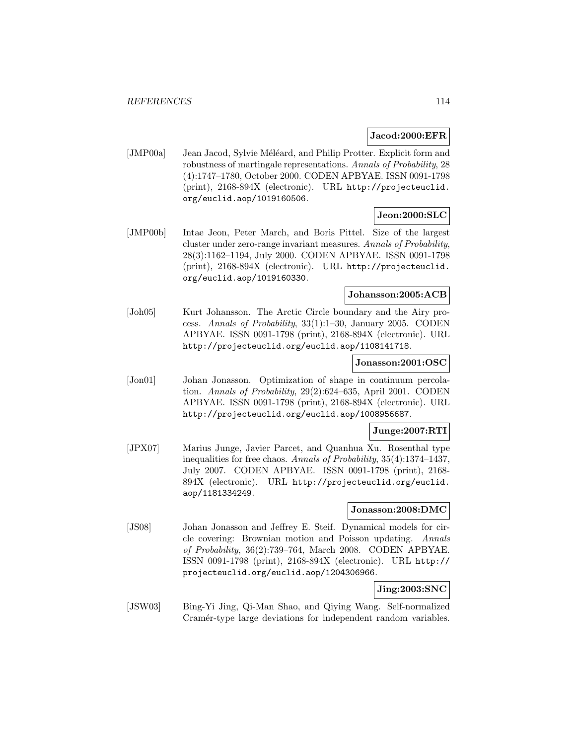### **Jacod:2000:EFR**

[JMP00a] Jean Jacod, Sylvie Méléard, and Philip Protter. Explicit form and robustness of martingale representations. Annals of Probability, 28 (4):1747–1780, October 2000. CODEN APBYAE. ISSN 0091-1798 (print), 2168-894X (electronic). URL http://projecteuclid. org/euclid.aop/1019160506.

## **Jeon:2000:SLC**

[JMP00b] Intae Jeon, Peter March, and Boris Pittel. Size of the largest cluster under zero-range invariant measures. Annals of Probability, 28(3):1162–1194, July 2000. CODEN APBYAE. ISSN 0091-1798 (print), 2168-894X (electronic). URL http://projecteuclid. org/euclid.aop/1019160330.

### **Johansson:2005:ACB**

[Joh05] Kurt Johansson. The Arctic Circle boundary and the Airy process. Annals of Probability, 33(1):1–30, January 2005. CODEN APBYAE. ISSN 0091-1798 (print), 2168-894X (electronic). URL http://projecteuclid.org/euclid.aop/1108141718.

#### **Jonasson:2001:OSC**

[Jon01] Johan Jonasson. Optimization of shape in continuum percolation. Annals of Probability, 29(2):624–635, April 2001. CODEN APBYAE. ISSN 0091-1798 (print), 2168-894X (electronic). URL http://projecteuclid.org/euclid.aop/1008956687.

#### **Junge:2007:RTI**

[JPX07] Marius Junge, Javier Parcet, and Quanhua Xu. Rosenthal type inequalities for free chaos. Annals of Probability, 35(4):1374–1437, July 2007. CODEN APBYAE. ISSN 0091-1798 (print), 2168- 894X (electronic). URL http://projecteuclid.org/euclid. aop/1181334249.

#### **Jonasson:2008:DMC**

[JS08] Johan Jonasson and Jeffrey E. Steif. Dynamical models for circle covering: Brownian motion and Poisson updating. Annals of Probability, 36(2):739–764, March 2008. CODEN APBYAE. ISSN 0091-1798 (print), 2168-894X (electronic). URL http:// projecteuclid.org/euclid.aop/1204306966.

# **Jing:2003:SNC**

[JSW03] Bing-Yi Jing, Qi-Man Shao, and Qiying Wang. Self-normalized Cramer-type large deviations for independent random variables.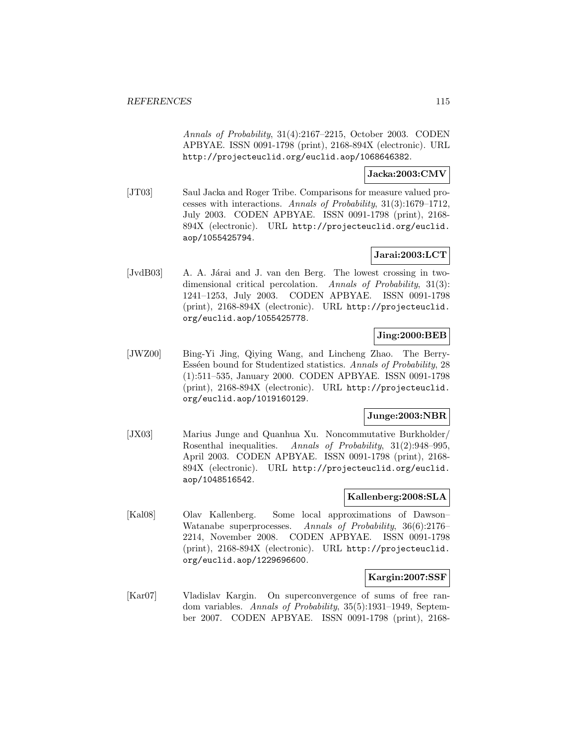Annals of Probability, 31(4):2167–2215, October 2003. CODEN APBYAE. ISSN 0091-1798 (print), 2168-894X (electronic). URL http://projecteuclid.org/euclid.aop/1068646382.

# **Jacka:2003:CMV**

[JT03] Saul Jacka and Roger Tribe. Comparisons for measure valued processes with interactions. Annals of Probability, 31(3):1679–1712, July 2003. CODEN APBYAE. ISSN 0091-1798 (print), 2168- 894X (electronic). URL http://projecteuclid.org/euclid. aop/1055425794.

# **Jarai:2003:LCT**

[JvdB03] A. A. Járai and J. van den Berg. The lowest crossing in twodimensional critical percolation. Annals of Probability, 31(3): 1241–1253, July 2003. CODEN APBYAE. ISSN 0091-1798 (print), 2168-894X (electronic). URL http://projecteuclid. org/euclid.aop/1055425778.

# **Jing:2000:BEB**

[JWZ00] Bing-Yi Jing, Qiying Wang, and Lincheng Zhao. The Berry-Esséen bound for Studentized statistics. Annals of Probability, 28 (1):511–535, January 2000. CODEN APBYAE. ISSN 0091-1798 (print), 2168-894X (electronic). URL http://projecteuclid. org/euclid.aop/1019160129.

## **Junge:2003:NBR**

[JX03] Marius Junge and Quanhua Xu. Noncommutative Burkholder/ Rosenthal inequalities. Annals of Probability, 31(2):948–995, April 2003. CODEN APBYAE. ISSN 0091-1798 (print), 2168- 894X (electronic). URL http://projecteuclid.org/euclid. aop/1048516542.

## **Kallenberg:2008:SLA**

[Kal08] Olav Kallenberg. Some local approximations of Dawson– Watanabe superprocesses. Annals of Probability, 36(6):2176– 2214, November 2008. CODEN APBYAE. ISSN 0091-1798 (print), 2168-894X (electronic). URL http://projecteuclid. org/euclid.aop/1229696600.

### **Kargin:2007:SSF**

[Kar07] Vladislav Kargin. On superconvergence of sums of free random variables. Annals of Probability, 35(5):1931–1949, September 2007. CODEN APBYAE. ISSN 0091-1798 (print), 2168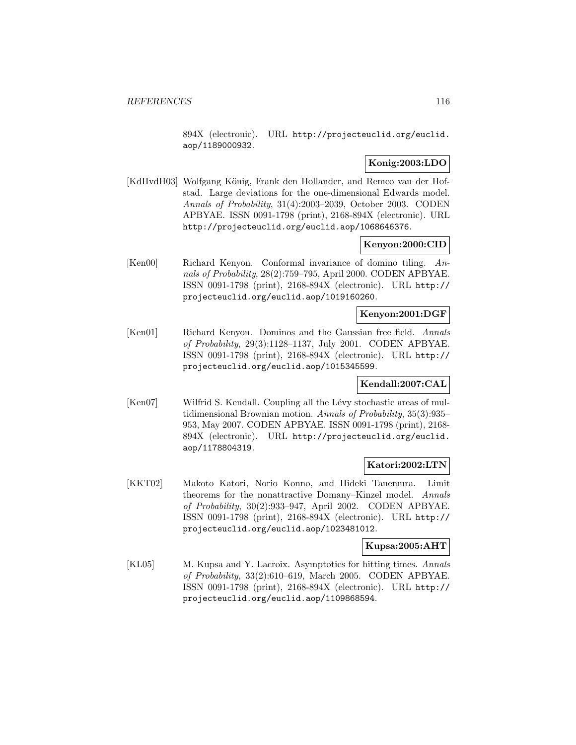894X (electronic). URL http://projecteuclid.org/euclid. aop/1189000932.

### **Konig:2003:LDO**

[KdHvdH03] Wolfgang König, Frank den Hollander, and Remco van der Hofstad. Large deviations for the one-dimensional Edwards model. Annals of Probability, 31(4):2003–2039, October 2003. CODEN APBYAE. ISSN 0091-1798 (print), 2168-894X (electronic). URL http://projecteuclid.org/euclid.aop/1068646376.

### **Kenyon:2000:CID**

[Ken00] Richard Kenyon. Conformal invariance of domino tiling. Annals of Probability, 28(2):759–795, April 2000. CODEN APBYAE. ISSN 0091-1798 (print), 2168-894X (electronic). URL http:// projecteuclid.org/euclid.aop/1019160260.

#### **Kenyon:2001:DGF**

[Ken01] Richard Kenyon. Dominos and the Gaussian free field. Annals of Probability, 29(3):1128–1137, July 2001. CODEN APBYAE. ISSN 0091-1798 (print), 2168-894X (electronic). URL http:// projecteuclid.org/euclid.aop/1015345599.

#### **Kendall:2007:CAL**

[Ken07] Wilfrid S. Kendall. Coupling all the Lévy stochastic areas of multidimensional Brownian motion. Annals of Probability, 35(3):935– 953, May 2007. CODEN APBYAE. ISSN 0091-1798 (print), 2168- 894X (electronic). URL http://projecteuclid.org/euclid. aop/1178804319.

## **Katori:2002:LTN**

[KKT02] Makoto Katori, Norio Konno, and Hideki Tanemura. Limit theorems for the nonattractive Domany–Kinzel model. Annals of Probability, 30(2):933–947, April 2002. CODEN APBYAE. ISSN 0091-1798 (print), 2168-894X (electronic). URL http:// projecteuclid.org/euclid.aop/1023481012.

#### **Kupsa:2005:AHT**

[KL05] M. Kupsa and Y. Lacroix. Asymptotics for hitting times. Annals of Probability, 33(2):610–619, March 2005. CODEN APBYAE. ISSN 0091-1798 (print), 2168-894X (electronic). URL http:// projecteuclid.org/euclid.aop/1109868594.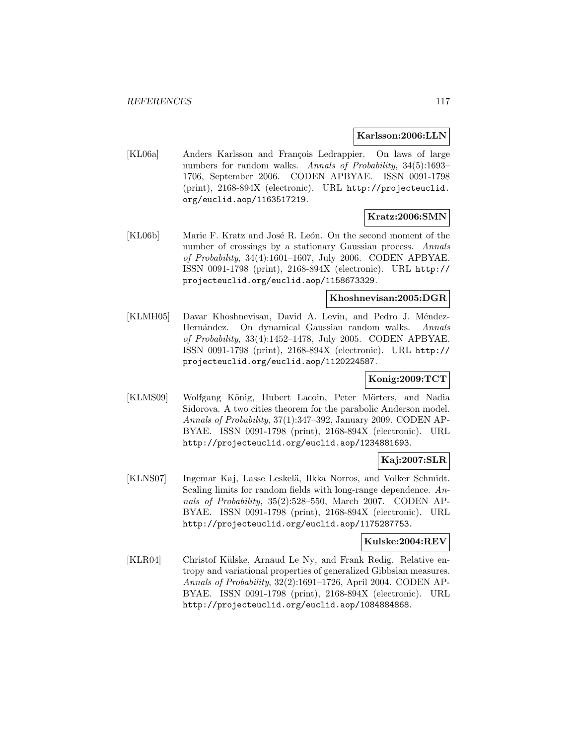#### **Karlsson:2006:LLN**

[KL06a] Anders Karlsson and François Ledrappier. On laws of large numbers for random walks. Annals of Probability, 34(5):1693– 1706, September 2006. CODEN APBYAE. ISSN 0091-1798 (print), 2168-894X (electronic). URL http://projecteuclid. org/euclid.aop/1163517219.

# **Kratz:2006:SMN**

[KL06b] Marie F. Kratz and José R. León. On the second moment of the number of crossings by a stationary Gaussian process. Annals of Probability, 34(4):1601–1607, July 2006. CODEN APBYAE. ISSN 0091-1798 (print), 2168-894X (electronic). URL http:// projecteuclid.org/euclid.aop/1158673329.

#### **Khoshnevisan:2005:DGR**

[KLMH05] Davar Khoshnevisan, David A. Levin, and Pedro J. Méndez-Hernández. On dynamical Gaussian random walks. Annals of Probability, 33(4):1452–1478, July 2005. CODEN APBYAE. ISSN 0091-1798 (print), 2168-894X (electronic). URL http:// projecteuclid.org/euclid.aop/1120224587.

## **Konig:2009:TCT**

[KLMS09] Wolfgang König, Hubert Lacoin, Peter Mörters, and Nadia Sidorova. A two cities theorem for the parabolic Anderson model. Annals of Probability, 37(1):347–392, January 2009. CODEN AP-BYAE. ISSN 0091-1798 (print), 2168-894X (electronic). URL http://projecteuclid.org/euclid.aop/1234881693.

# **Kaj:2007:SLR**

[KLNS07] Ingemar Kaj, Lasse Leskel¨a, Ilkka Norros, and Volker Schmidt. Scaling limits for random fields with long-range dependence. Annals of Probability, 35(2):528–550, March 2007. CODEN AP-BYAE. ISSN 0091-1798 (print), 2168-894X (electronic). URL http://projecteuclid.org/euclid.aop/1175287753.

#### **Kulske:2004:REV**

[KLR04] Christof Külske, Arnaud Le Ny, and Frank Redig. Relative entropy and variational properties of generalized Gibbsian measures. Annals of Probability, 32(2):1691–1726, April 2004. CODEN AP-BYAE. ISSN 0091-1798 (print), 2168-894X (electronic). URL http://projecteuclid.org/euclid.aop/1084884868.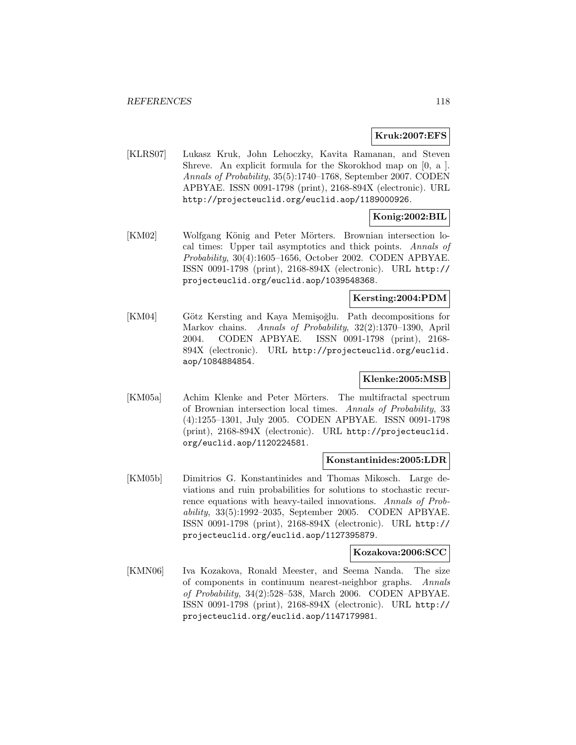### **Kruk:2007:EFS**

[KLRS07] Lukasz Kruk, John Lehoczky, Kavita Ramanan, and Steven Shreve. An explicit formula for the Skorokhod map on [0, a ]. Annals of Probability, 35(5):1740–1768, September 2007. CODEN APBYAE. ISSN 0091-1798 (print), 2168-894X (electronic). URL http://projecteuclid.org/euclid.aop/1189000926.

# **Konig:2002:BIL**

[KM02] Wolfgang König and Peter Mörters. Brownian intersection local times: Upper tail asymptotics and thick points. Annals of Probability, 30(4):1605–1656, October 2002. CODEN APBYAE. ISSN 0091-1798 (print), 2168-894X (electronic). URL http:// projecteuclid.org/euclid.aop/1039548368.

### **Kersting:2004:PDM**

[KM04] Götz Kersting and Kaya Memişoğlu. Path decompositions for Markov chains. Annals of Probability, 32(2):1370–1390, April 2004. CODEN APBYAE. ISSN 0091-1798 (print), 2168- 894X (electronic). URL http://projecteuclid.org/euclid. aop/1084884854.

#### **Klenke:2005:MSB**

[KM05a] Achim Klenke and Peter Mörters. The multifractal spectrum of Brownian intersection local times. Annals of Probability, 33 (4):1255–1301, July 2005. CODEN APBYAE. ISSN 0091-1798 (print), 2168-894X (electronic). URL http://projecteuclid. org/euclid.aop/1120224581.

#### **Konstantinides:2005:LDR**

[KM05b] Dimitrios G. Konstantinides and Thomas Mikosch. Large deviations and ruin probabilities for solutions to stochastic recurrence equations with heavy-tailed innovations. Annals of Probability, 33(5):1992–2035, September 2005. CODEN APBYAE. ISSN 0091-1798 (print), 2168-894X (electronic). URL http:// projecteuclid.org/euclid.aop/1127395879.

#### **Kozakova:2006:SCC**

[KMN06] Iva Kozakova, Ronald Meester, and Seema Nanda. The size of components in continuum nearest-neighbor graphs. Annals of Probability, 34(2):528–538, March 2006. CODEN APBYAE. ISSN 0091-1798 (print), 2168-894X (electronic). URL http:// projecteuclid.org/euclid.aop/1147179981.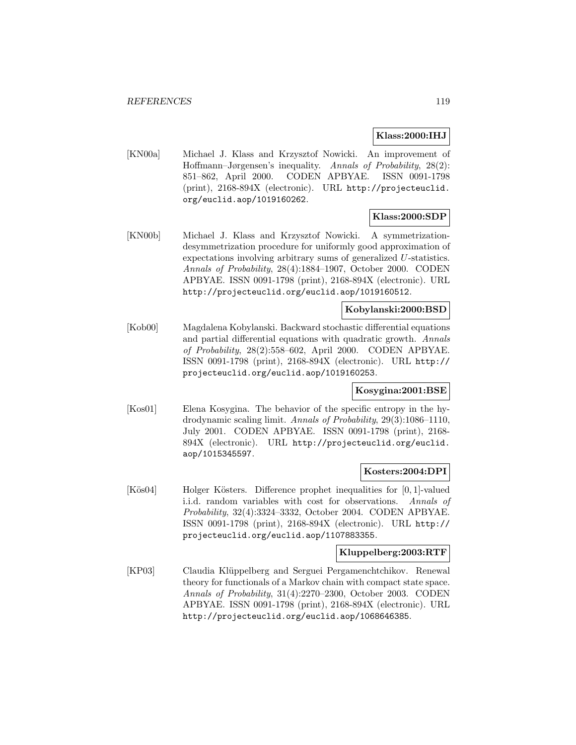#### **Klass:2000:IHJ**

[KN00a] Michael J. Klass and Krzysztof Nowicki. An improvement of Hoffmann–Jørgensen's inequality. Annals of Probability, 28(2): 851–862, April 2000. CODEN APBYAE. ISSN 0091-1798 (print), 2168-894X (electronic). URL http://projecteuclid. org/euclid.aop/1019160262.

## **Klass:2000:SDP**

[KN00b] Michael J. Klass and Krzysztof Nowicki. A symmetrizationdesymmetrization procedure for uniformly good approximation of expectations involving arbitrary sums of generalized U-statistics. Annals of Probability, 28(4):1884–1907, October 2000. CODEN APBYAE. ISSN 0091-1798 (print), 2168-894X (electronic). URL http://projecteuclid.org/euclid.aop/1019160512.

### **Kobylanski:2000:BSD**

[Kob00] Magdalena Kobylanski. Backward stochastic differential equations and partial differential equations with quadratic growth. Annals of Probability, 28(2):558–602, April 2000. CODEN APBYAE. ISSN 0091-1798 (print), 2168-894X (electronic). URL http:// projecteuclid.org/euclid.aop/1019160253.

#### **Kosygina:2001:BSE**

[Kos01] Elena Kosygina. The behavior of the specific entropy in the hydrodynamic scaling limit. Annals of Probability, 29(3):1086–1110, July 2001. CODEN APBYAE. ISSN 0091-1798 (print), 2168- 894X (electronic). URL http://projecteuclid.org/euclid. aop/1015345597.

#### **Kosters:2004:DPI**

[Kös04] Holger Kösters. Difference prophet inequalities for [0, 1]-valued i.i.d. random variables with cost for observations. Annals of Probability, 32(4):3324–3332, October 2004. CODEN APBYAE. ISSN 0091-1798 (print), 2168-894X (electronic). URL http:// projecteuclid.org/euclid.aop/1107883355.

#### **Kluppelberg:2003:RTF**

[KP03] Claudia Klüppelberg and Serguei Pergamenchtchikov. Renewal theory for functionals of a Markov chain with compact state space. Annals of Probability, 31(4):2270–2300, October 2003. CODEN APBYAE. ISSN 0091-1798 (print), 2168-894X (electronic). URL http://projecteuclid.org/euclid.aop/1068646385.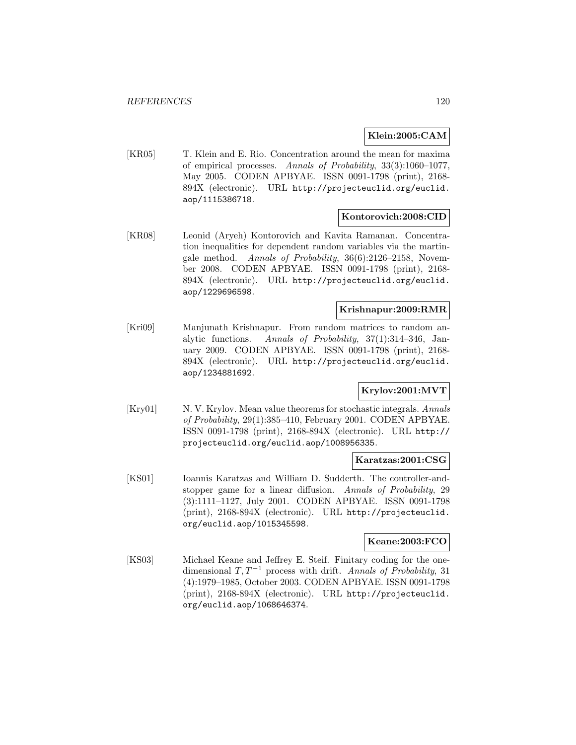#### **Klein:2005:CAM**

[KR05] T. Klein and E. Rio. Concentration around the mean for maxima of empirical processes. Annals of Probability, 33(3):1060–1077, May 2005. CODEN APBYAE. ISSN 0091-1798 (print), 2168- 894X (electronic). URL http://projecteuclid.org/euclid. aop/1115386718.

### **Kontorovich:2008:CID**

[KR08] Leonid (Aryeh) Kontorovich and Kavita Ramanan. Concentration inequalities for dependent random variables via the martingale method. Annals of Probability, 36(6):2126–2158, November 2008. CODEN APBYAE. ISSN 0091-1798 (print), 2168- 894X (electronic). URL http://projecteuclid.org/euclid. aop/1229696598.

#### **Krishnapur:2009:RMR**

[Kri09] Manjunath Krishnapur. From random matrices to random analytic functions. Annals of Probability, 37(1):314–346, January 2009. CODEN APBYAE. ISSN 0091-1798 (print), 2168- 894X (electronic). URL http://projecteuclid.org/euclid. aop/1234881692.

# **Krylov:2001:MVT**

[Kry01] N. V. Krylov. Mean value theorems for stochastic integrals. Annals of Probability, 29(1):385–410, February 2001. CODEN APBYAE. ISSN 0091-1798 (print), 2168-894X (electronic). URL http:// projecteuclid.org/euclid.aop/1008956335.

#### **Karatzas:2001:CSG**

[KS01] Ioannis Karatzas and William D. Sudderth. The controller-andstopper game for a linear diffusion. Annals of Probability, 29 (3):1111–1127, July 2001. CODEN APBYAE. ISSN 0091-1798 (print), 2168-894X (electronic). URL http://projecteuclid. org/euclid.aop/1015345598.

#### **Keane:2003:FCO**

[KS03] Michael Keane and Jeffrey E. Steif. Finitary coding for the onedimensional  $T, T^{-1}$  process with drift. Annals of Probability, 31 (4):1979–1985, October 2003. CODEN APBYAE. ISSN 0091-1798 (print), 2168-894X (electronic). URL http://projecteuclid. org/euclid.aop/1068646374.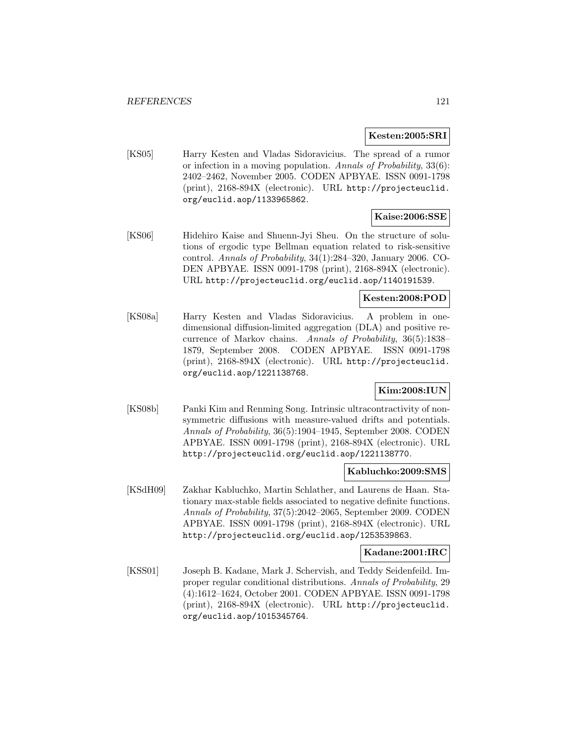#### **Kesten:2005:SRI**

[KS05] Harry Kesten and Vladas Sidoravicius. The spread of a rumor or infection in a moving population. Annals of Probability, 33(6): 2402–2462, November 2005. CODEN APBYAE. ISSN 0091-1798 (print), 2168-894X (electronic). URL http://projecteuclid. org/euclid.aop/1133965862.

#### **Kaise:2006:SSE**

[KS06] Hidehiro Kaise and Shuenn-Jyi Sheu. On the structure of solutions of ergodic type Bellman equation related to risk-sensitive control. Annals of Probability, 34(1):284–320, January 2006. CO-DEN APBYAE. ISSN 0091-1798 (print), 2168-894X (electronic). URL http://projecteuclid.org/euclid.aop/1140191539.

#### **Kesten:2008:POD**

[KS08a] Harry Kesten and Vladas Sidoravicius. A problem in onedimensional diffusion-limited aggregation (DLA) and positive recurrence of Markov chains. Annals of Probability, 36(5):1838– 1879, September 2008. CODEN APBYAE. ISSN 0091-1798 (print), 2168-894X (electronic). URL http://projecteuclid. org/euclid.aop/1221138768.

#### **Kim:2008:IUN**

[KS08b] Panki Kim and Renming Song. Intrinsic ultracontractivity of nonsymmetric diffusions with measure-valued drifts and potentials. Annals of Probability, 36(5):1904–1945, September 2008. CODEN APBYAE. ISSN 0091-1798 (print), 2168-894X (electronic). URL http://projecteuclid.org/euclid.aop/1221138770.

#### **Kabluchko:2009:SMS**

[KSdH09] Zakhar Kabluchko, Martin Schlather, and Laurens de Haan. Stationary max-stable fields associated to negative definite functions. Annals of Probability, 37(5):2042–2065, September 2009. CODEN APBYAE. ISSN 0091-1798 (print), 2168-894X (electronic). URL http://projecteuclid.org/euclid.aop/1253539863.

#### **Kadane:2001:IRC**

[KSS01] Joseph B. Kadane, Mark J. Schervish, and Teddy Seidenfeild. Improper regular conditional distributions. Annals of Probability, 29 (4):1612–1624, October 2001. CODEN APBYAE. ISSN 0091-1798 (print), 2168-894X (electronic). URL http://projecteuclid. org/euclid.aop/1015345764.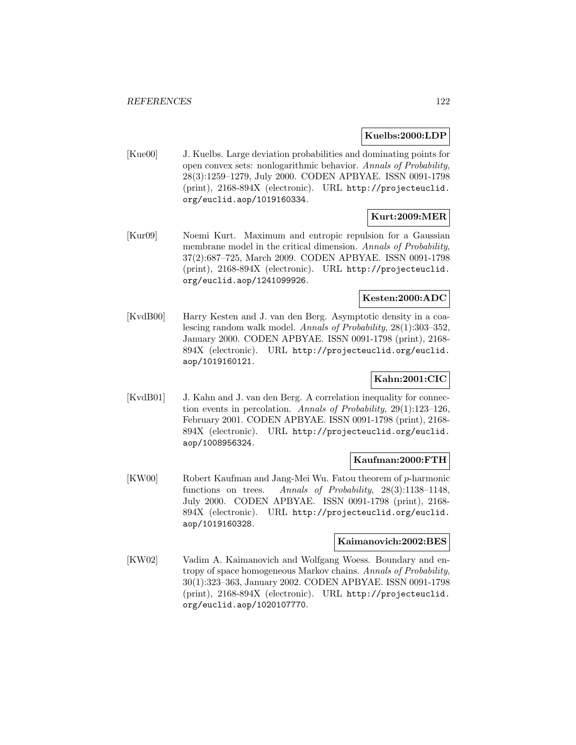#### **Kuelbs:2000:LDP**

[Kue00] J. Kuelbs. Large deviation probabilities and dominating points for open convex sets: nonlogarithmic behavior. Annals of Probability, 28(3):1259–1279, July 2000. CODEN APBYAE. ISSN 0091-1798 (print), 2168-894X (electronic). URL http://projecteuclid. org/euclid.aop/1019160334.

# **Kurt:2009:MER**

[Kur09] Noemi Kurt. Maximum and entropic repulsion for a Gaussian membrane model in the critical dimension. Annals of Probability, 37(2):687–725, March 2009. CODEN APBYAE. ISSN 0091-1798 (print), 2168-894X (electronic). URL http://projecteuclid. org/euclid.aop/1241099926.

### **Kesten:2000:ADC**

[KvdB00] Harry Kesten and J. van den Berg. Asymptotic density in a coalescing random walk model. Annals of Probability, 28(1):303–352, January 2000. CODEN APBYAE. ISSN 0091-1798 (print), 2168- 894X (electronic). URL http://projecteuclid.org/euclid. aop/1019160121.

## **Kahn:2001:CIC**

[KvdB01] J. Kahn and J. van den Berg. A correlation inequality for connection events in percolation. Annals of Probability, 29(1):123–126, February 2001. CODEN APBYAE. ISSN 0091-1798 (print), 2168- 894X (electronic). URL http://projecteuclid.org/euclid. aop/1008956324.

#### **Kaufman:2000:FTH**

[KW00] Robert Kaufman and Jang-Mei Wu. Fatou theorem of p-harmonic functions on trees. Annals of Probability, 28(3):1138–1148, July 2000. CODEN APBYAE. ISSN 0091-1798 (print), 2168- 894X (electronic). URL http://projecteuclid.org/euclid. aop/1019160328.

#### **Kaimanovich:2002:BES**

[KW02] Vadim A. Kaimanovich and Wolfgang Woess. Boundary and entropy of space homogeneous Markov chains. Annals of Probability, 30(1):323–363, January 2002. CODEN APBYAE. ISSN 0091-1798 (print), 2168-894X (electronic). URL http://projecteuclid. org/euclid.aop/1020107770.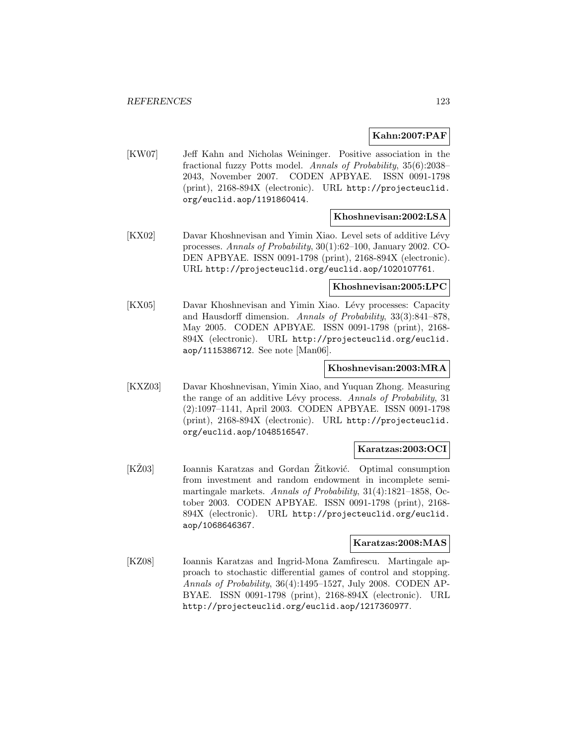#### **Kahn:2007:PAF**

[KW07] Jeff Kahn and Nicholas Weininger. Positive association in the fractional fuzzy Potts model. Annals of Probability, 35(6):2038– 2043, November 2007. CODEN APBYAE. ISSN 0091-1798 (print), 2168-894X (electronic). URL http://projecteuclid. org/euclid.aop/1191860414.

## **Khoshnevisan:2002:LSA**

[KX02] Davar Khoshnevisan and Yimin Xiao. Level sets of additive Lévy processes. Annals of Probability, 30(1):62–100, January 2002. CO-DEN APBYAE. ISSN 0091-1798 (print), 2168-894X (electronic). URL http://projecteuclid.org/euclid.aop/1020107761.

#### **Khoshnevisan:2005:LPC**

[KX05] Davar Khoshnevisan and Yimin Xiao. Lévy processes: Capacity and Hausdorff dimension. Annals of Probability, 33(3):841–878, May 2005. CODEN APBYAE. ISSN 0091-1798 (print), 2168- 894X (electronic). URL http://projecteuclid.org/euclid. aop/1115386712. See note [Man06].

#### **Khoshnevisan:2003:MRA**

[KXZ03] Davar Khoshnevisan, Yimin Xiao, and Yuquan Zhong. Measuring the range of an additive Lévy process. Annals of Probability, 31 (2):1097–1141, April 2003. CODEN APBYAE. ISSN 0091-1798 (print), 2168-894X (electronic). URL http://projecteuclid. org/euclid.aop/1048516547.

### **Karatzas:2003:OCI**

[KZ03] Ioannis Karatzas and Gordan Zitković. Optimal consumption from investment and random endowment in incomplete semimartingale markets. Annals of Probability, 31(4):1821–1858, October 2003. CODEN APBYAE. ISSN 0091-1798 (print), 2168- 894X (electronic). URL http://projecteuclid.org/euclid. aop/1068646367.

#### **Karatzas:2008:MAS**

[KZ08] Ioannis Karatzas and Ingrid-Mona Zamfirescu. Martingale approach to stochastic differential games of control and stopping. Annals of Probability, 36(4):1495–1527, July 2008. CODEN AP-BYAE. ISSN 0091-1798 (print), 2168-894X (electronic). URL http://projecteuclid.org/euclid.aop/1217360977.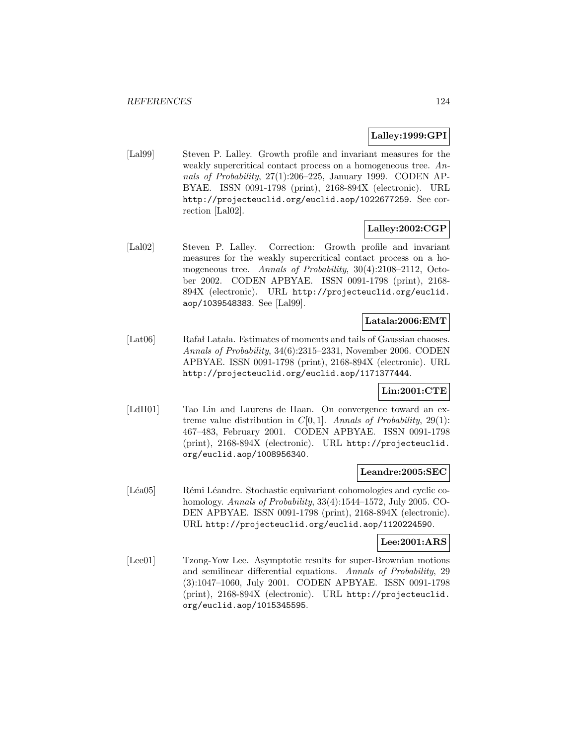## **Lalley:1999:GPI**

[Lal99] Steven P. Lalley. Growth profile and invariant measures for the weakly supercritical contact process on a homogeneous tree. Annals of Probability, 27(1):206–225, January 1999. CODEN AP-BYAE. ISSN 0091-1798 (print), 2168-894X (electronic). URL http://projecteuclid.org/euclid.aop/1022677259. See correction [Lal02].

### **Lalley:2002:CGP**

[Lal02] Steven P. Lalley. Correction: Growth profile and invariant measures for the weakly supercritical contact process on a homogeneous tree. Annals of Probability, 30(4):2108–2112, October 2002. CODEN APBYAE. ISSN 0091-1798 (print), 2168- 894X (electronic). URL http://projecteuclid.org/euclid. aop/1039548383. See [Lal99].

# **Latala:2006:EMT**

[Lat06] Rafa Lata lata kestimates of moments and tails of Gaussian chaoses. Annals of Probability, 34(6):2315–2331, November 2006. CODEN APBYAE. ISSN 0091-1798 (print), 2168-894X (electronic). URL http://projecteuclid.org/euclid.aop/1171377444.

# **Lin:2001:CTE**

[LdH01] Tao Lin and Laurens de Haan. On convergence toward an extreme value distribution in  $C[0, 1]$ . Annals of Probability, 29(1): 467–483, February 2001. CODEN APBYAE. ISSN 0091-1798 (print), 2168-894X (electronic). URL http://projecteuclid. org/euclid.aop/1008956340.

#### **Leandre:2005:SEC**

[Léa05] Rémi Léandre. Stochastic equivariant cohomologies and cyclic cohomology. Annals of Probability, 33(4):1544–1572, July 2005. CO-DEN APBYAE. ISSN 0091-1798 (print), 2168-894X (electronic). URL http://projecteuclid.org/euclid.aop/1120224590.

### **Lee:2001:ARS**

[Lee01] Tzong-Yow Lee. Asymptotic results for super-Brownian motions and semilinear differential equations. Annals of Probability, 29 (3):1047–1060, July 2001. CODEN APBYAE. ISSN 0091-1798 (print), 2168-894X (electronic). URL http://projecteuclid. org/euclid.aop/1015345595.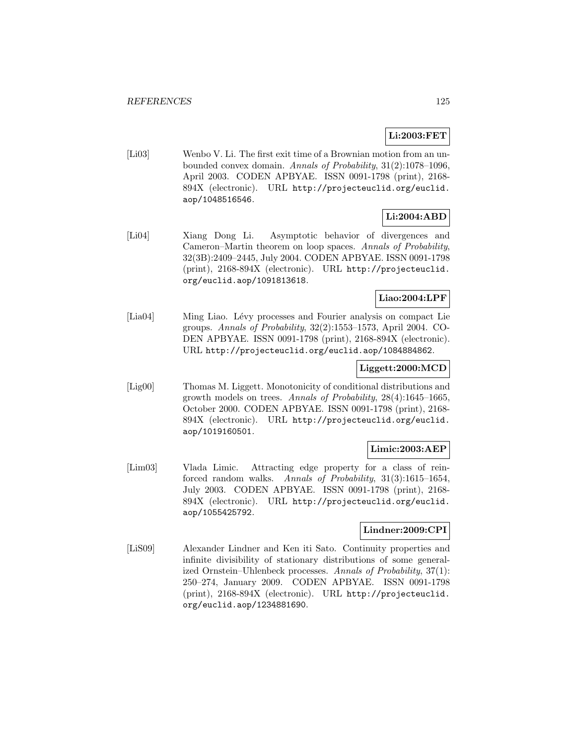# **Li:2003:FET**

[Li03] Wenbo V. Li. The first exit time of a Brownian motion from an unbounded convex domain. Annals of Probability, 31(2):1078–1096, April 2003. CODEN APBYAE. ISSN 0091-1798 (print), 2168- 894X (electronic). URL http://projecteuclid.org/euclid. aop/1048516546.

### **Li:2004:ABD**

[Li04] Xiang Dong Li. Asymptotic behavior of divergences and Cameron–Martin theorem on loop spaces. Annals of Probability, 32(3B):2409–2445, July 2004. CODEN APBYAE. ISSN 0091-1798 (print), 2168-894X (electronic). URL http://projecteuclid. org/euclid.aop/1091813618.

# **Liao:2004:LPF**

[Lia04] Ming Liao. Lévy processes and Fourier analysis on compact Lie groups. Annals of Probability, 32(2):1553–1573, April 2004. CO-DEN APBYAE. ISSN 0091-1798 (print), 2168-894X (electronic). URL http://projecteuclid.org/euclid.aop/1084884862.

# **Liggett:2000:MCD**

[Lig00] Thomas M. Liggett. Monotonicity of conditional distributions and growth models on trees. Annals of Probability, 28(4):1645–1665, October 2000. CODEN APBYAE. ISSN 0091-1798 (print), 2168- 894X (electronic). URL http://projecteuclid.org/euclid. aop/1019160501.

# **Limic:2003:AEP**

[Lim03] Vlada Limic. Attracting edge property for a class of reinforced random walks. Annals of Probability, 31(3):1615–1654, July 2003. CODEN APBYAE. ISSN 0091-1798 (print), 2168- 894X (electronic). URL http://projecteuclid.org/euclid. aop/1055425792.

#### **Lindner:2009:CPI**

[LiS09] Alexander Lindner and Ken iti Sato. Continuity properties and infinite divisibility of stationary distributions of some generalized Ornstein–Uhlenbeck processes. Annals of Probability, 37(1): 250–274, January 2009. CODEN APBYAE. ISSN 0091-1798 (print), 2168-894X (electronic). URL http://projecteuclid. org/euclid.aop/1234881690.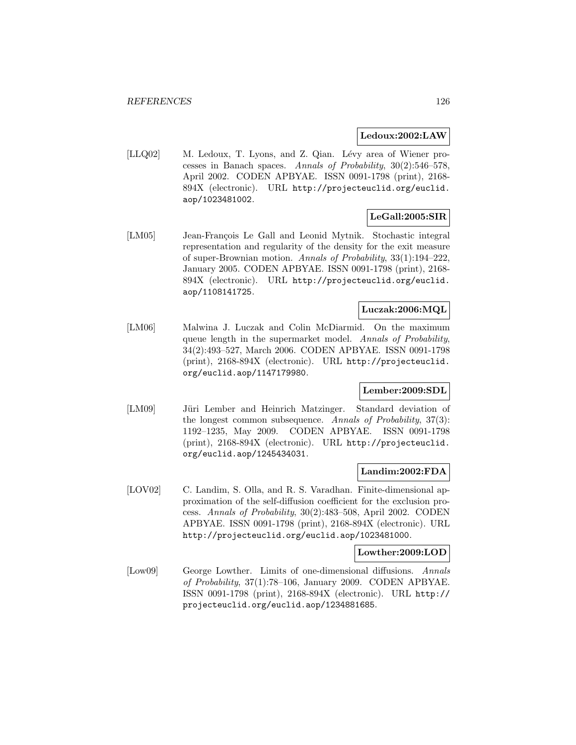#### **Ledoux:2002:LAW**

[LLQ02] M. Ledoux, T. Lyons, and Z. Qian. Lévy area of Wiener processes in Banach spaces. Annals of Probability, 30(2):546–578, April 2002. CODEN APBYAE. ISSN 0091-1798 (print), 2168- 894X (electronic). URL http://projecteuclid.org/euclid. aop/1023481002.

# **LeGall:2005:SIR**

[LM05] Jean-François Le Gall and Leonid Mytnik. Stochastic integral representation and regularity of the density for the exit measure of super-Brownian motion. Annals of Probability, 33(1):194–222, January 2005. CODEN APBYAE. ISSN 0091-1798 (print), 2168- 894X (electronic). URL http://projecteuclid.org/euclid. aop/1108141725.

# **Luczak:2006:MQL**

[LM06] Malwina J. Luczak and Colin McDiarmid. On the maximum queue length in the supermarket model. Annals of Probability, 34(2):493–527, March 2006. CODEN APBYAE. ISSN 0091-1798 (print), 2168-894X (electronic). URL http://projecteuclid. org/euclid.aop/1147179980.

### **Lember:2009:SDL**

[LM09] Jüri Lember and Heinrich Matzinger. Standard deviation of the longest common subsequence. Annals of Probability, 37(3): 1192–1235, May 2009. CODEN APBYAE. ISSN 0091-1798 (print), 2168-894X (electronic). URL http://projecteuclid. org/euclid.aop/1245434031.

#### **Landim:2002:FDA**

[LOV02] C. Landim, S. Olla, and R. S. Varadhan. Finite-dimensional approximation of the self-diffusion coefficient for the exclusion process. Annals of Probability, 30(2):483–508, April 2002. CODEN APBYAE. ISSN 0091-1798 (print), 2168-894X (electronic). URL http://projecteuclid.org/euclid.aop/1023481000.

#### **Lowther:2009:LOD**

[Low09] George Lowther. Limits of one-dimensional diffusions. Annals of Probability, 37(1):78–106, January 2009. CODEN APBYAE. ISSN 0091-1798 (print), 2168-894X (electronic). URL http:// projecteuclid.org/euclid.aop/1234881685.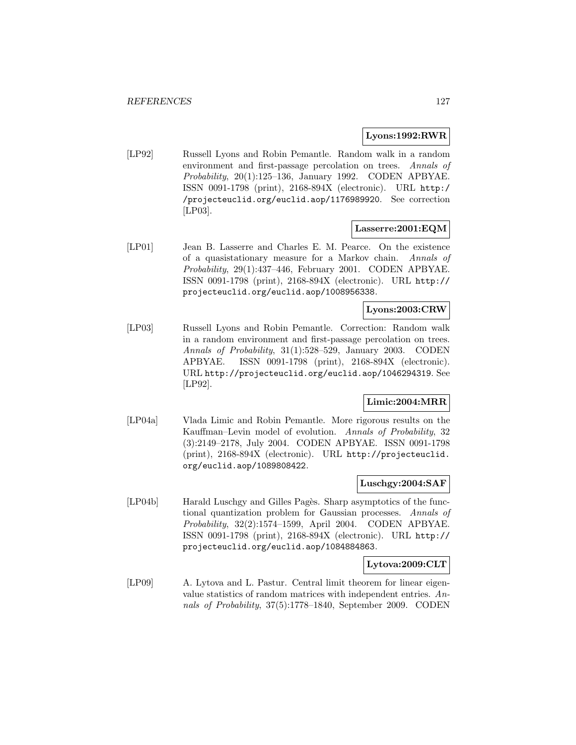#### **Lyons:1992:RWR**

[LP92] Russell Lyons and Robin Pemantle. Random walk in a random environment and first-passage percolation on trees. Annals of Probability, 20(1):125–136, January 1992. CODEN APBYAE. ISSN 0091-1798 (print), 2168-894X (electronic). URL http:/ /projecteuclid.org/euclid.aop/1176989920. See correction [LP03].

#### **Lasserre:2001:EQM**

[LP01] Jean B. Lasserre and Charles E. M. Pearce. On the existence of a quasistationary measure for a Markov chain. Annals of Probability, 29(1):437–446, February 2001. CODEN APBYAE. ISSN 0091-1798 (print), 2168-894X (electronic). URL http:// projecteuclid.org/euclid.aop/1008956338.

### **Lyons:2003:CRW**

[LP03] Russell Lyons and Robin Pemantle. Correction: Random walk in a random environment and first-passage percolation on trees. Annals of Probability, 31(1):528–529, January 2003. CODEN APBYAE. ISSN 0091-1798 (print), 2168-894X (electronic). URL http://projecteuclid.org/euclid.aop/1046294319. See [LP92].

## **Limic:2004:MRR**

[LP04a] Vlada Limic and Robin Pemantle. More rigorous results on the Kauffman–Levin model of evolution. Annals of Probability, 32 (3):2149–2178, July 2004. CODEN APBYAE. ISSN 0091-1798 (print), 2168-894X (electronic). URL http://projecteuclid. org/euclid.aop/1089808422.

### **Luschgy:2004:SAF**

[LP04b] Harald Luschgy and Gilles Pagès. Sharp asymptotics of the functional quantization problem for Gaussian processes. Annals of Probability, 32(2):1574–1599, April 2004. CODEN APBYAE. ISSN 0091-1798 (print), 2168-894X (electronic). URL http:// projecteuclid.org/euclid.aop/1084884863.

#### **Lytova:2009:CLT**

[LP09] A. Lytova and L. Pastur. Central limit theorem for linear eigenvalue statistics of random matrices with independent entries. Annals of Probability, 37(5):1778–1840, September 2009. CODEN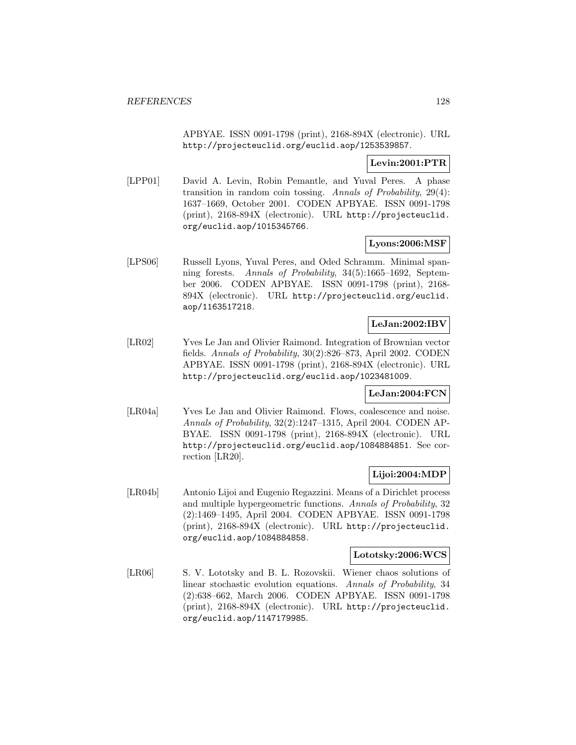APBYAE. ISSN 0091-1798 (print), 2168-894X (electronic). URL http://projecteuclid.org/euclid.aop/1253539857.

### **Levin:2001:PTR**

[LPP01] David A. Levin, Robin Pemantle, and Yuval Peres. A phase transition in random coin tossing. Annals of Probability, 29(4): 1637–1669, October 2001. CODEN APBYAE. ISSN 0091-1798 (print), 2168-894X (electronic). URL http://projecteuclid. org/euclid.aop/1015345766.

#### **Lyons:2006:MSF**

[LPS06] Russell Lyons, Yuval Peres, and Oded Schramm. Minimal spanning forests. Annals of Probability, 34(5):1665–1692, September 2006. CODEN APBYAE. ISSN 0091-1798 (print), 2168- 894X (electronic). URL http://projecteuclid.org/euclid. aop/1163517218.

## **LeJan:2002:IBV**

[LR02] Yves Le Jan and Olivier Raimond. Integration of Brownian vector fields. Annals of Probability, 30(2):826–873, April 2002. CODEN APBYAE. ISSN 0091-1798 (print), 2168-894X (electronic). URL http://projecteuclid.org/euclid.aop/1023481009.

#### **LeJan:2004:FCN**

[LR04a] Yves Le Jan and Olivier Raimond. Flows, coalescence and noise. Annals of Probability, 32(2):1247–1315, April 2004. CODEN AP-BYAE. ISSN 0091-1798 (print), 2168-894X (electronic). URL http://projecteuclid.org/euclid.aop/1084884851. See correction [LR20].

## **Lijoi:2004:MDP**

[LR04b] Antonio Lijoi and Eugenio Regazzini. Means of a Dirichlet process and multiple hypergeometric functions. Annals of Probability, 32 (2):1469–1495, April 2004. CODEN APBYAE. ISSN 0091-1798 (print), 2168-894X (electronic). URL http://projecteuclid. org/euclid.aop/1084884858.

#### **Lototsky:2006:WCS**

[LR06] S. V. Lototsky and B. L. Rozovskii. Wiener chaos solutions of linear stochastic evolution equations. Annals of Probability, 34 (2):638–662, March 2006. CODEN APBYAE. ISSN 0091-1798 (print), 2168-894X (electronic). URL http://projecteuclid. org/euclid.aop/1147179985.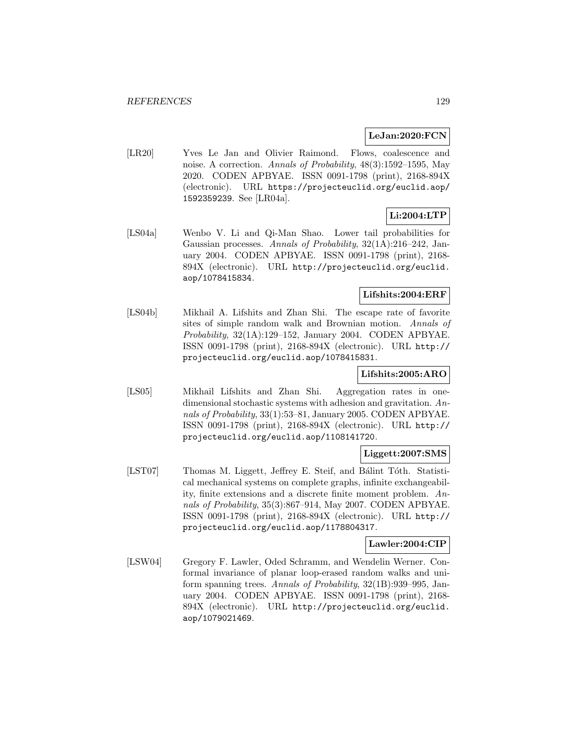#### **LeJan:2020:FCN**

[LR20] Yves Le Jan and Olivier Raimond. Flows, coalescence and noise. A correction. Annals of Probability, 48(3):1592–1595, May 2020. CODEN APBYAE. ISSN 0091-1798 (print), 2168-894X (electronic). URL https://projecteuclid.org/euclid.aop/ 1592359239. See [LR04a].

# **Li:2004:LTP**

[LS04a] Wenbo V. Li and Qi-Man Shao. Lower tail probabilities for Gaussian processes. Annals of Probability, 32(1A):216–242, January 2004. CODEN APBYAE. ISSN 0091-1798 (print), 2168- 894X (electronic). URL http://projecteuclid.org/euclid. aop/1078415834.

## **Lifshits:2004:ERF**

[LS04b] Mikhail A. Lifshits and Zhan Shi. The escape rate of favorite sites of simple random walk and Brownian motion. Annals of Probability, 32(1A):129–152, January 2004. CODEN APBYAE. ISSN 0091-1798 (print), 2168-894X (electronic). URL http:// projecteuclid.org/euclid.aop/1078415831.

#### **Lifshits:2005:ARO**

[LS05] Mikhail Lifshits and Zhan Shi. Aggregation rates in onedimensional stochastic systems with adhesion and gravitation. Annals of Probability, 33(1):53–81, January 2005. CODEN APBYAE. ISSN 0091-1798 (print), 2168-894X (electronic). URL http:// projecteuclid.org/euclid.aop/1108141720.

#### **Liggett:2007:SMS**

[LST07] Thomas M. Liggett, Jeffrey E. Steif, and Bálint Tóth. Statistical mechanical systems on complete graphs, infinite exchangeability, finite extensions and a discrete finite moment problem. Annals of Probability, 35(3):867–914, May 2007. CODEN APBYAE. ISSN 0091-1798 (print), 2168-894X (electronic). URL http:// projecteuclid.org/euclid.aop/1178804317.

#### **Lawler:2004:CIP**

[LSW04] Gregory F. Lawler, Oded Schramm, and Wendelin Werner. Conformal invariance of planar loop-erased random walks and uniform spanning trees. Annals of Probability, 32(1B):939–995, January 2004. CODEN APBYAE. ISSN 0091-1798 (print), 2168- 894X (electronic). URL http://projecteuclid.org/euclid. aop/1079021469.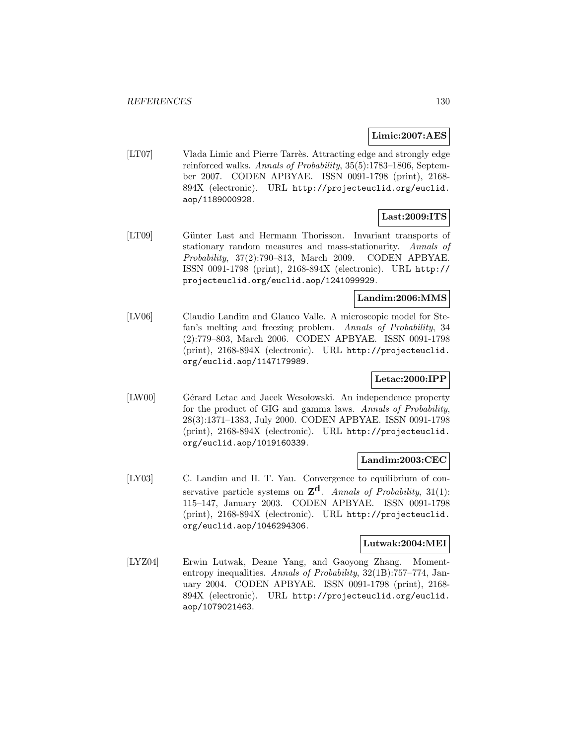#### **Limic:2007:AES**

[LT07] Vlada Limic and Pierre Tarrès. Attracting edge and strongly edge reinforced walks. Annals of Probability, 35(5):1783–1806, September 2007. CODEN APBYAE. ISSN 0091-1798 (print), 2168- 894X (electronic). URL http://projecteuclid.org/euclid. aop/1189000928.

# **Last:2009:ITS**

[LT09] Günter Last and Hermann Thorisson. Invariant transports of stationary random measures and mass-stationarity. Annals of Probability, 37(2):790–813, March 2009. CODEN APBYAE. ISSN 0091-1798 (print), 2168-894X (electronic). URL http:// projecteuclid.org/euclid.aop/1241099929.

# **Landim:2006:MMS**

[LV06] Claudio Landim and Glauco Valle. A microscopic model for Stefan's melting and freezing problem. Annals of Probability, 34 (2):779–803, March 2006. CODEN APBYAE. ISSN 0091-1798 (print), 2168-894X (electronic). URL http://projecteuclid. org/euclid.aop/1147179989.

## **Letac:2000:IPP**

[LW00] Gérard Letac and Jacek Wesołowski. An independence property for the product of GIG and gamma laws. Annals of Probability, 28(3):1371–1383, July 2000. CODEN APBYAE. ISSN 0091-1798 (print), 2168-894X (electronic). URL http://projecteuclid. org/euclid.aop/1019160339.

#### **Landim:2003:CEC**

[LY03] C. Landim and H. T. Yau. Convergence to equilibrium of conservative particle systems on  $\mathbf{Z}^{\mathbf{d}}$ . Annals of Probability, 31(1): 115–147, January 2003. CODEN APBYAE. ISSN 0091-1798 (print), 2168-894X (electronic). URL http://projecteuclid. org/euclid.aop/1046294306.

### **Lutwak:2004:MEI**

[LYZ04] Erwin Lutwak, Deane Yang, and Gaoyong Zhang. Momententropy inequalities. Annals of Probability, 32(1B):757–774, January 2004. CODEN APBYAE. ISSN 0091-1798 (print), 2168- 894X (electronic). URL http://projecteuclid.org/euclid. aop/1079021463.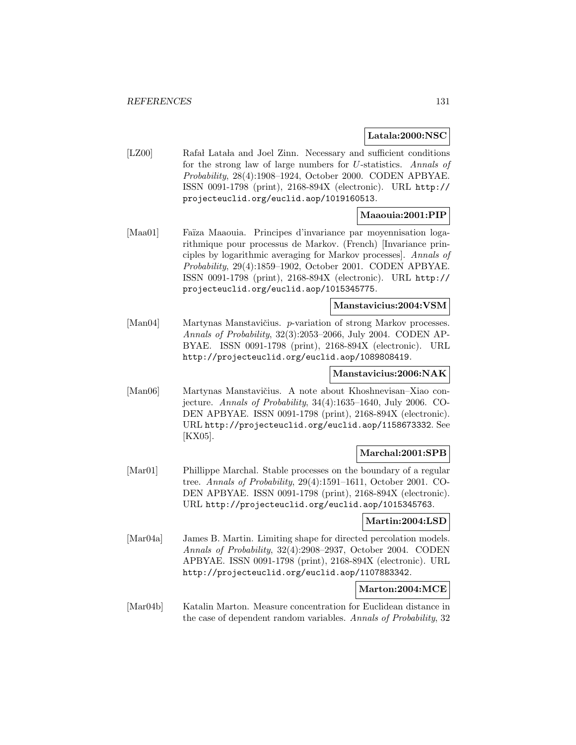#### **Latala:2000:NSC**

[LZ00] Rafa Lata and Joel Zinn. Necessary and sufficient conditions for the strong law of large numbers for U-statistics. Annals of Probability, 28(4):1908–1924, October 2000. CODEN APBYAE. ISSN 0091-1798 (print), 2168-894X (electronic). URL http:// projecteuclid.org/euclid.aop/1019160513.

### **Maaouia:2001:PIP**

[Maa01] Faïza Maaouia. Principes d'invariance par moyennisation logarithmique pour processus de Markov. (French) [Invariance principles by logarithmic averaging for Markov processes]. Annals of Probability, 29(4):1859–1902, October 2001. CODEN APBYAE. ISSN 0091-1798 (print), 2168-894X (electronic). URL http:// projecteuclid.org/euclid.aop/1015345775.

# **Manstavicius:2004:VSM**

[Man04] Martynas Manstavičius. *p*-variation of strong Markov processes. Annals of Probability, 32(3):2053–2066, July 2004. CODEN AP-BYAE. ISSN 0091-1798 (print), 2168-894X (electronic). URL http://projecteuclid.org/euclid.aop/1089808419.

# **Manstavicius:2006:NAK**

[Man06] Martynas Manstavičius. A note about Khoshnevisan–Xiao conjecture. Annals of Probability, 34(4):1635–1640, July 2006. CO-DEN APBYAE. ISSN 0091-1798 (print), 2168-894X (electronic). URL http://projecteuclid.org/euclid.aop/1158673332. See [KX05].

#### **Marchal:2001:SPB**

[Mar01] Phillippe Marchal. Stable processes on the boundary of a regular tree. Annals of Probability, 29(4):1591–1611, October 2001. CO-DEN APBYAE. ISSN 0091-1798 (print), 2168-894X (electronic). URL http://projecteuclid.org/euclid.aop/1015345763.

#### **Martin:2004:LSD**

[Mar04a] James B. Martin. Limiting shape for directed percolation models. Annals of Probability, 32(4):2908–2937, October 2004. CODEN APBYAE. ISSN 0091-1798 (print), 2168-894X (electronic). URL http://projecteuclid.org/euclid.aop/1107883342.

#### **Marton:2004:MCE**

[Mar04b] Katalin Marton. Measure concentration for Euclidean distance in the case of dependent random variables. Annals of Probability, 32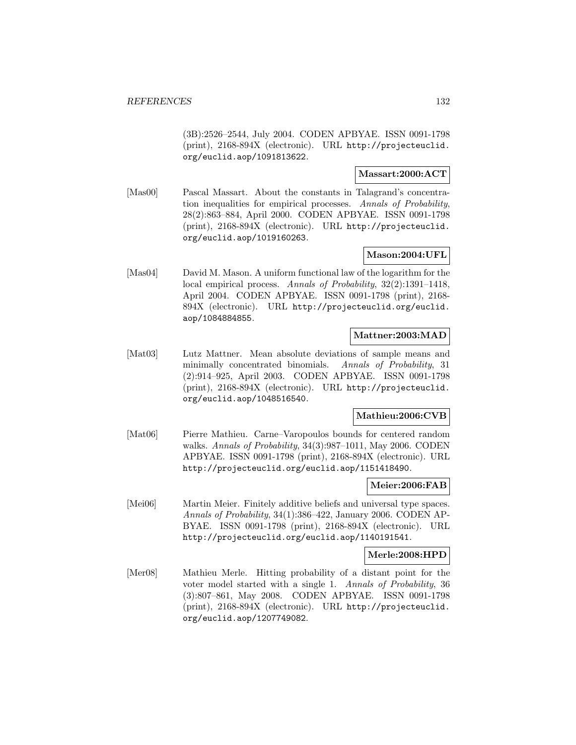(3B):2526–2544, July 2004. CODEN APBYAE. ISSN 0091-1798 (print), 2168-894X (electronic). URL http://projecteuclid. org/euclid.aop/1091813622.

### **Massart:2000:ACT**

[Mas00] Pascal Massart. About the constants in Talagrand's concentration inequalities for empirical processes. Annals of Probability, 28(2):863–884, April 2000. CODEN APBYAE. ISSN 0091-1798 (print), 2168-894X (electronic). URL http://projecteuclid. org/euclid.aop/1019160263.

## **Mason:2004:UFL**

[Mas04] David M. Mason. A uniform functional law of the logarithm for the local empirical process. Annals of Probability, 32(2):1391–1418, April 2004. CODEN APBYAE. ISSN 0091-1798 (print), 2168- 894X (electronic). URL http://projecteuclid.org/euclid. aop/1084884855.

#### **Mattner:2003:MAD**

[Mat03] Lutz Mattner. Mean absolute deviations of sample means and minimally concentrated binomials. Annals of Probability, 31 (2):914–925, April 2003. CODEN APBYAE. ISSN 0091-1798 (print), 2168-894X (electronic). URL http://projecteuclid. org/euclid.aop/1048516540.

#### **Mathieu:2006:CVB**

[Mat06] Pierre Mathieu. Carne–Varopoulos bounds for centered random walks. Annals of Probability, 34(3):987–1011, May 2006. CODEN APBYAE. ISSN 0091-1798 (print), 2168-894X (electronic). URL http://projecteuclid.org/euclid.aop/1151418490.

#### **Meier:2006:FAB**

[Mei06] Martin Meier. Finitely additive beliefs and universal type spaces. Annals of Probability, 34(1):386–422, January 2006. CODEN AP-BYAE. ISSN 0091-1798 (print), 2168-894X (electronic). URL http://projecteuclid.org/euclid.aop/1140191541.

#### **Merle:2008:HPD**

[Mer08] Mathieu Merle. Hitting probability of a distant point for the voter model started with a single 1. Annals of Probability, 36 (3):807–861, May 2008. CODEN APBYAE. ISSN 0091-1798 (print), 2168-894X (electronic). URL http://projecteuclid. org/euclid.aop/1207749082.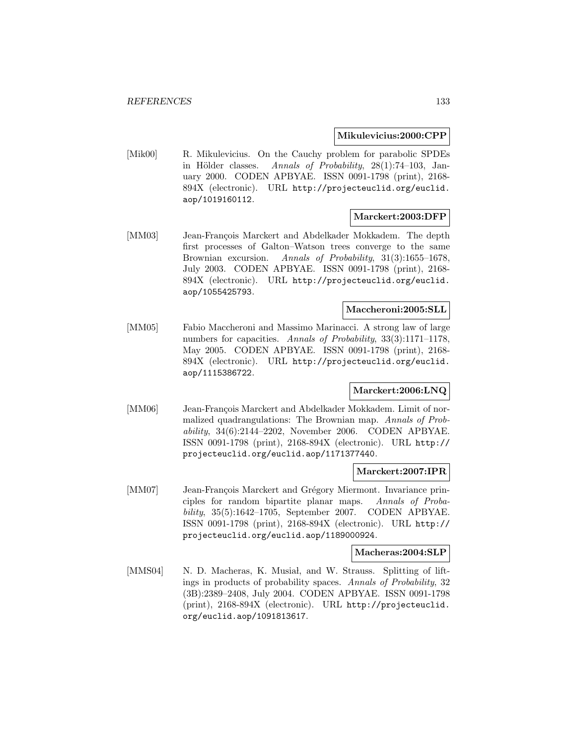#### **Mikulevicius:2000:CPP**

[Mik00] R. Mikulevicius. On the Cauchy problem for parabolic SPDEs in Hölder classes. Annals of Probability,  $28(1)$ :74–103, January 2000. CODEN APBYAE. ISSN 0091-1798 (print), 2168- 894X (electronic). URL http://projecteuclid.org/euclid. aop/1019160112.

### **Marckert:2003:DFP**

[MM03] Jean-François Marckert and Abdelkader Mokkadem. The depth first processes of Galton–Watson trees converge to the same Brownian excursion. Annals of Probability, 31(3):1655–1678, July 2003. CODEN APBYAE. ISSN 0091-1798 (print), 2168- 894X (electronic). URL http://projecteuclid.org/euclid. aop/1055425793.

#### **Maccheroni:2005:SLL**

[MM05] Fabio Maccheroni and Massimo Marinacci. A strong law of large numbers for capacities. Annals of Probability, 33(3):1171–1178, May 2005. CODEN APBYAE. ISSN 0091-1798 (print), 2168- 894X (electronic). URL http://projecteuclid.org/euclid. aop/1115386722.

### **Marckert:2006:LNQ**

[MM06] Jean-François Marckert and Abdelkader Mokkadem. Limit of normalized quadrangulations: The Brownian map. Annals of Probability, 34(6):2144–2202, November 2006. CODEN APBYAE. ISSN 0091-1798 (print), 2168-894X (electronic). URL http:// projecteuclid.org/euclid.aop/1171377440.

#### **Marckert:2007:IPR**

[MM07] Jean-François Marckert and Grégory Miermont. Invariance principles for random bipartite planar maps. Annals of Probability, 35(5):1642–1705, September 2007. CODEN APBYAE. ISSN 0091-1798 (print), 2168-894X (electronic). URL http:// projecteuclid.org/euclid.aop/1189000924.

#### **Macheras:2004:SLP**

[MMS04] N. D. Macheras, K. Musial, and W. Strauss. Splitting of liftings in products of probability spaces. Annals of Probability, 32 (3B):2389–2408, July 2004. CODEN APBYAE. ISSN 0091-1798 (print), 2168-894X (electronic). URL http://projecteuclid. org/euclid.aop/1091813617.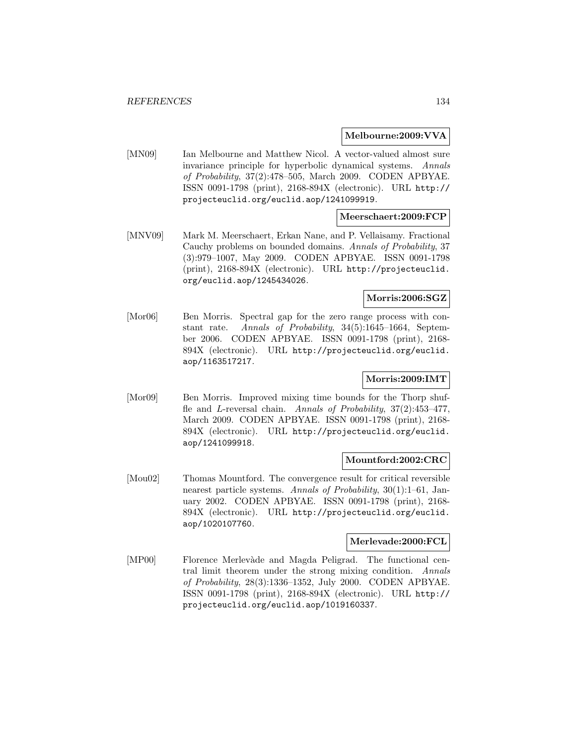#### **Melbourne:2009:VVA**

[MN09] Ian Melbourne and Matthew Nicol. A vector-valued almost sure invariance principle for hyperbolic dynamical systems. Annals of Probability, 37(2):478–505, March 2009. CODEN APBYAE. ISSN 0091-1798 (print), 2168-894X (electronic). URL http:// projecteuclid.org/euclid.aop/1241099919.

### **Meerschaert:2009:FCP**

[MNV09] Mark M. Meerschaert, Erkan Nane, and P. Vellaisamy. Fractional Cauchy problems on bounded domains. Annals of Probability, 37 (3):979–1007, May 2009. CODEN APBYAE. ISSN 0091-1798 (print), 2168-894X (electronic). URL http://projecteuclid. org/euclid.aop/1245434026.

### **Morris:2006:SGZ**

[Mor06] Ben Morris. Spectral gap for the zero range process with constant rate. Annals of Probability, 34(5):1645–1664, September 2006. CODEN APBYAE. ISSN 0091-1798 (print), 2168- 894X (electronic). URL http://projecteuclid.org/euclid. aop/1163517217.

## **Morris:2009:IMT**

[Mor09] Ben Morris. Improved mixing time bounds for the Thorp shuffle and L-reversal chain. Annals of Probability, 37(2):453–477, March 2009. CODEN APBYAE. ISSN 0091-1798 (print), 2168- 894X (electronic). URL http://projecteuclid.org/euclid. aop/1241099918.

#### **Mountford:2002:CRC**

[Mou02] Thomas Mountford. The convergence result for critical reversible nearest particle systems. Annals of Probability, 30(1):1–61, January 2002. CODEN APBYAE. ISSN 0091-1798 (print), 2168- 894X (electronic). URL http://projecteuclid.org/euclid. aop/1020107760.

#### **Merlevade:2000:FCL**

[MP00] Florence Merlevàde and Magda Peligrad. The functional central limit theorem under the strong mixing condition. Annals of Probability, 28(3):1336–1352, July 2000. CODEN APBYAE. ISSN 0091-1798 (print), 2168-894X (electronic). URL http:// projecteuclid.org/euclid.aop/1019160337.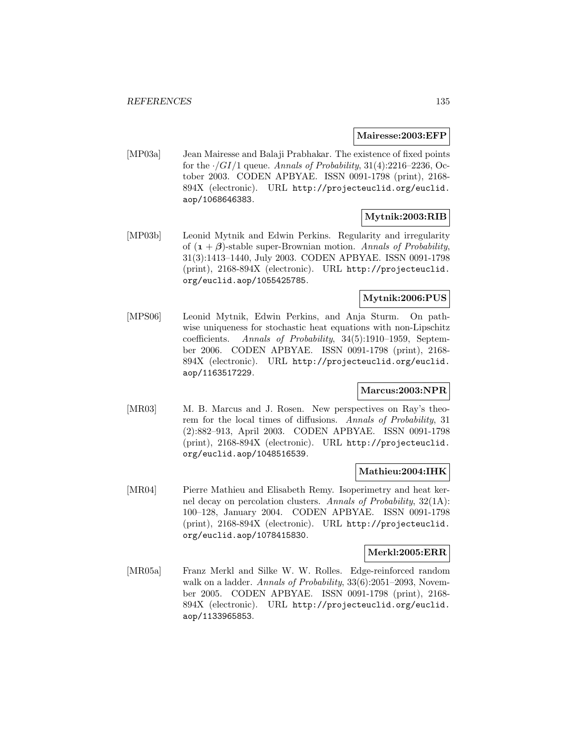#### **Mairesse:2003:EFP**

[MP03a] Jean Mairesse and Balaji Prabhakar. The existence of fixed points for the  $\cdot/GI/1$  queue. Annals of Probability, 31(4):2216–2236, October 2003. CODEN APBYAE. ISSN 0091-1798 (print), 2168- 894X (electronic). URL http://projecteuclid.org/euclid. aop/1068646383.

# **Mytnik:2003:RIB**

[MP03b] Leonid Mytnik and Edwin Perkins. Regularity and irregularity of  $(1 + \beta)$ -stable super-Brownian motion. Annals of Probability, 31(3):1413–1440, July 2003. CODEN APBYAE. ISSN 0091-1798 (print), 2168-894X (electronic). URL http://projecteuclid. org/euclid.aop/1055425785.

### **Mytnik:2006:PUS**

[MPS06] Leonid Mytnik, Edwin Perkins, and Anja Sturm. On pathwise uniqueness for stochastic heat equations with non-Lipschitz coefficients. Annals of Probability, 34(5):1910–1959, September 2006. CODEN APBYAE. ISSN 0091-1798 (print), 2168- 894X (electronic). URL http://projecteuclid.org/euclid. aop/1163517229.

# **Marcus:2003:NPR**

[MR03] M. B. Marcus and J. Rosen. New perspectives on Ray's theorem for the local times of diffusions. Annals of Probability, 31 (2):882–913, April 2003. CODEN APBYAE. ISSN 0091-1798 (print), 2168-894X (electronic). URL http://projecteuclid. org/euclid.aop/1048516539.

#### **Mathieu:2004:IHK**

[MR04] Pierre Mathieu and Elisabeth Remy. Isoperimetry and heat kernel decay on percolation clusters. Annals of Probability, 32(1A): 100–128, January 2004. CODEN APBYAE. ISSN 0091-1798 (print), 2168-894X (electronic). URL http://projecteuclid. org/euclid.aop/1078415830.

#### **Merkl:2005:ERR**

[MR05a] Franz Merkl and Silke W. W. Rolles. Edge-reinforced random walk on a ladder. Annals of Probability, 33(6):2051–2093, November 2005. CODEN APBYAE. ISSN 0091-1798 (print), 2168- 894X (electronic). URL http://projecteuclid.org/euclid. aop/1133965853.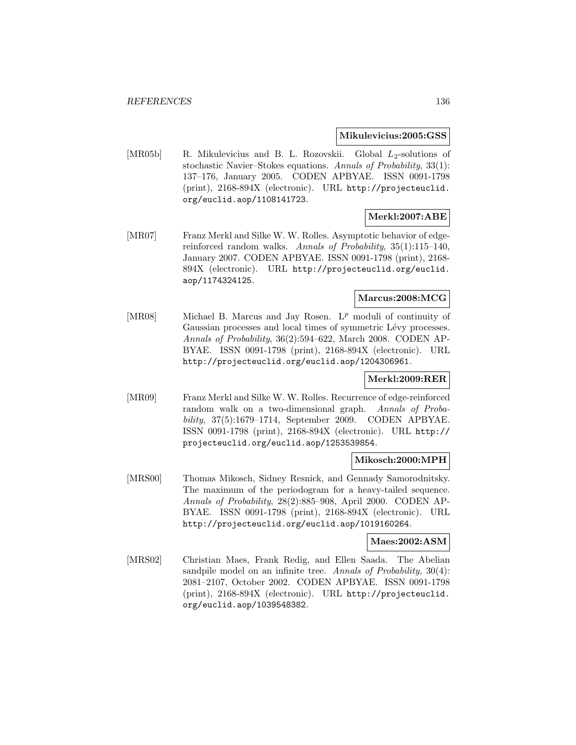#### **Mikulevicius:2005:GSS**

[MR05b] R. Mikulevicius and B. L. Rozovskii. Global  $L_2$ -solutions of stochastic Navier–Stokes equations. Annals of Probability, 33(1): 137–176, January 2005. CODEN APBYAE. ISSN 0091-1798 (print), 2168-894X (electronic). URL http://projecteuclid. org/euclid.aop/1108141723.

### **Merkl:2007:ABE**

[MR07] Franz Merkl and Silke W. W. Rolles. Asymptotic behavior of edgereinforced random walks. Annals of Probability, 35(1):115–140, January 2007. CODEN APBYAE. ISSN 0091-1798 (print), 2168- 894X (electronic). URL http://projecteuclid.org/euclid. aop/1174324125.

# **Marcus:2008:MCG**

[MR08] Michael B. Marcus and Jay Rosen.  $L^p$  moduli of continuity of Gaussian processes and local times of symmetric Lévy processes. Annals of Probability, 36(2):594–622, March 2008. CODEN AP-BYAE. ISSN 0091-1798 (print), 2168-894X (electronic). URL http://projecteuclid.org/euclid.aop/1204306961.

#### **Merkl:2009:RER**

[MR09] Franz Merkl and Silke W. W. Rolles. Recurrence of edge-reinforced random walk on a two-dimensional graph. Annals of Probability, 37(5):1679–1714, September 2009. CODEN APBYAE. ISSN 0091-1798 (print), 2168-894X (electronic). URL http:// projecteuclid.org/euclid.aop/1253539854.

#### **Mikosch:2000:MPH**

[MRS00] Thomas Mikosch, Sidney Resnick, and Gennady Samorodnitsky. The maximum of the periodogram for a heavy-tailed sequence. Annals of Probability, 28(2):885–908, April 2000. CODEN AP-BYAE. ISSN 0091-1798 (print), 2168-894X (electronic). URL http://projecteuclid.org/euclid.aop/1019160264.

### **Maes:2002:ASM**

[MRS02] Christian Maes, Frank Redig, and Ellen Saada. The Abelian sandpile model on an infinite tree. Annals of Probability, 30(4): 2081–2107, October 2002. CODEN APBYAE. ISSN 0091-1798 (print), 2168-894X (electronic). URL http://projecteuclid. org/euclid.aop/1039548382.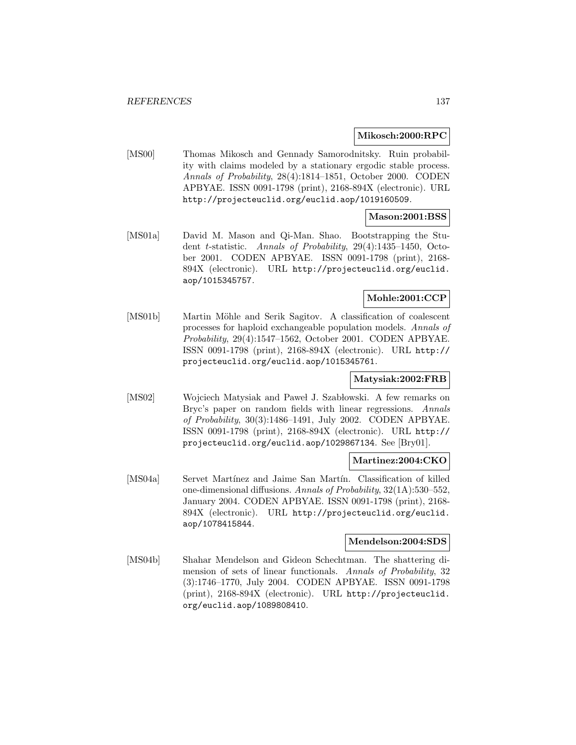#### **Mikosch:2000:RPC**

[MS00] Thomas Mikosch and Gennady Samorodnitsky. Ruin probability with claims modeled by a stationary ergodic stable process. Annals of Probability, 28(4):1814–1851, October 2000. CODEN APBYAE. ISSN 0091-1798 (print), 2168-894X (electronic). URL http://projecteuclid.org/euclid.aop/1019160509.

### **Mason:2001:BSS**

[MS01a] David M. Mason and Qi-Man. Shao. Bootstrapping the Student t-statistic. Annals of Probability, 29(4):1435–1450, October 2001. CODEN APBYAE. ISSN 0091-1798 (print), 2168- 894X (electronic). URL http://projecteuclid.org/euclid. aop/1015345757.

# **Mohle:2001:CCP**

[MS01b] Martin Möhle and Serik Sagitov. A classification of coalescent processes for haploid exchangeable population models. Annals of Probability, 29(4):1547–1562, October 2001. CODEN APBYAE. ISSN 0091-1798 (print), 2168-894X (electronic). URL http:// projecteuclid.org/euclid.aop/1015345761.

#### **Matysiak:2002:FRB**

[MS02] Wojciech Matysiak and Paweł J. Szabłowski. A few remarks on Bryc's paper on random fields with linear regressions. Annals of Probability, 30(3):1486–1491, July 2002. CODEN APBYAE. ISSN 0091-1798 (print), 2168-894X (electronic). URL http:// projecteuclid.org/euclid.aop/1029867134. See [Bry01].

#### **Martinez:2004:CKO**

[MS04a] Servet Martínez and Jaime San Martín. Classification of killed one-dimensional diffusions. Annals of Probability, 32(1A):530–552, January 2004. CODEN APBYAE. ISSN 0091-1798 (print), 2168- 894X (electronic). URL http://projecteuclid.org/euclid. aop/1078415844.

#### **Mendelson:2004:SDS**

[MS04b] Shahar Mendelson and Gideon Schechtman. The shattering dimension of sets of linear functionals. Annals of Probability, 32 (3):1746–1770, July 2004. CODEN APBYAE. ISSN 0091-1798 (print), 2168-894X (electronic). URL http://projecteuclid. org/euclid.aop/1089808410.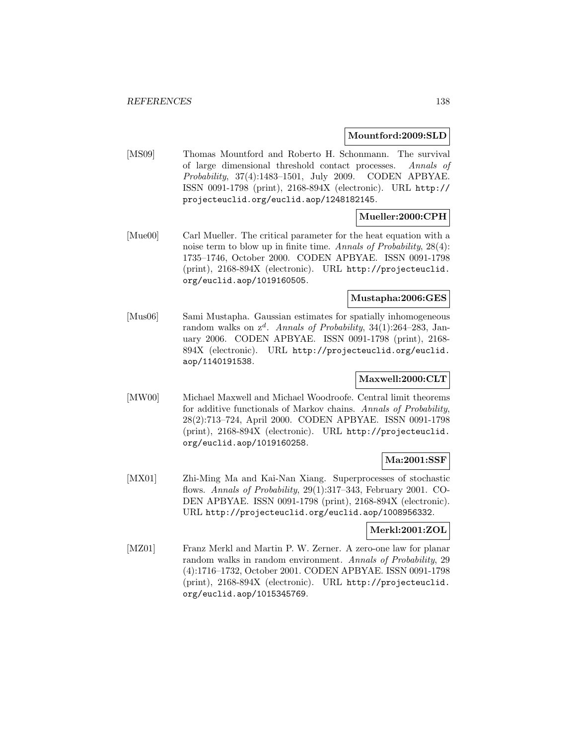#### **Mountford:2009:SLD**

[MS09] Thomas Mountford and Roberto H. Schonmann. The survival of large dimensional threshold contact processes. Annals of Probability, 37(4):1483–1501, July 2009. CODEN APBYAE. ISSN 0091-1798 (print), 2168-894X (electronic). URL http:// projecteuclid.org/euclid.aop/1248182145.

### **Mueller:2000:CPH**

[Mue00] Carl Mueller. The critical parameter for the heat equation with a noise term to blow up in finite time. Annals of Probability, 28(4): 1735–1746, October 2000. CODEN APBYAE. ISSN 0091-1798 (print), 2168-894X (electronic). URL http://projecteuclid. org/euclid.aop/1019160505.

### **Mustapha:2006:GES**

[Mus06] Sami Mustapha. Gaussian estimates for spatially inhomogeneous random walks on  $z^d$ . Annals of Probability, 34(1):264–283, January 2006. CODEN APBYAE. ISSN 0091-1798 (print), 2168- 894X (electronic). URL http://projecteuclid.org/euclid. aop/1140191538.

## **Maxwell:2000:CLT**

[MW00] Michael Maxwell and Michael Woodroofe. Central limit theorems for additive functionals of Markov chains. Annals of Probability, 28(2):713–724, April 2000. CODEN APBYAE. ISSN 0091-1798 (print), 2168-894X (electronic). URL http://projecteuclid. org/euclid.aop/1019160258.

### **Ma:2001:SSF**

[MX01] Zhi-Ming Ma and Kai-Nan Xiang. Superprocesses of stochastic flows. Annals of Probability, 29(1):317–343, February 2001. CO-DEN APBYAE. ISSN 0091-1798 (print), 2168-894X (electronic). URL http://projecteuclid.org/euclid.aop/1008956332.

#### **Merkl:2001:ZOL**

[MZ01] Franz Merkl and Martin P. W. Zerner. A zero-one law for planar random walks in random environment. Annals of Probability, 29 (4):1716–1732, October 2001. CODEN APBYAE. ISSN 0091-1798 (print), 2168-894X (electronic). URL http://projecteuclid. org/euclid.aop/1015345769.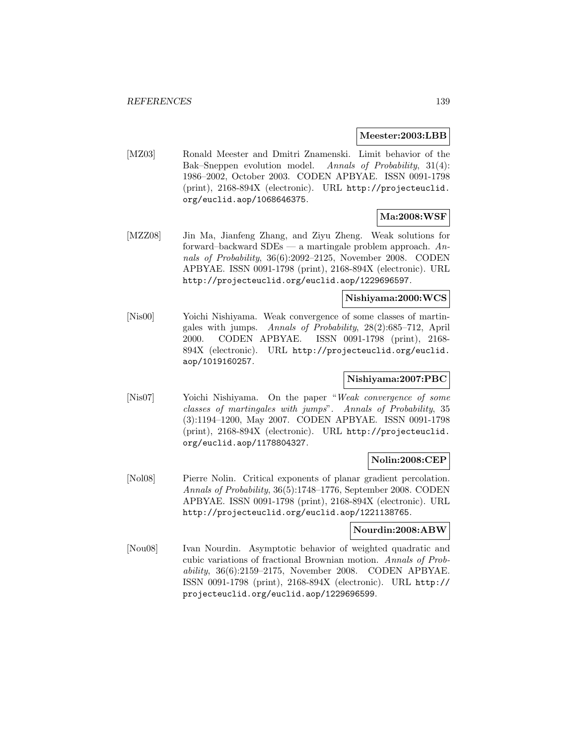#### **Meester:2003:LBB**

[MZ03] Ronald Meester and Dmitri Znamenski. Limit behavior of the Bak–Sneppen evolution model. Annals of Probability, 31(4): 1986–2002, October 2003. CODEN APBYAE. ISSN 0091-1798 (print), 2168-894X (electronic). URL http://projecteuclid. org/euclid.aop/1068646375.

# **Ma:2008:WSF**

[MZZ08] Jin Ma, Jianfeng Zhang, and Ziyu Zheng. Weak solutions for forward–backward SDEs — a martingale problem approach. Annals of Probability, 36(6):2092–2125, November 2008. CODEN APBYAE. ISSN 0091-1798 (print), 2168-894X (electronic). URL http://projecteuclid.org/euclid.aop/1229696597.

### **Nishiyama:2000:WCS**

[Nis00] Yoichi Nishiyama. Weak convergence of some classes of martingales with jumps. Annals of Probability, 28(2):685–712, April 2000. CODEN APBYAE. ISSN 0091-1798 (print), 2168- 894X (electronic). URL http://projecteuclid.org/euclid. aop/1019160257.

## **Nishiyama:2007:PBC**

[Nis07] Yoichi Nishiyama. On the paper "Weak convergence of some classes of martingales with jumps". Annals of Probability, 35 (3):1194–1200, May 2007. CODEN APBYAE. ISSN 0091-1798 (print), 2168-894X (electronic). URL http://projecteuclid. org/euclid.aop/1178804327.

#### **Nolin:2008:CEP**

[Nol08] Pierre Nolin. Critical exponents of planar gradient percolation. Annals of Probability, 36(5):1748–1776, September 2008. CODEN APBYAE. ISSN 0091-1798 (print), 2168-894X (electronic). URL http://projecteuclid.org/euclid.aop/1221138765.

#### **Nourdin:2008:ABW**

[Nou08] Ivan Nourdin. Asymptotic behavior of weighted quadratic and cubic variations of fractional Brownian motion. Annals of Probability, 36(6):2159–2175, November 2008. CODEN APBYAE. ISSN 0091-1798 (print), 2168-894X (electronic). URL http:// projecteuclid.org/euclid.aop/1229696599.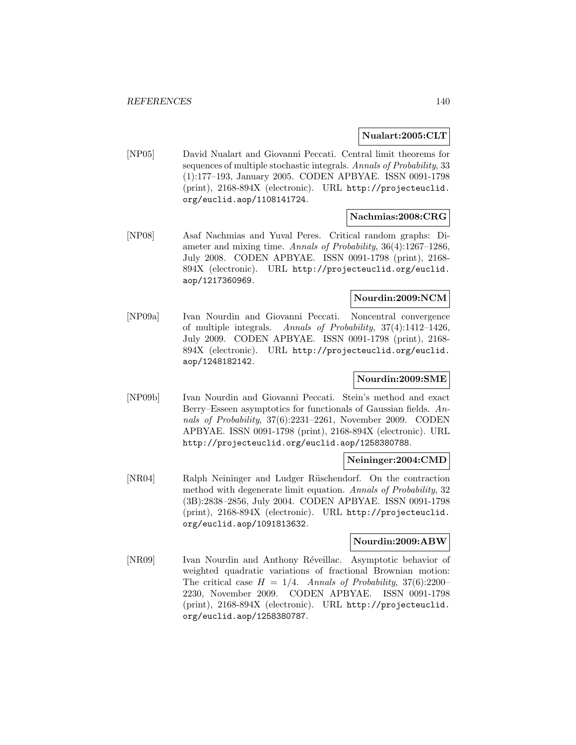#### **Nualart:2005:CLT**

[NP05] David Nualart and Giovanni Peccati. Central limit theorems for sequences of multiple stochastic integrals. Annals of Probability, 33 (1):177–193, January 2005. CODEN APBYAE. ISSN 0091-1798 (print), 2168-894X (electronic). URL http://projecteuclid. org/euclid.aop/1108141724.

#### **Nachmias:2008:CRG**

[NP08] Asaf Nachmias and Yuval Peres. Critical random graphs: Diameter and mixing time. Annals of Probability, 36(4):1267–1286, July 2008. CODEN APBYAE. ISSN 0091-1798 (print), 2168- 894X (electronic). URL http://projecteuclid.org/euclid. aop/1217360969.

### **Nourdin:2009:NCM**

[NP09a] Ivan Nourdin and Giovanni Peccati. Noncentral convergence of multiple integrals. Annals of Probability, 37(4):1412–1426, July 2009. CODEN APBYAE. ISSN 0091-1798 (print), 2168- 894X (electronic). URL http://projecteuclid.org/euclid. aop/1248182142.

## **Nourdin:2009:SME**

[NP09b] Ivan Nourdin and Giovanni Peccati. Stein's method and exact Berry–Esseen asymptotics for functionals of Gaussian fields. Annals of Probability, 37(6):2231–2261, November 2009. CODEN APBYAE. ISSN 0091-1798 (print), 2168-894X (electronic). URL http://projecteuclid.org/euclid.aop/1258380788.

#### **Neininger:2004:CMD**

[NR04] Ralph Neininger and Ludger Rüschendorf. On the contraction method with degenerate limit equation. Annals of Probability, 32 (3B):2838–2856, July 2004. CODEN APBYAE. ISSN 0091-1798 (print), 2168-894X (electronic). URL http://projecteuclid. org/euclid.aop/1091813632.

#### **Nourdin:2009:ABW**

[NR09] Ivan Nourdin and Anthony Réveillac. Asymptotic behavior of weighted quadratic variations of fractional Brownian motion: The critical case  $H = 1/4$ . Annals of Probability, 37(6):2200– 2230, November 2009. CODEN APBYAE. ISSN 0091-1798 (print), 2168-894X (electronic). URL http://projecteuclid. org/euclid.aop/1258380787.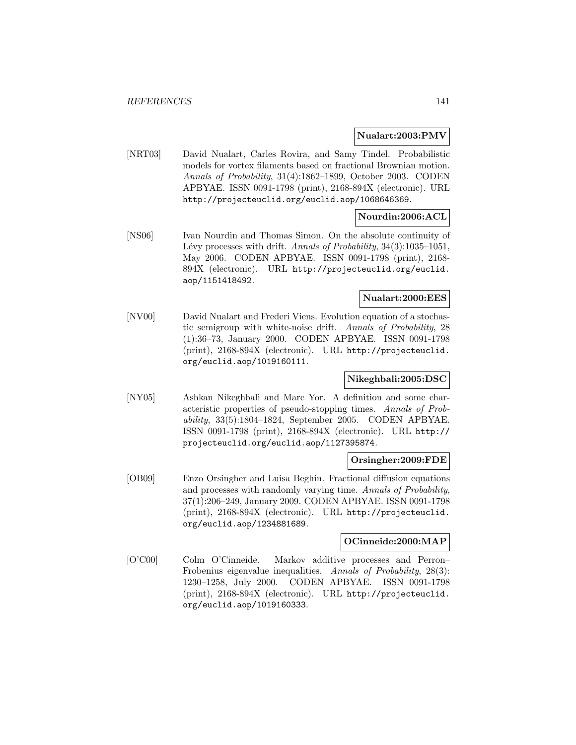#### **Nualart:2003:PMV**

[NRT03] David Nualart, Carles Rovira, and Samy Tindel. Probabilistic models for vortex filaments based on fractional Brownian motion. Annals of Probability, 31(4):1862–1899, October 2003. CODEN APBYAE. ISSN 0091-1798 (print), 2168-894X (electronic). URL http://projecteuclid.org/euclid.aop/1068646369.

## **Nourdin:2006:ACL**

[NS06] Ivan Nourdin and Thomas Simon. On the absolute continuity of Lévy processes with drift. Annals of Probability,  $34(3):1035-1051$ , May 2006. CODEN APBYAE. ISSN 0091-1798 (print), 2168- 894X (electronic). URL http://projecteuclid.org/euclid. aop/1151418492.

### **Nualart:2000:EES**

[NV00] David Nualart and Frederi Viens. Evolution equation of a stochastic semigroup with white-noise drift. Annals of Probability, 28 (1):36–73, January 2000. CODEN APBYAE. ISSN 0091-1798 (print), 2168-894X (electronic). URL http://projecteuclid. org/euclid.aop/1019160111.

## **Nikeghbali:2005:DSC**

[NY05] Ashkan Nikeghbali and Marc Yor. A definition and some characteristic properties of pseudo-stopping times. Annals of Probability, 33(5):1804–1824, September 2005. CODEN APBYAE. ISSN 0091-1798 (print), 2168-894X (electronic). URL http:// projecteuclid.org/euclid.aop/1127395874.

#### **Orsingher:2009:FDE**

[OB09] Enzo Orsingher and Luisa Beghin. Fractional diffusion equations and processes with randomly varying time. Annals of Probability, 37(1):206–249, January 2009. CODEN APBYAE. ISSN 0091-1798 (print), 2168-894X (electronic). URL http://projecteuclid. org/euclid.aop/1234881689.

#### **OCinneide:2000:MAP**

[O'C00] Colm O'Cinneide. Markov additive processes and Perron– Frobenius eigenvalue inequalities. Annals of Probability, 28(3): 1230–1258, July 2000. CODEN APBYAE. ISSN 0091-1798 (print), 2168-894X (electronic). URL http://projecteuclid. org/euclid.aop/1019160333.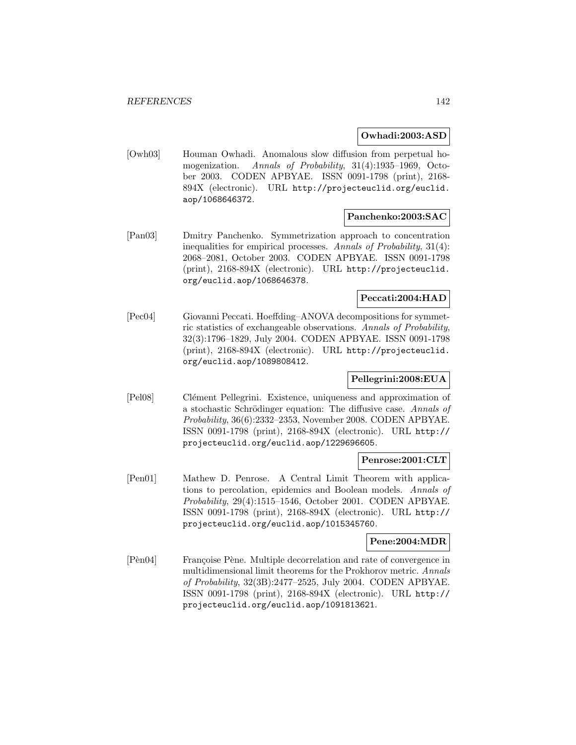#### **Owhadi:2003:ASD**

[Owh03] Houman Owhadi. Anomalous slow diffusion from perpetual homogenization. Annals of Probability, 31(4):1935–1969, October 2003. CODEN APBYAE. ISSN 0091-1798 (print), 2168- 894X (electronic). URL http://projecteuclid.org/euclid. aop/1068646372.

### **Panchenko:2003:SAC**

[Pan03] Dmitry Panchenko. Symmetrization approach to concentration inequalities for empirical processes. Annals of Probability, 31(4): 2068–2081, October 2003. CODEN APBYAE. ISSN 0091-1798 (print), 2168-894X (electronic). URL http://projecteuclid. org/euclid.aop/1068646378.

### **Peccati:2004:HAD**

[Pec04] Giovanni Peccati. Hoeffding–ANOVA decompositions for symmetric statistics of exchangeable observations. Annals of Probability, 32(3):1796–1829, July 2004. CODEN APBYAE. ISSN 0091-1798 (print), 2168-894X (electronic). URL http://projecteuclid. org/euclid.aop/1089808412.

## **Pellegrini:2008:EUA**

[Pel08] Clément Pellegrini. Existence, uniqueness and approximation of a stochastic Schrödinger equation: The diffusive case. Annals of Probability, 36(6):2332–2353, November 2008. CODEN APBYAE. ISSN 0091-1798 (print), 2168-894X (electronic). URL http:// projecteuclid.org/euclid.aop/1229696605.

#### **Penrose:2001:CLT**

[Pen01] Mathew D. Penrose. A Central Limit Theorem with applications to percolation, epidemics and Boolean models. Annals of Probability, 29(4):1515–1546, October 2001. CODEN APBYAE. ISSN 0091-1798 (print), 2168-894X (electronic). URL http:// projecteuclid.org/euclid.aop/1015345760.

#### **Pene:2004:MDR**

[Pèn04] Françoise Pène. Multiple decorrelation and rate of convergence in multidimensional limit theorems for the Prokhorov metric. Annals of Probability, 32(3B):2477–2525, July 2004. CODEN APBYAE. ISSN 0091-1798 (print), 2168-894X (electronic). URL http:// projecteuclid.org/euclid.aop/1091813621.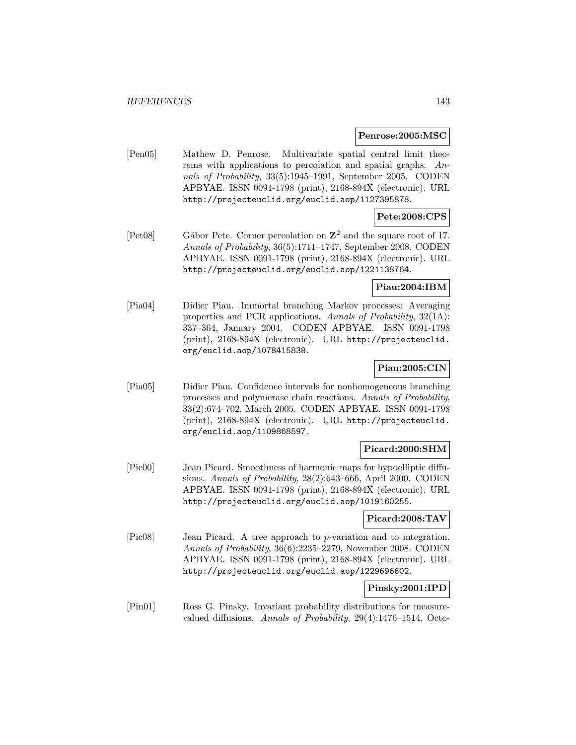#### **Penrose:2005:MSC**

[Pen05] Mathew D. Penrose. Multivariate spatial central limit theorems with applications to percolation and spatial graphs. Annals of Probability, 33(5):1945–1991, September 2005. CODEN APBYAE. ISSN 0091-1798 (print), 2168-894X (electronic). URL http://projecteuclid.org/euclid.aop/1127395878.

# **Pete:2008:CPS**

[Pet08] G´abor Pete. Corner percolation on **Z**<sup>2</sup> and the square root of 17. Annals of Probability, 36(5):1711–1747, September 2008. CODEN APBYAE. ISSN 0091-1798 (print), 2168-894X (electronic). URL http://projecteuclid.org/euclid.aop/1221138764.

### **Piau:2004:IBM**

[Pia04] Didier Piau. Immortal branching Markov processes: Averaging properties and PCR applications. Annals of Probability, 32(1A): 337–364, January 2004. CODEN APBYAE. ISSN 0091-1798 (print), 2168-894X (electronic). URL http://projecteuclid. org/euclid.aop/1078415838.

# **Piau:2005:CIN**

[Pia05] Didier Piau. Confidence intervals for nonhomogeneous branching processes and polymerase chain reactions. Annals of Probability, 33(2):674–702, March 2005. CODEN APBYAE. ISSN 0091-1798 (print), 2168-894X (electronic). URL http://projecteuclid. org/euclid.aop/1109868597.

# **Picard:2000:SHM**

[Pic00] Jean Picard. Smoothness of harmonic maps for hypoelliptic diffusions. Annals of Probability, 28(2):643–666, April 2000. CODEN APBYAE. ISSN 0091-1798 (print), 2168-894X (electronic). URL http://projecteuclid.org/euclid.aop/1019160255.

#### **Picard:2008:TAV**

[Pic08] Jean Picard. A tree approach to p-variation and to integration. Annals of Probability, 36(6):2235–2279, November 2008. CODEN APBYAE. ISSN 0091-1798 (print), 2168-894X (electronic). URL http://projecteuclid.org/euclid.aop/1229696602.

#### **Pinsky:2001:IPD**

[Pin01] Ross G. Pinsky. Invariant probability distributions for measurevalued diffusions. Annals of Probability, 29(4):1476–1514, Octo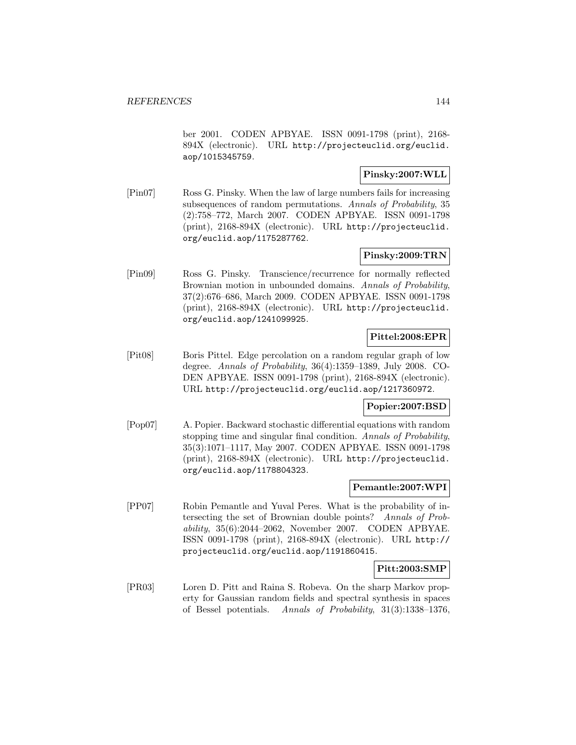ber 2001. CODEN APBYAE. ISSN 0091-1798 (print), 2168- 894X (electronic). URL http://projecteuclid.org/euclid. aop/1015345759.

### **Pinsky:2007:WLL**

[Pin07] Ross G. Pinsky. When the law of large numbers fails for increasing subsequences of random permutations. Annals of Probability, 35 (2):758–772, March 2007. CODEN APBYAE. ISSN 0091-1798 (print), 2168-894X (electronic). URL http://projecteuclid. org/euclid.aop/1175287762.

## **Pinsky:2009:TRN**

[Pin09] Ross G. Pinsky. Transcience/recurrence for normally reflected Brownian motion in unbounded domains. Annals of Probability, 37(2):676–686, March 2009. CODEN APBYAE. ISSN 0091-1798 (print), 2168-894X (electronic). URL http://projecteuclid. org/euclid.aop/1241099925.

## **Pittel:2008:EPR**

[Pit08] Boris Pittel. Edge percolation on a random regular graph of low degree. Annals of Probability, 36(4):1359–1389, July 2008. CO-DEN APBYAE. ISSN 0091-1798 (print), 2168-894X (electronic). URL http://projecteuclid.org/euclid.aop/1217360972.

## **Popier:2007:BSD**

[Pop07] A. Popier. Backward stochastic differential equations with random stopping time and singular final condition. Annals of Probability, 35(3):1071–1117, May 2007. CODEN APBYAE. ISSN 0091-1798 (print), 2168-894X (electronic). URL http://projecteuclid. org/euclid.aop/1178804323.

#### **Pemantle:2007:WPI**

[PP07] Robin Pemantle and Yuval Peres. What is the probability of intersecting the set of Brownian double points? Annals of Probability, 35(6):2044–2062, November 2007. CODEN APBYAE. ISSN 0091-1798 (print), 2168-894X (electronic). URL http:// projecteuclid.org/euclid.aop/1191860415.

## **Pitt:2003:SMP**

[PR03] Loren D. Pitt and Raina S. Robeva. On the sharp Markov property for Gaussian random fields and spectral synthesis in spaces of Bessel potentials. Annals of Probability, 31(3):1338–1376,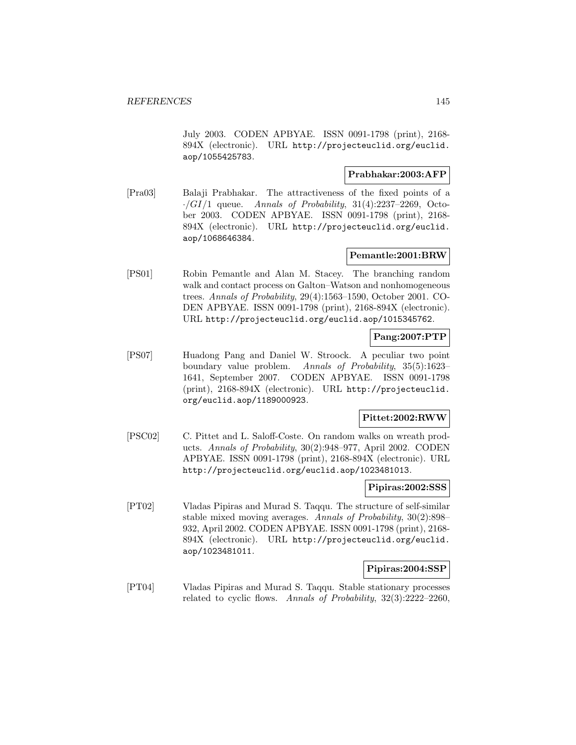July 2003. CODEN APBYAE. ISSN 0091-1798 (print), 2168- 894X (electronic). URL http://projecteuclid.org/euclid. aop/1055425783.

### **Prabhakar:2003:AFP**

[Pra03] Balaji Prabhakar. The attractiveness of the fixed points of a  $\cdot$ /GI/1 queue. Annals of Probability, 31(4):2237-2269, October 2003. CODEN APBYAE. ISSN 0091-1798 (print), 2168- 894X (electronic). URL http://projecteuclid.org/euclid. aop/1068646384.

#### **Pemantle:2001:BRW**

[PS01] Robin Pemantle and Alan M. Stacey. The branching random walk and contact process on Galton–Watson and nonhomogeneous trees. Annals of Probability, 29(4):1563–1590, October 2001. CO-DEN APBYAE. ISSN 0091-1798 (print), 2168-894X (electronic). URL http://projecteuclid.org/euclid.aop/1015345762.

### **Pang:2007:PTP**

[PS07] Huadong Pang and Daniel W. Stroock. A peculiar two point boundary value problem. Annals of Probability, 35(5):1623– 1641, September 2007. CODEN APBYAE. ISSN 0091-1798 (print), 2168-894X (electronic). URL http://projecteuclid. org/euclid.aop/1189000923.

# **Pittet:2002:RWW**

[PSC02] C. Pittet and L. Saloff-Coste. On random walks on wreath products. Annals of Probability, 30(2):948–977, April 2002. CODEN APBYAE. ISSN 0091-1798 (print), 2168-894X (electronic). URL http://projecteuclid.org/euclid.aop/1023481013.

#### **Pipiras:2002:SSS**

[PT02] Vladas Pipiras and Murad S. Taqqu. The structure of self-similar stable mixed moving averages. Annals of Probability, 30(2):898– 932, April 2002. CODEN APBYAE. ISSN 0091-1798 (print), 2168- 894X (electronic). URL http://projecteuclid.org/euclid. aop/1023481011.

### **Pipiras:2004:SSP**

[PT04] Vladas Pipiras and Murad S. Taqqu. Stable stationary processes related to cyclic flows. Annals of Probability, 32(3):2222–2260,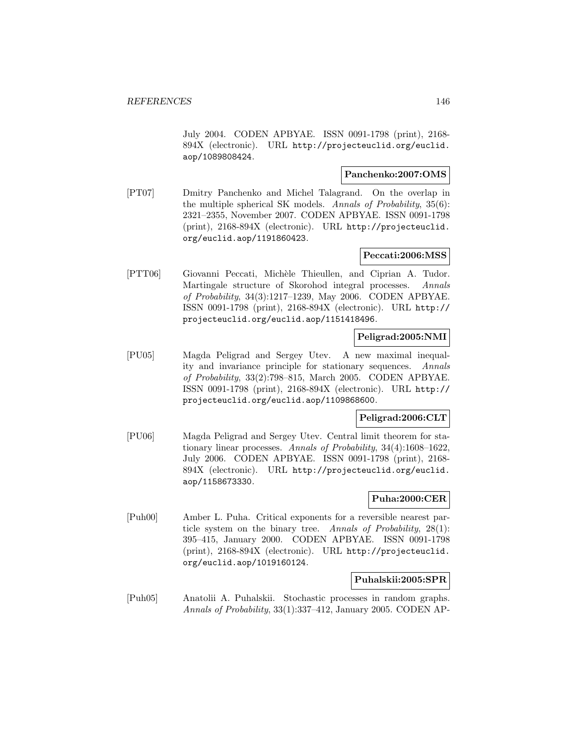July 2004. CODEN APBYAE. ISSN 0091-1798 (print), 2168- 894X (electronic). URL http://projecteuclid.org/euclid. aop/1089808424.

## **Panchenko:2007:OMS**

[PT07] Dmitry Panchenko and Michel Talagrand. On the overlap in the multiple spherical SK models. Annals of Probability, 35(6): 2321–2355, November 2007. CODEN APBYAE. ISSN 0091-1798 (print), 2168-894X (electronic). URL http://projecteuclid. org/euclid.aop/1191860423.

## **Peccati:2006:MSS**

[PTT06] Giovanni Peccati, Michèle Thieullen, and Ciprian A. Tudor. Martingale structure of Skorohod integral processes. Annals of Probability, 34(3):1217–1239, May 2006. CODEN APBYAE. ISSN 0091-1798 (print), 2168-894X (electronic). URL http:// projecteuclid.org/euclid.aop/1151418496.

### **Peligrad:2005:NMI**

[PU05] Magda Peligrad and Sergey Utev. A new maximal inequality and invariance principle for stationary sequences. Annals of Probability, 33(2):798–815, March 2005. CODEN APBYAE. ISSN 0091-1798 (print), 2168-894X (electronic). URL http:// projecteuclid.org/euclid.aop/1109868600.

# **Peligrad:2006:CLT**

[PU06] Magda Peligrad and Sergey Utev. Central limit theorem for stationary linear processes. Annals of Probability, 34(4):1608–1622, July 2006. CODEN APBYAE. ISSN 0091-1798 (print), 2168- 894X (electronic). URL http://projecteuclid.org/euclid. aop/1158673330.

### **Puha:2000:CER**

[Puh00] Amber L. Puha. Critical exponents for a reversible nearest particle system on the binary tree. Annals of Probability, 28(1): 395–415, January 2000. CODEN APBYAE. ISSN 0091-1798 (print), 2168-894X (electronic). URL http://projecteuclid. org/euclid.aop/1019160124.

#### **Puhalskii:2005:SPR**

[Puh05] Anatolii A. Puhalskii. Stochastic processes in random graphs. Annals of Probability, 33(1):337–412, January 2005. CODEN AP-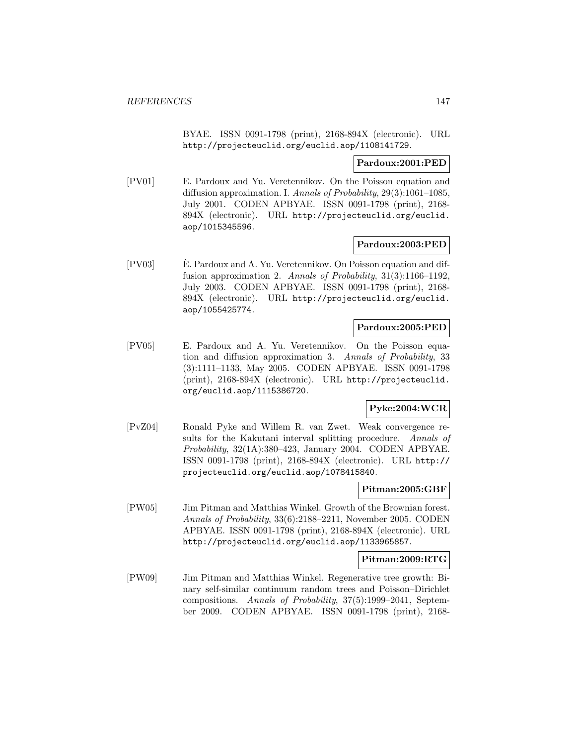BYAE. ISSN 0091-1798 (print), 2168-894X (electronic). URL http://projecteuclid.org/euclid.aop/1108141729.

### **Pardoux:2001:PED**

[PV01] E. Pardoux and Yu. Veretennikov. On the Poisson equation and diffusion approximation. I. Annals of Probability, 29(3):1061–1085, July 2001. CODEN APBYAE. ISSN 0091-1798 (print), 2168- 894X (electronic). URL http://projecteuclid.org/euclid. aop/1015345596.

## **Pardoux:2003:PED**

[PV03] E. Pardoux and A. Yu. Veretennikov. On Poisson equation and dif- ` fusion approximation 2. Annals of Probability, 31(3):1166–1192, July 2003. CODEN APBYAE. ISSN 0091-1798 (print), 2168- 894X (electronic). URL http://projecteuclid.org/euclid. aop/1055425774.

## **Pardoux:2005:PED**

[PV05] E. Pardoux and A. Yu. Veretennikov. On the Poisson equation and diffusion approximation 3. Annals of Probability, 33 (3):1111–1133, May 2005. CODEN APBYAE. ISSN 0091-1798 (print), 2168-894X (electronic). URL http://projecteuclid. org/euclid.aop/1115386720.

# **Pyke:2004:WCR**

[PvZ04] Ronald Pyke and Willem R. van Zwet. Weak convergence results for the Kakutani interval splitting procedure. Annals of Probability, 32(1A):380–423, January 2004. CODEN APBYAE. ISSN 0091-1798 (print), 2168-894X (electronic). URL http:// projecteuclid.org/euclid.aop/1078415840.

### **Pitman:2005:GBF**

[PW05] Jim Pitman and Matthias Winkel. Growth of the Brownian forest. Annals of Probability, 33(6):2188–2211, November 2005. CODEN APBYAE. ISSN 0091-1798 (print), 2168-894X (electronic). URL http://projecteuclid.org/euclid.aop/1133965857.

# **Pitman:2009:RTG**

[PW09] Jim Pitman and Matthias Winkel. Regenerative tree growth: Binary self-similar continuum random trees and Poisson–Dirichlet compositions. Annals of Probability, 37(5):1999–2041, September 2009. CODEN APBYAE. ISSN 0091-1798 (print), 2168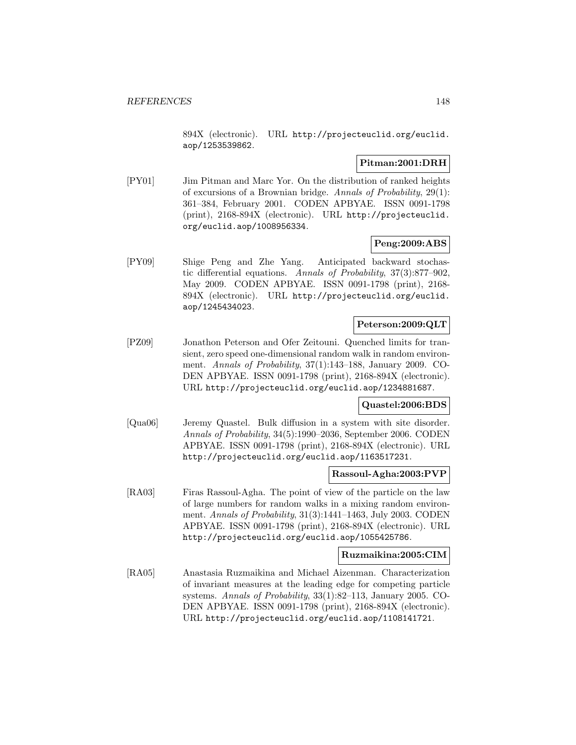894X (electronic). URL http://projecteuclid.org/euclid. aop/1253539862.

## **Pitman:2001:DRH**

[PY01] Jim Pitman and Marc Yor. On the distribution of ranked heights of excursions of a Brownian bridge. Annals of Probability, 29(1): 361–384, February 2001. CODEN APBYAE. ISSN 0091-1798 (print), 2168-894X (electronic). URL http://projecteuclid. org/euclid.aop/1008956334.

### **Peng:2009:ABS**

[PY09] Shige Peng and Zhe Yang. Anticipated backward stochastic differential equations. Annals of Probability, 37(3):877–902, May 2009. CODEN APBYAE. ISSN 0091-1798 (print), 2168- 894X (electronic). URL http://projecteuclid.org/euclid. aop/1245434023.

# **Peterson:2009:QLT**

[PZ09] Jonathon Peterson and Ofer Zeitouni. Quenched limits for transient, zero speed one-dimensional random walk in random environment. Annals of Probability, 37(1):143–188, January 2009. CO-DEN APBYAE. ISSN 0091-1798 (print), 2168-894X (electronic). URL http://projecteuclid.org/euclid.aop/1234881687.

### **Quastel:2006:BDS**

[Qua06] Jeremy Quastel. Bulk diffusion in a system with site disorder. Annals of Probability, 34(5):1990–2036, September 2006. CODEN APBYAE. ISSN 0091-1798 (print), 2168-894X (electronic). URL http://projecteuclid.org/euclid.aop/1163517231.

### **Rassoul-Agha:2003:PVP**

[RA03] Firas Rassoul-Agha. The point of view of the particle on the law of large numbers for random walks in a mixing random environment. Annals of Probability, 31(3):1441–1463, July 2003. CODEN APBYAE. ISSN 0091-1798 (print), 2168-894X (electronic). URL http://projecteuclid.org/euclid.aop/1055425786.

### **Ruzmaikina:2005:CIM**

[RA05] Anastasia Ruzmaikina and Michael Aizenman. Characterization of invariant measures at the leading edge for competing particle systems. Annals of Probability, 33(1):82–113, January 2005. CO-DEN APBYAE. ISSN 0091-1798 (print), 2168-894X (electronic). URL http://projecteuclid.org/euclid.aop/1108141721.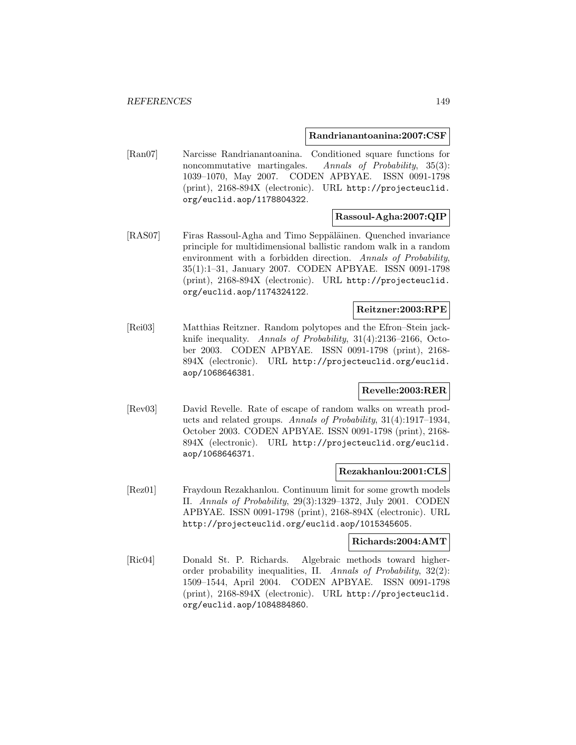#### **Randrianantoanina:2007:CSF**

[Ran07] Narcisse Randrianantoanina. Conditioned square functions for noncommutative martingales. Annals of Probability, 35(3): 1039–1070, May 2007. CODEN APBYAE. ISSN 0091-1798 (print), 2168-894X (electronic). URL http://projecteuclid. org/euclid.aop/1178804322.

# **Rassoul-Agha:2007:QIP**

[RAS07] Firas Rassoul-Agha and Timo Seppäläinen. Quenched invariance principle for multidimensional ballistic random walk in a random environment with a forbidden direction. Annals of Probability, 35(1):1–31, January 2007. CODEN APBYAE. ISSN 0091-1798 (print), 2168-894X (electronic). URL http://projecteuclid. org/euclid.aop/1174324122.

# **Reitzner:2003:RPE**

[Rei03] Matthias Reitzner. Random polytopes and the Efron–Stein jackknife inequality. Annals of Probability, 31(4):2136–2166, October 2003. CODEN APBYAE. ISSN 0091-1798 (print), 2168- 894X (electronic). URL http://projecteuclid.org/euclid. aop/1068646381.

## **Revelle:2003:RER**

[Rev03] David Revelle. Rate of escape of random walks on wreath products and related groups. Annals of Probability, 31(4):1917–1934, October 2003. CODEN APBYAE. ISSN 0091-1798 (print), 2168- 894X (electronic). URL http://projecteuclid.org/euclid. aop/1068646371.

#### **Rezakhanlou:2001:CLS**

[Rez01] Fraydoun Rezakhanlou. Continuum limit for some growth models II. Annals of Probability, 29(3):1329–1372, July 2001. CODEN APBYAE. ISSN 0091-1798 (print), 2168-894X (electronic). URL http://projecteuclid.org/euclid.aop/1015345605.

### **Richards:2004:AMT**

[Ric04] Donald St. P. Richards. Algebraic methods toward higherorder probability inequalities, II. Annals of Probability, 32(2): 1509–1544, April 2004. CODEN APBYAE. ISSN 0091-1798 (print), 2168-894X (electronic). URL http://projecteuclid. org/euclid.aop/1084884860.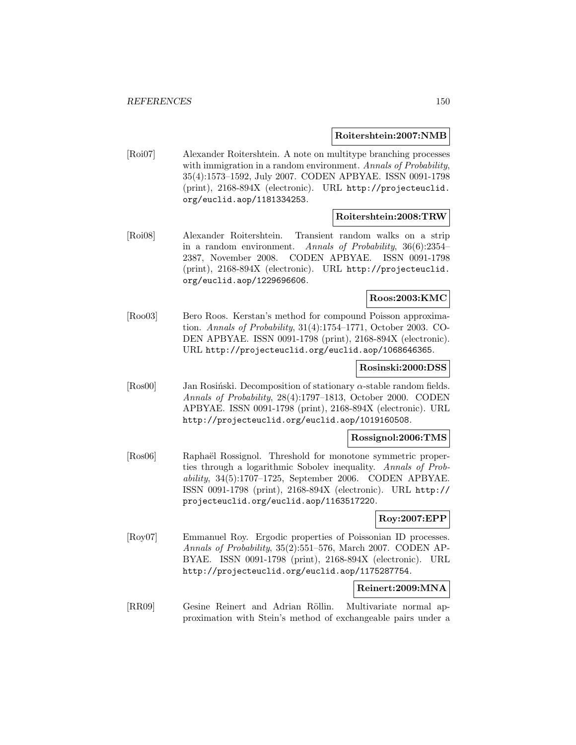#### **Roitershtein:2007:NMB**

[Roi07] Alexander Roitershtein. A note on multitype branching processes with immigration in a random environment. Annals of Probability, 35(4):1573–1592, July 2007. CODEN APBYAE. ISSN 0091-1798 (print), 2168-894X (electronic). URL http://projecteuclid. org/euclid.aop/1181334253.

### **Roitershtein:2008:TRW**

[Roi08] Alexander Roitershtein. Transient random walks on a strip in a random environment. Annals of Probability, 36(6):2354– 2387, November 2008. CODEN APBYAE. ISSN 0091-1798 (print), 2168-894X (electronic). URL http://projecteuclid. org/euclid.aop/1229696606.

# **Roos:2003:KMC**

[Roo03] Bero Roos. Kerstan's method for compound Poisson approximation. Annals of Probability, 31(4):1754–1771, October 2003. CO-DEN APBYAE. ISSN 0091-1798 (print), 2168-894X (electronic). URL http://projecteuclid.org/euclid.aop/1068646365.

#### **Rosinski:2000:DSS**

[Ros00] Jan Rosiński. Decomposition of stationary  $\alpha$ -stable random fields. Annals of Probability, 28(4):1797–1813, October 2000. CODEN APBYAE. ISSN 0091-1798 (print), 2168-894X (electronic). URL http://projecteuclid.org/euclid.aop/1019160508.

#### **Rossignol:2006:TMS**

[Ros06] Raphaël Rossignol. Threshold for monotone symmetric properties through a logarithmic Sobolev inequality. Annals of Probability, 34(5):1707–1725, September 2006. CODEN APBYAE. ISSN 0091-1798 (print), 2168-894X (electronic). URL http:// projecteuclid.org/euclid.aop/1163517220.

## **Roy:2007:EPP**

[Roy07] Emmanuel Roy. Ergodic properties of Poissonian ID processes. Annals of Probability, 35(2):551–576, March 2007. CODEN AP-BYAE. ISSN 0091-1798 (print), 2168-894X (electronic). URL http://projecteuclid.org/euclid.aop/1175287754.

### **Reinert:2009:MNA**

[RR09] Gesine Reinert and Adrian Röllin. Multivariate normal approximation with Stein's method of exchangeable pairs under a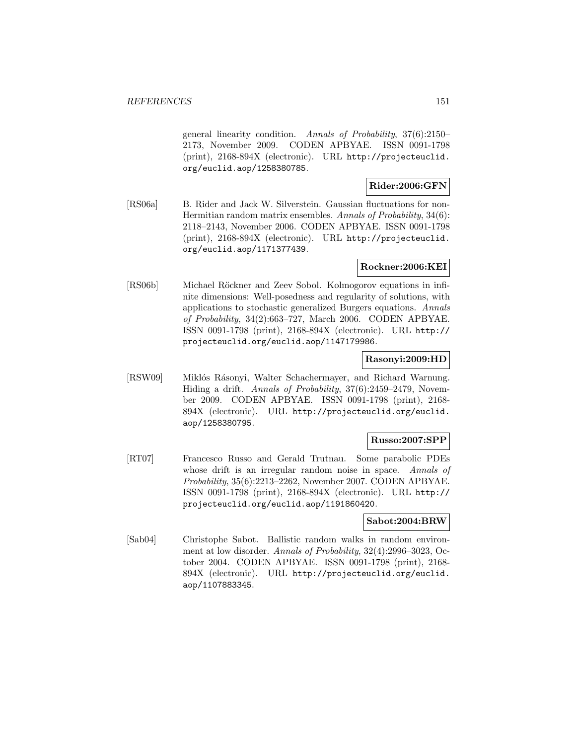general linearity condition. Annals of Probability, 37(6):2150– 2173, November 2009. CODEN APBYAE. ISSN 0091-1798 (print), 2168-894X (electronic). URL http://projecteuclid. org/euclid.aop/1258380785.

# **Rider:2006:GFN**

[RS06a] B. Rider and Jack W. Silverstein. Gaussian fluctuations for non-Hermitian random matrix ensembles. Annals of Probability, 34(6): 2118–2143, November 2006. CODEN APBYAE. ISSN 0091-1798 (print), 2168-894X (electronic). URL http://projecteuclid. org/euclid.aop/1171377439.

## **Rockner:2006:KEI**

[RS06b] Michael Röckner and Zeev Sobol. Kolmogorov equations in infinite dimensions: Well-posedness and regularity of solutions, with applications to stochastic generalized Burgers equations. Annals of Probability, 34(2):663–727, March 2006. CODEN APBYAE. ISSN 0091-1798 (print), 2168-894X (electronic). URL http:// projecteuclid.org/euclid.aop/1147179986.

### **Rasonyi:2009:HD**

[RSW09] Miklós Rásonyi, Walter Schachermayer, and Richard Warnung. Hiding a drift. Annals of Probability, 37(6):2459–2479, November 2009. CODEN APBYAE. ISSN 0091-1798 (print), 2168- 894X (electronic). URL http://projecteuclid.org/euclid. aop/1258380795.

# **Russo:2007:SPP**

[RT07] Francesco Russo and Gerald Trutnau. Some parabolic PDEs whose drift is an irregular random noise in space. Annals of Probability, 35(6):2213–2262, November 2007. CODEN APBYAE. ISSN 0091-1798 (print), 2168-894X (electronic). URL http:// projecteuclid.org/euclid.aop/1191860420.

### **Sabot:2004:BRW**

[Sab04] Christophe Sabot. Ballistic random walks in random environment at low disorder. Annals of Probability, 32(4):2996–3023, October 2004. CODEN APBYAE. ISSN 0091-1798 (print), 2168- 894X (electronic). URL http://projecteuclid.org/euclid. aop/1107883345.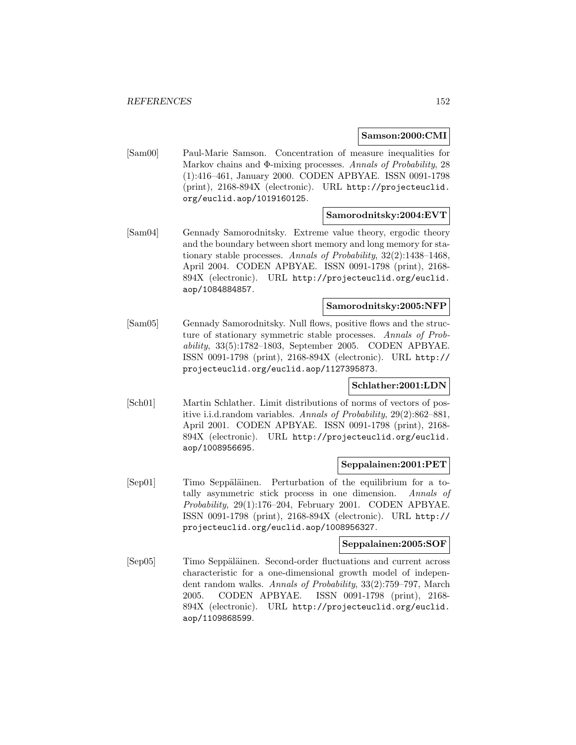### **Samson:2000:CMI**

[Sam00] Paul-Marie Samson. Concentration of measure inequalities for Markov chains and Φ-mixing processes. Annals of Probability, 28 (1):416–461, January 2000. CODEN APBYAE. ISSN 0091-1798 (print), 2168-894X (electronic). URL http://projecteuclid. org/euclid.aop/1019160125.

#### **Samorodnitsky:2004:EVT**

[Sam04] Gennady Samorodnitsky. Extreme value theory, ergodic theory and the boundary between short memory and long memory for stationary stable processes. Annals of Probability, 32(2):1438–1468, April 2004. CODEN APBYAE. ISSN 0091-1798 (print), 2168- 894X (electronic). URL http://projecteuclid.org/euclid. aop/1084884857.

#### **Samorodnitsky:2005:NFP**

[Sam05] Gennady Samorodnitsky. Null flows, positive flows and the structure of stationary symmetric stable processes. Annals of Probability, 33(5):1782–1803, September 2005. CODEN APBYAE. ISSN 0091-1798 (print), 2168-894X (electronic). URL http:// projecteuclid.org/euclid.aop/1127395873.

### **Schlather:2001:LDN**

[Sch01] Martin Schlather. Limit distributions of norms of vectors of positive i.i.d.random variables. Annals of Probability, 29(2):862–881, April 2001. CODEN APBYAE. ISSN 0091-1798 (print), 2168- 894X (electronic). URL http://projecteuclid.org/euclid. aop/1008956695.

## **Seppalainen:2001:PET**

[Sep01] Timo Seppäläinen. Perturbation of the equilibrium for a totally asymmetric stick process in one dimension. Annals of Probability, 29(1):176–204, February 2001. CODEN APBYAE. ISSN 0091-1798 (print), 2168-894X (electronic). URL http:// projecteuclid.org/euclid.aop/1008956327.

# **Seppalainen:2005:SOF**

[Sep05] Timo Seppäläinen. Second-order fluctuations and current across characteristic for a one-dimensional growth model of independent random walks. Annals of Probability, 33(2):759–797, March 2005. CODEN APBYAE. ISSN 0091-1798 (print), 2168- 894X (electronic). URL http://projecteuclid.org/euclid. aop/1109868599.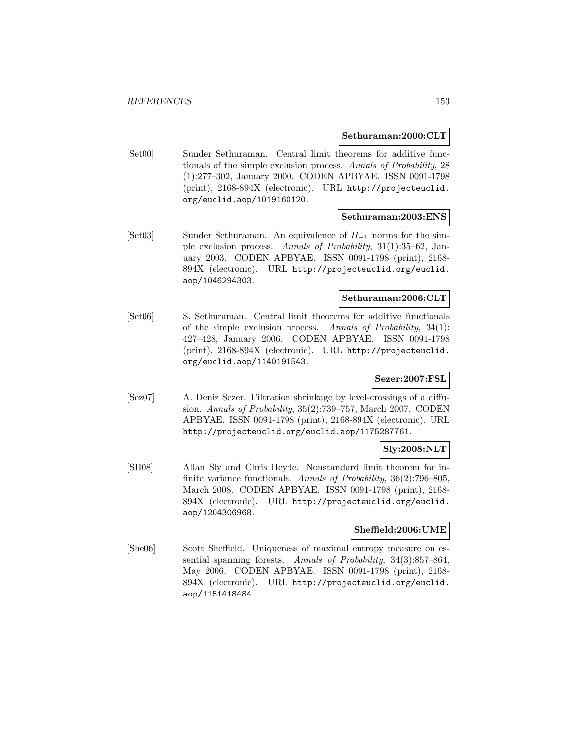#### **Sethuraman:2000:CLT**

[Set00] Sunder Sethuraman. Central limit theorems for additive functionals of the simple exclusion process. Annals of Probability, 28 (1):277–302, January 2000. CODEN APBYAE. ISSN 0091-1798 (print), 2168-894X (electronic). URL http://projecteuclid. org/euclid.aop/1019160120.

### **Sethuraman:2003:ENS**

[Set03] Sunder Sethuraman. An equivalence of H−<sup>1</sup> norms for the simple exclusion process. Annals of Probability, 31(1):35–62, January 2003. CODEN APBYAE. ISSN 0091-1798 (print), 2168- 894X (electronic). URL http://projecteuclid.org/euclid. aop/1046294303.

## **Sethuraman:2006:CLT**

[Set06] S. Sethuraman. Central limit theorems for additive functionals of the simple exclusion process. Annals of Probability, 34(1): 427–428, January 2006. CODEN APBYAE. ISSN 0091-1798 (print), 2168-894X (electronic). URL http://projecteuclid. org/euclid.aop/1140191543.

### **Sezer:2007:FSL**

[Sez07] A. Deniz Sezer. Filtration shrinkage by level-crossings of a diffusion. Annals of Probability, 35(2):739–757, March 2007. CODEN APBYAE. ISSN 0091-1798 (print), 2168-894X (electronic). URL http://projecteuclid.org/euclid.aop/1175287761.

### **Sly:2008:NLT**

[SH08] Allan Sly and Chris Heyde. Nonstandard limit theorem for infinite variance functionals. Annals of Probability, 36(2):796–805, March 2008. CODEN APBYAE. ISSN 0091-1798 (print), 2168- 894X (electronic). URL http://projecteuclid.org/euclid. aop/1204306968.

#### **Sheffield:2006:UME**

[She06] Scott Sheffield. Uniqueness of maximal entropy measure on essential spanning forests. Annals of Probability, 34(3):857–864, May 2006. CODEN APBYAE. ISSN 0091-1798 (print), 2168- 894X (electronic). URL http://projecteuclid.org/euclid. aop/1151418484.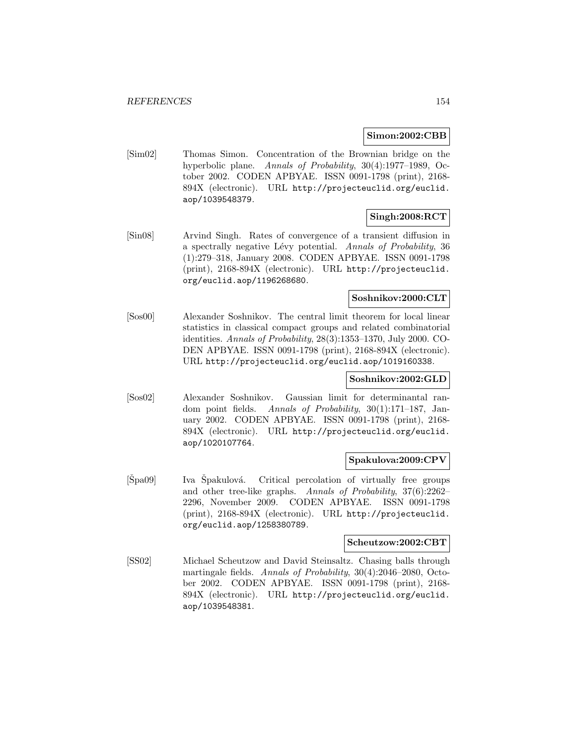#### **Simon:2002:CBB**

[Sim02] Thomas Simon. Concentration of the Brownian bridge on the hyperbolic plane. Annals of Probability, 30(4):1977–1989, October 2002. CODEN APBYAE. ISSN 0091-1798 (print), 2168- 894X (electronic). URL http://projecteuclid.org/euclid. aop/1039548379.

# **Singh:2008:RCT**

[Sin08] Arvind Singh. Rates of convergence of a transient diffusion in a spectrally negative Lévy potential. Annals of Probability, 36 (1):279–318, January 2008. CODEN APBYAE. ISSN 0091-1798 (print), 2168-894X (electronic). URL http://projecteuclid. org/euclid.aop/1196268680.

# **Soshnikov:2000:CLT**

[Sos00] Alexander Soshnikov. The central limit theorem for local linear statistics in classical compact groups and related combinatorial identities. Annals of Probability, 28(3):1353–1370, July 2000. CO-DEN APBYAE. ISSN 0091-1798 (print), 2168-894X (electronic). URL http://projecteuclid.org/euclid.aop/1019160338.

### **Soshnikov:2002:GLD**

[Sos02] Alexander Soshnikov. Gaussian limit for determinantal random point fields. Annals of Probability, 30(1):171–187, January 2002. CODEN APBYAE. ISSN 0091-1798 (print), 2168- 894X (electronic). URL http://projecteuclid.org/euclid. aop/1020107764.

### **Spakulova:2009:CPV**

 $[\text{Špa09}]$  Iva  $\text{Špakulová.}$  Critical percolation of virtually free groups and other tree-like graphs. Annals of Probability, 37(6):2262– 2296, November 2009. CODEN APBYAE. ISSN 0091-1798 (print), 2168-894X (electronic). URL http://projecteuclid. org/euclid.aop/1258380789.

### **Scheutzow:2002:CBT**

[SS02] Michael Scheutzow and David Steinsaltz. Chasing balls through martingale fields. Annals of Probability, 30(4):2046–2080, October 2002. CODEN APBYAE. ISSN 0091-1798 (print), 2168- 894X (electronic). URL http://projecteuclid.org/euclid. aop/1039548381.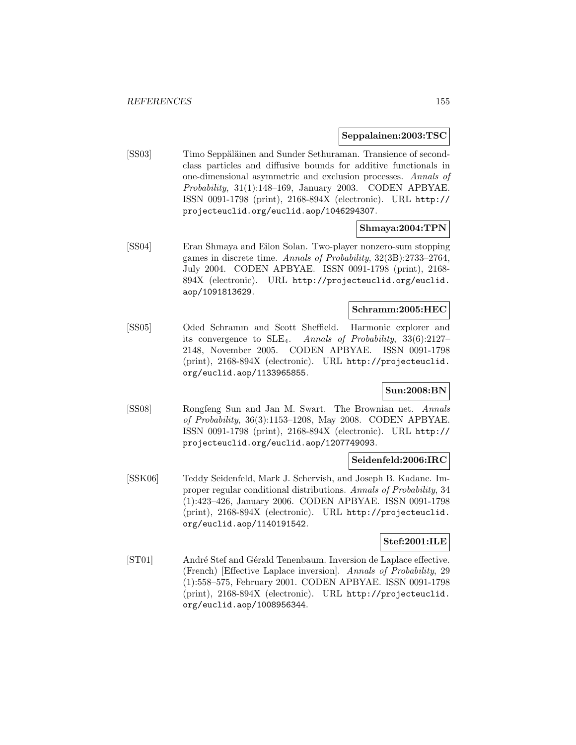#### **Seppalainen:2003:TSC**

[SS03] Timo Seppäläinen and Sunder Sethuraman. Transience of secondclass particles and diffusive bounds for additive functionals in one-dimensional asymmetric and exclusion processes. Annals of Probability, 31(1):148–169, January 2003. CODEN APBYAE. ISSN 0091-1798 (print), 2168-894X (electronic). URL http:// projecteuclid.org/euclid.aop/1046294307.

### **Shmaya:2004:TPN**

[SS04] Eran Shmaya and Eilon Solan. Two-player nonzero-sum stopping games in discrete time. Annals of Probability, 32(3B):2733–2764, July 2004. CODEN APBYAE. ISSN 0091-1798 (print), 2168- 894X (electronic). URL http://projecteuclid.org/euclid. aop/1091813629.

### **Schramm:2005:HEC**

[SS05] Oded Schramm and Scott Sheffield. Harmonic explorer and its convergence to SLE4. Annals of Probability, 33(6):2127– 2148, November 2005. CODEN APBYAE. ISSN 0091-1798 (print), 2168-894X (electronic). URL http://projecteuclid. org/euclid.aop/1133965855.

## **Sun:2008:BN**

[SS08] Rongfeng Sun and Jan M. Swart. The Brownian net. Annals of Probability, 36(3):1153–1208, May 2008. CODEN APBYAE. ISSN 0091-1798 (print), 2168-894X (electronic). URL http:// projecteuclid.org/euclid.aop/1207749093.

### **Seidenfeld:2006:IRC**

[SSK06] Teddy Seidenfeld, Mark J. Schervish, and Joseph B. Kadane. Improper regular conditional distributions. Annals of Probability, 34 (1):423–426, January 2006. CODEN APBYAE. ISSN 0091-1798 (print), 2168-894X (electronic). URL http://projecteuclid. org/euclid.aop/1140191542.

### **Stef:2001:ILE**

[ST01] André Stef and Gérald Tenenbaum. Inversion de Laplace effective. (French) [Effective Laplace inversion]. Annals of Probability, 29 (1):558–575, February 2001. CODEN APBYAE. ISSN 0091-1798 (print), 2168-894X (electronic). URL http://projecteuclid. org/euclid.aop/1008956344.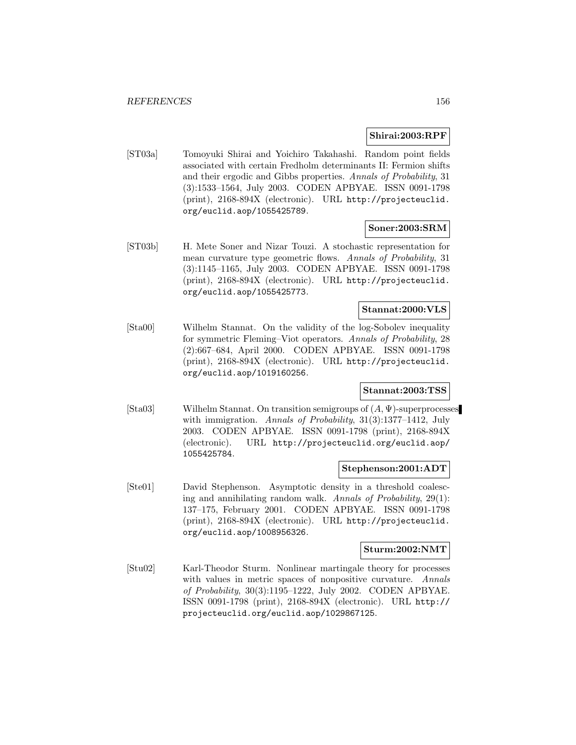### **Shirai:2003:RPF**

[ST03a] Tomoyuki Shirai and Yoichiro Takahashi. Random point fields associated with certain Fredholm determinants II: Fermion shifts and their ergodic and Gibbs properties. Annals of Probability, 31 (3):1533–1564, July 2003. CODEN APBYAE. ISSN 0091-1798 (print), 2168-894X (electronic). URL http://projecteuclid. org/euclid.aop/1055425789.

### **Soner:2003:SRM**

[ST03b] H. Mete Soner and Nizar Touzi. A stochastic representation for mean curvature type geometric flows. Annals of Probability, 31 (3):1145–1165, July 2003. CODEN APBYAE. ISSN 0091-1798 (print), 2168-894X (electronic). URL http://projecteuclid. org/euclid.aop/1055425773.

# **Stannat:2000:VLS**

[Sta00] Wilhelm Stannat. On the validity of the log-Sobolev inequality for symmetric Fleming–Viot operators. Annals of Probability, 28 (2):667–684, April 2000. CODEN APBYAE. ISSN 0091-1798 (print), 2168-894X (electronic). URL http://projecteuclid. org/euclid.aop/1019160256.

# **Stannat:2003:TSS**

[Sta03] Wilhelm Stannat. On transition semigroups of (A, Ψ)-superprocesses with immigration. Annals of Probability, 31(3):1377-1412, July 2003. CODEN APBYAE. ISSN 0091-1798 (print), 2168-894X (electronic). URL http://projecteuclid.org/euclid.aop/ 1055425784.

### **Stephenson:2001:ADT**

[Ste01] David Stephenson. Asymptotic density in a threshold coalescing and annihilating random walk. Annals of Probability, 29(1): 137–175, February 2001. CODEN APBYAE. ISSN 0091-1798 (print), 2168-894X (electronic). URL http://projecteuclid. org/euclid.aop/1008956326.

#### **Sturm:2002:NMT**

[Stu02] Karl-Theodor Sturm. Nonlinear martingale theory for processes with values in metric spaces of nonpositive curvature. Annals of Probability, 30(3):1195–1222, July 2002. CODEN APBYAE. ISSN 0091-1798 (print), 2168-894X (electronic). URL http:// projecteuclid.org/euclid.aop/1029867125.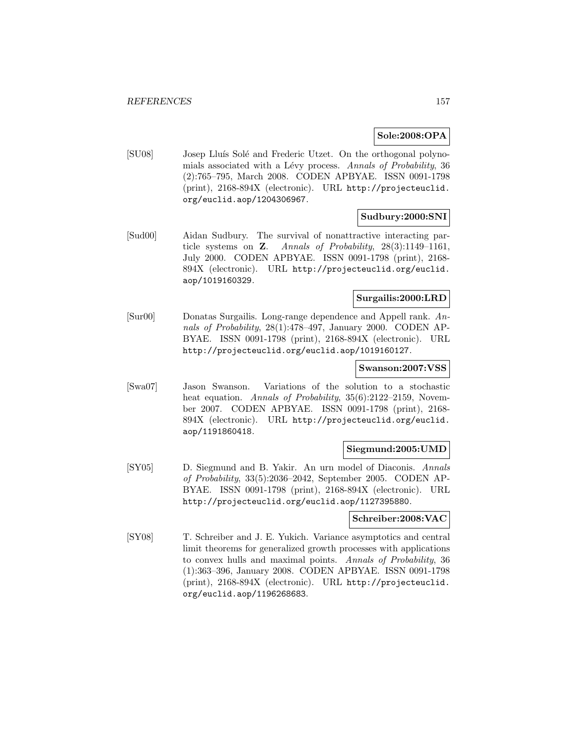## **Sole:2008:OPA**

[SU08] Josep Lluís Solé and Frederic Utzet. On the orthogonal polynomials associated with a Lévy process. Annals of Probability, 36 (2):765–795, March 2008. CODEN APBYAE. ISSN 0091-1798 (print), 2168-894X (electronic). URL http://projecteuclid. org/euclid.aop/1204306967.

### **Sudbury:2000:SNI**

[Sud00] Aidan Sudbury. The survival of nonattractive interacting particle systems on **Z**. Annals of Probability, 28(3):1149–1161, July 2000. CODEN APBYAE. ISSN 0091-1798 (print), 2168- 894X (electronic). URL http://projecteuclid.org/euclid. aop/1019160329.

# **Surgailis:2000:LRD**

[Sur00] Donatas Surgailis. Long-range dependence and Appell rank. Annals of Probability, 28(1):478–497, January 2000. CODEN AP-BYAE. ISSN 0091-1798 (print), 2168-894X (electronic). URL http://projecteuclid.org/euclid.aop/1019160127.

#### **Swanson:2007:VSS**

[Swa07] Jason Swanson. Variations of the solution to a stochastic heat equation. Annals of Probability, 35(6):2122-2159, November 2007. CODEN APBYAE. ISSN 0091-1798 (print), 2168- 894X (electronic). URL http://projecteuclid.org/euclid. aop/1191860418.

#### **Siegmund:2005:UMD**

[SY05] D. Siegmund and B. Yakir. An urn model of Diaconis. Annals of Probability, 33(5):2036–2042, September 2005. CODEN AP-BYAE. ISSN 0091-1798 (print), 2168-894X (electronic). URL http://projecteuclid.org/euclid.aop/1127395880.

#### **Schreiber:2008:VAC**

[SY08] T. Schreiber and J. E. Yukich. Variance asymptotics and central limit theorems for generalized growth processes with applications to convex hulls and maximal points. Annals of Probability, 36 (1):363–396, January 2008. CODEN APBYAE. ISSN 0091-1798 (print), 2168-894X (electronic). URL http://projecteuclid. org/euclid.aop/1196268683.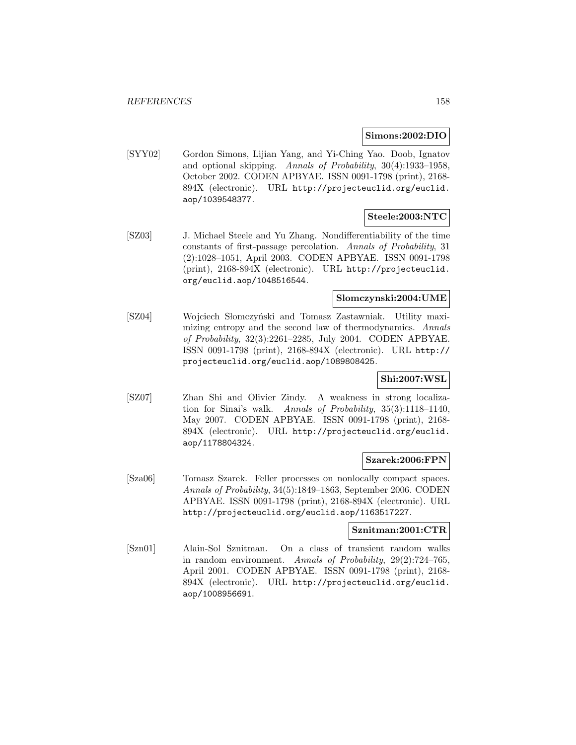#### **Simons:2002:DIO**

[SYY02] Gordon Simons, Lijian Yang, and Yi-Ching Yao. Doob, Ignatov and optional skipping. Annals of Probability, 30(4):1933–1958, October 2002. CODEN APBYAE. ISSN 0091-1798 (print), 2168- 894X (electronic). URL http://projecteuclid.org/euclid. aop/1039548377.

# **Steele:2003:NTC**

[SZ03] J. Michael Steele and Yu Zhang. Nondifferentiability of the time constants of first-passage percolation. Annals of Probability, 31 (2):1028–1051, April 2003. CODEN APBYAE. ISSN 0091-1798 (print), 2168-894X (electronic). URL http://projecteuclid. org/euclid.aop/1048516544.

## **Slomczynski:2004:UME**

[SZ04] Wojciech Słomczyński and Tomasz Zastawniak. Utility maximizing entropy and the second law of thermodynamics. Annals of Probability, 32(3):2261–2285, July 2004. CODEN APBYAE. ISSN 0091-1798 (print), 2168-894X (electronic). URL http:// projecteuclid.org/euclid.aop/1089808425.

# **Shi:2007:WSL**

[SZ07] Zhan Shi and Olivier Zindy. A weakness in strong localization for Sinai's walk. Annals of Probability, 35(3):1118–1140, May 2007. CODEN APBYAE. ISSN 0091-1798 (print), 2168- 894X (electronic). URL http://projecteuclid.org/euclid. aop/1178804324.

### **Szarek:2006:FPN**

[Sza06] Tomasz Szarek. Feller processes on nonlocally compact spaces. Annals of Probability, 34(5):1849–1863, September 2006. CODEN APBYAE. ISSN 0091-1798 (print), 2168-894X (electronic). URL http://projecteuclid.org/euclid.aop/1163517227.

### **Sznitman:2001:CTR**

[Szn01] Alain-Sol Sznitman. On a class of transient random walks in random environment. Annals of Probability, 29(2):724–765, April 2001. CODEN APBYAE. ISSN 0091-1798 (print), 2168- 894X (electronic). URL http://projecteuclid.org/euclid. aop/1008956691.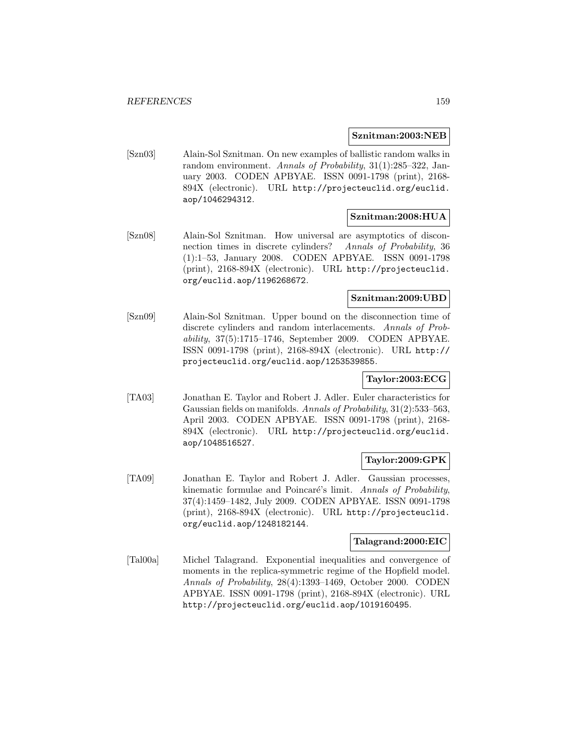#### **Sznitman:2003:NEB**

[Szn03] Alain-Sol Sznitman. On new examples of ballistic random walks in random environment. Annals of Probability, 31(1):285–322, January 2003. CODEN APBYAE. ISSN 0091-1798 (print), 2168- 894X (electronic). URL http://projecteuclid.org/euclid. aop/1046294312.

### **Sznitman:2008:HUA**

[Szn08] Alain-Sol Sznitman. How universal are asymptotics of disconnection times in discrete cylinders? Annals of Probability, 36 (1):1–53, January 2008. CODEN APBYAE. ISSN 0091-1798 (print), 2168-894X (electronic). URL http://projecteuclid. org/euclid.aop/1196268672.

### **Sznitman:2009:UBD**

[Szn09] Alain-Sol Sznitman. Upper bound on the disconnection time of discrete cylinders and random interlacements. Annals of Probability, 37(5):1715–1746, September 2009. CODEN APBYAE. ISSN 0091-1798 (print), 2168-894X (electronic). URL http:// projecteuclid.org/euclid.aop/1253539855.

# **Taylor:2003:ECG**

[TA03] Jonathan E. Taylor and Robert J. Adler. Euler characteristics for Gaussian fields on manifolds. Annals of Probability, 31(2):533–563, April 2003. CODEN APBYAE. ISSN 0091-1798 (print), 2168- 894X (electronic). URL http://projecteuclid.org/euclid. aop/1048516527.

### **Taylor:2009:GPK**

[TA09] Jonathan E. Taylor and Robert J. Adler. Gaussian processes, kinematic formulae and Poincaré's limit. Annals of Probability, 37(4):1459–1482, July 2009. CODEN APBYAE. ISSN 0091-1798 (print), 2168-894X (electronic). URL http://projecteuclid. org/euclid.aop/1248182144.

## **Talagrand:2000:EIC**

[Tal00a] Michel Talagrand. Exponential inequalities and convergence of moments in the replica-symmetric regime of the Hopfield model. Annals of Probability, 28(4):1393–1469, October 2000. CODEN APBYAE. ISSN 0091-1798 (print), 2168-894X (electronic). URL http://projecteuclid.org/euclid.aop/1019160495.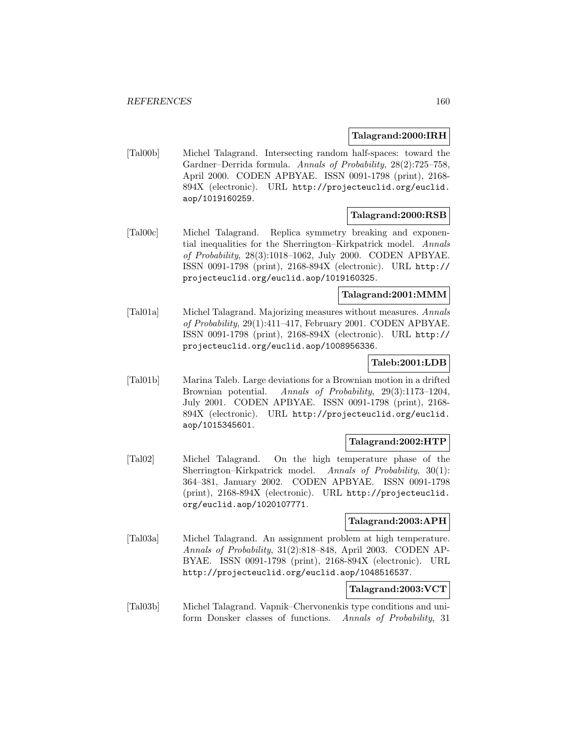#### **Talagrand:2000:IRH**

[Tal00b] Michel Talagrand. Intersecting random half-spaces: toward the Gardner–Derrida formula. Annals of Probability, 28(2):725–758, April 2000. CODEN APBYAE. ISSN 0091-1798 (print), 2168- 894X (electronic). URL http://projecteuclid.org/euclid. aop/1019160259.

#### **Talagrand:2000:RSB**

[Tal00c] Michel Talagrand. Replica symmetry breaking and exponential inequalities for the Sherrington–Kirkpatrick model. Annals of Probability, 28(3):1018–1062, July 2000. CODEN APBYAE. ISSN 0091-1798 (print), 2168-894X (electronic). URL http:// projecteuclid.org/euclid.aop/1019160325.

# **Talagrand:2001:MMM**

[Tal01a] Michel Talagrand. Majorizing measures without measures. Annals of Probability, 29(1):411–417, February 2001. CODEN APBYAE. ISSN 0091-1798 (print), 2168-894X (electronic). URL http:// projecteuclid.org/euclid.aop/1008956336.

## **Taleb:2001:LDB**

[Tal01b] Marina Taleb. Large deviations for a Brownian motion in a drifted Brownian potential. Annals of Probability, 29(3):1173–1204, July 2001. CODEN APBYAE. ISSN 0091-1798 (print), 2168- 894X (electronic). URL http://projecteuclid.org/euclid. aop/1015345601.

### **Talagrand:2002:HTP**

[Tal02] Michel Talagrand. On the high temperature phase of the Sherrington–Kirkpatrick model. Annals of Probability, 30(1): 364–381, January 2002. CODEN APBYAE. ISSN 0091-1798 (print), 2168-894X (electronic). URL http://projecteuclid. org/euclid.aop/1020107771.

### **Talagrand:2003:APH**

[Tal03a] Michel Talagrand. An assignment problem at high temperature. Annals of Probability, 31(2):818–848, April 2003. CODEN AP-BYAE. ISSN 0091-1798 (print), 2168-894X (electronic). URL http://projecteuclid.org/euclid.aop/1048516537.

### **Talagrand:2003:VCT**

[Tal03b] Michel Talagrand. Vapnik–Chervonenkis type conditions and uniform Donsker classes of functions. Annals of Probability, 31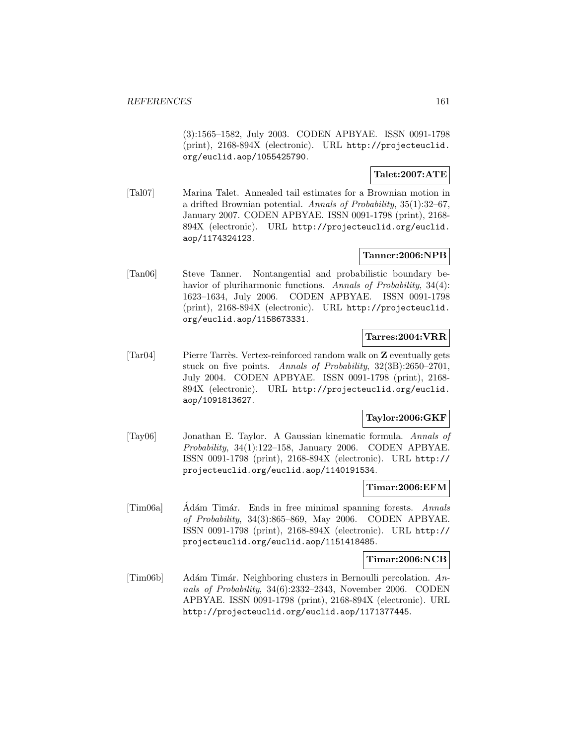(3):1565–1582, July 2003. CODEN APBYAE. ISSN 0091-1798 (print), 2168-894X (electronic). URL http://projecteuclid. org/euclid.aop/1055425790.

# **Talet:2007:ATE**

[Tal07] Marina Talet. Annealed tail estimates for a Brownian motion in a drifted Brownian potential. Annals of Probability, 35(1):32–67, January 2007. CODEN APBYAE. ISSN 0091-1798 (print), 2168- 894X (electronic). URL http://projecteuclid.org/euclid. aop/1174324123.

### **Tanner:2006:NPB**

[Tan06] Steve Tanner. Nontangential and probabilistic boundary behavior of pluriharmonic functions. Annals of Probability, 34(4): 1623–1634, July 2006. CODEN APBYAE. ISSN 0091-1798 (print), 2168-894X (electronic). URL http://projecteuclid. org/euclid.aop/1158673331.

#### **Tarres:2004:VRR**

[Tar04] Pierre Tarrès. Vertex-reinforced random walk on **Z** eventually gets stuck on five points. Annals of Probability, 32(3B):2650–2701, July 2004. CODEN APBYAE. ISSN 0091-1798 (print), 2168- 894X (electronic). URL http://projecteuclid.org/euclid. aop/1091813627.

# **Taylor:2006:GKF**

[Tay06] Jonathan E. Taylor. A Gaussian kinematic formula. Annals of Probability, 34(1):122–158, January 2006. CODEN APBYAE. ISSN 0091-1798 (print), 2168-894X (electronic). URL http:// projecteuclid.org/euclid.aop/1140191534.

#### **Timar:2006:EFM**

[Tim06a] Adám Timár. Ends in free minimal spanning forests. Annals of Probability, 34(3):865–869, May 2006. CODEN APBYAE. ISSN 0091-1798 (print), 2168-894X (electronic). URL http:// projecteuclid.org/euclid.aop/1151418485.

**Timar:2006:NCB**

 $[Tim06b]$  Adám Timár. Neighboring clusters in Bernoulli percolation. Annals of Probability, 34(6):2332–2343, November 2006. CODEN APBYAE. ISSN 0091-1798 (print), 2168-894X (electronic). URL http://projecteuclid.org/euclid.aop/1171377445.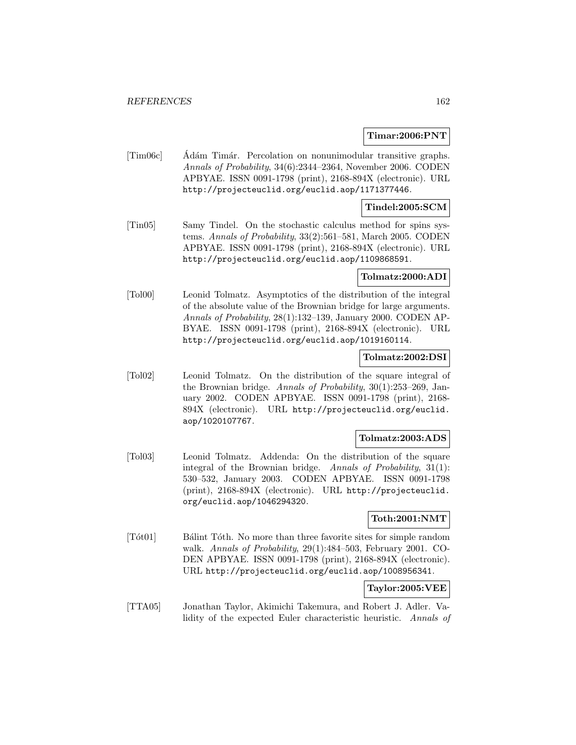#### **Timar:2006:PNT**

[Tim06c] Ádám Timár. Percolation on nonunimodular transitive graphs. Annals of Probability, 34(6):2344–2364, November 2006. CODEN APBYAE. ISSN 0091-1798 (print), 2168-894X (electronic). URL http://projecteuclid.org/euclid.aop/1171377446.

### **Tindel:2005:SCM**

[Tin05] Samy Tindel. On the stochastic calculus method for spins systems. Annals of Probability, 33(2):561–581, March 2005. CODEN APBYAE. ISSN 0091-1798 (print), 2168-894X (electronic). URL http://projecteuclid.org/euclid.aop/1109868591.

## **Tolmatz:2000:ADI**

[Tol00] Leonid Tolmatz. Asymptotics of the distribution of the integral of the absolute value of the Brownian bridge for large arguments. Annals of Probability, 28(1):132–139, January 2000. CODEN AP-BYAE. ISSN 0091-1798 (print), 2168-894X (electronic). URL http://projecteuclid.org/euclid.aop/1019160114.

### **Tolmatz:2002:DSI**

[Tol02] Leonid Tolmatz. On the distribution of the square integral of the Brownian bridge. Annals of Probability, 30(1):253–269, January 2002. CODEN APBYAE. ISSN 0091-1798 (print), 2168- 894X (electronic). URL http://projecteuclid.org/euclid. aop/1020107767.

## **Tolmatz:2003:ADS**

[Tol03] Leonid Tolmatz. Addenda: On the distribution of the square integral of the Brownian bridge. Annals of Probability, 31(1): 530–532, January 2003. CODEN APBYAE. ISSN 0091-1798 (print), 2168-894X (electronic). URL http://projecteuclid. org/euclid.aop/1046294320.

### **Toth:2001:NMT**

[Tót01] Bálint Tóth. No more than three favorite sites for simple random walk. Annals of Probability, 29(1):484–503, February 2001. CO-DEN APBYAE. ISSN 0091-1798 (print), 2168-894X (electronic). URL http://projecteuclid.org/euclid.aop/1008956341.

# **Taylor:2005:VEE**

[TTA05] Jonathan Taylor, Akimichi Takemura, and Robert J. Adler. Validity of the expected Euler characteristic heuristic. Annals of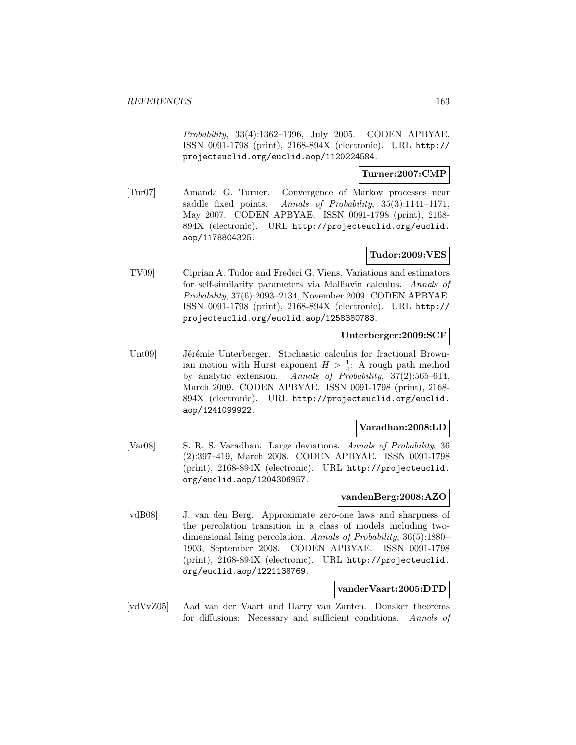Probability, 33(4):1362–1396, July 2005. CODEN APBYAE. ISSN 0091-1798 (print), 2168-894X (electronic). URL http:// projecteuclid.org/euclid.aop/1120224584.

### **Turner:2007:CMP**

[Tur07] Amanda G. Turner. Convergence of Markov processes near saddle fixed points. Annals of Probability, 35(3):1141–1171, May 2007. CODEN APBYAE. ISSN 0091-1798 (print), 2168- 894X (electronic). URL http://projecteuclid.org/euclid. aop/1178804325.

# **Tudor:2009:VES**

[TV09] Ciprian A. Tudor and Frederi G. Viens. Variations and estimators for self-similarity parameters via Malliavin calculus. Annals of Probability, 37(6):2093–2134, November 2009. CODEN APBYAE. ISSN 0091-1798 (print), 2168-894X (electronic). URL http:// projecteuclid.org/euclid.aop/1258380783.

### **Unterberger:2009:SCF**

[Unt09] Jérémie Unterberger. Stochastic calculus for fractional Brownian motion with Hurst exponent  $H > \frac{1}{4}$ : A rough path method by analytic extension. Annals of Probability, 37(2):565–614, March 2009. CODEN APBYAE. ISSN 0091-1798 (print), 2168- 894X (electronic). URL http://projecteuclid.org/euclid. aop/1241099922.

### **Varadhan:2008:LD**

[Var08] S. R. S. Varadhan. Large deviations. Annals of Probability, 36 (2):397–419, March 2008. CODEN APBYAE. ISSN 0091-1798 (print), 2168-894X (electronic). URL http://projecteuclid. org/euclid.aop/1204306957.

## **vandenBerg:2008:AZO**

[vdB08] J. van den Berg. Approximate zero-one laws and sharpness of the percolation transition in a class of models including twodimensional Ising percolation. Annals of Probability, 36(5):1880– 1903, September 2008. CODEN APBYAE. ISSN 0091-1798 (print), 2168-894X (electronic). URL http://projecteuclid. org/euclid.aop/1221138769.

#### **vanderVaart:2005:DTD**

[vdVvZ05] Aad van der Vaart and Harry van Zanten. Donsker theorems for diffusions: Necessary and sufficient conditions. Annals of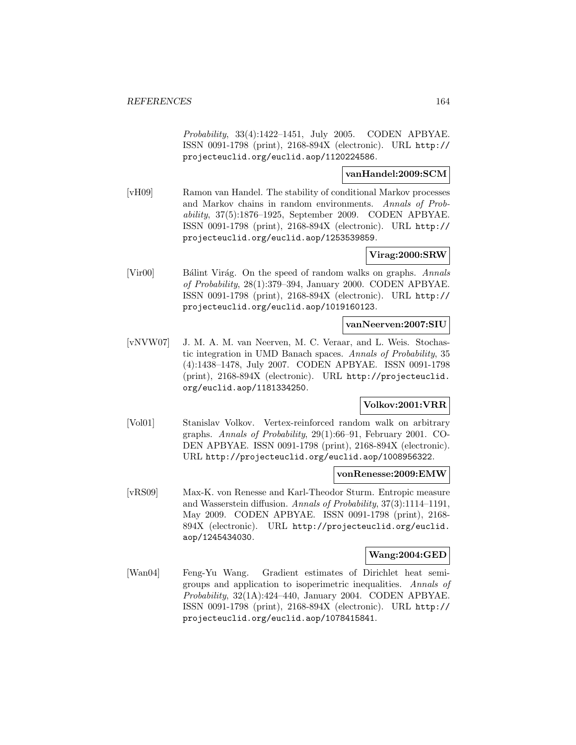Probability, 33(4):1422–1451, July 2005. CODEN APBYAE. ISSN 0091-1798 (print), 2168-894X (electronic). URL http:// projecteuclid.org/euclid.aop/1120224586.

## **vanHandel:2009:SCM**

[vH09] Ramon van Handel. The stability of conditional Markov processes and Markov chains in random environments. Annals of Probability, 37(5):1876–1925, September 2009. CODEN APBYAE. ISSN 0091-1798 (print), 2168-894X (electronic). URL http:// projecteuclid.org/euclid.aop/1253539859.

# **Virag:2000:SRW**

[Vir00] Bálint Virág. On the speed of random walks on graphs. Annals of Probability, 28(1):379–394, January 2000. CODEN APBYAE. ISSN 0091-1798 (print), 2168-894X (electronic). URL http:// projecteuclid.org/euclid.aop/1019160123.

# **vanNeerven:2007:SIU**

[vNVW07] J. M. A. M. van Neerven, M. C. Veraar, and L. Weis. Stochastic integration in UMD Banach spaces. Annals of Probability, 35 (4):1438–1478, July 2007. CODEN APBYAE. ISSN 0091-1798 (print), 2168-894X (electronic). URL http://projecteuclid. org/euclid.aop/1181334250.

# **Volkov:2001:VRR**

[Vol01] Stanislav Volkov. Vertex-reinforced random walk on arbitrary graphs. Annals of Probability, 29(1):66–91, February 2001. CO-DEN APBYAE. ISSN 0091-1798 (print), 2168-894X (electronic). URL http://projecteuclid.org/euclid.aop/1008956322.

### **vonRenesse:2009:EMW**

[vRS09] Max-K. von Renesse and Karl-Theodor Sturm. Entropic measure and Wasserstein diffusion. Annals of Probability, 37(3):1114–1191, May 2009. CODEN APBYAE. ISSN 0091-1798 (print), 2168- 894X (electronic). URL http://projecteuclid.org/euclid. aop/1245434030.

### **Wang:2004:GED**

[Wan04] Feng-Yu Wang. Gradient estimates of Dirichlet heat semigroups and application to isoperimetric inequalities. Annals of Probability, 32(1A):424–440, January 2004. CODEN APBYAE. ISSN 0091-1798 (print), 2168-894X (electronic). URL http:// projecteuclid.org/euclid.aop/1078415841.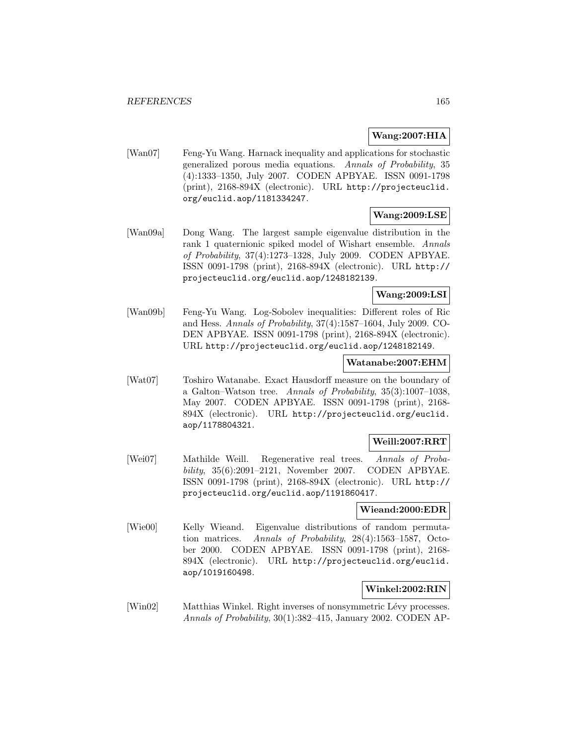# **Wang:2007:HIA**

[Wan07] Feng-Yu Wang. Harnack inequality and applications for stochastic generalized porous media equations. Annals of Probability, 35 (4):1333–1350, July 2007. CODEN APBYAE. ISSN 0091-1798 (print), 2168-894X (electronic). URL http://projecteuclid. org/euclid.aop/1181334247.

# **Wang:2009:LSE**

[Wan09a] Dong Wang. The largest sample eigenvalue distribution in the rank 1 quaternionic spiked model of Wishart ensemble. Annals of Probability, 37(4):1273–1328, July 2009. CODEN APBYAE. ISSN 0091-1798 (print), 2168-894X (electronic). URL http:// projecteuclid.org/euclid.aop/1248182139.

# **Wang:2009:LSI**

[Wan09b] Feng-Yu Wang. Log-Sobolev inequalities: Different roles of Ric and Hess. Annals of Probability, 37(4):1587–1604, July 2009. CO-DEN APBYAE. ISSN 0091-1798 (print), 2168-894X (electronic). URL http://projecteuclid.org/euclid.aop/1248182149.

#### **Watanabe:2007:EHM**

[Wat07] Toshiro Watanabe. Exact Hausdorff measure on the boundary of a Galton–Watson tree. Annals of Probability, 35(3):1007–1038, May 2007. CODEN APBYAE. ISSN 0091-1798 (print), 2168- 894X (electronic). URL http://projecteuclid.org/euclid. aop/1178804321.

### **Weill:2007:RRT**

[Wei07] Mathilde Weill. Regenerative real trees. Annals of Probability, 35(6):2091–2121, November 2007. CODEN APBYAE. ISSN 0091-1798 (print), 2168-894X (electronic). URL http:// projecteuclid.org/euclid.aop/1191860417.

# **Wieand:2000:EDR**

[Wie00] Kelly Wieand. Eigenvalue distributions of random permutation matrices. Annals of Probability, 28(4):1563–1587, October 2000. CODEN APBYAE. ISSN 0091-1798 (print), 2168- 894X (electronic). URL http://projecteuclid.org/euclid. aop/1019160498.

### **Winkel:2002:RIN**

[Win02] Matthias Winkel. Right inverses of nonsymmetric Lévy processes. Annals of Probability, 30(1):382–415, January 2002. CODEN AP-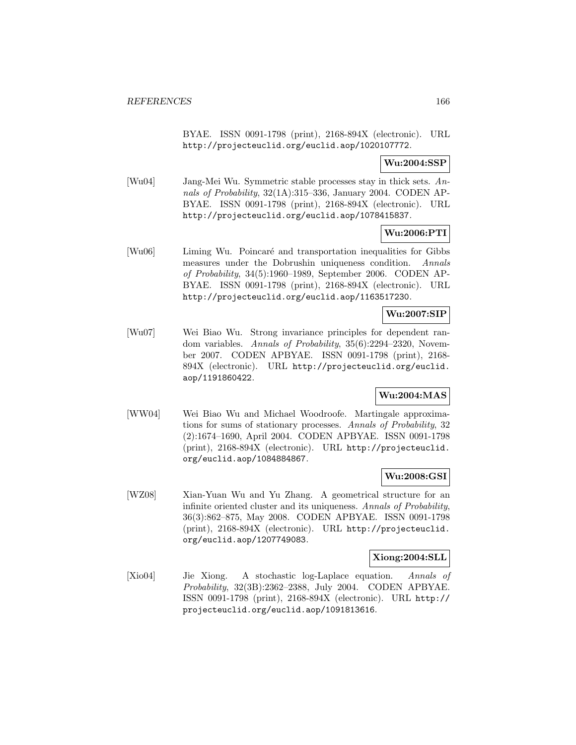BYAE. ISSN 0091-1798 (print), 2168-894X (electronic). URL http://projecteuclid.org/euclid.aop/1020107772.

# **Wu:2004:SSP**

[Wu04] Jang-Mei Wu. Symmetric stable processes stay in thick sets. Annals of Probability, 32(1A):315–336, January 2004. CODEN AP-BYAE. ISSN 0091-1798 (print), 2168-894X (electronic). URL http://projecteuclid.org/euclid.aop/1078415837.

# **Wu:2006:PTI**

[Wu06] Liming Wu. Poincaré and transportation inequalities for Gibbs measures under the Dobrushin uniqueness condition. Annals of Probability, 34(5):1960–1989, September 2006. CODEN AP-BYAE. ISSN 0091-1798 (print), 2168-894X (electronic). URL http://projecteuclid.org/euclid.aop/1163517230.

### **Wu:2007:SIP**

[Wu07] Wei Biao Wu. Strong invariance principles for dependent random variables. Annals of Probability, 35(6):2294–2320, November 2007. CODEN APBYAE. ISSN 0091-1798 (print), 2168- 894X (electronic). URL http://projecteuclid.org/euclid. aop/1191860422.

# **Wu:2004:MAS**

[WW04] Wei Biao Wu and Michael Woodroofe. Martingale approximations for sums of stationary processes. Annals of Probability, 32 (2):1674–1690, April 2004. CODEN APBYAE. ISSN 0091-1798 (print), 2168-894X (electronic). URL http://projecteuclid. org/euclid.aop/1084884867.

### **Wu:2008:GSI**

[WZ08] Xian-Yuan Wu and Yu Zhang. A geometrical structure for an infinite oriented cluster and its uniqueness. Annals of Probability, 36(3):862–875, May 2008. CODEN APBYAE. ISSN 0091-1798 (print), 2168-894X (electronic). URL http://projecteuclid. org/euclid.aop/1207749083.

### **Xiong:2004:SLL**

[Xio04] Jie Xiong. A stochastic log-Laplace equation. Annals of Probability, 32(3B):2362–2388, July 2004. CODEN APBYAE. ISSN 0091-1798 (print), 2168-894X (electronic). URL http:// projecteuclid.org/euclid.aop/1091813616.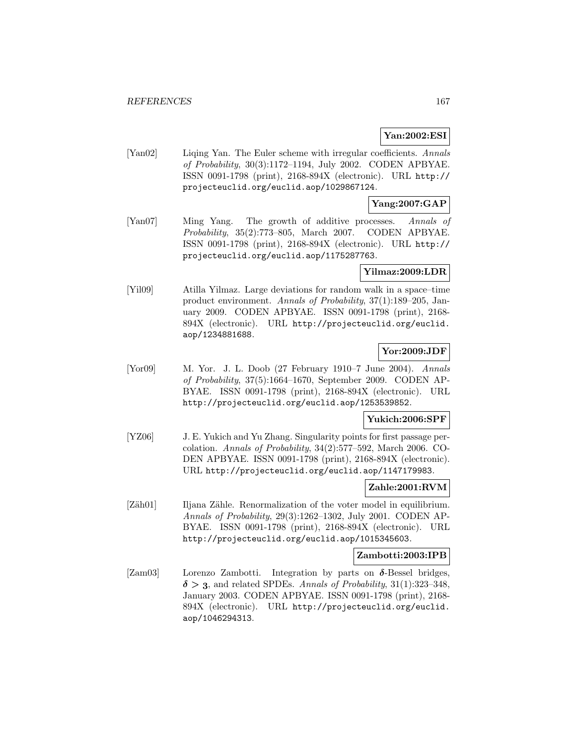# **Yan:2002:ESI**

[Yan02] Liqing Yan. The Euler scheme with irregular coefficients. Annals of Probability, 30(3):1172–1194, July 2002. CODEN APBYAE. ISSN 0091-1798 (print), 2168-894X (electronic). URL http:// projecteuclid.org/euclid.aop/1029867124.

# **Yang:2007:GAP**

[Yan07] Ming Yang. The growth of additive processes. Annals of Probability, 35(2):773–805, March 2007. CODEN APBYAE. ISSN 0091-1798 (print), 2168-894X (electronic). URL http:// projecteuclid.org/euclid.aop/1175287763.

## **Yilmaz:2009:LDR**

[Yil09] Atilla Yilmaz. Large deviations for random walk in a space–time product environment. Annals of Probability, 37(1):189–205, January 2009. CODEN APBYAE. ISSN 0091-1798 (print), 2168- 894X (electronic). URL http://projecteuclid.org/euclid. aop/1234881688.

# **Yor:2009:JDF**

[Yor09] M. Yor. J. L. Doob (27 February 1910–7 June 2004). Annals of Probability, 37(5):1664–1670, September 2009. CODEN AP-BYAE. ISSN 0091-1798 (print), 2168-894X (electronic). URL http://projecteuclid.org/euclid.aop/1253539852.

# **Yukich:2006:SPF**

[YZ06] J. E. Yukich and Yu Zhang. Singularity points for first passage percolation. Annals of Probability, 34(2):577–592, March 2006. CO-DEN APBYAE. ISSN 0091-1798 (print), 2168-894X (electronic). URL http://projecteuclid.org/euclid.aop/1147179983.

### **Zahle:2001:RVM**

[Zäh01] Iljana Zähle. Renormalization of the voter model in equilibrium. Annals of Probability, 29(3):1262–1302, July 2001. CODEN AP-BYAE. ISSN 0091-1798 (print), 2168-894X (electronic). URL http://projecteuclid.org/euclid.aop/1015345603.

### **Zambotti:2003:IPB**

[Zam03] Lorenzo Zambotti. Integration by parts on *δ*-Bessel bridges,  $\delta$  > 3, and related SPDEs. Annals of Probability, 31(1):323-348, January 2003. CODEN APBYAE. ISSN 0091-1798 (print), 2168- 894X (electronic). URL http://projecteuclid.org/euclid. aop/1046294313.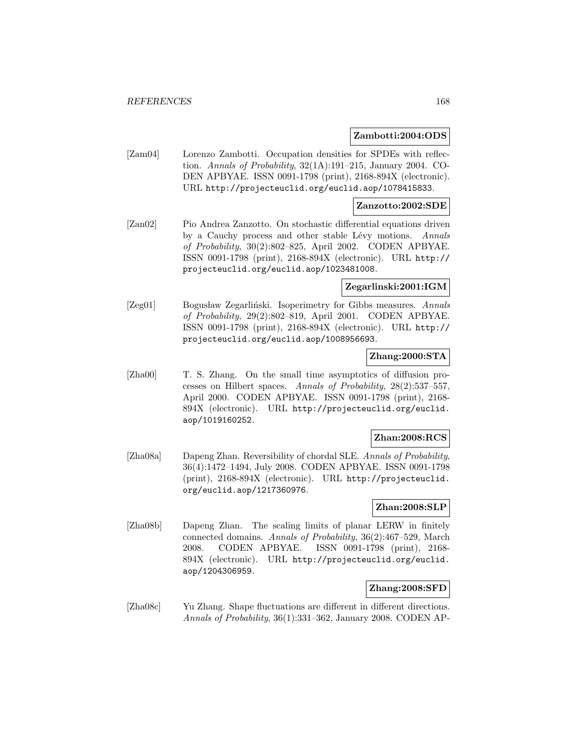#### **Zambotti:2004:ODS**

[Zam04] Lorenzo Zambotti. Occupation densities for SPDEs with reflection. Annals of Probability, 32(1A):191–215, January 2004. CO-DEN APBYAE. ISSN 0091-1798 (print), 2168-894X (electronic). URL http://projecteuclid.org/euclid.aop/1078415833.

#### **Zanzotto:2002:SDE**

[Zan02] Pio Andrea Zanzotto. On stochastic differential equations driven by a Cauchy process and other stable Lévy motions. Annals of Probability, 30(2):802–825, April 2002. CODEN APBYAE. ISSN 0091-1798 (print), 2168-894X (electronic). URL http:// projecteuclid.org/euclid.aop/1023481008.

### **Zegarlinski:2001:IGM**

[Zeg01] Bogusław Zegarliński. Isoperimetry for Gibbs measures. Annals of Probability, 29(2):802–819, April 2001. CODEN APBYAE. ISSN 0091-1798 (print), 2168-894X (electronic). URL http:// projecteuclid.org/euclid.aop/1008956693.

## **Zhang:2000:STA**

[Zha00] T. S. Zhang. On the small time asymptotics of diffusion processes on Hilbert spaces. Annals of Probability, 28(2):537–557, April 2000. CODEN APBYAE. ISSN 0091-1798 (print), 2168- 894X (electronic). URL http://projecteuclid.org/euclid. aop/1019160252.

## **Zhan:2008:RCS**

[Zha08a] Dapeng Zhan. Reversibility of chordal SLE. Annals of Probability, 36(4):1472–1494, July 2008. CODEN APBYAE. ISSN 0091-1798 (print), 2168-894X (electronic). URL http://projecteuclid. org/euclid.aop/1217360976.

## **Zhan:2008:SLP**

[Zha08b] Dapeng Zhan. The scaling limits of planar LERW in finitely connected domains. Annals of Probability, 36(2):467–529, March 2008. CODEN APBYAE. ISSN 0091-1798 (print), 2168- 894X (electronic). URL http://projecteuclid.org/euclid. aop/1204306959.

## **Zhang:2008:SFD**

[Zha08c] Yu Zhang. Shape fluctuations are different in different directions. Annals of Probability, 36(1):331–362, January 2008. CODEN AP-